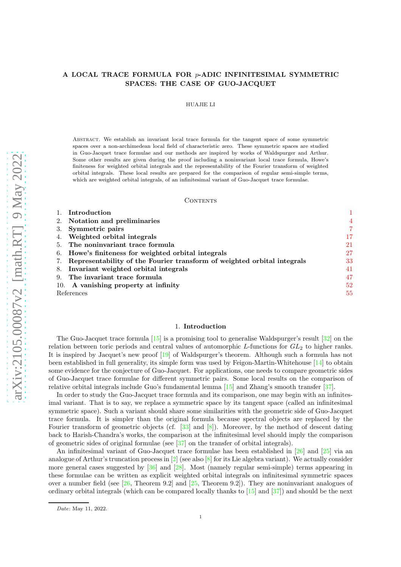# A LOCAL TRACE FORMULA FOR p-ADIC INFINITESIMAL SYMMETRIC SPACES: THE CASE OF GUO-JACQUET

#### HUAJIE LI

Abstract. We establish an invariant local trace formula for the tangent space of some symmetric spaces over a non-archimedean local field of characteristic zero. These symmetric spaces are studied in Guo-Jacquet trace formulae and our methods are inspired by works of Waldspurger and Arthur. Some other results are given during the proof including a noninvariant local trace formula, Howe's finiteness for weighted orbital integrals and the representability of the Fourier transform of weighted orbital integrals. These local results are prepared for the comparison of regular semi-simple terms, which are weighted orbital integrals, of an infinitesimal variant of Guo-Jacquet trace formulae.

#### CONTENTS

|            | Introduction                                                               |    |
|------------|----------------------------------------------------------------------------|----|
|            | 2. Notation and preliminaries                                              | 4  |
|            | 3. Symmetric pairs                                                         |    |
|            | 4. Weighted orbital integrals                                              | 17 |
|            | 5. The noninvariant trace formula                                          | 21 |
|            | 6. Howe's finiteness for weighted orbital integrals                        | 27 |
|            | 7. Representability of the Fourier transform of weighted orbital integrals | 33 |
|            | 8. Invariant weighted orbital integrals                                    | 41 |
|            | 9. The invariant trace formula                                             | 47 |
|            | 10. A vanishing property at infinity                                       | 52 |
| References |                                                                            | 55 |

#### 1. Introduction

<span id="page-0-0"></span>The Guo-Jacquet trace formula [\[15\]](#page-54-1) is a promising tool to generalise Waldspurger's result [\[32\]](#page-55-0) on the relation between toric periods and central values of automorphic  $L$ -functions for  $GL_2$  to higher ranks. It is inspired by Jacquet's new proof [\[19\]](#page-54-2) of Waldspurger's theorem. Although such a formula has not been established in full generality, its simple form was used by Feigon-Martin-Whitehouse [\[14\]](#page-54-3) to obtain some evidence for the conjecture of Guo-Jacquet. For applications, one needs to compare geometric sides of Guo-Jacquet trace formulae for different symmetric pairs. Some local results on the comparison of relative orbital integrals include Guo's fundamental lemma [\[15\]](#page-54-1) and Zhang's smooth transfer [\[37\]](#page-55-1).

In order to study the Guo-Jacquet trace formula and its comparison, one may begin with an infinitesimal variant. That is to say, we replace a symmetric space by its tangent space (called an infinitesimal symmetric space). Such a variant should share some similarities with the geometric side of Guo-Jacquet trace formula. It is simpler than the original formula because spectral objects are replaced by the Fourier transform of geometric objects (cf.  $[33]$  and  $[8]$ ). Moreover, by the method of descent dating back to Harish-Chandra's works, the comparison at the infinitesimal level should imply the comparison of geometric sides of original formulae (see [\[37\]](#page-55-1) on the transfer of orbital integrals).

An infinitesimal variant of Guo-Jacquet trace formulae has been established in [\[26\]](#page-55-3) and [\[25\]](#page-55-4) via an analogue of Arthur's truncation process in  $[2]$  (see also  $[8]$  for its Lie algebra variant). We actually consider more general cases suggested by [\[36\]](#page-55-5) and [\[28\]](#page-55-6). Most (namely regular semi-simple) terms appearing in these formulae can be written as explicit weighted orbital integrals on infinitesimal symmetric spaces over a number field (see  $[26,$  Theorem 9.2] and  $[25,$  Theorem 9.2]). They are noninvariant analogues of ordinary orbital integrals (which can be compared locally thanks to [\[15\]](#page-54-1) and [\[37\]](#page-55-1)) and should be the next

Date: May 11, 2022.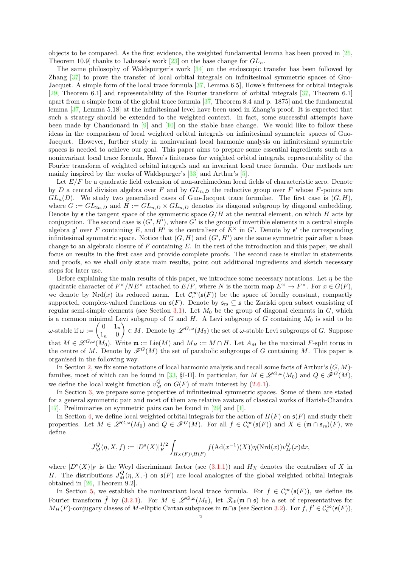objects to be compared. As the first evidence, the weighted fundamental lemma has been proved in [\[25,](#page-55-4) Theorem 10.9] thanks to Labesse's work [\[23\]](#page-55-7) on the base change for  $GL_n$ .

The same philosophy of Waldspurger's work [\[34\]](#page-55-8) on the endoscopic transfer has been followed by Zhang [\[37\]](#page-55-1) to prove the transfer of local orbital integrals on infinitesimal symmetric spaces of Guo-Jacquet. A simple form of the local trace formula [\[37,](#page-55-1) Lemma 6.5], Howe's finiteness for orbital integrals [\[29,](#page-55-9) Theorem 6.1] and representability of the Fourier transform of orbital integrals [\[37,](#page-55-1) Theorem 6.1] apart from a simple form of the global trace formula [\[37,](#page-55-1) Theorem 8.4 and p. 1875] and the fundamental lemma [\[37,](#page-55-1) Lemma 5.18] at the infinitesimal level have been used in Zhang's proof. It is expected that such a strategy should be extended to the weighted context. In fact, some successful attempts have been made by Chaudouard in  $[9]$  and  $[10]$  on the stable base change. We would like to follow these ideas in the comparison of local weighted orbital integrals on infinitesimal symmetric spaces of Guo-Jacquet. However, further study in noninvariant local harmonic analysis on infinitesimal symmetric spaces is needed to achieve our goal. This paper aims to prepare some essential ingredients such as a noninvariant local trace formula, Howe's finiteness for weighted orbital integrals, representability of the Fourier transform of weighted orbital integrals and an invariant local trace formula. Our methods are mainly inspired by the works of Waldspurger's [\[33\]](#page-55-2) and Arthur's [\[5\]](#page-54-8).

Let  $E/F$  be a quadratic field extension of non-archimedean local fields of characteristic zero. Denote by D a central division algebra over F and by  $GL_{n,D}$  the reductive group over F whose F-points are  $GL_n(D)$ . We study two generalised cases of Guo-Jacquet trace formulae. The first case is  $(G, H)$ , where  $G := GL_{2n,D}$  and  $H := GL_{n,D} \times GL_{n,D}$  denotes its diagonal subgroup by diagonal embedding. Denote by  $\mathfrak s$  the tangent space of the symmetric space  $G/H$  at the neutral element, on which H acts by conjugation. The second case is  $(G', H')$ , where G' is the group of invertible elements in a central simple algebra  $\mathfrak g'$  over F containing E, and H' is the centraliser of  $E^{\times}$  in G'. Denote by  $\mathfrak s'$  the corresponding infinitesimal symmetric space. Notice that  $(G, H)$  and  $(G', H')$  are the same symmetric pair after a base change to an algebraic closure of  $F$  containing  $E$ . In the rest of the introduction and this paper, we shall focus on results in the first case and provide complete proofs. The second case is similar in statements and proofs, so we shall only state main results, point out additional ingredients and sketch necessary steps for later use.

Before explaining the main results of this paper, we introduce some necessary notations. Let  $\eta$  be the quadratic character of  $F^{\times}/NE^{\times}$  attached to  $E/F$ , where N is the norm map  $E^{\times} \to F^{\times}$ . For  $x \in G(F)$ , we denote by Nrd(x) its reduced norm. Let  $\mathcal{C}_c^{\infty}(\mathfrak{s}(F))$  be the space of locally constant, compactly supported, complex-valued functions on  $\mathfrak{s}(F)$ . Denote by  $\mathfrak{s}_{rs} \subseteq \mathfrak{s}$  the Zariski open subset consisting of regular semi-simple elements (see Section [3.1\)](#page-6-1). Let  $M_0$  be the group of diagonal elements in  $G$ , which is a common minimal Levi subgroup of  $G$  and  $H$ . A Levi subgroup of  $G$  containing  $M_0$  is said to be  $ω\text{-stable if } ω := \begin{pmatrix} 0 & 1_n \\ 1 & 0 \end{pmatrix}$  $1_n \quad 0$  $\Big) \in M$ . Denote by  $\mathscr{L}^{G,\omega}(M_0)$  the set of  $\omega$ -stable Levi subgroups of G. Suppose that  $M \in \mathscr{L}^{G,\omega}(M_0)$ . Write  $\mathfrak{m} := \mathrm{Lie}(M)$  and  $M_H := M \cap H$ . Let  $A_M$  be the maximal F-split torus in the centre of M. Denote by  $\mathscr{F}^G(M)$  the set of parabolic subgroups of G containing M. This paper is organised in the following way.

In Section [2,](#page-3-0) we fix some notations of local harmonic analysis and recall some facts of Arthur's  $(G, M)$ -families, most of which can be found in [\[33,](#page-55-2) §I-II]. In particular, for  $M \in \mathscr{L}^{G,\omega}(M_0)$  and  $Q \in \mathscr{F}^G(M)$ , we define the local weight function  $v_M^Q$  on  $G(F)$  of main interest by [\(2.6.1\)](#page-5-0).

In Section [3,](#page-6-0) we prepare some properties of infinitesimal symmetric spaces. Some of them are stated for a general symmetric pair and most of them are relative avatars of classical works of Harish-Chandra [\[17\]](#page-54-9). Preliminaries on symmetric pairs can be found in [\[29\]](#page-55-9) and [\[1\]](#page-54-10).

In Section [4,](#page-16-0) we define local weighted orbital integrals for the action of  $H(F)$  on  $\mathfrak{s}(F)$  and study their properties. Let  $M \in \mathscr{L}^{G,\omega}(M_0)$  and  $Q \in \mathscr{F}^G(M)$ . For all  $f \in \mathcal{C}_c^{\infty}(\mathfrak{s}(F))$  and  $X \in (\mathfrak{m} \cap \mathfrak{s}_{rs})(F)$ , we define

$$
J^Q_M(\eta,X,f):=|D^{\mathfrak s}(X)|_F^{1/2}\int_{H_X(F)\backslash H(F)}f(\mathrm{Ad}(x^{-1})(X))\eta(\mathrm{Nrd}(x))v^Q_M(x)dx,
$$

where  $|D^{\mathfrak{s}}(X)|_F$  is the Weyl discriminant factor (see [\(3.1.1\)](#page-6-2)) and  $H_X$  denotes the centraliser of X in H. The distributions  $J_M^Q(\eta, X, \cdot)$  on  $\mathfrak{s}(F)$  are local analogues of the global weighted orbital integrals obtained in [\[26,](#page-55-3) Theorem 9.2].

In Section [5,](#page-20-0) we establish the noninvariant local trace formula. For  $f \in C_c^{\infty}(\mathfrak{s}(F))$ , we define its Fourier transform  $\hat{f}$  by [\(3.2.1\)](#page-11-0). For  $M \in \mathscr{L}^{G,\omega}(M_0)$ , let  $\mathscr{T}_{ell}(\mathfrak{m} \cap \mathfrak{s})$  be a set of representatives for  $M_H(F)$ -conjugacy classes of M-elliptic Cartan subspaces in  $\mathfrak{m} \cap \mathfrak{s}$  (see Section [3.2\)](#page-8-0). For  $f, f' \in C_c^{\infty}(\mathfrak{s}(F))$ ,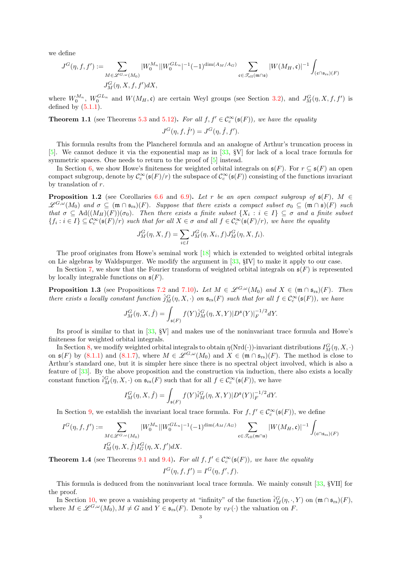we define

$$
\begin{split} J^G(\eta,f,f'):=&\sum_{M\in\mathscr{L}^{G,\omega}(M_0)}|W^{M_n}_0||W^{GL_n}_0|^{-1}(-1)^{\dim(A_M/A_G)}\sum_{\mathfrak{c}\in\mathscr{T}_{\mathrm{ell}}(\mathfrak{m}\cap\mathfrak{s})}|W(M_H,\mathfrak{c})|^{-1}\int_{(\mathfrak{c}\cap\mathfrak{s}_{\mathrm{rs}})(F)}|W^{G,\mathfrak{c}}(M_H,\mathfrak{c})|^{-1}\int_{(\mathfrak{c}\cap\mathfrak{s}_{\mathrm{rs}})(F)}|W^{G,\mathfrak{c}}(M_H,\mathfrak{c})|^{-1}\int_{(\mathfrak{c}\cap\mathfrak{s}_{\mathrm{rs}})(F)}|W^{G,\mathfrak{c}}(M_H,\mathfrak{c})|^{-1}\int_{(\mathfrak{c}\cap\mathfrak{s}_{\mathrm{rs}})(F)}|W^{G,\mathfrak{c}}(M_H,\mathfrak{c})|^{-1}\int_{(\mathfrak{c}\cap\mathfrak{s}_{\mathrm{rs}})(F)}|W^{G,\mathfrak{c}}(M_H,\mathfrak{c})|^{-1}\int_{(\mathfrak{c}\cap\mathfrak{s}_{\mathrm{rs}})(F)}|W^{G,\mathfrak{c}}(M_H,\mathfrak{c})|^{-1}\int_{(\mathfrak{c}\cap\mathfrak{s}_{\mathrm{rs}})(F)}|W^{G,\mathfrak{c}}(M_H,\mathfrak{c})|^{-1}\int_{(\mathfrak{c}\cap\mathfrak{s}_{\mathrm{rs}})(F)}|W^{G,\mathfrak{c}}(M_H,\mathfrak{c})|^{-1}\int_{(\mathfrak{c}\cap\mathfrak{s}_{\mathrm{rs}})(F)}|W^{G,\mathfrak{c}}(M_H,\mathfrak{c})|^{-1}\int_{(\mathfrak{c}\cap\mathfrak{s}_{\mathrm{rs}})(F)}|W^{G,\mathfrak{c}}(M_H,\mathfrak{c})|^{-1}\int_{(\mathfrak{c}\cap\mathfrak{s}_{\mathrm{rs}})(F)}|W^{G,\mathfrak{c}}(M_H,\mathfrak{c})|^{-1}\int_{(\mathfrak{c}\cap\mathfrak{s}_{\mathrm{rs}})(F)}|W^{G,\mathfrak{c}}(M_H,\mathfrak{c})|^{-1}\int_{(\mathfrak{c}\cap\mathfrak{s}_{\mathrm{rs}})(F)}|W^{G,\mathfrak{c}}(M_H,\mathfrak{c})|^{-1}\int_{(\mathfrak{c}\
$$

where  $W_0^{M_n}$ ,  $W_0^{GL_n}$  and  $W(M_H, \mathfrak{c})$  are certain Weyl groups (see Section [3.2\)](#page-8-0), and  $J_M^G(\eta, X, f, f')$  is defined by  $(5.1.1)$ .

**Theorem 1.1** (see Theorems [5.3](#page-21-0) and [5.12\)](#page-26-1). For all  $f, f' \in C_c^{\infty}(\mathfrak{s}(F))$ , we have the equality  $J^G(\eta, f, \hat{f}') = J^G(\eta, \hat{f}, f').$ 

This formula results from the Plancherel formula and an analogue of Arthur's truncation process in [\[5\]](#page-54-8). We cannot deduce it via the exponential map as in [\[33,](#page-55-2) §V] for lack of a local trace formula for symmetric spaces. One needs to return to the proof of  $[5]$  instead.

In Section [6,](#page-26-0) we show Howe's finiteness for weighted orbital integrals on  $\mathfrak{s}(F)$ . For  $r \subseteq \mathfrak{s}(F)$  an open compact subgroup, denote by  $\mathcal{C}_c^{\infty}(\mathfrak{s}(F)/r)$  the subspace of  $\mathcal{C}_c^{\infty}(\mathfrak{s}(F))$  consisting of the functions invariant by translation of r.

**Proposition 1.2** (see Corollaries [6.6](#page-31-0) and [6.9\)](#page-32-1). Let r be an open compact subgroup of  $\mathfrak{s}(F)$ ,  $M \in$  $\mathscr{L}^{G,\omega}(M_0)$  and  $\sigma \subseteq (\mathfrak{m} \cap \mathfrak{s}_{rs})(F)$ . Suppose that there exists a compact subset  $\sigma_0 \subseteq (\mathfrak{m} \cap \mathfrak{s})(F)$  such that  $\sigma \subseteq \mathrm{Ad}((M_H)(F))(\sigma_0)$ . Then there exists a finite subset  $\{X_i : i \in I\} \subseteq \sigma$  and a finite subset  $\{f_i : i \in I\} \subseteq C_c^{\infty}(\mathfrak{s}(F)/r)$  such that for all  $X \in \sigma$  and all  $f \in C_c^{\infty}(\mathfrak{s}(F)/r)$ , we have the equality

$$
J_M^G(\eta, X, f) = \sum_{i \in I} J_M^G(\eta, X_i, f) J_M^G(\eta, X, f_i).
$$

The proof originates from Howe's seminal work [\[18\]](#page-54-11) which is extended to weighted orbital integrals on Lie algebras by Waldspurger. We modify the argument in [\[33,](#page-55-2) §IV] to make it apply to our case.

In Section [7,](#page-32-0) we show that the Fourier transform of weighted orbital integrals on  $\mathfrak{s}(F)$  is represented by locally integrable functions on  $\mathfrak{s}(F)$ .

**Proposition 1.3** (see Propositions [7.2](#page-33-0) and [7.10\)](#page-39-0). Let  $M \in \mathcal{L}^{G,\omega}(M_0)$  and  $X \in (\mathfrak{m} \cap \mathfrak{s}_{rs})(F)$ . Then there exists a locally constant function  $\hat{j}_M^G(\eta, X, \cdot)$  on  $\mathfrak{s}_{rs}(F)$  such that for all  $f \in \mathcal{C}_c^{\infty}(\mathfrak{s}(F))$ , we have

$$
J^G_M(\eta,X,\widehat{f})=\int_{\mathfrak{s}(F)}f(Y)\widehat{j}^G_M(\eta,X,Y)|D^{\mathfrak{s}}(Y)|_F^{-1/2}dY.
$$

Its proof is similar to that in [\[33,](#page-55-2) §V] and makes use of the noninvariant trace formula and Howe's finiteness for weighted orbital integrals.

In Section [8,](#page-40-0) we modify weighted orbital integrals to obtain  $\eta(\mathrm{Nrd}(\cdot))$ -invariant distributions  $I_M^G(\eta, X, \cdot)$ on  $\mathfrak{s}(F)$  by [\(8.1.1\)](#page-40-1) and [\(8.1.7\)](#page-44-0), where  $M \in \mathscr{L}^{G,\omega}(M_0)$  and  $X \in (\mathfrak{m} \cap \mathfrak{s}_{rs})(F)$ . The method is close to Arthur's standard one, but it is simpler here since there is no spectral object involved, which is also a feature of [\[33\]](#page-55-2). By the above proposition and the construction via induction, there also exists a locally constant function  $\hat{i}_M^G(\eta, X, \cdot)$  on  $\mathfrak{s}_{rs}(F)$  such that for all  $f \in \mathcal{C}_c^{\infty}(\mathfrak{s}(F))$ , we have

$$
I^G_M(\eta,X,\widehat{f})=\int_{\mathfrak{s}(F)}f(Y)\widehat{i}^G_M(\eta,X,Y)|D^{\mathfrak{s}}(Y)|_F^{-1/2}dY.
$$

In Section [9,](#page-46-0) we establish the invariant local trace formula. For  $f, f' \in C_c^{\infty}(\mathfrak{s}(F))$ , we define

$$
I^G(\eta, f, f') := \sum_{M \in \mathscr{L}^{G, \omega}(M_0)} |W_0^{M_n}| |W_0^{GL_n}|^{-1} (-1)^{\dim(A_M/A_G)} \sum_{\mathfrak{c} \in \mathscr{P}_{\text{ell}}(\mathfrak{m} \cap \mathfrak{s})} |W(M_H, \mathfrak{c})|^{-1} \int_{(\mathfrak{c} \cap \mathfrak{s}_{\text{rs}})(F)} |W_M(\mathfrak{c})|^{-1} d\mathfrak{c}
$$

**Theorem 1.4** (see Theorems [9.1](#page-46-1) and [9.4\)](#page-50-0). For all  $f, f' \in C_c^{\infty}(\mathfrak{s}(F))$ , we have the equality

$$
I^G(\eta, f, f') = I^G(\eta, f', f).
$$

This formula is deduced from the noninvariant local trace formula. We mainly consult [\[33,](#page-55-2) §VII] for the proof.

In Section [10,](#page-51-0) we prove a vanishing property at "infinity" of the function  $\hat{i}_M^G(\eta, \cdot, Y)$  on  $(\mathfrak{m} \cap \mathfrak{s}_{rs})(F)$ , where  $M \in \mathscr{L}^{G,\omega}(M_0), M \neq G$  and  $Y \in \mathfrak{s}_{rs}(F)$ . Denote by  $v_F(\cdot)$  the valuation on F.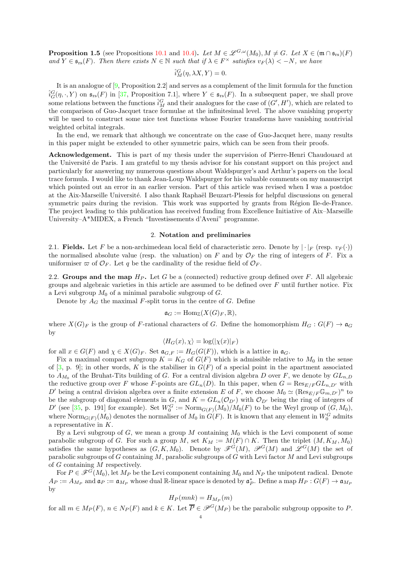**Proposition 1.5** (see Propositions [10.1](#page-51-1) and [10.4\)](#page-54-12). Let  $M \in \mathscr{L}^{G,\omega}(M_0), M \neq G$ . Let  $X \in (\mathfrak{m} \cap \mathfrak{s}_{rs})(F)$ and  $Y \in \mathfrak{s}_{rs}(F)$ . Then there exists  $N \in \mathbb{N}$  such that if  $\lambda \in F^\times$  satisfies  $v_F(\lambda) < -N$ , we have

$$
\hat{i}_M^G(\eta, \lambda X, Y) = 0.
$$

It is an analogue of [\[9,](#page-54-6) Proposition 2.2] and serves as a complement of the limit formula for the function  $\hat{i}_G^G(\eta, \cdot, Y)$  on  $\mathfrak{s}_{rs}(F)$  in [\[37,](#page-55-1) Proposition 7.1], where  $Y \in \mathfrak{s}_{rs}(F)$ . In a subsequent paper, we shall prove some relations between the functions  $\hat{i}_M^G$  and their analogues for the case of  $(G', H')$ , which are related to the comparison of Guo-Jacquet trace formulae at the infinitesimal level. The above vanishing property will be used to construct some nice test functions whose Fourier transforms have vanishing nontrivial weighted orbital integrals.

In the end, we remark that although we concentrate on the case of Guo-Jacquet here, many results in this paper might be extended to other symmetric pairs, which can be seen from their proofs.

Acknowledgement. This is part of my thesis under the supervision of Pierre-Henri Chaudouard at the Université de Paris. I am grateful to my thesis advisor for his constant support on this project and particularly for answering my numerous questions about Waldspurger's and Arthur's papers on the local trace formula. I would like to thank Jean-Loup Waldspurger for his valuable comments on my manuscript which pointed out an error in an earlier version. Part of this article was revised when I was a postdoc at the Aix-Marseille Université. I also thank Raphaël Beuzart-Plessis for helpful discussions on general symmetric pairs during the revision. This work was supported by grants from Région Ile-de-France. The project leading to this publication has received funding from Excellence Initiative of Aix–Marseille University–A\*MIDEX, a French "Investissements d'Aveni" programme.

#### 2. Notation and preliminaries

<span id="page-3-0"></span>2.1. **Fields.** Let F be a non-archimedean local field of characteristic zero. Denote by  $|\cdot|_F$  (resp.  $v_F(\cdot)|$ ) the normalised absolute value (resp. the valuation) on F and by  $\mathcal{O}_F$  the ring of integers of F. Fix a uniformiser  $\varpi$  of  $\mathcal{O}_F$ . Let q be the cardinality of the residue field of  $\mathcal{O}_F$ .

<span id="page-3-1"></span>2.2. Groups and the map  $H_P$ . Let G be a (connected) reductive group defined over F. All algebraic groups and algebraic varieties in this article are assumed to be defined over  $F$  until further notice. Fix a Levi subgroup  $M_0$  of a minimal parabolic subgroup of  $G$ .

Denote by  $A_G$  the maximal F-split torus in the centre of G. Define

$$
\mathfrak{a}_G := \text{Hom}_{\mathbb{Z}}(X(G)_F, \mathbb{R}),
$$

where  $X(G)_F$  is the group of F-rational characters of G. Define the homomorphism  $H_G: G(F) \to \mathfrak{a}_G$ by

$$
\langle H_G(x), \chi \rangle = \log(|\chi(x)|_F)
$$

for all  $x \in G(F)$  and  $\chi \in X(G)_F$ . Set  $\mathfrak{a}_{G,F} := H_G(G(F))$ , which is a lattice in  $\mathfrak{a}_G$ .

Fix a maximal compact subgroup  $K = K_G$  of  $G(F)$  which is admissible relative to  $M_0$  in the sense of  $[3, p. 9]$ ; in other words, K is the stabiliser in  $G(F)$  of a special point in the apartment associated to  $A_{M_0}$  of the Bruhat-Tits building of G. For a central division algebra D over F, we denote by  $GL_{n,D}$ the reductive group over F whose F-points are  $GL_n(D)$ . In this paper, when  $G = \text{Res}_{E/F} GL_{n,D'}$  with D' being a central division algebra over a finite extension E of F, we choose  $M_0 \simeq (\text{Res}_{E/F}\mathbb{G}_{m,D'})^n$  to be the subgroup of diagonal elements in G, and  $K = GL_n(\mathcal{O}_{D'})$  with  $\mathcal{O}_{D'}$  being the ring of integers of D' (see [\[35,](#page-55-10) p. 191] for example). Set  $W_0^G := \text{Norm}_{G(F)}(M_0)/M_0(F)$  to be the Weyl group of  $(G, M_0)$ , where  $\text{Norm}_{G(F)}(M_0)$  denotes the normaliser of  $M_0$  in  $G(F)$ . It is known that any element in  $W_0^G$  admits a representative in K.

By a Levi subgroup of  $G$ , we mean a group M containing  $M_0$  which is the Levi component of some parabolic subgroup of G. For such a group M, set  $K_M := M(F) \cap K$ . Then the triplet  $(M, K_M, M_0)$ satisfies the same hypotheses as  $(G, K, M_0)$ . Denote by  $\mathscr{F}^G(M)$ ,  $\mathscr{P}^G(M)$  and  $\mathscr{L}^G(M)$  the set of parabolic subgroups of G containing M, parabolic subgroups of G with Levi factor M and Levi subgroups of G containing M respectively.

For  $P \in \mathcal{F}^G(M_0)$ , let  $M_P$  be the Levi component containing  $M_0$  and  $N_P$  the unipotent radical. Denote  $A_P := A_{M_P}$  and  $\mathfrak{a}_P := \mathfrak{a}_{M_P}$  whose dual R-linear space is denoted by  $\mathfrak{a}_P^*$ . Define a map  $H_P : G(F) \to \mathfrak{a}_{M_P}$ by

$$
H_P(mnk) = H_{M_P}(m)
$$

for all  $m \in M_P(F)$ ,  $n \in N_P(F)$  and  $k \in K$ . Let  $\overline{P} \in \mathcal{P}^G(M_P)$  be the parabolic subgroup opposite to P.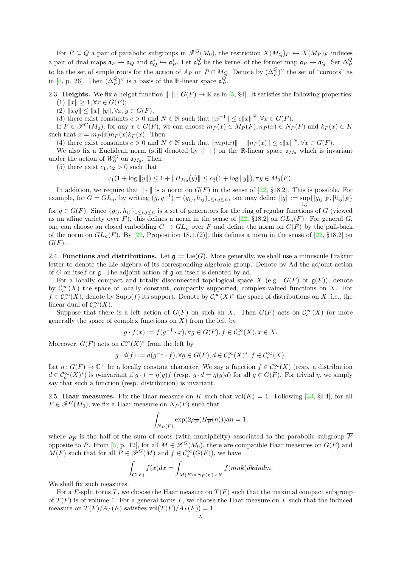For  $P \subseteq Q$  a pair of parabolic subgroups in  $\mathscr{F}^G(M_0)$ , the restriction  $X(M_Q)_F \hookrightarrow X(M_P)_F$  induces a pair of dual maps  $\mathfrak{a}_P \to \mathfrak{a}_Q$  and  $\mathfrak{a}_Q^* \hookrightarrow \mathfrak{a}_P^*$ . Let  $\mathfrak{a}_P^Q$  be the kernel of the former map  $\mathfrak{a}_P \twoheadrightarrow \mathfrak{a}_Q$ . Set  $\Delta_P^Q$ to be the set of simple roots for the action of  $A_P$  on  $P \cap M_Q$ . Denote by  $(\Delta_P^Q)^{\vee}$  the set of "coroots" as in [\[6,](#page-54-14) p. 26]. Then  $(\Delta_P^Q)^\vee$  is a basis of the R-linear space  $\mathfrak{a}_P^Q$ .

2.3. Heights. We fix a height function  $\|\cdot\| : G(F) \to \mathbb{R}$  as in [\[5,](#page-54-8) §4]. It satisfies the following properties: (1)  $||x|| \geq 1, \forall x \in G(F);$ 

(2)  $||xy|| \le ||x|| ||y||, \forall x, y \in G(F);$ 

(3) there exist constants  $c > 0$  and  $N \in \mathbb{N}$  such that  $||x^{-1}|| \le c||x||^N$ ,  $\forall x \in G(F)$ .

If  $P \in \mathscr{F}^G(M_0)$ , for any  $x \in G(F)$ , we can choose  $m_P(x) \in M_P(F)$ ,  $n_P(x) \in N_P(F)$  and  $k_P(x) \in K$ such that  $x = m_P(x)n_P(x)k_P(x)$ . Then

(4) there exist constants  $c > 0$  and  $N \in \mathbb{N}$  such that  $||m_P(x)|| + ||n_P(x)|| \le c||x||^N$ ,  $\forall x \in G(F)$ .

We also fix a Euclidean norm (still denoted by  $\|\cdot\|$ ) on the R-linear space  $\mathfrak{a}_{M_0}$  which is invariant under the action of  $W_0^G$  on  $\mathfrak{a}_{M_0}$ . Then

(5) there exist  $c_1, c_2 > 0$  such that

$$
c_1(1+\log\|y\|) \le 1 + \|H_{M_0}(y)\| \le c_2(1+\log\|y\|), \forall y \in M_0(F).
$$

In addition, we require that  $\|\cdot\|$  is a norm on  $G(F)$  in the sense of [\[22,](#page-55-11) §18.2]. This is possible. For example, for  $G = GL_n$ , by writing  $(g, g^{-1}) = (g_{ij}, h_{ij})_{1 \leq i,j \leq n}$ , one may define  $||g|| := \sup_{i,j} {||g_{ij}|_F, |h_{ij}|_F}$ 

for  $g \in G(F)$ . Since  $\{g_{ij}, h_{ij}\}_{1\leq i,j\leq n}$  is a set of generators for the ring of regular functions of G (viewed as an affine variety over F), this defines a norm in the sense of [\[22,](#page-55-11) §18.2] on  $GL_n(F)$ . For general G, one can choose an closed embedding  $G \to GL_n$  over F and define the norm on  $G(F)$  by the pull-back of the norm on  $GL_n(F)$ . By [\[22,](#page-55-11) Proposition 18.1.(2)], this defines a norm in the sense of [22, §18.2] on  $G(F).$ 

2.4. **Functions and distributions.** Let  $\mathfrak{g} := \text{Lie}(G)$ . More generally, we shall use a minuscule Fraktur letter to denote the Lie algebra of its corresponding algebraic group. Denote by Ad the adjoint action of G on itself or g. The adjoint action of g on itself is denoted by ad.

For a locally compact and totally disconnected topological space X (e.g.  $G(F)$  or  $\mathfrak{g}(F)$ ), denote by  $\mathcal{C}_c^{\infty}(X)$  the space of locally constant, compactly supported, complex-valued functions on X. For  $f \in C_c^{\infty}(X)$ , denote by Supp $(f)$  its support. Denote by  $C_c^{\infty}(X)^*$  the space of distributions on X, i.e., the linear dual of  $\mathcal{C}_c^{\infty}(X)$ .

Suppose that there is a left action of  $G(F)$  on such an X. Then  $G(F)$  acts on  $\mathcal{C}_c^{\infty}(X)$  (or more generally the space of complex functions on  $X$ ) from the left by

$$
g \cdot f(x) := f(g^{-1} \cdot x), \forall g \in G(F), f \in \mathcal{C}_c^{\infty}(X), x \in X.
$$

Moreover,  $G(F)$  acts on  $\mathcal{C}_c^{\infty}(X)^*$  from the left by

$$
g \cdot d(f) := d(g^{-1} \cdot f), \forall g \in G(F), d \in \mathcal{C}_c^{\infty}(X)^*, f \in \mathcal{C}_c^{\infty}(X).
$$

Let  $\eta: G(F) \to \mathbb{C}^\times$  be a locally constant character. We say a function  $f \in \mathcal{C}_c^\infty(X)$  (resp. a distribution  $d \in \mathcal{C}_c^{\infty}(X)^*$  is  $\eta$ -invariant if  $g \cdot f = \eta(g)f$  (resp.  $g \cdot d = \eta(g)d$ ) for all  $g \in G(F)$ . For trivial  $\eta$ , we simply say that such a function (resp. distribution) is invariant.

<span id="page-4-0"></span>2.5. Haar measures. Fix the Haar measure on K such that  $vol(K) = 1$ . Following [\[33,](#page-55-2) §I.4], for all  $P \in \mathscr{F}^G(M_0)$ , we fix a Haar measure on  $N_P(F)$  such that

$$
\int_{N_P(F)} \exp(2\rho_{\overline{P}}(H_{\overline{P}}(n)))dn=1,
$$

where  $\rho_{\overline{P}}$  is the half of the sum of roots (with multiplicity) associated to the parabolic subgroup P opposite to P. From [\[5,](#page-54-8) p. 12], for all  $M \in \mathscr{L}^G(M_0)$ , there are compatible Haar measures on  $G(F)$  and  $M(F)$  such that for all  $P \in \mathscr{P}^G(M)$  and  $f \in C_c^{\infty}(G(F))$ , we have

$$
\int_{G(F)} f(x)dx = \int_{M(F) \times N_P(F) \times K} f(mnk)dkdndm.
$$

We shall fix such measures.

For a F-split torus T, we choose the Haar measure on  $T(F)$  such that the maximal compact subgroup of  $T(F)$  is of volume 1. For a general torus T, we choose the Haar measure on T such that the induced measure on  $T(F)/A_T(F)$  satisfies vol $(T(F)/A_T(F)) = 1$ .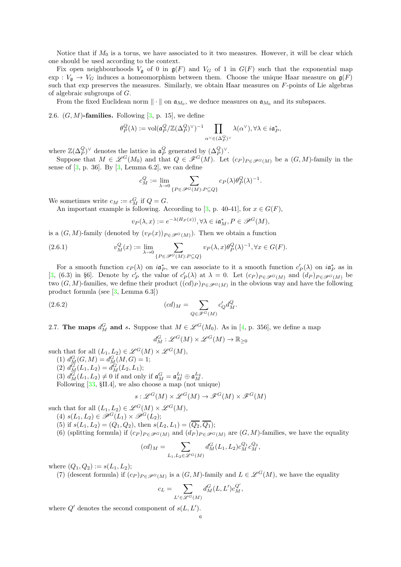Notice that if  $M_0$  is a torus, we have associated to it two measures. However, it will be clear which one should be used according to the context.

Fix open neighbourhoods  $V_{\mathfrak{g}}$  of 0 in  $\mathfrak{g}(F)$  and  $V_G$  of 1 in  $G(F)$  such that the exponential map exp :  $V_{\mathfrak{g}} \to V_G$  induces a homeomorphism between them. Choose the unique Haar measure on  $\mathfrak{g}(F)$ such that exp preserves the measures. Similarly, we obtain Haar measures on F-points of Lie algebras of algebraic subgroups of G.

From the fixed Euclidean norm  $\|\cdot\|$  on  $\mathfrak{a}_{M_0}$ , we deduce measures on  $\mathfrak{a}_{M_0}$  and its subspaces.

2.6.  $(G, M)$ -families. Following [\[3,](#page-54-13) p. 15], we define

$$
\theta_P^Q(\lambda):=\mathrm{vol}(\mathfrak{a}_P^Q/\mathbb{Z}(\Delta_P^Q)^{\vee})^{-1}\prod_{\alpha^{\vee}\in (\Delta_P^Q)^{\vee}}\lambda(\alpha^{\vee}), \forall \lambda \in i\mathfrak{a}_P^*,
$$

where  $\mathbb{Z}(\Delta_P^Q)^\vee$  denotes the lattice in  $\mathfrak{a}_P^Q$  generated by  $(\Delta_P^Q)^\vee$ .

Suppose that  $M \in \mathscr{L}^G(M_0)$  and that  $Q \in \mathscr{F}^G(M)$ . Let  $(c_P)_{P \in \mathscr{P}^G(M)}$  be a  $(G, M)$ -family in the sense of  $[3, p. 36]$ . By  $[3, \text{Lemma } 6.2]$ , we can define

$$
c_M^Q:=\lim_{\lambda\to 0}\sum_{\{P\in\mathscr{P}^G(M):P\subseteq Q\}}c_P(\lambda)\theta_P^Q(\lambda)^{-1}.
$$

We sometimes write  $c_M := c_M^G$  if  $Q = G$ .

An important example is following. According to [\[3,](#page-54-13) p. 40-41], for  $x \in G(F)$ ,

<span id="page-5-0"></span>
$$
v_P(\lambda, x) := e^{-\lambda(H_P(x))}, \forall \lambda \in i\mathfrak{a}_M^*, P \in \mathcal{P}^G(M),
$$

is a  $(G, M)$ -family (denoted by  $(v_P(x))_{P \in \mathscr{P}^G(M)}$ ). Then we obtain a function

(2.6.1) 
$$
v_M^Q(x) := \lim_{\lambda \to 0} \sum_{\{P \in \mathscr{P}^G(M): P \subseteq Q\}} v_P(\lambda, x) \theta_P^Q(\lambda)^{-1}, \forall x \in G(F).
$$

For a smooth function  $c_P(\lambda)$  on  $i\mathfrak{a}_P^*$ , we can associate to it a smooth function  $c_P(\lambda)$  on  $i\mathfrak{a}_P^*$  as in [\[3,](#page-54-13) (6.3) in §6]. Denote by  $c'_P$  the value of  $c'_P(\lambda)$  at  $\lambda = 0$ . Let  $(c_P)_{P \in \mathscr{P}^G(M)}$  and  $(d_P)_{P \in \mathscr{P}^G(M)}$  be two  $(G, M)$ -families, we define their product  $((cd)_{P})_{P \in \mathscr{P}^G(M)}$  in the obvious way and have the following product formula (see [\[3,](#page-54-13) Lemma 6.3])

(2.6.2) 
$$
(cd)_M = \sum_{Q \in \mathscr{F}^G(M)} c'_Q d_M^Q.
$$

<span id="page-5-1"></span>2.7. The maps  $d_M^G$  and s. Suppose that  $M \in \mathscr{L}^G(M_0)$ . As in [\[4,](#page-54-15) p. 356], we define a map

<span id="page-5-2"></span>
$$
d_M^G: \mathscr{L}^G(M) \times \mathscr{L}^G(M) \to \mathbb{R}_{\geq 0}
$$

such that for all  $(L_1, L_2) \in \mathscr{L}^G(M) \times \mathscr{L}^G(M)$ ,

- (1)  $d_M^G(G, M) = d_M^G(M, G) = 1;$
- (2)  $d_M^G(L_1, L_2) = d_M^G(L_2, L_1);$
- (3)  $d_M^G(L_1, L_2) \neq 0$  if and only if  $\mathfrak{a}_M^G = \mathfrak{a}_M^{L_1} \oplus \mathfrak{a}_M^{L_2}$ .

Following [\[33,](#page-55-2) §II.4], we also choose a map (not unique)

$$
s: \mathscr{L}^G(M) \times \mathscr{L}^G(M) \to \mathscr{F}^G(M) \times \mathscr{F}^G(M)
$$

such that for all  $(L_1, L_2) \in \mathscr{L}^G(M) \times \mathscr{L}^G(M)$ ,

- (4)  $s(L_1, L_2) \in \overline{\mathscr{P}}^G(L_1) \times \overline{\mathscr{P}}^G(L_2);$
- (5) if  $s(L_1, L_2) = (Q_1, Q_2)$ , then  $s(L_2, L_1) = (\overline{Q_2}, \overline{Q_1})$ ;
- (6) (splitting formula) if  $(c_P)_{P \in \mathcal{P}^G(M)}$  and  $(d_P)_{P \in \mathcal{P}^G(M)}$  are  $(G, M)$ -families, we have the equality

$$
(cd)_M = \sum_{L_1, L_2 \in \mathscr{L}^G(M)} d_M^G(L_1, L_2) c_M^{Q_1} c_M^{Q_2},
$$

where  $(Q_1, Q_2) := s(L_1, L_2);$ 

(7) (descent formula) if  $(c_P)_{P \in \mathscr{P}^G(M)}$  is a  $(G, M)$ -family and  $L \in \mathscr{L}^G(M)$ , we have the equality

$$
c_L=\sum_{L'\in \mathscr{L}^G(M)}d_M^G(L,L')c_M^{Q'},
$$

where  $Q'$  denotes the second component of  $s(L, L')$ .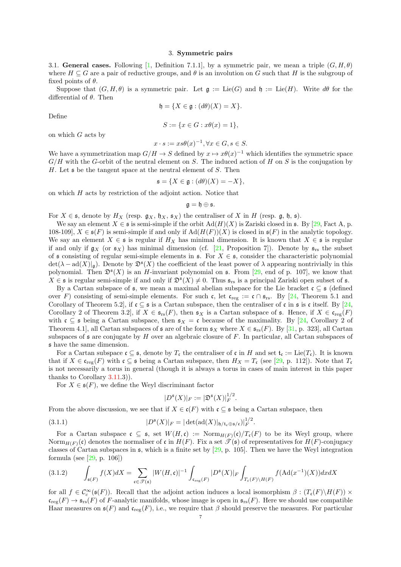#### 3. Symmetric pairs

<span id="page-6-1"></span><span id="page-6-0"></span>3.1. General cases. Following [\[1,](#page-54-10) Definition 7.1.1], by a symmetric pair, we mean a triple  $(G, H, \theta)$ where  $H \subseteq G$  are a pair of reductive groups, and  $\theta$  is an involution on G such that H is the subgroup of fixed points of  $\theta$ .

Suppose that  $(G, H, \theta)$  is a symmetric pair. Let  $\mathfrak{g} := \mathrm{Lie}(G)$  and  $\mathfrak{h} := \mathrm{Lie}(H)$ . Write  $d\theta$  for the differential of  $\theta$ . Then

$$
\mathfrak{h} = \{ X \in \mathfrak{g} : (d\theta)(X) = X \}.
$$

Define

$$
S := \{ x \in G : x\theta(x) = 1 \},\
$$

on which  $G$  acts by

$$
x \cdot s := xs\theta(x)^{-1}, \forall x \in G, s \in S.
$$

We have a symmetrization map  $G/H \to S$  defined by  $x \mapsto x\theta(x)^{-1}$  which identifies the symmetric space  $G/H$  with the G-orbit of the neutral element on S. The induced action of H on S is the conjugation by H. Let  $\mathfrak s$  be the tangent space at the neutral element of S. Then

$$
\mathfrak{s} = \{ X \in \mathfrak{g} : (d\theta)(X) = -X \},
$$

on which  $H$  acts by restriction of the adjoint action. Notice that

$$
\mathfrak{g}=\mathfrak{h}\oplus\mathfrak{s}.
$$

For  $X \in \mathfrak{s}$ , denote by  $H_X$  (resp.  $\mathfrak{g}_X$ ,  $\mathfrak{h}_X$ ,  $\mathfrak{s}_X$ ) the centraliser of X in H (resp.  $\mathfrak{g}$ ,  $\mathfrak{h}$ ,  $\mathfrak{s}$ ).

We say an element  $X \in \mathfrak{s}$  is semi-simple if the orbit  $\text{Ad}(H)(X)$  is Zariski closed in  $\mathfrak{s}$ . By [\[29,](#page-55-9) Fact A, p. 108-109],  $X \in \mathfrak{s}(F)$  is semi-simple if and only if  $\text{Ad}(H(F))(X)$  is closed in  $\mathfrak{s}(F)$  in the analytic topology. We say an element  $X \in \mathfrak{s}$  is regular if  $H_X$  has minimal dimension. It is known that  $X \in \mathfrak{s}$  is regular if and only if  $g_X$  (or  $\mathfrak{s}_X$ ) has minimal dimension (cf. [\[21,](#page-54-16) Proposition 7]). Denote by  $\mathfrak{s}_{rs}$  the subset of s consisting of regular semi-simple elements in s. For  $X \in \mathfrak{s}$ , consider the characteristic polynomial  $\det(\lambda - \mathrm{ad}(X)|_{\mathfrak{g}})$ . Denote by  $\mathfrak{D}^{\mathfrak{s}}(X)$  the coefficient of the least power of  $\lambda$  appearing nontrivially in this polynomial. Then  $\mathfrak{D}^{\mathfrak{s}}(X)$  is an H-invariant polynomial on  $\mathfrak{s}$ . From [\[29,](#page-55-9) end of p. 107], we know that  $X \in \mathfrak{s}$  is regular semi-simple if and only if  $\mathfrak{D}^{\mathfrak{s}}(X) \neq 0$ . Thus  $\mathfrak{s}_{rs}$  is a principal Zariski open subset of  $\mathfrak{s}$ .

By a Cartan subspace of  $\mathfrak{s}$ , we mean a maximal abelian subspace for the Lie bracket  $\mathfrak{c} \subseteq \mathfrak{s}$  (defined over F) consisting of semi-simple elements. For such c, let  $c_{reg} := c \cap s_{rs}$ . By [\[24,](#page-55-12) Theorem 5.1 and Corollary of Theorem 5.2], if  $\mathfrak{c} \subseteq \mathfrak{s}$  is a Cartan subspace, then the centraliser of  $\mathfrak{c}$  in  $\mathfrak{s}$  is  $\mathfrak{c}$  itself. By [\[24,](#page-55-12) Corollary 2 of Theorem 3.2, if  $X \in \mathfrak{s}_{rs}(F)$ , then  $\mathfrak{s}_X$  is a Cartan subspace of  $\mathfrak{s}$ . Hence, if  $X \in \mathfrak{c}_{reg}(F)$ with  $\mathfrak{c} \subseteq \mathfrak{s}$  being a Cartan subspace, then  $\mathfrak{s}_X = \mathfrak{c}$  because of the maximality. By [\[24,](#page-55-12) Corollary 2 of Theorem 4.1], all Cartan subspaces of  $\mathfrak s$  are of the form  $\mathfrak s_X$  where  $X \in \mathfrak s_{rs}(F)$ . By [\[31,](#page-55-13) p. 323], all Cartan subspaces of  $\epsilon$  are conjugate by H over an algebraic closure of F. In particular, all Cartan subspaces of s have the same dimension.

For a Cartan subspace  $\mathfrak{c} \subseteq \mathfrak{s}$ , denote by  $T_{\mathfrak{c}}$  the centraliser of  $\mathfrak{c}$  in H and set  $\mathfrak{t}_{\mathfrak{c}} := \mathrm{Lie}(T_{\mathfrak{c}})$ . It is known that if  $X \in \mathfrak{c}_{reg}(F)$  with  $\mathfrak{c} \subseteq \mathfrak{s}$  being a Cartan subspace, then  $H_X = T_{\mathfrak{c}}$  (see [\[29,](#page-55-9) p. 112]). Note that  $T_{\mathfrak{c}}$ is not necessarily a torus in general (though it is always a torus in cases of main interest in this paper thanks to Corollary [3.11.](#page-9-0)3)).

For  $X \in \mathfrak{s}(F)$ , we define the Weyl discriminant factor

<span id="page-6-2"></span>
$$
|D^{\mathfrak{s}}(X)|_F := |\mathfrak{D}^{\mathfrak{s}}(X)|_F^{1/2}.
$$

From the above discussion, we see that if  $X \in \mathfrak{c}(F)$  with  $\mathfrak{c} \subseteq \mathfrak{s}$  being a Cartan subspace, then

(3.1.1) 
$$
|D^{\mathfrak{s}}(X)|_F = |\det(\mathrm{ad}(X)|_{\mathfrak{h}/\mathfrak{t}_{\mathfrak{c}} \oplus \mathfrak{s}/\mathfrak{c}})|_F^{1/2}.
$$

For a Cartan subspace  $\mathfrak{c} \subseteq \mathfrak{s}$ , set  $W(H,\mathfrak{c}) := \text{Norm}_{H(F)}(\mathfrak{c})/T_{\mathfrak{c}}(F)$  to be its Weyl group, where Norm $_{H(F)}(c)$  denotes the normaliser of c in  $H(F)$ . Fix a set  $\mathscr{T}(s)$  of representatives for  $H(F)$ -conjugacy classes of Cartan subspaces in  $\mathfrak{s}$ , which is a finite set by [\[29,](#page-55-9) p. 105]. Then we have the Weyl integration formula (see [\[29,](#page-55-9) p. 106])

<span id="page-6-3"></span>
$$
(3.1.2) \qquad \int_{\mathfrak{s}(F)} f(X)dX = \sum_{\mathfrak{c} \in \mathcal{T}(\mathfrak{s})} |W(H, \mathfrak{c})|^{-1} \int_{\mathfrak{c}_{\text{reg}}(F)} |D^{\mathfrak{s}}(X)|_F \int_{T_{\mathfrak{c}}(F)\backslash H(F)} f(\text{Ad}(x^{-1})(X)) dxdX
$$

for all  $f \in C_c^{\infty}(\mathfrak{s}(F))$ . Recall that the adjoint action induces a local isomorphism  $\beta : (T_{\mathfrak{c}}(F) \setminus H(F)) \times$  $\mathfrak{c}_{\text{reg}}(F) \to \mathfrak{s}_{\text{rs}}(F)$  of F-analytic manifolds, whose image is open in  $\mathfrak{s}_{\text{rs}}(F)$ . Here we should use compatible Haar measures on  $\mathfrak{s}(F)$  and  $\mathfrak{c}_{\text{reg}}(F)$ , i.e., we require that  $\beta$  should preserve the measures. For particular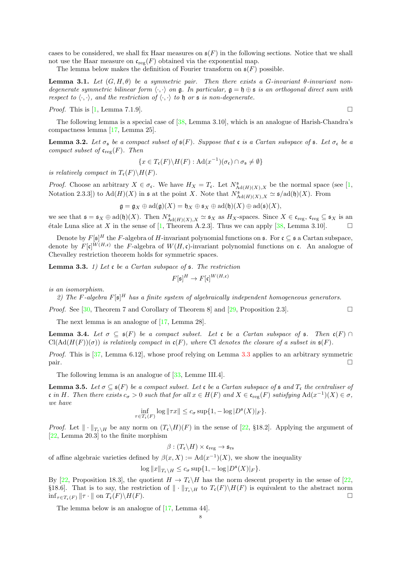cases to be considered, we shall fix Haar measures on  $\mathfrak{s}(F)$  in the following sections. Notice that we shall not use the Haar measure on  $\mathfrak{c}_{\text{reg}}(F)$  obtained via the exponential map.

The lemma below makes the definition of Fourier transform on  $\mathfrak{s}(F)$  possible.

**Lemma 3.1.** Let  $(G, H, \theta)$  be a symmetric pair. Then there exists a G-invariant  $\theta$ -invariant nondegenerate symmetric bilinear form  $\langle \cdot, \cdot \rangle$  on  $\mathfrak{g}$ . In particular,  $\mathfrak{g} = \mathfrak{h} \oplus \mathfrak{s}$  is an orthogonal direct sum with respect to  $\langle \cdot, \cdot \rangle$ , and the restriction of  $\langle \cdot, \cdot \rangle$  to h or s is non-degenerate.

*Proof.* This is [\[1,](#page-54-10) Lemma 7.1.9].

The following lemma is a special case of [\[38,](#page-55-14) Lemma 3.10], which is an analogue of Harish-Chandra's compactness lemma [\[17,](#page-54-9) Lemma 25].

<span id="page-7-2"></span>**Lemma 3.2.** Let  $\sigma_s$  be a compact subset of  $\mathfrak{s}(F)$ . Suppose that c is a Cartan subspace of  $\mathfrak{s}$ . Let  $\sigma_c$  be a compact subset of  $\mathfrak{c}_{\text{reg}}(F)$ . Then

$$
\{x \in T_{\mathfrak{c}}(F) \backslash H(F) : \mathrm{Ad}(x^{-1}) (\sigma_{\mathfrak{c}}) \cap \sigma_{\mathfrak{s}} \neq \emptyset \}
$$

is relatively compact in  $T_c(F)\backslash H(F)$ .

*Proof.* Choose an arbitrary  $X \in \sigma_{\mathfrak{c}}$ . We have  $H_X = T_{\mathfrak{c}}$ . Let  $N^{\mathfrak{s}}_{\text{Ad}(H)(X),X}$  be the normal space (see [\[1,](#page-54-10) Notation 2.3.3]) to  $\text{Ad}(H)(X)$  in  $\mathfrak s$  at the point X. Note that  $N^{\mathfrak s}_{\text{Ad}(H)(X),X} \simeq \mathfrak s/\text{ad}(\mathfrak h)(X)$ . From

$$
\mathfrak{g} = \mathfrak{g}_X \oplus \mathrm{ad}(\mathfrak{g})(X) = \mathfrak{h}_X \oplus \mathfrak{s}_X \oplus \mathrm{ad}(\mathfrak{h})(X) \oplus \mathrm{ad}(\mathfrak{s})(X),
$$

we see that  $\mathfrak{s} = \mathfrak{s}_X \oplus \mathrm{ad}(\mathfrak{h})(X)$ . Then  $N^{\mathfrak{s}}_{\mathrm{Ad}(H)(X),X} \simeq \mathfrak{s}_X$  as  $H_X$ -spaces. Since  $X \in \mathfrak{c}_{\mathrm{reg}}$ ,  $\mathfrak{c}_{\mathrm{reg}} \subseteq \mathfrak{s}_X$  is an étale Luna slice at X in the sense of [\[1,](#page-54-10) Theorem A.2.3]. Thus we can apply [\[38,](#page-55-14) Lemma 3.10].  $\square$ 

Denote by  $F[\mathfrak{s}]^H$  the F-algebra of H-invariant polynomial functions on  $\mathfrak{s}$ . For  $\mathfrak{c} \subseteq \mathfrak{s}$  a Cartan subspace, denote by  $F[\mathfrak{c}]^{W(H,\mathfrak{c})}$  the F-algebra of  $W(H,\mathfrak{c})$ -invariant polynomial functions on  $\mathfrak{c}$ . An analogue of Chevalley restriction theorem holds for symmetric spaces.

<span id="page-7-0"></span>**Lemma 3.3.** 1) Let c be a Cartan subspace of  $\mathfrak{s}$ . The restriction

$$
F[\mathfrak{s}]^H \to F[\mathfrak{c}]^{W(H, \mathfrak{c})}
$$

is an isomorphism.

2) The F-algebra  $F[\mathfrak{s}]^H$  has a finite system of algebraically independent homogeneous generators.

*Proof.* See [\[30,](#page-55-15) Theorem 7 and Corollary of Theorem 8] and [\[29,](#page-55-9) Proposition 2.3].

The next lemma is an analogue of [\[17,](#page-54-9) Lemma 28].

<span id="page-7-1"></span>**Lemma 3.4.** Let  $\sigma \subseteq \mathfrak{s}(F)$  be a compact subset. Let c be a Cartan subspace of  $\mathfrak{s}$ . Then  $\mathfrak{c}(F) \cap$  $Cl(Ad(H(F))(\sigma))$  is relatively compact in  $c(F)$ , where Cl denotes the closure of a subset in  $s(F)$ .

*Proof.* This is  $[37, \text{Lemma 6.12}]$ , whose proof relying on Lemma [3.3](#page-7-0) applies to an arbitrary symmetric pair.

The following lemma is an analogue of [\[33,](#page-55-2) Lemme III.4].

<span id="page-7-3"></span>**Lemma 3.5.** Let  $\sigma \subseteq \mathfrak{s}(F)$  be a compact subset. Let c be a Cartan subspace of  $\mathfrak{s}$  and  $T_{\mathfrak{c}}$  the centraliser of c in H. Then there exists  $c_{\sigma} > 0$  such that for all  $x \in H(F)$  and  $X \in \mathfrak{c}_{reg}(F)$  satisfying  $\text{Ad}(x^{-1})(X) \in \sigma$ , we have

$$
\inf_{\tau \in T_{\epsilon}(F)} \log \|\tau x\| \leq c_{\sigma} \sup \{1, -\log |D^{\mathfrak{s}}(X)|_F\}.
$$

*Proof.* Let  $\|\cdot\|_{T_{\epsilon}\setminus H}$  be any norm on  $(T_{\epsilon}\setminus H)(F)$  in the sense of [\[22,](#page-55-11) §18.2]. Applying the argument of [\[22,](#page-55-11) Lemma 20.3] to the finite morphism

$$
\beta:(T_{\mathfrak{c}}\backslash H)\times\mathfrak{c}_{\text{reg}}\to\mathfrak{s}_{\text{rs}}
$$

of affine algebraic varieties defined by  $\beta(x, X) := \text{Ad}(x^{-1})(X)$ , we show the inequality

$$
\log ||x||_{T_{\mathfrak{c}} \setminus H} \leq c_{\sigma} \sup \{ 1, -\log |D^{\mathfrak{s}}(X)|_F \}.
$$

By [\[22,](#page-55-11) Proposition 18.3], the quotient  $H \to T_c\backslash H$  has the norm descent property in the sense of [22, §18.6]. That is to say, the restriction of  $\|\cdot\|_{T_{\mathfrak{c}}\setminus H}$  to  $T_{\mathfrak{c}}(F)\setminus H(F)$  is equivalent to the abstract norm  $\inf_{\tau\in T_{\mathfrak{c}}(F)}\|\tau\cdot\|$  on  $T_{\mathfrak{c}}(F)\setminus H(F)$ .  $\inf_{\tau \in T_{\mathfrak{c}}(F)}$   $\|\tau \cdot\|$  on  $T_{\mathfrak{c}}(F) \backslash H(F)$ .

The lemma below is an analogue of [\[17,](#page-54-9) Lemma 44].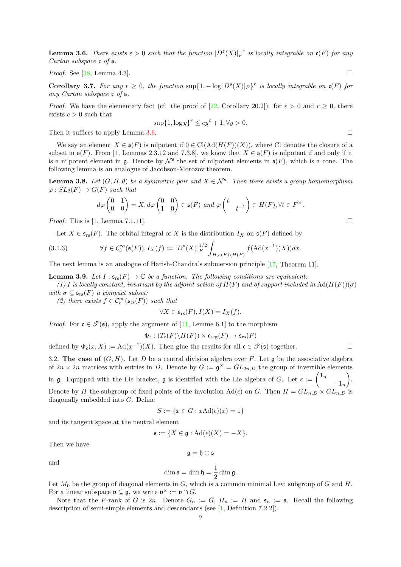<span id="page-8-1"></span>**Lemma 3.6.** There exists  $\varepsilon > 0$  such that the function  $|D^{\mathfrak{s}}(X)|_F^{-\varepsilon}$  is locally integrable on  $\mathfrak{c}(F)$  for any Cartan subspace c of  $\mathfrak s$ .

*Proof.* See [\[38,](#page-55-14) Lemma 4.3].

<span id="page-8-2"></span>Corollary 3.7. For any  $r \geq 0$ , the function  $\sup\{1, -\log |D^{s}(X)|_F\}^r$  is locally integrable on  $\mathfrak{c}(F)$  for any Cartan subspace c of s.

*Proof.* We have the elementary fact (cf. the proof of [\[22,](#page-55-11) Corollary 20.2]): for  $\varepsilon > 0$  and  $r \ge 0$ , there exists  $c > 0$  such that

$$
\sup\{1,\log y\}^r\leq cy^\varepsilon+1,\forall y>0.
$$

Then it suffices to apply Lemma [3.6.](#page-8-1)

We say an element  $X \in \mathfrak{s}(F)$  is nilpotent if  $0 \in \text{Cl}(\text{Ad}(H(F))(X))$ , where Cl denotes the closure of a subset in  $\mathfrak{s}(F)$ . From [\[1,](#page-54-10) Lemmas 2.3.12 and 7.3.8], we know that  $X \in \mathfrak{s}(F)$  is nilpotent if and only if it is a nilpotent element in  $\mathfrak g$ . Denote by  $\mathcal N^{\mathfrak s}$  the set of nilpotent elements in  $\mathfrak s(F)$ , which is a cone. The following lemma is an analogue of Jacobson-Morozov theorem.

<span id="page-8-3"></span>**Lemma 3.8.** Let  $(G, H, \theta)$  be a symmetric pair and  $X \in \mathcal{N}^{\mathfrak{s}}$ . Then there exists a group homomorphism  $\varphi: SL_2(F) \to G(F)$  such that

$$
d\varphi \begin{pmatrix} 0 & 1 \\ 0 & 0 \end{pmatrix} = X, d\varphi \begin{pmatrix} 0 & 0 \\ 1 & 0 \end{pmatrix} \in \mathfrak{s}(F) \text{ and } \varphi \begin{pmatrix} t & \\ & t^{-1} \end{pmatrix} \in H(F), \forall t \in F^{\times}.
$$

*Proof.* This is  $[1, \text{Lemma 7.1.11}].$ 

<span id="page-8-4"></span>Let  $X \in \mathfrak{s}_{rs}(F)$ . The orbital integral of X is the distribution  $I_X$  on  $\mathfrak{s}(F)$  defined by

(3.1.3) 
$$
\forall f \in C_c^{\infty}(\mathfrak{s}(F)), I_X(f) := |D^{\mathfrak{s}}(X)|_F^{1/2} \int_{H_X(F) \backslash H(F)} f(\mathrm{Ad}(x^{-1})(X)) dx.
$$

The next lemma is an analogue of Harish-Chandra's submersion principle [\[17,](#page-54-9) Theorem 11].

<span id="page-8-5"></span>**Lemma 3.9.** Let  $I : s_{rs}(F) \to \mathbb{C}$  be a function. The following conditions are equivalent:

(1) I is locally constant, invariant by the adjoint action of  $H(F)$  and of support included in  $\text{Ad}(H(F))(\sigma)$ with  $\sigma \subseteq \mathfrak{s}_{rs}(F)$  a compact subset;

(2) there exists  $f \in C_c^{\infty}(\mathfrak{s}_{rs}(F))$  such that

$$
\forall X \in \mathfrak{s}_{rs}(F), I(X) = I_X(f).
$$

*Proof.* For  $\mathfrak{c} \in \mathcal{T}(\mathfrak{s})$ , apply the argument of [\[11,](#page-54-17) Lemme 6.1] to the morphism

$$
\Phi_{\mathfrak{c}} : (T_{\mathfrak{c}}(F)\backslash H(F)) \times \mathfrak{c}_{\mathrm{reg}}(F) \to \mathfrak{s}_{\mathrm{rs}}(F)
$$

defined by  $\Phi_{\mathfrak{c}}(x,X) := \mathrm{Ad}(x^{-1})(X)$ . Then glue the results for all  $\mathfrak{c} \in \mathscr{T}(\mathfrak{s})$  together.

<span id="page-8-0"></span>3.2. The case of  $(G, H)$ . Let D be a central division algebra over F. Let g be the associative algebra of  $2n \times 2n$  matrices with entries in D. Denote by  $G := \mathfrak{g}^{\times} = GL_{2n,D}$  the group of invertible elements in g. Equipped with the Lie bracket, g is identified with the Lie algebra of G. Let  $\epsilon := \begin{pmatrix} 1_n & 0 & 0 \\ 0 & 0 & 0 \\ 0 & 0 & 0 \end{pmatrix}$  $-1_n$  $\overline{ }$ . Denote by H the subgroup of fixed points of the involution  $\text{Ad}(\epsilon)$  on G. Then  $H = GL_{n,D} \times GL_{n,D}$  is diagonally embedded into G. Define

$$
S := \{ x \in G : x \text{Ad}(\epsilon)(x) = 1 \}
$$

and its tangent space at the neutral element

$$
\mathfrak{s}:=\{X\in\mathfrak{g}:\mathrm{Ad}(\epsilon)(X)=-X\}.
$$

Then we have

$$
\mathfrak{g}=\mathfrak{h}\oplus\mathfrak{s}
$$

and

$$
\dim \mathfrak{s} = \dim \mathfrak{h} = \frac{1}{2} \dim \mathfrak{g}.
$$

Let  $M_0$  be the group of diagonal elements in  $G$ , which is a common minimal Levi subgroup of  $G$  and  $H$ . For a linear subspace  $\mathfrak{v} \subseteq \mathfrak{g}$ , we write  $\mathfrak{v}^{\times} := \mathfrak{v} \cap G$ .

Note that the F-rank of G is 2n. Denote  $G_n := G$ ,  $H_n := H$  and  $\mathfrak{s}_n := \mathfrak{s}$ . Recall the following description of semi-simple elements and descendants (see [\[1,](#page-54-10) Definition 7.2.2]).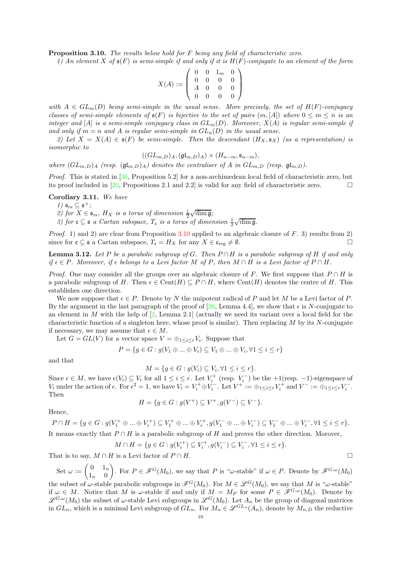<span id="page-9-1"></span>**Proposition 3.10.** The results below hold for F being any field of characteristic zero.

1) An element X of  $\mathfrak{s}(F)$  is semi-simple if and only if it is  $H(F)$ -conjugate to an element of the form

$$
X(A):=\left(\begin{array}{cccc} 0 & 0 & 1_m & 0 \\ 0 & 0 & 0 & 0 \\ A & 0 & 0 & 0 \\ 0 & 0 & 0 & 0 \end{array}\right)
$$

with  $A \in GL_m(D)$  being semi-simple in the usual sense. More precisely, the set of  $H(F)$ -conjugacy classes of semi-simple elements of  $\mathfrak{s}(F)$  is bijective to the set of pairs  $(m, [A])$  where  $0 \leq m \leq n$  is an integer and [A] is a semi-simple conjugacy class in  $GL_m(D)$ . Moreover,  $X(A)$  is regular semi-simple if and only if  $m = n$  and A is regular semi-simple in  $GL_n(D)$  in the usual sense.

2) Let  $X = X(A) \in \mathfrak{s}(F)$  be semi-simple. Then the descendant  $(H_X, \mathfrak{s}_X)$  (as a representation) is isomorphic to

$$
((GL_{m,D})_A, (\mathfrak{gl}_{m,D})_A) \times (H_{n-m}, \mathfrak{s}_{n-m}),
$$

where  $(GL_{m,D})_A$  (resp.  $(\mathfrak{gl}_{m,D})_A$ ) denotes the centraliser of A in  $GL_{m,D}$  (resp.  $\mathfrak{gl}_{m,D}$ ).

Proof. This is stated in [\[36,](#page-55-5) Proposition 5.2] for a non-archimedean local field of characteristic zero, but its proof included in [\[20,](#page-54-18) Propositions 2.1 and 2.2] is valid for any field of characteristic zero.  $\Box$ 

<span id="page-9-0"></span>Corollary 3.11. We have

1)  $\mathfrak{s}_{rs} \subseteq \mathfrak{s}^{\times}$ ;

2) for  $X \in \mathfrak{s}_{rs}$ ,  $H_X$  is a torus of dimension  $\frac{1}{2}\sqrt{\dim \mathfrak{g}}$ ;

3) for  $c \subseteq s$  a Cartan subspace,  $T_c$  is a torus of dimension  $\frac{1}{2}\sqrt{\dim g}$ .

*Proof.* 1) and 2) are clear from Proposition [3.10](#page-9-1) applied to an algebraic closure of  $F$ . 3) results from 2) since for  $\mathfrak{c} \subseteq \mathfrak{s}$  a Cartan subspace,  $T_{\mathfrak{c}} = H_X$  for any  $X \in \mathfrak{c}_{\text{reg}} \neq \emptyset$ .

<span id="page-9-2"></span>**Lemma 3.12.** Let P be a parabolic subgroup of G. Then  $P \cap H$  is a parabolic subgroup of H if and only if  $\epsilon \in P$ . Moreover, if  $\epsilon$  belongs to a Levi factor M of P, then  $M \cap H$  is a Levi factor of  $P \cap H$ .

*Proof.* One may consider all the groups over an algebraic closure of F. We first suppose that  $P \cap H$  is a parabolic subgroup of H. Then  $\epsilon \in \text{Cent}(H) \subseteq P \cap H$ , where  $\text{Cent}(H)$  denotes the centre of H. This establishes one direction.

We now suppose that  $\epsilon \in P$ . Denote by N the unipotent radical of P and let M be a Levi factor of P. By the argument in the last paragraph of the proof of [\[26,](#page-55-3) Lemma 4.4], we show that  $\epsilon$  is N-conjugate to an element in M with the help of  $[2, \text{Lemma 2.1}]$  (actually we need its variant over a local field for the characteristic function of a singleton here, whose proof is similar). Then replacing  $M$  by its  $N$ -conjugate if necessary, we may assume that  $\epsilon \in M$ .

Let  $G = GL(V)$  for a vector space  $V = \bigoplus_{1 \leq i \leq r} V_i$ . Suppose that

$$
P = \{ g \in G : g(V_1 \oplus \dots \oplus V_i) \subseteq V_1 \oplus \dots \oplus V_i, \forall 1 \le i \le r \}
$$

and that

$$
M = \{ g \in G : g(V_i) \subseteq V_i, \forall 1 \le i \le r \}.
$$

Since  $\epsilon \in M$ , we have  $\epsilon(V_i) \subseteq V_i$  for all  $1 \leq i \leq r$ . Let  $V_i^+$  (resp.  $V_i^-$ ) be the  $+1$ (resp.  $-1$ )-eigenspace of  $V_i$  under the action of  $\epsilon$ . For  $\epsilon^2 = 1$ , we have  $V_i = V_i^+ \oplus V_i^-$ . Let  $V^+ := \oplus_{1 \leq i \leq r} V_i^+$  and  $V^- := \oplus_{1 \leq i \leq r} V_i^-$ . Then

$$
H = \{ g \in G : g(V^+) \subseteq V^+, g(V^-) \subseteq V^- \}.
$$

Hence,

$$
P \cap H = \{ g \in G : g(V_1^+ \oplus ... \oplus V_i^+) \subseteq V_1^+ \oplus ... \oplus V_i^+, g(V_1^- \oplus ... \oplus V_i^-) \subseteq V_1^- \oplus ... \oplus V_i^-, \forall 1 \le i \le r \}.
$$
  
It means exactly that  $P \cap H$  is a parabolic subgroup of H and proves the other direction. Moreover,

$$
M \cap H = \{ g \in G : g(V_i^+) \subseteq V_i^+, g(V_i^-) \subseteq V_i^-, \forall 1 \leq i \leq r \}.
$$

That is to say,  $M \cap H$  is a Levi factor of  $P \cap H$ .

Set 
$$
\omega := \begin{pmatrix} 0 & 1_n \\ 1_n & 0 \end{pmatrix}
$$
. For  $P \in \mathcal{F}^G(M_0)$ , we say that P is " $\omega$ -stable" if  $\omega \in P$ . Denote by  $\mathcal{F}^{G,\omega}(M_0)$ 

the subset of  $\omega$ -stable parabolic subgroups in  $\mathscr{F}^G(M_0)$ . For  $M \in \mathscr{L}^G(M_0)$ , we say that M is " $\omega$ -stable" if  $\omega \in M$ . Notice that M is  $\omega$ -stable if and only if  $M = M_P$  for some  $P \in \mathscr{F}^{G,\omega}(M_0)$ . Denote by  $\mathscr{L}^{G,\omega}(M_0)$  the subset of  $\omega$ -stable Levi subgroups in  $\mathscr{L}^G(M_0)$ . Let  $A_n$  be the group of diagonal matrices in  $GL_n$ , which is a minimal Levi subgroup of  $GL_n$ . For  $M_n \in \mathscr{L}^{GL_n}(A_n)$ , denote by  $M_{n,D}$  the reductive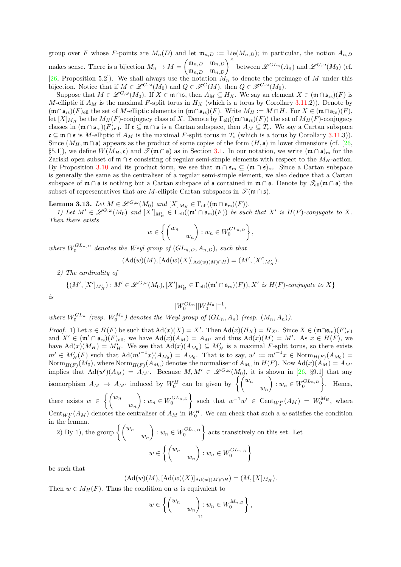group over F whose F-points are  $M_n(D)$  and let  $\mathfrak{m}_{n,D} := \text{Lie}(M_{n,D})$ ; in particular, the notion  $A_{n,D}$ makes sense. There is a bijection  $M_n \mapsto M =$  $\begin{pmatrix} \mathfrak{m}_{n,D} & \mathfrak{m}_{n,D} \\ \mathfrak{m}_{n,D} & \mathfrak{m}_{n,D} \end{pmatrix}^{\times}$  between  $\mathscr{L}^{GL_n}(A_n)$  and  $\mathscr{L}^{G,\omega}(M_0)$  (cf. [\[26,](#page-55-3) Proposition 5.2]). We shall always use the notation  $M_n$  to denote the preimage of M under this bijection. Notice that if  $M \in \mathscr{L}^{G,\omega}(M_0)$  and  $Q \in \mathscr{F}^G(M)$ , then  $Q \in \mathscr{F}^{G,\omega}(M_0)$ .

Suppose that  $M \in \mathscr{L}^{G,\omega}(M_0)$ . If  $X \in \mathfrak{m} \cap \mathfrak{s}$ , then  $A_M \subseteq H_X$ . We say an element  $X \in (\mathfrak{m} \cap \mathfrak{s}_{rs})(F)$  is M-elliptic if  $A_M$  is the maximal F-split torus in  $H_X$  (which is a torus by Corollary [3.11.](#page-9-0)2)). Denote by  $(\mathfrak{m} \cap \mathfrak{s}_{rs})(F)_{ell}$  the set of M-elliptic elements in  $(\mathfrak{m} \cap \mathfrak{s}_{rs})(F)$ . Write  $M_H := M \cap H$ . For  $X \in (\mathfrak{m} \cap \mathfrak{s}_{rs})(F)$ , let  $[X]_{M_H}$  be the  $M_H(F)$ -conjugacy class of X. Denote by  $\Gamma_{ell}((\mathfrak{m} \cap \mathfrak{s}_{rs})(F))$  the set of  $M_H(F)$ -conjugacy classes in  $(\mathfrak{m} \cap \mathfrak{s}_{rs})(F)_{ell}$ . If  $\mathfrak{c} \subseteq \mathfrak{m} \cap \mathfrak{s}$  is a Cartan subspace, then  $A_M \subseteq T_{\mathfrak{c}}$ . We say a Cartan subspace  $\mathfrak{c} \subseteq \mathfrak{m} \cap \mathfrak{s}$  is M-elliptic if  $A_M$  is the maximal F-split torus in  $T_{\mathfrak{c}}$  (which is a torus by Corollary [3.11.](#page-9-0)3)). Since  $(M_H, \mathfrak{m} \cap \mathfrak{s})$  appears as the product of some copies of the form  $(H, \mathfrak{s})$  in lower dimensions (cf. [\[26,](#page-55-3) §5.1]), we define  $W(M_H, c)$  and  $\mathscr{T}(\mathfrak{m} \cap \mathfrak{s})$  as in Section [3.1.](#page-6-1) In our notation, we write  $(\mathfrak{m} \cap \mathfrak{s})_{rs}$  for the Zariski open subset of  $\mathfrak{m} \cap \mathfrak{s}$  consisting of regular semi-simple elements with respect to the  $M_H$ -action. By Proposition [3.10](#page-9-1) and its product form, we see that  $\mathfrak{m} \cap \mathfrak{s}_{rs} \subseteq (\mathfrak{m} \cap \mathfrak{s})_{rs}$ . Since a Cartan subspace is generally the same as the centraliser of a regular semi-simple element, we also deduce that a Cartan subspace of  $\mathfrak{m} \cap \mathfrak{s}$  is nothing but a Cartan subspace of  $\mathfrak{s}$  contained in  $\mathfrak{m} \cap \mathfrak{s}$ . Denote by  $\mathscr{T}_{ell}(\mathfrak{m} \cap \mathfrak{s})$  the subset of representatives that are M-elliptic Cartan subspaces in  $\mathscr{T}(\mathfrak{m} \cap \mathfrak{s})$ .

<span id="page-10-0"></span>**Lemma 3.13.** Let  $M \in \mathcal{L}^{G,\omega}(M_0)$  and  $[X]_{M_H} \in \Gamma_{ell}((\mathfrak{m} \cap \mathfrak{s}_{rs})(F)).$ 

1) Let  $M' \in \mathscr{L}^{G,\omega}(M_0)$  and  $[X']_{M'_H} \in \Gamma_{ell}((\mathfrak{m}' \cap \mathfrak{s}_{rs})(F))$  be such that X' is  $H(F)$ -conjugate to X. Then there exists

$$
w \in \left\{ \begin{pmatrix} w_n & \\ & w_n \end{pmatrix} : w_n \in W_0^{GL_{n,D}} \right\},\
$$

where  $W_0^{GL_{n,D}}$  denotes the Weyl group of  $(GL_{n,D}, A_{n,D})$ , such that

$$
(\mathrm{Ad}(w)(M), [\mathrm{Ad}(w)(X)]_{\mathrm{Ad}(w)(M)\cap H}) = (M', [X']_{M'_H}).
$$

2) The cardinality of

is

$$
\{(M', [X']_{M'_H}) : M' \in \mathcal{L}^{G,\omega}(M_0), [X']_{M'_H} \in \Gamma_{\text{ell}}((\mathfrak{m}' \cap \mathfrak{s}_{\text{rs}})(F)), X' \text{ is } H(F)\text{-conjugate to } X\}
$$

$$
|W_0^{GL_n}||W_0^{M_n}|^{-1},
$$

where  $W_0^{GL_n}$  (resp.  $W_0^{M_n}$ ) denotes the Weyl group of  $(GL_n, A_n)$  (resp.  $(M_n, A_n)$ ).

*Proof.* 1) Let  $x \in H(F)$  be such that  $\text{Ad}(x)(X) = X'$ . Then  $\text{Ad}(x)(H_X) = H_{X'}$ . Since  $X \in (\mathfrak{m} \cap \mathfrak{s}_{rs})(F)_{ell}$ and  $X' \in (\mathfrak{m}' \cap \mathfrak{s}_{rs})(F)_{ell}$ , we have  $\text{Ad}(x)(A_M) = A_{M'}$  and thus  $\text{Ad}(x)(M) = M'$ . As  $x \in H(F)$ , we have  $\text{Ad}(x)(M_H) = M'_H$ . We see that  $\text{Ad}(x)(A_{M_0}) \subseteq M'_H$  is a maximal F-split torus, so there exists  $m' \in M'_H(F)$  such that  $\text{Ad}(m'^{-1}x)(A_{M_0}) = A_{M_0}$ . That is to say,  $w' := m'^{-1}x \in \text{Norm}_{H(F)}(A_{M_0}) =$ Norm $_{H(F)}(M_0)$ , where Norm $_{H(F)}(A_{M_0})$  denotes the normaliser of  $A_{M_0}$  in  $H(F)$ . Now  $\text{Ad}(x)(A_M) = A_{M'}$ implies that  $\text{Ad}(w')(A_M) = A_{M'}$ . Because  $M, M' \in \mathscr{L}^{G,\omega}(M_0)$ , it is shown in [\[26,](#page-55-3) §9.1] that any isomorphism  $A_M \rightarrow A_{M'}$  induced by  $W_0^H$  can be given by  $\left\{ \begin{pmatrix} w_n \\ w_n \end{pmatrix} \right\}$  $\overline{ }$  $: w_n \in W_0^{GL_{n,D}}$ Í. . Hence, there exists  $w \in$  $\int (w_n$  $w_n$  $\overline{ }$  $: w_n \in W_0^{GL_{n,D}}$  $\mathcal{L}$ such that  $w^{-1}w' \in \text{Cent}_{W_0^H}(A_M) = W_0^{M_H}$ , where Cent<sub>W<sup>H</sub>(A<sub>M</sub>)</sub> denotes the centraliser of  $A_M$  in W<sub>0</sub><sup>H</sup>. We can check that such a w satisfies the condition</sub></sup> in the lemma.

2) By 1), the group  $\begin{cases} w_n \ w_n \end{cases}$  $\overline{ }$  $: w_n \in W_0^{GL_{n,D}}$  $\mathcal{L}$ acts transitively on this set. Let  $w \in$  $\int (w_n$  $w_n$  $\overline{ }$  $: w_n \in W_0^{GL_{n,D}}$  $\mathcal{L}$ 

be such that

$$
(\mathrm{Ad}(w)(M), [\mathrm{Ad}(w)(X)]_{\mathrm{Ad}(w)(M)\cap H}) = (M, [X]_{M_H}).
$$

Then  $w \in M_H(F)$ . Thus the condition on w is equivalent to

$$
w \in \left\{ \begin{pmatrix} w_n & \\ & w_n \end{pmatrix} : w_n \in W_0^{M_{n,D}} \right\},\
$$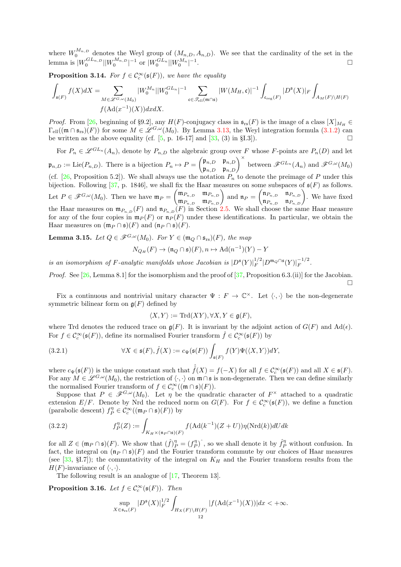where  $W_0^{M_{n,D}}$  denotes the Weyl group of  $(M_{n,D}, A_{n,D})$ . We see that the cardinality of the set in the lemma is  $|W_0^{GL_{n,D}}||W_0^{M_{n,D}}|^{-1}$  or  $|W_0^{GL_n}||W_0^{M_n}|^{-1}$ .

<span id="page-11-4"></span>**Proposition 3.14.** For  $f \in C_c^{\infty}(\mathfrak{s}(F))$ , we have the equality

$$
\int_{\mathfrak{s}(F)} f(X)dX = \sum_{M \in \mathscr{L}^{G,\omega}(M_0)} |W_0^{M_n}| |W_0^{GL_n}|^{-1} \sum_{\mathfrak{c} \in \mathscr{T}_{\text{ell}}(\mathfrak{m} \cap \mathfrak{s})} |W(M_H, \mathfrak{c})|^{-1} \int_{\mathfrak{c}_{\text{reg}}(F)} |D^{\mathfrak{s}}(X)|_F \int_{A_M(F) \backslash H(F)} f(\mathbf{Ad}(x^{-1})(X)) dxdX.
$$

*Proof.* From [\[26,](#page-55-3) beginning of §9.2], any  $H(F)$ -conjugacy class in  $\mathfrak{s}_{rs}(F)$  is the image of a class  $[X]_{M_H} \in$  $\Gamma_{\text{ell}}((\mathfrak{m} \cap \mathfrak{s}_{rs})(F))$  for some  $M \in \mathscr{L}^{G,\omega}(M_0)$ . By Lemma [3.13,](#page-10-0) the Weyl integration formula [\(3.1.2\)](#page-6-3) can<br>be written as the above equality (cf. [5, p. 16-17] and [33, (3) in §1.3]) be written as the above equality (cf.  $[5, p. 16-17]$  and  $[33, (3)$  in §I.3]).

For  $P_n \in \mathscr{L}^{GL_n}(A_n)$ , denote by  $P_{n,D}$  the algebraic group over F whose F-points are  $P_n(D)$  and let  $\mathfrak{p}_{n,D} := \text{Lie}(P_{n,D})$ . There is a bijection  $P_n \mapsto P =$  $\begin{pmatrix} \mathfrak{p}_{n,D} & \mathfrak{p}_{n,D} \\ \mathfrak{p}_{n,D} & \mathfrak{p}_{n,D} \end{pmatrix}^{\times}$  between  $\mathscr{F}^{GL_n}(A_n)$  and  $\mathscr{F}^{G,\omega}(M_0)$ (cf. [\[26,](#page-55-3) Proposition 5.2]). We shall always use the notation  $P_n$  to denote the preimage of P under this bijection. Following [\[37,](#page-55-1) p. 1846], we shall fix the Haar measures on some subspaces of  $\mathfrak{s}(F)$  as follows. Let  $P \in \mathscr{F}^{G,\omega}(M_0)$ . Then we have  $\mathfrak{m}_P = \begin{pmatrix} \mathfrak{m}_{P_{n,D}} & \mathfrak{m}_{P_{n,D}} \\ \mathfrak{m}_{P_{n,D}} & \mathfrak{m}_{P_{n,D}} \end{pmatrix}$  and  $\mathfrak{n}_P =$  $\begin{pmatrix} \mathfrak{n}_{P_{n,D}} & \mathfrak{n}_{P_{n,D}} \\ \mathfrak{n}_{P_{n,D}} & \mathfrak{n}_{P_{n,D}} \end{pmatrix}$ . We have fixed the Haar measures on  $\mathfrak{m}_{P_{n,D}}(F)$  and  $\mathfrak{n}_{P_{n,D}}(F)$  in Section [2.5.](#page-4-0) We shall choose the same Haar measure for any of the four copies in  $\mathfrak{m}_P(F)$  or  $\mathfrak{n}_P(F)$  under these identifications. In particular, we obtain the Haar measures on  $(\mathfrak{m}_P \cap \mathfrak{s})(F)$  and  $(\mathfrak{n}_P \cap \mathfrak{s})(F)$ .

<span id="page-11-3"></span>**Lemma 3.15.** Let  $Q \in \mathscr{F}^{G,\omega}(M_0)$ . For  $Y \in (\mathfrak{m}_Q \cap \mathfrak{s}_{rs})(F)$ , the map

$$
N_{Q_H}(F) \to (\mathfrak{n}_Q \cap \mathfrak{s})(F), n \mapsto \mathrm{Ad}(n^{-1})(Y) - Y
$$

is an isomorphism of F-analytic manifolds whose Jacobian is  $|D^{\mathfrak{s}}(Y)|_F^{1/2}$  $_{F}^{1/2}|D^{\mathfrak{m}_Q\cap\mathfrak{s}}(Y)|_F^{-1/2}.$ 

Proof. See [\[26,](#page-55-3) Lemma 8.1] for the isomorphism and the proof of [\[37,](#page-55-1) Proposition 6.3.(ii)] for the Jacobian.  $\Box$ 

Fix a continuous and nontrivial unitary character  $\Psi : F \to \mathbb{C}^{\times}$ . Let  $\langle \cdot, \cdot \rangle$  be the non-degenerate symmetric bilinear form on  $\mathfrak{g}(F)$  defined by

<span id="page-11-0"></span>
$$
\langle X, Y \rangle := \mathrm{Trd}(XY), \forall X, Y \in \mathfrak{g}(F),
$$

where Trd denotes the reduced trace on  $g(F)$ . It is invariant by the adjoint action of  $G(F)$  and  $\text{Ad}(\epsilon)$ . For  $f \in \mathcal{C}_c^{\infty}(\mathfrak{s}(F))$ , define its normalised Fourier transform  $\hat{f} \in \mathcal{C}_c^{\infty}(\mathfrak{s}(F))$  by

(3.2.1) 
$$
\forall X \in \mathfrak{s}(F), \hat{f}(X) := c_{\Psi}(\mathfrak{s}(F)) \int_{\mathfrak{s}(F)} f(Y) \Psi(\langle X, Y \rangle) dY,
$$

where  $c_{\Psi}(\mathfrak{s}(F))$  is the unique constant such that  $\hat{f}(X) = f(-X)$  for all  $f \in \mathcal{C}_c^{\infty}(\mathfrak{s}(F))$  and all  $X \in \mathfrak{s}(F)$ . For any  $M \in \mathscr{L}^{G,\omega}(M_0)$ , the restriction of  $\langle \cdot, \cdot \rangle$  on  $\mathfrak{m} \cap \mathfrak{s}$  is non-degenerate. Then we can define similarly the normalised Fourier transform of  $f \in C_c^{\infty}((\mathfrak{m} \cap \mathfrak{s})(F)).$ 

Suppose that  $P \in \mathscr{F}^{G,\omega}(M_0)$ . Let  $\eta$  be the quadratic character of  $F^\times$  attached to a quadratic extension  $E/F$ . Denote by Nrd the reduced norm on  $G(F)$ . For  $f \in C_c^{\infty}(\mathfrak{s}(F))$ , we define a function (parabolic descent)  $f_P^{\eta} \in C_c^{\infty}((\mathfrak{m}_P \cap \mathfrak{s})(F))$  by

<span id="page-11-2"></span>(3.2.2) 
$$
f_P^{\eta}(Z) := \int_{K_H \times (\mathfrak{n}_P \cap \mathfrak{s})(F)} f(\text{Ad}(k^{-1})(Z+U)) \eta(\text{Nrd}(k)) dU dk
$$

for all  $Z \in (\mathfrak{m}_P \cap \mathfrak{s})(F)$ . We show that  $(\hat{f})_P^{\eta} = (f_P^{\eta})^{\hat{\ }},$  so we shall denote it by  $\hat{f}_P^{\eta}$  without confusion. In fact, the integral on  $(\mathfrak{n}_P \cap \mathfrak{s})(F)$  and the Fourier transform commute by our choices of Haar measures (see [\[33,](#page-55-2) §I.7]); the commutativity of the integral on  $K_H$  and the Fourier transform results from the  $H(F)$ -invariance of  $\langle \cdot, \cdot \rangle$ .

The following result is an analogue of [\[17,](#page-54-9) Theorem 13].

<span id="page-11-1"></span>**Proposition 3.16.** Let  $f \in C_c^{\infty}(\mathfrak{s}(F))$ . Then

$$
\sup_{X \in \mathfrak{s}_{rs}(F)} |D^{\mathfrak{s}}(X)|_F^{1/2} \int_{H_X(F)\backslash H(F)} |f(\mathrm{Ad}(x^{-1})(X))| dx < +\infty.
$$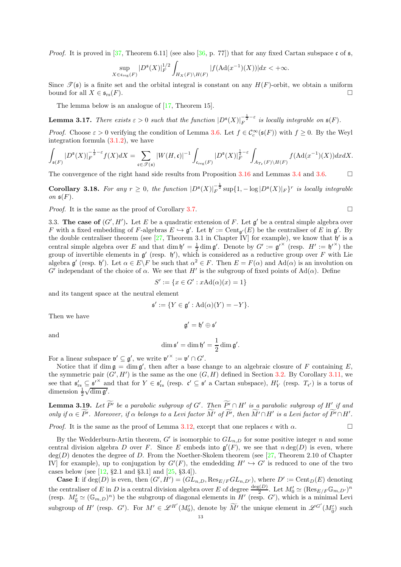*Proof.* It is proved in [\[37,](#page-55-1) Theorem 6.11] (see also [\[36,](#page-55-5) p. 77]) that for any fixed Cartan subspace c of  $\mathfrak{s}$ ,

$$
\sup_{X \in \mathfrak{c}_{\mathrm{reg}}(F)} |D^{\mathfrak{s}}(X)|_F^{1/2} \int_{H_X(F) \backslash H(F)} |f(\mathrm{Ad}(x^{-1})(X))| dx < +\infty.
$$

Since  $\mathcal{T}(\mathfrak{s})$  is a finite set and the orbital integral is constant on any  $H(F)$ -orbit, we obtain a uniform bound for all  $X \in \mathfrak{s}_{rs}(F)$ .

The lemma below is an analogue of [\[17,](#page-54-9) Theorem 15].

**Lemma 3.17.** There exists  $\varepsilon > 0$  such that the function  $|D^{\mathfrak{s}}(X)|_F^{-\frac{1}{2}-\varepsilon}$  is locally integrable on  $\mathfrak{s}(F)$ .

*Proof.* Choose  $\varepsilon > 0$  verifying the condition of Lemma [3.6.](#page-8-1) Let  $f \in C_c^{\infty}(\mathfrak{s}(F))$  with  $f \geq 0$ . By the Weyl integration formula  $(3.1.2)$ , we have

$$
\int_{\mathfrak{s}(F)} |D^{\mathfrak{s}}(X)|_F^{-\frac{1}{2}-\varepsilon} f(X) dX = \sum_{\mathfrak{c} \in \mathscr{T}(\mathfrak{s})} |W(H, \mathfrak{c})|^{-1} \int_{\mathfrak{c}_{\text{reg}}(F)} |D^{\mathfrak{s}}(X)|_F^{\frac{1}{2}-\varepsilon} \int_{A_{T_{\mathfrak{c}}}(F) \backslash H(F)} f(\mathrm{Ad}(x^{-1})(X)) dx dX.
$$

The convergence of the right hand side results from Proposition [3.16](#page-11-1) and Lemmas [3.4](#page-7-1) and [3.6.](#page-8-1)

<span id="page-12-0"></span>Corollary 3.18. For any  $r \geq 0$ , the function  $|D^{\mathfrak{s}}(X)|_F^{-\frac{1}{2}} \sup\{1, -\log |D^{\mathfrak{s}}(X)|_F\}^r$  is locally integrable on  $\mathfrak{s}(F)$ .

<span id="page-12-1"></span>*Proof.* It is the same as the proof of Corollary [3.7.](#page-8-2)

3.3. The case of  $(G', H')$ . Let E be a quadratic extension of F. Let  $g'$  be a central simple algebra over F with a fixed embedding of F-algebras  $E \hookrightarrow \mathfrak{g}'$ . Let  $\mathfrak{h}' := \text{Cent}_{\mathfrak{g}'}(E)$  be the centraliser of E in  $\mathfrak{g}'$ . By the double centraliser theorem (see  $[27,$  Theorem 3.1 in Chapter IV] for example), we know that  $\mathfrak{h}'$  is a central simple algebra over E and that dim  $\mathfrak{h}' = \frac{1}{2} \dim \mathfrak{g}'$ . Denote by  $G' := \mathfrak{g}'^{\times}$  (resp.  $H' := \mathfrak{h}'^{\times}$ ) the group of invertible elements in  $g'$  (resp.  $h'$ ), which is considered as a reductive group over F with Lie algebra  $\mathfrak{g}'$  (resp.  $\mathfrak{h}'$ ). Let  $\alpha \in E \backslash F$  be such that  $\alpha^2 \in F$ . Then  $E = F(\alpha)$  and  $\text{Ad}(\alpha)$  is an involution on G' independant of the choice of  $\alpha$ . We see that H' is the subgroup of fixed points of  $\text{Ad}(\alpha)$ . Define

$$
S' := \{ x \in G' : x \text{Ad}(\alpha)(x) = 1 \}
$$

and its tangent space at the neutral element

$$
\mathfrak{s}' := \{ Y \in \mathfrak{g}' : \mathrm{Ad}(\alpha)(Y) = -Y \}.
$$

Then we have

 $\mathfrak{g}' = \mathfrak{h}' \oplus \mathfrak{s}'$ 

and

$$
\dim \mathfrak{s}' = \dim \mathfrak{h}' = \frac{1}{2} \dim \mathfrak{g}'.
$$

For a linear subspace  $\mathfrak{v}' \subseteq \mathfrak{g}'$ , we write  $\mathfrak{v}'^{\times} := \mathfrak{v}' \cap G'$ .

Notice that if  $\dim \mathfrak{g} = \dim \mathfrak{g}'$ , then after a base change to an algebraic closure of F containing E, the symmetric pair  $(G', H')$  is the same as the one  $(G, H)$  defined in Section [3.2.](#page-8-0) By Corollary [3.11,](#page-9-0) we see that  $\mathfrak{s}'_{rs} \subseteq \mathfrak{s}^{\prime \times}$  and that for  $Y \in \mathfrak{s}'_{rs}$  (resp.  $\mathfrak{c}' \subseteq \mathfrak{s}'$  a Cartan subspace),  $H'_Y$  (resp.  $T_{\mathfrak{c}'}$ ) is a torus of dimension  $\frac{1}{2}\sqrt{\dim \mathfrak{g}'}$ .

<span id="page-12-2"></span>**Lemma 3.19.** Let P' be a parabolic subgroup of G'. Then  $P' \cap H'$  is a parabolic subgroup of  $H'$  if and only if  $\alpha \in P'$ . Moreover, if  $\alpha$  belongs to a Levi factor M' of P', then  $M' \cap H'$  is a Levi factor of  $P' \cap H'$ .

*Proof.* It is the same as the proof of Lemma [3.12,](#page-9-2) except that one replaces  $\epsilon$  with  $\alpha$ .

By the Wedderburn-Artin theorem, G' is isomorphic to  $GL_{n,D}$  for some positive integer n and some central division algebra D over F. Since E embeds into  $\mathfrak{g}'(F)$ , we see that  $n \deg(D)$  is even, where  $\deg(D)$  denotes the degree of D. From the Noether-Skolem theorem (see [\[27,](#page-55-16) Theorem 2.10 of Chapter IV] for example), up to conjugation by  $G'(F)$ , the emdedding  $H' \hookrightarrow G'$  is reduced to one of the two cases below (see  $[12, §2.1 \text{ and } §3.1]$  and  $[25, §3.4]$ ).

**Case I:** if  $deg(D)$  is even, then  $(G', H') = (GL_{n,D}, Res_{E/F} GL_{n,D'})$ , where  $D' := Cent_D(E)$  denoting the centraliser of E in D is a central division algebra over E of degree  $\frac{\deg(D)}{2}$ . Let  $M'_0 \simeq (\text{Res}_{E/F}\mathbb{G}_{m,D'})^n$ (resp.  $M'_{\tilde{0}} \simeq (\mathbb{G}_{m,D})^n$ ) be the subgroup of diagonal elements in H' (resp. G'), which is a minimal Levi subgroup of H' (resp. G'). For  $M' \in \mathscr{L}^{H'}(M'_{0})$ , denote by  $\widetilde{M}'$  the unique element in  $\mathscr{L}^{G'}(M'_{\widetilde{0}})$  such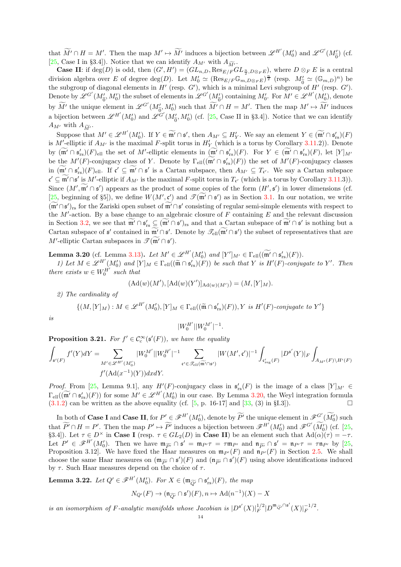that  $\widetilde{M}' \cap H = M'$ . Then the map  $M' \mapsto \widetilde{M}'$  induces a bijection between  $\mathscr{L}^{H'}(M'_0)$  and  $\mathscr{L}^{G'}(M'_{\widetilde{0}})$  (cf. [\[25,](#page-55-4) Case I in §3.4]). Notice that we can identify  $A_{M'}$  with  $A_{\widetilde{M'}}$ .

**Case II**: if  $\deg(D)$  is odd, then  $(G', H') = (GL_{n,D}, \text{Res}_{E/F} GL_{\frac{n}{2}, D\otimes_F E})$ , where  $D \otimes_F E$  is a central division algebra over E of degree  $\deg(D)$ . Let  $M'_0 \simeq (\text{Res}_{E/F}\mathbb{G}_{m,D\otimes_F E})^{\frac{n}{2}}$  (resp.  $M'_0 \simeq (\mathbb{G}_{m,D})^n$ ) be the subgroup of diagonal elements in  $H'$  (resp.  $G'$ ), which is a minimal Levi subgroup of  $H'$  (resp.  $G'$ ). Denote by  $\mathscr{L}^{G'}(M'_{\widetilde{0}},M'_{0})$  the subset of elements in  $\mathscr{L}^{G'}(M'_{\widetilde{0}})$  containing  $M'_{0}$ . For  $M' \in \mathscr{L}^{H'}(M'_{0})$ , denote by  $\widetilde{M}'$  the unique element in  $\mathscr{L}^{G'}(M'_{\widetilde{0}},M'_{0})$  such that  $\widetilde{M}' \cap H = M'$ . Then the map  $M' \mapsto \widetilde{M}'$  induces a bijection between  $\mathscr{L}^{H'}(M'_0)$  and  $\mathscr{L}^{G'}(M'_{\tilde{0}},M'_0)$  (cf. [\[25,](#page-55-4) Case II in §3.4]). Notice that we can identify  $A_{M'}$  with  $A_{\widetilde{M'}}$ .

Suppose that  $M' \in \mathscr{L}^{H'}(M'_{0})$ . If  $Y \in \widetilde{\mathfrak{m}'} \cap \mathfrak{s}'$ , then  $A_{M'} \subseteq H'_{Y}$ . We say an element  $Y \in (\widetilde{\mathfrak{m}'} \cap \mathfrak{s}'_{rs})(F)$ is M'-elliptic if  $A_{M'}$  is the maximal F-split torus in  $H'_{Y}$  (which is a torus by Corollary [3.11.](#page-9-0)2)). Denote by  $(\mathfrak{m}' \cap \mathfrak{s}'_{rs})(F)_{ell}$  the set of  $M'$ -elliptic elements in  $(\mathfrak{m}' \cap \mathfrak{s}'_{rs})(F)$ . For  $Y \in (\mathfrak{m}' \cap \mathfrak{s}'_{rs})(F)$ , let  $[Y]_{M'}$ be the  $M'(F)$ -conjugacy class of Y. Denote by  $\Gamma_{ell}((\mathfrak{m}' \cap \mathfrak{s}'_{rs})(F))$  the set of  $M'(F)$ -conjugacy classes in  $(\mathfrak{m}' \cap \mathfrak{s}'_{rs})(F)_{ell}$ . If  $\mathfrak{c}' \subseteq \mathfrak{m}' \cap \mathfrak{s}'$  is a Cartan subspace, then  $A_{M'} \subseteq T_{\mathfrak{c}'}$ . We say a Cartan subspace  $\mathfrak{c}' \subseteq \mathfrak{m}' \cap \mathfrak{s}'$  is  $M'$ -elliptic if  $A_{M'}$  is the maximal F-split torus in  $T_{\mathfrak{c}'}$  (which is a torus by Corollary [3.11.](#page-9-0)3)). Since  $(M', \mathfrak{m}' \cap \mathfrak{s}')$  appears as the product of some copies of the form  $(H', \mathfrak{s}')$  in lower dimensions (cf. [ $25$ , beginning of §5]), we define  $W(M', \mathfrak{c}')$  and  $\mathcal{T}(\mathfrak{m}' \cap \mathfrak{s}')$  as in Section [3.1.](#page-6-1) In our notation, we write (m'∩s')<sub>rs</sub> for the Zariski open subset of m'∩s' consisting of regular semi-simple elements with respect to the M'-action. By a base change to an algebraic closure of F containing E and the relevant discussion in Section [3.2,](#page-8-0) we see that  $m' \cap \mathfrak{s}'_{rs} \subseteq (m' \cap \mathfrak{s}')_{rs}$  and that a Cartan subspace of  $m' \cap \mathfrak{s}'$  is nothing but a Cartan subspace of  $\mathfrak{s}'$  contained in  $\widetilde{\mathfrak{m}'} \cap \mathfrak{s}'$ . Denote by  $\mathscr{T}_{ell}(\widetilde{\mathfrak{m}'} \cap \mathfrak{s}')$  the subset of representatives that are M'-elliptic Cartan subspaces in  $\mathscr{T}(\widetilde{\mathfrak{m}}' \cap \mathfrak{s}')$ .

<span id="page-13-0"></span>**Lemma 3.20** (cf. Lemma [3.13\)](#page-10-0). Let  $M' \in \mathscr{L}^{H'}(M'_0)$  and  $[Y']_{M'} \in \Gamma_{ell}((\widetilde{\mathfrak{m}'} \cap \mathfrak{s}'_{rs})(F)).$ 

1) Let  $M \in \mathscr{L}^{H'}(M'_{0})$  and  $[Y]_{M} \in \Gamma_{ell}((\widetilde{\mathfrak{m}} \cap \mathfrak{s}'_{rs})(F))$  be such that Y is  $H'(F)$ -conjugate to Y'. Then there exists  $w \in W_0^{H'}$  such that

$$
(\mathrm{Ad}(w)(M'), [\mathrm{Ad}(w)(Y')]_{\mathrm{Ad}(w)(M')}) = (M, [Y]_M).
$$

2) The cardinality of

$$
\{(M,[Y]_M): M \in \mathscr{L}^{H'}(M'_0), [Y]_M \in \Gamma_{\text{ell}}((\widetilde{\mathfrak{m}} \cap \mathfrak{s}'_{\text{rs}})(F)), Y \text{ is } H'(F)\text{-conjugate to } Y'\}
$$

is

$$
|W_0^{H'}||W_0^{M'}|^{-1}.
$$

<span id="page-13-2"></span>**Proposition 3.21.** For  $f' \in C_c^{\infty}(\mathfrak{s}'(F))$ , we have the equality

$$
\int_{\mathfrak{s}'(F)}f'(Y)dY=\sum_{\substack{M'\in \mathscr{L}^{H'}(M_0')\\f'(\mathrm{Ad}(x^{-1})(Y))dxdY.}}|W_0^{M'}||W_0^{H'}|^{-1}\sum_{\mathfrak{c}'\in \mathscr{T}_{\mathrm{ell}}(\widetilde{\mathfrak{m}'}\cap \mathfrak{s}')}|W(M',\mathfrak{c}')|^{-1}\int_{\mathfrak{c}'_{\mathrm{reg}}(F)}|D^{\mathfrak{s}'}(Y)|_F\int_{A_{M'}(F)\backslash H'(F)}|W(M',\mathfrak{c}')|^{-1}\int_{\mathfrak{c}'_{\mathrm{reg}}(F)}|W(M',\mathfrak{c}')|^{-1}\int_{\mathfrak{c}'_{\mathrm{reg}}(F)}|W(M',\mathfrak{c}')|^{-1}\int_{\mathfrak{c}'_{\mathrm{reg}}(F)}|W(M',\mathfrak{c}')|^{-1}\int_{\mathfrak{c}'_{\mathrm{reg}}(F)}|W(M',\mathfrak{c}')|^{-1}\int_{\mathfrak{c}'_{\mathrm{reg}}(F)}|W(M',\mathfrak{c}')|^{-1}\int_{\mathfrak{c}'_{\mathrm{reg}}(F)}|W(M',\mathfrak{c}')|^{-1}\int_{\mathfrak{c}'_{\mathrm{reg}}(F)}|W(M',\mathfrak{c}')|^{-1}\int_{\mathfrak{c}'_{\mathrm{reg}}(F)}|W(M',\mathfrak{c}')|^{-1}\int_{\mathfrak{c}'_{\mathrm{reg}}(F)}|W(M',\mathfrak{c}')|^{-1}\int_{\mathfrak{c}'_{\mathrm{reg}}(F)}|W(M',\mathfrak{c}')|^{-1}\int_{\mathfrak{c}'_{\mathrm{reg}}(F)}|W(M',\mathfrak{c}')|^{-1}\int_{\mathfrak{c}'_{\mathrm{reg}}(F)}|W(M',\mathfrak{c}')|^{-1}\int_{\mathfrak{c}'_{\mathrm{reg}}(F)}|W(M',\mathfrak{c}')|^{-1}\int_{\mathfrak{c}'_{\mathrm{reg}}(F)}|W(M',\mathfrak{c}')|^{-1}\int_{\mathfrak{c}'_{\mathrm{reg}}(F)}|W(M',\mathfrak{c}')|^{-1}\int_{\mathfrak{c}'_{\mathrm{reg}}(F)}|W(M',\mathfrak{c}')|^{-1}\int_{\mathfrak{c}'_{\mathrm{reg}}(F)}|W(M',\mathfrak{c}')|^{-1}\
$$

*Proof.* From [\[25,](#page-55-4) Lemma 9.1], any  $H'(F)$ -conjugacy class in  $\mathfrak{s}'_{rs}(F)$  is the image of a class  $[Y]_{M'} \in$  $\Gamma_{\text{ell}}((\widetilde{\mathfrak{m}'} \cap \mathfrak{s}'_{rs})(F))$  for some  $M' \in \mathscr{L}^{H'}(M'_{0})$  in our case. By Lemma [3.20,](#page-13-0) the Weyl integration formula  $(3.1.2)$  can be written as the above equality (cf. [\[5,](#page-54-8) p. 16-17] and [\[33,](#page-55-2) (3) in §I.3]).

In both of **Case I** and **Case II**, for  $P' \in \mathcal{F}^{H'}(M'_{0})$ , denote by  $\widetilde{P'}$  the unique element in  $\mathcal{F}^{G'}(\widetilde{M}'_{0})$  such that  $\widetilde{P}' \cap H = P'$ . Then the map  $P' \mapsto \widetilde{P'}$  induces a bijection between  $\mathscr{F}^{H'}(M'_0)$  and  $\mathscr{F}^{G'}(\widetilde{M}'_0)$  (cf. [\[25,](#page-55-4) §3.4]). Let  $\tau \in D^{\times}$  in Case I (resp.  $\tau \in GL_2(D)$  in Case II) be an element such that  $\text{Ad}(\alpha)(\tau) = -\tau$ . Let  $P' \in \mathscr{F}^{H'}(M'_0)$ . Then we have  $\mathfrak{m}_{\widetilde{P'}} \cap \mathfrak{s}' = \mathfrak{m}_{P'}\tau = \tau \mathfrak{m}_{P'}$  and  $\mathfrak{n}_{\widetilde{P'}} \cap \mathfrak{s}' = \mathfrak{n}_{P'}\tau = \tau \mathfrak{n}_{P'}$  by [\[25,](#page-55-4) Proposition 3.12. We have fixed the Haar measures on  $\mathfrak{m}_{P'}(F)$  and  $\mathfrak{n}_{P'}(F)$  in Section [2.5.](#page-4-0) We shall choose the same Haar measures on  $(\mathfrak{m}_{\widetilde{P'}} \cap \mathfrak{s}')(F)$  and  $(\mathfrak{n}_{\widetilde{P'}} \cap \mathfrak{s}')(F)$  using above identifications induced by  $\tau$ . Such Haar measures depend on the choice of  $\tau$ .

<span id="page-13-1"></span>**Lemma 3.22.** Let  $Q' \in \mathscr{F}^{H'}(M'_0)$ . For  $X \in (\mathfrak{m}_{\widetilde{Q'}} \cap \mathfrak{s}'_{rs})(F)$ , the map

$$
N_{Q'}(F) \to (\mathfrak{n}_{\widetilde{Q'}} \cap \mathfrak{s}')(F), n \mapsto \mathrm{Ad}(n^{-1})(X) - X
$$

is an isomorphism of F-analytic manifolds whose Jacobian is  $|D^{5'}(X)|_F^{1/2}$  $_{F}^{1/2}|D^{\mathfrak{m}}\widetilde{\varphi'}^{\cap\mathfrak{s}'}(X)|_{F}^{-1/2}.$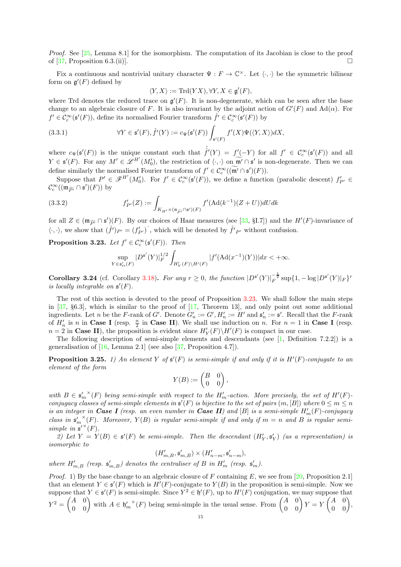Proof. See [\[25,](#page-55-4) Lemma 8.1] for the isomorphism. The computation of its Jacobian is close to the proof of [\[37,](#page-55-1) Proposition 6.3.(ii)].

Fix a continuous and nontrivial unitary character  $\Psi : F \to \mathbb{C}^{\times}$ . Let  $\langle \cdot, \cdot \rangle$  be the symmetric bilinear form on  $\mathfrak{g}'(F)$  defined by

$$
\langle Y, X \rangle := \mathrm{Trd}(YX), \forall Y, X \in \mathfrak{g}'(F),
$$

where Trd denotes the reduced trace on  $\mathfrak{g}'(F)$ . It is non-degenerate, which can be seen after the base change to an algebraic closure of F. It is also invariant by the adjoint action of  $G'(F)$  and  $\text{Ad}(\alpha)$ . For  $f' \in \mathcal{C}_c^{\infty}(\mathfrak{s}'(F))$ , define its normalised Fourier transform  $\hat{f}' \in \mathcal{C}_c^{\infty}(\mathfrak{s}'(F))$  by

(3.3.1) 
$$
\forall Y \in \mathfrak{s}'(F), \hat{f}'(Y) := c_{\Psi}(\mathfrak{s}'(F)) \int_{\mathfrak{s}'(F)} f'(X) \Psi(\langle Y, X \rangle) dX,
$$

where  $c_{\Psi}(\mathfrak{s}'(F))$  is the unique constant such that  $\hat{f}'(Y) = f'(-Y)$  for all  $f' \in C_c^{\infty}(\mathfrak{s}'(F))$  and all  $Y \in \mathfrak{s}'(F)$ . For any  $M' \in \mathscr{L}^{H'}(M'_{0})$ , the restriction of  $\langle \cdot, \cdot \rangle$  on  $\widetilde{\mathfrak{m}'} \cap \mathfrak{s}'$  is non-degenerate. Then we can define similarly the normalised Fourier transform of  $f' \in C_c^{\infty}((\mathfrak{m}' \cap \mathfrak{s}')(F)).$ 

Suppose that  $P' \in \mathscr{F}^{H'}(M'_{0})$ . For  $f' \in \mathcal{C}^{\infty}_{c}(\mathfrak{s}'(F))$ , we define a function (parabolic descent)  $f'_{P'} \in$  $\mathcal{C}_{c}^{\infty}((\mathfrak{m}_{\widetilde{P'}} \cap \mathfrak{s}')(F))$  by

(3.3.2) 
$$
f'_{P'}(Z) := \int_{K_{H'} \times (\mathfrak{n}_{\widetilde{P'}} \cap \mathfrak{s}')(F)} f'(\text{Ad}(k^{-1})(Z+U))dU dk
$$

for all  $Z \in (\mathfrak{m}_{\widetilde{P'}} \cap \mathfrak{s'})(F)$ . By our choices of Haar measures (see [\[33,](#page-55-2) §1.7]) and the  $H'(F)$ -invariance of  $\langle \cdot, \cdot \rangle$ , we show that  $(\hat{f}')_{P'} = (f'_{P'})$ , which will be denoted by  $\hat{f}'_{P'}$  without confusion.

<span id="page-14-0"></span>**Proposition 3.23.** Let  $f' \in C_c^{\infty}(\mathfrak{s}'(F))$ . Then

<span id="page-14-2"></span>
$$
\sup_{Y \in \mathfrak{s}_{rs}'(F)} |D^{\mathfrak{s}'}(Y)|_F^{1/2} \int_{H'_Y(F) \backslash H'(F)} |f'(Ad(x^{-1})(Y))| dx < +\infty.
$$

<span id="page-14-3"></span>Corollary 3.24 (cf. Corollary [3.18\)](#page-12-0). For any  $r \geq 0$ , the function  $|D^{\mathfrak{s}'}(Y)|_F^{-\frac{1}{2}} \sup\{1, -\log |D^{\mathfrak{s}'}(Y)|_F\}^r$ is locally integrable on  $\mathfrak{s}'(F)$ .

The rest of this section is devoted to the proof of Proposition [3.23.](#page-14-0) We shall follow the main steps in [\[37,](#page-55-1) §6.3], which is similar to the proof of [\[17,](#page-54-9) Theorem 13], and only point out some additional ingredients. Let n be the F-rank of G'. Denote  $G'_n := G', H'_n := H'$  and  $\mathfrak{s}'_n := \mathfrak{s}'$ . Recall that the F-rank of  $H'_n$  is n in Case I (resp.  $\frac{n}{2}$  in Case II). We shall use induction on n. For  $n = 1$  in Case I (resp.  $n = 2$  in **Case II**), the proposition is evident since  $H'_{Y}(F)\backslash H'(F)$  is compact in our case.

The following description of semi-simple elements and descendants (see [\[1,](#page-54-10) Definition 7.2.2]) is a generalisation of  $[16, \text{ Lemma } 2.1]$  (see also  $[37, \text{Proposition } 4.7]$ ).

<span id="page-14-1"></span>**Proposition 3.25.** 1) An element Y of  $\mathfrak{s}'(F)$  is semi-simple if and only if it is  $H'(F)$ -conjugate to an element of the form

$$
Y(B):=\begin{pmatrix}B&0\\0&0\end{pmatrix},
$$

with  $B \in {\mathfrak{s}}_m^{\prime\,\times}(F)$  being semi-simple with respect to the  $H'_m$ -action. More precisely, the set of  $H'(F)$ conjugacy classes of semi-simple elements in  $\mathfrak{s}'(F)$  is bijective to the set of pairs  $(m, [B])$  where  $0 \le m \le n$ is an integer in Case I (resp. an even number in Case II) and [B] is a semi-simple  $H'_{m}(F)$ -conjugacy class in  $\mathfrak{s}'_m$ <sup> $\times$ </sup>(F). Moreover,  $Y(B)$  is regular semi-simple if and only if  $m = n$  and B is regular semisimple in  $\mathfrak{s}^{\prime\lambda}(F)$ .

2) Let  $Y = Y(B) \in \mathfrak{s}'(F)$  be semi-simple. Then the descendant  $(H'_Y, \mathfrak{s}'_Y)$  (as a representation) is isomorphic to

 $(H'_{m,B}, \mathfrak{s}'_{m,B}) \times (H'_{n-m}, \mathfrak{s}'_{n-m}),$ 

where  $H'_{m,B}$  (resp.  $\mathfrak{s}'_{m,B}$ ) denotes the centraliser of B in  $H'_{m}$  (resp.  $\mathfrak{s}'_{m}$ ).

*Proof.* 1) By the base change to an algebraic closure of F containing E, we see from [\[20,](#page-54-18) Proposition 2.1] that an element  $Y \in \mathfrak{s}'(F)$  which is  $H'(F)$ -conjugate to  $Y(B)$  in the proposition is semi-simple. Now we suppose that  $Y \in \mathfrak{s}'(F)$  is semi-simple. Since  $Y^2 \in \mathfrak{h}'(F)$ , up to  $H'(F)$  conjugation, we may suppose that  $Y^2 = \begin{pmatrix} A & 0 \\ 0 & 0 \end{pmatrix}$  with  $A \in \mathfrak{h}'_m^{\times}(F)$  being semi-simple in the usual sense. From  $\begin{pmatrix} A & 0 \\ 0 & 0 \end{pmatrix} Y = Y$  $\begin{pmatrix} A & 0 \\ 0 & 0 \end{pmatrix}$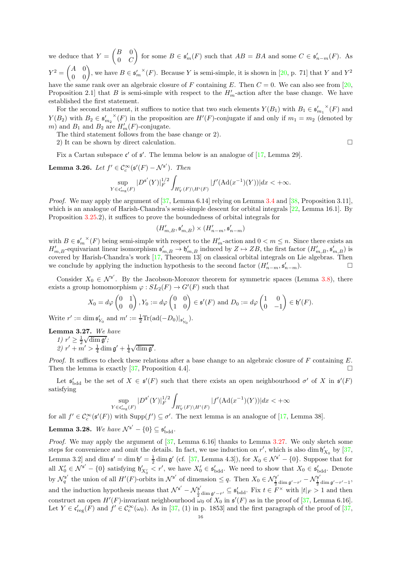we deduce that  $Y =$  $\left(B\right)$  $0 \quad C$  $\overline{ }$ for some  $B \in \mathfrak{s}'_m(F)$  such that  $AB = BA$  and some  $C \in \mathfrak{s}'_{n-m}(F)$ . As  $Y^2 = \begin{pmatrix} A & 0 \\ 0 & 0 \end{pmatrix}$ , we have  $B \in s_m'^{\times}(F)$ . Because Y is semi-simple, it is shown in [\[20,](#page-54-18) p. 71] that Y and Y<sup>2</sup> have the same rank over an algebraic closure of F containing E. Then  $C = 0$ . We can also see from [\[20,](#page-54-18) Proposition 2.1 that B is semi-simple with respect to the  $H'_{m}$ -action after the base change. We have established the first statement.

For the second statement, it suffices to notice that two such elements  $Y(B_1)$  with  $B_1 \in {\mathfrak{s}'_{m_1}}^{\times}(F)$  and  $Y(B_2)$  with  $B_2 \in {\frak s}'_{m_2}^{\times}(F)$  in the proposition are  $H'(F)$ -conjugate if and only if  $m_1 = m_2$  (denoted by m) and  $B_1$  and  $B_2$  are  $H'_m(F)$ -conjugate.

The third statement follows from the base change or 2).

2) It can be shown by direct calculation.

Fix a Cartan subspace  $\mathfrak{c}'$  of  $\mathfrak{s}'$ . The lemma below is an analogue of [\[17,](#page-54-9) Lemma 29].

<span id="page-15-1"></span>**Lemma 3.26.** Let  $f' \in C_c^{\infty}(\mathfrak{s}'(F) - \mathcal{N}^{\mathfrak{s}'})$ . Then

$$
\sup_{Y \in \mathfrak{c}'_{\text{reg}}(F)} |D^{\mathfrak{s}'}(Y)|_F^{1/2} \int_{H_Y'(F) \backslash H'(F)} |f'(\text{Ad}(x^{-1})(Y))| dx < +\infty.
$$

*Proof.* We may apply the argument of  $[37, \text{Lemma 6.14}]$  relying on Lemma [3.4](#page-7-1) and  $[38, \text{Proposition 3.11}]$ , which is an analogue of Harish-Chandra's semi-simple descent for orbital integrals [\[22,](#page-55-11) Lemma 16.1]. By Proposition [3.25.](#page-14-1)2), it suffices to prove the boundedness of orbital integrals for

$$
(H'_{m,B}, \mathfrak{s}'_{m,B}) \times (H'_{n-m}, \mathfrak{s}'_{n-m})
$$

with  $B \in \mathfrak{s}'_m{}^{\times}(F)$  being semi-simple with respect to the  $H'_m$ -action and  $0 < m \leq n$ . Since there exists an  $H'_{m,B}$ -equivariant linear isomorphism  $\mathfrak{s}'_{m,B} \to \mathfrak{h}'_{m,B}$  induced by  $Z \mapsto ZB$ , the first factor  $(H'_{m,B}, \mathfrak{s}'_{m,B})$  is covered by Harish-Chandra's work [\[17,](#page-54-9) Theorem 13] on classical orbital integrals on Lie algebras. Then we conclude by applying the induction hypothesis to the second factor  $(H'_{n-m}, \mathfrak{s}'_{n-m})$ .

Consider  $X_0 \in \mathcal{N}^{\mathfrak{s}'}$ . By the Jacobson-Morozov theorem for symmetric spaces (Lemma [3.8\)](#page-8-3), there exists a group homomorphism  $\varphi: SL_2(F) \to G'(F)$  such that

$$
X_0 = d\varphi \begin{pmatrix} 0 & 1 \\ 0 & 0 \end{pmatrix}, Y_0 := d\varphi \begin{pmatrix} 0 & 0 \\ 1 & 0 \end{pmatrix} \in \mathfrak{s}'(F) \text{ and } D_0 := d\varphi \begin{pmatrix} 1 & 0 \\ 0 & -1 \end{pmatrix} \in \mathfrak{h}'(F).
$$

Write  $r' := \dim \mathfrak{s}'_{Y_0}$  and  $m' := \frac{1}{2} \text{Tr}(\text{ad}(-D_0)|_{\mathfrak{s}'_{Y_0}})$ .

<span id="page-15-0"></span>Lemma 3.27. We have 1)  $r' \geq \frac{1}{2} \sqrt{\dim g'}$ ;

2)  $r' + m' > \frac{1}{4} \dim \mathfrak{g}' + \frac{1}{4} \sqrt{\dim \mathfrak{g}'}$ .

*Proof.* It suffices to check these relations after a base change to an algebraic closure of  $F$  containing  $E$ . Then the lemma is exactly [\[37,](#page-55-1) Proposition 4.4].

Let  $\mathfrak{s}'_{\text{bdd}}$  be the set of  $X \in \mathfrak{s}'(F)$  such that there exists an open neighbourhood  $\sigma'$  of X in  $\mathfrak{s}'(F)$ satisfying

$$
\sup_{Y \in \mathfrak{c}'_{\text{reg}}(F)} |D^{\mathfrak{s}'}(Y)|_F^{1/2} \int_{H'_Y(F) \backslash H'(F)} |f'(\text{Ad}(x^{-1})(Y))| dx < +\infty
$$

for all  $f' \in C_c^{\infty}(\mathfrak{s}'(F))$  with  $\text{Supp}(f') \subseteq \sigma'$ . The next lemma is an analogue of [\[17,](#page-54-9) Lemma 38].

<span id="page-15-2"></span>**Lemma 3.28.** We have  $\mathcal{N}^{\mathfrak{s}'} - \{0\} \subseteq \mathfrak{s}'_{\text{bdd}}$ .

*Proof.* We may apply the argument of  $[37, \text{ Lemma } 6.16]$  thanks to Lemma [3.27.](#page-15-0) We only sketch some steps for convenience and omit the details. In fact, we use induction on r', which is also dim  $\mathfrak{h}'_{X_0}$  by [\[37,](#page-55-1) Lemma 3.2 and dim  $\mathfrak{s}' = \dim \mathfrak{h}' = \frac{1}{2} \dim \mathfrak{g}'$  (cf. [\[37,](#page-55-1) Lemma 4.3]), for  $X_0 \in \mathcal{N}^{\mathfrak{s}'} - \{0\}$ . Suppose that for all  $X'_0 \in \mathcal{N}^{\mathfrak{s}'} - \{0\}$  satisfying  $\mathfrak{h}'_{X'_0} < r'$ , we have  $X'_0 \in \mathfrak{s}'_{\text{bdd}}$ . We need to show that  $X_0 \in \mathfrak{s}'_{\text{bdd}}$ . Denote by  $\mathcal{N}_q^{\mathfrak{s}'}$  the union of all  $H'(F)$ -orbits in  $\mathcal{N}^{\mathfrak{s}'}$  of dimension  $\leq q$ . Then  $X_0 \in \mathcal{N}_{\frac{1}{2} \dim \mathfrak{g}' - r'}^{\mathfrak{s}'} - \mathcal{N}_{\frac{1}{2} \dim \mathfrak{g}' - r' - 1}^{\mathfrak{s}'},$ and the induction hypothesis means that  $\mathcal{N}^{\mathfrak{s}'} - \mathcal{N}_{\frac{1}{2} \dim \mathfrak{g}' - r'}^{\mathfrak{s}'} \subseteq \mathfrak{s}'_{\text{bdd}}$ . Fix  $t \in F^{\times}$  with  $|t|_F > 1$  and then construct an open  $H'(F)$ -invariant neighbourhood  $\omega_0$  of  $X_0$  in  $\mathfrak{s}'(F)$  as in the proof of [\[37,](#page-55-1) Lemma 6.16]. Let  $Y \in \mathfrak{c}_{\text{reg}}'(F)$  and  $f' \in \mathfrak{C}_c^{\infty}(\omega_0)$ . As in [\[37,](#page-55-1) (1) in p. 1853] and the first paragraph of the proof of [37,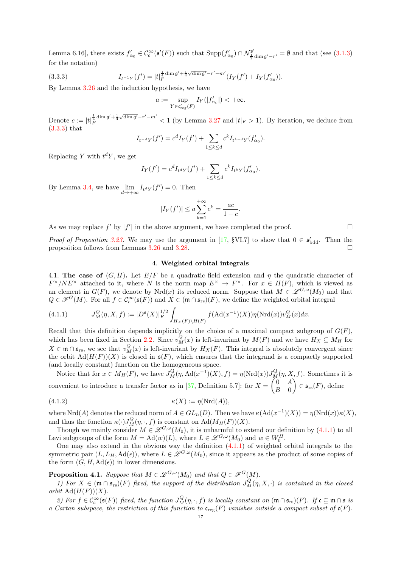Lemma 6.16], there exists  $f'_{\alpha_0} \in C_c^{\infty}(\mathfrak{s}'(F))$  such that  $\text{Supp}(f'_{\alpha_0}) \cap \mathcal{N}_{\frac{1}{2} \dim \mathfrak{g}' - r'}^{\mathfrak{s}'} = \emptyset$  and that (see [\(3.1.3\)](#page-8-4) for the notation)

(3.3.3) 
$$
I_{t^{-1}Y}(f') = |t|_F^{\frac{1}{4}\dim\mathfrak{g}' + \frac{1}{4}\sqrt{\dim\mathfrak{g}'} - r' - m'}(I_Y(f') + I_Y(f'_{\alpha_0})).
$$

By Lemma [3.26](#page-15-1) and the induction hypothesis, we have

<span id="page-16-1"></span>
$$
a := \sup_{Y \in \mathfrak{c}'_{\text{reg}}(F)} I_Y(|f'_{\alpha_0}|) < +\infty.
$$

Denote  $c := |t|_F^{\frac{1}{4} \dim \mathfrak{g}' + \frac{1}{4} \sqrt{\dim \mathfrak{g}' - r' - m'}} < 1$  (by Lemma [3.27](#page-15-0) and  $|t|_F > 1$ ). By iteration, we deduce from [\(3.3.3\)](#page-16-1) that

$$
I_{t^{-d}Y}(f') = c^d I_Y(f') + \sum_{1 \le k \le d} c^k I_{t^{k-d}Y}(f'_{\alpha_0}).
$$

Replacing Y with  $t^dY$ , we get

$$
I_Y(f') = c^d I_{t^d Y}(f') + \sum_{1 \le k \le d} c^k I_{t^k Y}(f'_{\alpha_0}).
$$

By Lemma [3.4,](#page-7-1) we have  $\lim_{d \to +\infty} I_{t^d Y}(f') = 0$ . Then

$$
|I_Y(f')| \le a \sum_{k=1}^{+\infty} c^k = \frac{ac}{1-c}.
$$

As we may replace  $f'$  by  $|f'|$  in the above argument, we have completed the proof.  $\Box$ 

<span id="page-16-0"></span>*Proof of Proposition [3.23.](#page-14-0)* We may use the argument in [\[17,](#page-54-9) §VI.7] to show that  $0 \in \mathfrak{s}'_{\text{bdd}}$ . Then the proposition follows from Lemmas [3.26](#page-15-1) and [3.28.](#page-15-2)

## 4. Weighted orbital integrals

4.1. The case of  $(G, H)$ . Let  $E/F$  be a quadratic field extension and  $\eta$  the quadratic character of  $F^{\times}/NE^{\times}$  attached to it, where N is the norm map  $E^{\times} \to F^{\times}$ . For  $x \in H(F)$ , which is viewed as an element in  $G(F)$ , we denote by Nrd(x) its reduced norm. Suppose that  $M \in \mathscr{L}^{G,\omega}(M_0)$  and that  $Q \in \mathscr{F}^G(M)$ . For all  $f \in \mathcal{C}_c^\infty(\mathfrak{s}(F))$  and  $X \in (\mathfrak{m} \cap \mathfrak{s}_{rs})(F)$ , we define the weighted orbital integral

<span id="page-16-2"></span>(4.1.1) 
$$
J_M^Q(\eta, X, f) := |D^{\mathfrak{s}}(X)|_F^{1/2} \int_{H_X(F)\backslash H(F)} f(\mathrm{Ad}(x^{-1})(X)) \eta(\mathrm{Nrd}(x)) v_M^Q(x) dx.
$$

Recall that this definition depends implicitly on the choice of a maximal compact subgroup of  $G(F)$ , which has been fixed in Section [2.2.](#page-3-1) Since  $v_M^Q(x)$  is left-invariant by  $M(F)$  and we have  $H_X \subseteq M_H$  for  $X \in \mathfrak{m} \cap \mathfrak{s}_{rs}$ , we see that  $v_M^Q(x)$  is left-invariant by  $H_X(F)$ . This integral is absolutely convergent since the orbit  $\text{Ad}(H(F))(X)$  is closed in  $\mathfrak{s}(F)$ , which ensures that the integrand is a compactly supported (and locally constant) function on the homogeneous space.

Notice that for  $x \in M_H(F)$ , we have  $J_M^Q(\eta, \text{Ad}(x^{-1})(X), f) = \eta(\text{Nrd}(x))J_M^Q(\eta, X, f)$ . Sometimes it is convenient to introduce a transfer factor as in [\[37,](#page-55-1) Definition 5.7]: for  $X =$  $\int_0^{\pi} 0 \, dt$  $B \quad 0$ Ñ  $\in$   $\mathfrak{s}_{rs}(F)$ , define

<span id="page-16-4"></span>
$$
\kappa(X) := \eta(\mathrm{Nrd}(A)),
$$

where Nrd(A) denotes the reduced norm of  $A \in GL_n(D)$ . Then we have  $\kappa(\text{Ad}(x^{-1})(X)) = \eta(\text{Nrd}(x))\kappa(X)$ , and thus the function  $\kappa(\cdot) J_M^Q(\eta, \cdot, f)$  is constant on  $\text{Ad}(M_H(F))(X)$ .

Though we mainly consider  $M \in \mathscr{L}^{G,\omega}(M_0)$ , it is unharmful to extend our definition by  $(4.1.1)$  to all Levi subgroups of the form  $M = \mathrm{Ad}(w)(L)$ , where  $L \in \mathscr{L}^{G,\omega}(M_0)$  and  $w \in W_0^H$ .

One may also extend in the obvious way the definition  $(4.1.1)$  of weighted orbital integrals to the symmetric pair  $(L, L_H, \text{Ad}(\epsilon))$ , where  $L \in \mathscr{L}^{G,\omega}(M_0)$ , since it appears as the product of some copies of the form  $(G, H, \mathrm{Ad}(\epsilon))$  in lower dimensions.

<span id="page-16-3"></span>**Proposition 4.1.** Suppose that  $M \in \mathscr{L}^{G,\omega}(M_0)$  and that  $Q \in \mathscr{F}^G(M)$ .

1) For  $X \in (\mathfrak{m} \cap \mathfrak{s}_{rs})(F)$  fixed, the support of the distribution  $J_M^Q(\eta, X, \cdot)$  is contained in the closed orbit  $\text{Ad}(H(F))(X)$ .

2) For  $f \in C_c^{\infty}(\mathfrak{s}(F))$  fixed, the function  $J_M^Q(\eta, \cdot, f)$  is locally constant on  $(\mathfrak{m} \cap \mathfrak{s}_{rs})(F)$ . If  $\mathfrak{c} \subseteq \mathfrak{m} \cap \mathfrak{s}$  is a Cartan subspace, the restriction of this function to  $\mathfrak{c}_{reg}(F)$  vanishes outside a compact subset of  $\mathfrak{c}(F)$ .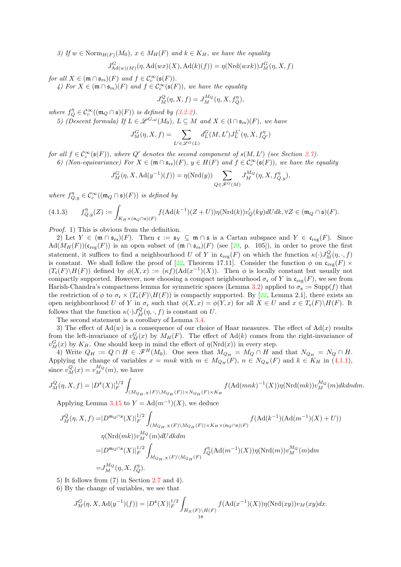3) If  $w \in \text{Norm}_{H(F)}(M_0)$ ,  $x \in M_H(F)$  and  $k \in K_H$ , we have the equality

$$
J_{\mathrm{Ad}(w)(M)}^G(\eta, \mathrm{Ad}(wx)(X), \mathrm{Ad}(k)(f)) = \eta(\mathrm{Nrd}(wxk))J_M^G(\eta, X, f)
$$

for all  $X \in (\mathfrak{m} \cap \mathfrak{s}_{rs})(F)$  and  $f \in C_c^{\infty}(\mathfrak{s}(F))$ .

4) For  $X \in (\mathfrak{m} \cap \mathfrak{s}_{rs})(F)$  and  $f \in C_c^{\infty}(\mathfrak{s}(F))$ , we have the equality

$$
J_M^Q(\eta, X, f) = J_M^{M_Q}(\eta, X, f_Q^{\eta}),
$$

where  $f_Q^n \in C_c^{\infty}((\mathfrak{m}_Q \cap \mathfrak{s})(F))$  is defined by [\(3.2.2\)](#page-11-2).

5) (Descent formula) If  $L \in \mathscr{L}^{G,\omega}(M_0)$ ,  $L \subseteq M$  and  $X \in (\mathfrak{l} \cap \mathfrak{s}_{rs})(F)$ , we have

$$
J^G_M(\eta,X,f)=\sum_{L'\in \mathscr{L}^G(L)}d^G_L(M,L')J^{L'}_L(\eta,X,f^{\eta}_{Q'})
$$

for all  $f \in C_c^{\infty}(\mathfrak{s}(F))$ , where  $Q'$  denotes the second component of  $s(M, L')$  (see Section [2.7\)](#page-5-1). 6) (Non-equivariance) For  $X \in (\mathfrak{m} \cap \mathfrak{s}_{rs})(F)$ ,  $y \in H(F)$  and  $f \in C_c^{\infty}(\mathfrak{s}(F))$ , we have the equality

$$
J_M^G(\eta, X, \mathrm{Ad}(y^{-1})(f)) = \eta(\mathrm{Nrd}(y)) \sum_{Q \in \mathscr{F}^G(M)} J_M^{M_Q}(\eta, X, f_{Q,y}^{\eta}),
$$

where  $f_{Q,y}^{\eta} \in C_c^{\infty}((\mathfrak{m}_Q \cap \mathfrak{s})(F))$  is defined by

<span id="page-17-0"></span>
$$
(4.1.3) \qquad f_{Q,y}^{\eta}(Z):=\int_{K_H\times (\mathfrak{n}_Q\cap \mathfrak{s})(F)} f(\mathrm{Ad}(k^{-1})(Z+U))\eta(\mathrm{Nrd}(k))v_Q'(ky)dUdk,\forall Z\in (\mathfrak{m}_Q\cap \mathfrak{s})(F).
$$

Proof. 1) This is obvious from the definition.

2) Let  $Y \in (\mathfrak{m} \cap \mathfrak{s}_{rs})(F)$ . Then  $\mathfrak{c} := \mathfrak{s}_Y \subseteq \mathfrak{m} \cap \mathfrak{s}$  is a Cartan subspace and  $Y \in \mathfrak{c}_{reg}(F)$ . Since  $\text{Ad}(M_H(F))(\mathfrak{c}_{\text{reg}}(F))$  is an open subset of  $(\mathfrak{m} \cap \mathfrak{s}_{\text{rs}})(F)$  (see [\[29,](#page-55-9) p. 105]), in order to prove the first statement, it suffices to find a neighbourhood U of Y in  $\mathfrak{c}_{reg}(F)$  on which the function  $\kappa(\cdot)J_M^Q(\eta, \cdot, f)$ is constant. We shall follow the proof of [\[22,](#page-55-11) Theorem 17.11]. Consider the function  $\phi$  on  $\mathfrak{c}_{\text{reg}}(F)$  ×  $(T_{\mathfrak{c}}(F)\backslash H(F))$  defined by  $\phi(X,x) := (\kappa f)(\text{Ad}(x^{-1})(X))$ . Then  $\phi$  is locally constant but usually not compactly supported. However, now choosing a compact neighbourhood  $\sigma_{\mathfrak{c}}$  of Y in  $\mathfrak{c}_{\text{reg}}(F)$ , we see from Harish-Chandra's compactness lemma for symmetric spaces (Lemma [3.2\)](#page-7-2) applied to  $\sigma_s := \text{Supp}(f)$  that the restriction of  $\phi$  to  $\sigma_{\mathfrak{c}} \times (T_{\mathfrak{c}}(F) \backslash H(F))$  is compactly supported. By [\[22,](#page-55-11) Lemma 2.1], there exists an open neighbourhood U of Y in  $\sigma_{\mathfrak{c}}$  such that  $\phi(X, x) = \phi(Y, x)$  for all  $X \in U$  and  $x \in T_{\mathfrak{c}}(F) \backslash H(F)$ . It follows that the function  $\kappa(\cdot) J_M^Q(\eta, \cdot, f)$  is constant on U.

The second statement is a corollary of Lemma [3.4.](#page-7-1)

3) The effect of  $\text{Ad}(w)$  is a consequence of our choice of Haar measures. The effect of  $\text{Ad}(x)$  results from the left-invariance of  $v_M^G(x)$  by  $M_H(F)$ . The effect of Ad(k) comes from the right-invariance of  $v_M^G(x)$  by  $K_H$ . One should keep in mind the effect of  $\eta(\text{Nrd}(x))$  in every step.

4) Write  $Q_H := Q \cap H \in \mathscr{F}^H(M_0)$ . One sees that  $M_{Q_H} = M_Q \cap H$  and that  $N_{Q_H} = N_Q \cap H$ . Applying the change of variables  $x = mnk$  with  $m \in M_{Q_H}(F)$ ,  $n \in N_{Q_H}(F)$  and  $k \in K_H$  in [\(4.1.1\)](#page-16-2), since  $v_M^Q(x) = v_M^{M_Q}(m)$ , we have

$$
J_M^Q(\eta,X,f)=|D^{\mathfrak s}(X)|_F^{1/2}\int_{(M_{Q_H,X}(F)\backslash M_{Q_H}(F))\times N_{Q_H}(F)\times K_H}f(\text{Ad}(mnk)^{-1}(X))\eta(\text{Nrd}(mk))v_M^{M_Q}(m)dkdndm.
$$

Applying Lemma [3.15](#page-11-3) to  $Y = \text{Ad}(m^{-1})(X)$ , we deduce

$$
J_M^Q(\eta, X, f) = |D^{m_Q \cap \mathfrak{s}}(X)|_F^{1/2} \int_{(M_{Q_H, X}(F) \backslash M_{Q_H}(F)) \times K_H \times (\mathfrak{n}_Q \cap \mathfrak{s})(F)} f(\mathrm{Ad}(k^{-1})(\mathrm{Ad}(m^{-1})(X) + U))
$$
  

$$
\eta(\mathrm{Nrd}(mk)) v_M^{M_Q}(m) dU dk dm
$$
  

$$
= |D^{m_Q \cap \mathfrak{s}}(X)|_F^{1/2} \int_{M_{Q_H, X}(F) \backslash M_{Q_H}(F)} f_Q^{\eta}(\mathrm{Ad}(m^{-1})(X)) \eta(\mathrm{Nrd}(m)) v_M^{M_Q}(m) dm
$$
  

$$
= J_M^{M_Q}(\eta, X, f_Q^{\eta}).
$$

5) It follows from (7) in Section [2.7](#page-5-1) and 4).

6) By the change of variables, we see that

$$
J_M^G(\eta, X, \text{Ad}(y^{-1})(f)) = |D^{\mathfrak{s}}(X)|_F^{1/2} \int_{H_X(F)\backslash H(F)} f(\text{Ad}(x^{-1})(X)) \eta(\text{Nrd}(xy)) v_M(xy) dx.
$$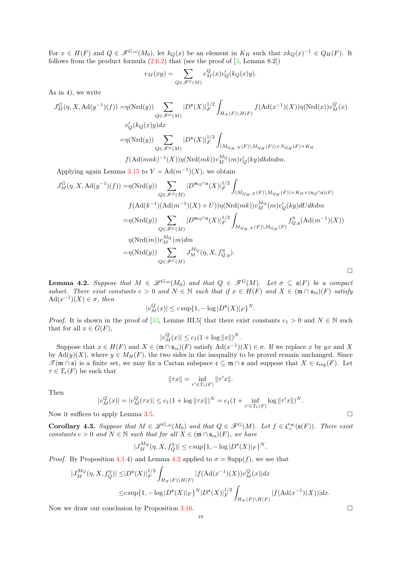For  $x \in H(F)$  and  $Q \in \mathscr{F}^{G,\omega}(M_0)$ , let  $k_Q(x)$  be an element in  $K_H$  such that  $xk_Q(x)^{-1} \in Q_H(F)$ . It follows from the product formula  $(2.6.2)$  that (see the proof of  $[3, \text{Lemma } 8.2]$ )

$$
v_M(xy) = \sum_{Q \in \mathscr{F}^G(M)} v_M^Q(x) v_Q'(k_Q(x)y).
$$

As in 4), we write

$$
J_M^G(\eta, X, \text{Ad}(y^{-1})(f)) = \eta(\text{Nrd}(y)) \sum_{Q \in \mathscr{F}^G(M)} |D^{\mathfrak{s}}(X)|_F^{1/2} \int_{H_X(F)\backslash H(F)} f(\text{Ad}(x^{-1})(X)) \eta(\text{Nrd}(x)) v_M^Q(x)
$$
  

$$
v_Q'(k_Q(x)y) dx
$$
  

$$
= \eta(\text{Nrd}(y)) \sum_{Q \in \mathscr{F}^G(M)} |D^{\mathfrak{s}}(X)|_F^{1/2} \int_{(M_{Q_H, X}(F)\backslash M_{Q_H}(F)) \times N_{Q_H}(F) \times K_H} f(\text{Ad}(mnk)^{-1}(X)) \eta(\text{Nrd}(mk)) v_M^{M_Q}(m) v_Q'(ky) dk dndm.
$$

Applying again Lemma [3.15](#page-11-3) to  $Y = \text{Ad}(m^{-1})(X)$ , we obtain

$$
J_M^G(\eta, X, \text{Ad}(y^{-1})(f)) = \eta(\text{Nrd}(y)) \sum_{Q \in \mathscr{F}^G(M)} |D^{m_Q \cap \mathfrak{s}}(X)|_F^{1/2} \int_{(M_{Q_H, X}(F)\backslash M_{Q_H}(F)) \times K_H \times (\mathfrak{n}_Q \cap \mathfrak{s})(F)}
$$
  

$$
f(\text{Ad}(k^{-1})(\text{Ad}(m^{-1})(X) + U)) \eta(\text{Nrd}(mk)) v_M^{M_Q}(m) v_Q'(ky) dUdkdm
$$
  

$$
= \eta(\text{Nrd}(y)) \sum_{Q \in \mathscr{F}^G(M)} |D^{m_Q \cap \mathfrak{s}}(X)|_F^{1/2} \int_{M_{Q_H, X}(F)\backslash M_{Q_H}(F)} f_{Q, y}^{\eta}(\text{Ad}(m^{-1})(X))
$$
  

$$
\eta(\text{Nrd}(m)) v_M^{M_Q}(m) dm
$$
  

$$
= \eta(\text{Nrd}(y)) \sum_{Q \in \mathscr{F}^G(M)} J_M^{M_Q}(\eta, X, f_{Q,y}^{\eta}).
$$

<span id="page-18-0"></span>**Lemma 4.2.** Suppose that  $M \in \mathcal{L}^{G,\omega}(M_0)$  and that  $Q \in \mathcal{F}^G(M)$ . Let  $\sigma \subseteq \mathfrak{s}(F)$  be a compact subset. There exist constants  $c > 0$  and  $N \in \mathbb{N}$  such that if  $x \in H(F)$  and  $X \in (\mathfrak{m} \cap \mathfrak{s}_{rs})(F)$  satisfy  $\mathrm{Ad}(x^{-1})(X) \in \sigma$ , then

$$
|v_M^Q(x)| \le c \sup\{1, -\log |D^{\mathfrak{s}}(X)|_F\}^N.
$$

*Proof.* It is shown in the proof of [\[33,](#page-55-2) Lemme III.5] that there exist constants  $c_1 > 0$  and  $N \in \mathbb{N}$  such that for all  $x \in G(F)$ ,

$$
|v_M^Q(x)| \le c_1 (1 + \log ||x||)^N.
$$

Suppose that  $x \in H(F)$  and  $X \in (\mathfrak{m} \cap \mathfrak{s}_{rs})(F)$  satisfy  $\text{Ad}(x^{-1})(X) \in \sigma$ . If we replace x by yx and X by  $\text{Ad}(y)(X)$ , where  $y \in M_H(F)$ , the two sides in the inequality to be proved remain unchanged. Since  $\mathscr{T}(\mathfrak{m} \cap \mathfrak{s})$  is a finite set, we may fix a Cartan subspace  $\mathfrak{c} \subseteq \mathfrak{m} \cap \mathfrak{s}$  and suppose that  $X \in \mathfrak{c}_{reg}(F)$ . Let  $\tau \in T_{\mathfrak{c}}(F)$  be such that

$$
\|\tau x\|=\inf_{\tau'\in T_{\mathfrak{c}}(F)}\|\tau' x\|.
$$

Then

$$
|v_M^Q(x)| = |v_M^Q(\tau x)| \le c_1 (1 + \log \|\tau x\|)^N = c_1 (1 + \inf_{\tau' \in T_{\epsilon}(F)} \log \|\tau' x\|)^N.
$$

Now it suffices to apply Lemma [3.5.](#page-7-3)

<span id="page-18-1"></span>**Corollary 4.3.** Suppose that  $M \in \mathscr{L}^{G,\omega}(M_0)$  and that  $Q \in \mathscr{F}^G(M)$ . Let  $f \in \mathcal{C}_c^{\infty}(\mathfrak{s}(F))$ . There exist constants  $c > 0$  and  $N \in \mathbb{N}$  such that for all  $X \in (\mathfrak{m} \cap \mathfrak{s}_{rs})(F)$ , we have

$$
|J_M^{M_Q}(\eta, X, f_Q^{\eta})| \le c \sup\{1, -\log |D^{\mathfrak{s}}(X)|_F\}^N.
$$

*Proof.* By Proposition [4.1.](#page-16-3)4) and Lemma [4.2](#page-18-0) applied to  $\sigma = \text{Supp}(f)$ , we see that

$$
\begin{aligned} |J_M^{M_Q}(\eta,X,f_Q^\eta)|\leq&|D^{\mathfrak{s}}(X)|_F^{1/2}\int_{H_X(F)\backslash H(F)}|f(\mathrm{Ad}(x^{-1})(X))v^Q_M(x)|dx\\ \leq&c\sup\{1,-\log|D^{\mathfrak{s}}(X)|_F\}^N|D^{\mathfrak{s}}(X)|_F^{1/2}\int_{H_X(F)\backslash H(F)}|f(\mathrm{Ad}(x^{-1})(X))|dx. \end{aligned}
$$

Now we draw our conclusion by Proposition [3.16.](#page-11-1)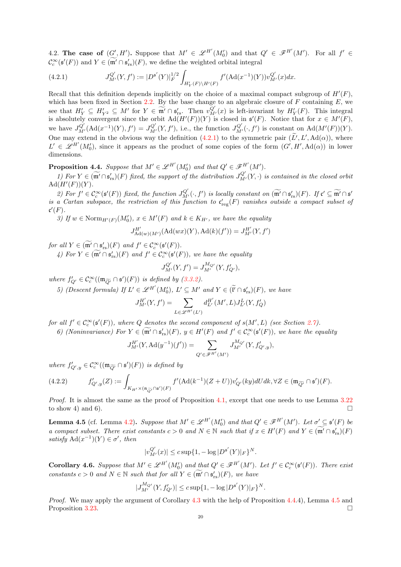4.2. The case of  $(G', H')$ . Suppose that  $M' \in \mathscr{L}^{H'}(M'_{0})$  and that  $Q' \in \mathscr{F}^{H'}(M')$ . For all  $f' \in$  $\mathcal{C}_c^{\infty}(\mathfrak{s}'(F))$  and  $Y \in (\mathfrak{m}' \cap \mathfrak{s}'_{rs})(F)$ , we define the weighted orbital integral

<span id="page-19-0"></span>(4.2.1) 
$$
J_{M'}^{Q'}(Y, f') := |D^{\mathfrak{s}'}(Y)|_F^{1/2} \int_{H'_Y(F)\backslash H'(F)} f'(\mathrm{Ad}(x^{-1})(Y)) v_{M'}^{Q'}(x) dx.
$$

Recall that this definition depends implicitly on the choice of a maximal compact subgroup of  $H'(F)$ , which has been fixed in Section [2.2.](#page-3-1) By the base change to an algebraic closure of  $F$  containing  $E$ , we see that  $H'_Y \subseteq H'_{Y^2} \subseteq M'$  for  $Y \in \widetilde{\mathfrak{m}'} \cap \mathfrak{s}'_{\mathcal{S}}$ . Then  $v_{M'}^{Q'}(x)$  is left-invariant by  $H'_Y(F)$ . This integral is absolutely convergent since the orbit  $\text{Ad}(H'(F))(Y)$  is closed in  $\mathfrak{s}'(F)$ . Notice that for  $x \in M'(F)$ , we have  $J_{M'}^{Q'}(\text{Ad}(x^{-1})(Y), f') = J_{M'}^{Q'}(Y, f'),$  i.e., the function  $J_{M'}^{Q'}(\cdot, f')$  is constant on  $\text{Ad}(M'(F))(Y)$ . One may extend in the obvious way the definition  $(4.2.1)$  to the symmetric pair  $(L', L', \text{Ad}(\alpha))$ , where  $L' \in \mathscr{L}^{H'}(M'_{0}),$  since it appears as the product of some copies of the form  $(G', H', \mathrm{Ad}(\alpha))$  in lower dimensions.

<span id="page-19-1"></span>**Proposition 4.4.** Suppose that  $M' \in \mathscr{L}^{H'}(M'_{0})$  and that  $Q' \in \mathscr{F}^{H'}(M')$ .

1) For  $Y \in (\widetilde{\mathfrak{m}}' \cap \mathfrak{s}'_{rs})(F)$  fixed, the support of the distribution  $J_{M'}^{Q'}(Y, \cdot)$  is contained in the closed orbit  $Ad(H'(F))(Y).$ 

2) For  $f' \in C_c^{\infty}(\mathfrak{s}'(F))$  fixed, the function  $J_{M'}^{Q'}(\cdot, f')$  is locally constant on  $(\widetilde{\mathfrak{m}'} \cap \mathfrak{s}'_{rs})(F)$ . If  $\mathfrak{c}' \subseteq \widetilde{\mathfrak{m}'} \cap \mathfrak{s}'$ is a Cartan subspace, the restriction of this function to  $\mathfrak{c}'_{\rm reg}(F)$  vanishes outside a compact subset of  $\mathfrak{c}'(F).$ 

3) If  $w \in \text{Norm}_{H'(F)}(M'_0)$ ,  $x \in M'(F)$  and  $k \in K_{H'}$ , we have the equality

$$
J_{\mathrm{Ad}(w)(M')}^{H'}(\mathrm{Ad}(wx)(Y), \mathrm{Ad}(k)(f')) = J_{M'}^{H'}(Y, f')
$$

for all  $Y \in (\mathfrak{m}' \cap \mathfrak{s}'_{rs})(F)$  and  $f' \in C_c^{\infty}(\mathfrak{s}'(F))$ .

4) For  $Y \in (\mathfrak{m}' \cap \mathfrak{s}'_{rs})(F)$  and  $f' \in C_c^{\infty}(\mathfrak{s}'(F))$ , we have the equality

$$
J_{M'}^{Q'}(Y, f') = J_{M'}^{M_{Q'}}(Y, f'_{Q'}),
$$

where  $f'_{Q'} \in C_c^{\infty}((\mathfrak{m}_{\widetilde{Q'}} \cap \mathfrak{s'})(F))$  is defined by [\(3.3.2\)](#page-14-2).

5) (Descent formula) If  $L' \in \mathcal{L}^{H'}(M'_0)$ ,  $L' \subseteq M'$  and  $Y \in (\tilde{\mathfrak{l}}' \cap \mathfrak{s}'_{rs})(F)$ , we have

$$
J_{M'}^{H'}(Y, f') = \sum_{L \in \mathscr{L}^{H'}(L')} d_{L'}^{H'}(M', L) J_{L'}^{L}(Y, f'_{Q})
$$

for all  $f' \in \mathcal{C}^{\infty}_c(\mathfrak{s}'(F))$ , where  $Q$  denotes the second component of  $s(M', L)$  (see Section [2.7\)](#page-5-1).

6) (Noninvariance) For 
$$
Y \in (\mathfrak{m}' \cap \mathfrak{s}'_{rs})(F)
$$
,  $y \in H'(F)$  and  $f' \in C_c^{\infty}(\mathfrak{s}'(F))$ , we have the equality

$$
J_{M'}^{H'}(Y, \mathrm{Ad}(y^{-1})(f')) = \sum_{Q' \in \mathscr{F}^{H'}(M')} J_{M'}^{M_{Q'}}(Y, f'_{Q',y}),
$$

where  $f'_{Q',y} \in C_c^{\infty}((\mathfrak{m}_{\widetilde{Q'}} \cap \mathfrak{s}')(F))$  is defined by

$$
(4.2.2) \qquad \quad f'_{Q',y}(Z):=\int_{K_{H'}\times (\mathfrak{n}_{\widetilde{Q'}}\cap \mathfrak{s}')(F)}f'(\textup{Ad}(k^{-1})(Z+U))v'_{Q'}(ky)dUdk,\forall Z\in (\mathfrak{m}_{\widetilde{Q'}}\cap \mathfrak{s}')(F).
$$

Proof. It is almost the same as the proof of Proposition [4.1,](#page-16-3) except that one needs to use Lemma [3.22](#page-13-1) to show 4) and 6).

<span id="page-19-2"></span>**Lemma 4.5** (cf. Lemma [4.2\)](#page-18-0). Suppose that  $M' \in \mathscr{L}^{H'}(M'_0)$  and that  $Q' \in \mathscr{F}^{H'}(M')$ . Let  $\sigma' \subseteq \mathfrak{s}'(F)$  be a compact subset. There exist constants  $c > 0$  and  $N \in \mathbb{N}$  such that if  $x \in H'(F)$  and  $Y \in (\mathfrak{m}' \cap \mathfrak{s}'_{rs})(F)$ satisfy  $\text{Ad}(x^{-1})(Y) \in \sigma'$ , then

$$
|v^{Q'}_{M'}(x)| \leq c \sup\{1, -\log |D^{\mathfrak{s}'}(Y)|_F\}^N.
$$

<span id="page-19-3"></span>**Corollary 4.6.** Suppose that  $M' \in \mathcal{L}^{H'}(M_0')$  and that  $Q' \in \mathcal{F}^{H'}(M')$ . Let  $f' \in \mathcal{C}_c^{\infty}(\mathfrak{s}'(F))$ . There exist constants  $c > 0$  and  $N \in \mathbb{N}$  such that for all  $Y \in (\widetilde{\mathfrak{m}}' \cap \mathfrak{s}'_{rs})(F)$ , we have

$$
|J_{M'}^{M_{Q'}}(Y, f'_{Q'})| \leq c \sup\{1, -\log |D^{\mathfrak{s}'}(Y)|_F\}^N.
$$

Proof. We may apply the argument of Corollary [4.3](#page-18-1) with the help of Proposition [4.4.](#page-19-1)4), Lemma [4.5](#page-19-2) and Proposition [3.23.](#page-14-0)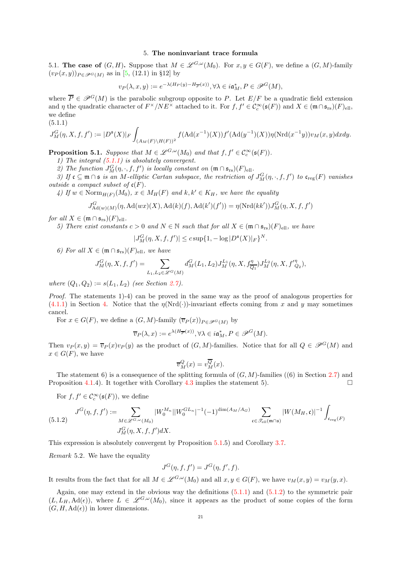## 5. The noninvariant trace formula

<span id="page-20-0"></span>5.1. The case of  $(G, H)$ . Suppose that  $M \in \mathscr{L}^{G,\omega}(M_0)$ . For  $x, y \in G(F)$ , we define a  $(G, M)$ -family  $(v_P(x, y))_{P \in \mathscr{P}^G(M)}$  as in [\[5,](#page-54-8) (12.1) in §12] by

$$
v_P(\lambda, x, y) := e^{-\lambda (H_P(y) - H_{\overline{P}}(x))}, \forall \lambda \in i\mathfrak{a}^*_M, P \in \mathcal{P}^G(M),
$$

where  $\overline{P} \in \mathcal{P}^G(M)$  is the parabolic subgroup opposite to P. Let  $E/F$  be a quadratic field extension and  $\eta$  the quadratic character of  $F^{\times}/NE^{\times}$  attached to it. For  $f, f' \in C_c^{\infty}(\mathfrak{s}(F))$  and  $X \in (\mathfrak{m} \cap \mathfrak{s}_{rs})(F)_{ell}$ , we define

$$
(5.1.1)
$$

<span id="page-20-1"></span>
$$
J_M^G(\eta,X,f,f'):=|D^{\mathfrak{s}}(X)|_F\int_{(A_M(F)\backslash H(F))^2}f(\mathrm{Ad}(x^{-1})(X))f'(\mathrm{Ad}(y^{-1})(X))\eta(\mathrm{Nrd}(x^{-1}y))v_M(x,y)dxdy.
$$

<span id="page-20-2"></span>**Proposition 5.1.** Suppose that  $M \in \mathscr{L}^{G,\omega}(M_0)$  and that  $f, f' \in C_c^{\infty}(\mathfrak{s}(F))$ .

1) The integral  $(5.1.1)$  is absolutely convergent.

2) The function  $J_M^G(\eta, \cdot, f, f')$  is locally constant on  $(\mathfrak{m} \cap \mathfrak{s}_{rs})(F)_{ell}$ .

3) If  $\mathfrak{c} \subseteq \mathfrak{m} \cap \mathfrak{s}$  is an M-elliptic Cartan subspace, the restriction of  $J_M^G(\eta, \cdot, f, f')$  to  $\mathfrak{c}_{reg}(F)$  vanishes *outside a compact subset of*  $\mathfrak{c}(F)$ *.* 

4) If  $w \in \text{Norm}_{H(F)}(M_0)$ ,  $x \in M_H(F)$  and  $k, k' \in K_H$ , we have the equality

$$
J_{\mathrm{Ad}(w)(M)}^G(\eta, \mathrm{Ad}(wx)(X), \mathrm{Ad}(k)(f), \mathrm{Ad}(k')(f')) = \eta(\mathrm{Nrd}(kk'))J_M^G(\eta, X, f, f')
$$

for all  $X \in (\mathfrak{m} \cap \mathfrak{s}_{rs})(F)_{ell}.$ 

5) There exist constants  $c > 0$  and  $N \in \mathbb{N}$  such that for all  $X \in (\mathfrak{m} \cap \mathfrak{s}_{rs})(F)_{ell}$ , we have

$$
|J_M^G(\eta, X, f, f')| \le c \sup\{1, -\log |D^{\mathfrak{s}}(X)|_F\}^N.
$$

6) For all  $X \in (\mathfrak{m} \cap \mathfrak{s}_{rs})(F)_{ell}$ , we have

$$
J_M^G(\eta, X, f, f') = \sum_{L_1, L_2 \in \mathscr{L}^G(M)} d_M^G(L_1, L_2) J_M^{L_1}(\eta, X, f_{\overline{Q_1}}^{\eta}) J_M^{L_2}(\eta, X, f_{Q_2}^{\eta}),
$$

where  $(Q_1, Q_2) := s(L_1, L_2)$  (see Section [2.7\)](#page-5-1).

Proof. The statements 1)-4) can be proved in the same way as the proof of analogous properties for  $(4.1.1)$  in Section [4.](#page-16-0) Notice that the  $\eta(\text{Nrd}(\cdot))$ -invariant effects coming from x and y may sometimes cancel.

For  $x \in G(F)$ , we define a  $(G, M)$ -family  $(\overline{v}_P(x))_{P \in \mathscr{P}^G(M)}$  by

$$
\overline{v}_P(\lambda, x) := e^{\lambda(H_{\overline{P}}(x))}, \forall \lambda \in i \mathfrak{a}^*_M, P \in \mathscr{P}^G(M).
$$

Then  $v_P(x, y) = \overline{v}_P(x)v_P(y)$  as the product of  $(G, M)$ -families. Notice that for all  $Q \in \mathcal{P}^G(M)$  and  $x \in G(F)$ , we have

$$
\overline{v}_M^Q(x) = v_M^{\overline{Q}}(x).
$$

The statement 6) is a consequence of the splitting formula of  $(G, M)$ -families  $((6)$  in Section [2.7\)](#page-5-1) and Proposition [4.1.](#page-16-3)4). It together with Corollary [4.3](#page-18-1) implies the statement 5).

For  $f, f' \in \mathcal{C}_c^{\infty}(\mathfrak{s}(F))$ , we define

<span id="page-20-3"></span>
$$
(5.1.2) \quad J^G(\eta, f, f') := \sum_{M \in \mathcal{L}^{G, \omega}(M_0)} |W_0^{M_n}| |W_0^{GL_n}|^{-1} (-1)^{\dim(A_M/A_G)} \sum_{\mathfrak{c} \in \mathcal{I}_{\text{ell}}(\mathfrak{m} \cap \mathfrak{s})} |W(M_H, \mathfrak{c})|^{-1} \int_{\mathfrak{c}_{\text{reg}}(F)} |W_0^{G_1} \mathfrak{c}_{\text{reg}}(F)|^{-1} \int_{\mathfrak{c}_{\text{reg}}(F)} |W_0^{G_2} \mathfrak{c}_{\text{reg}}(F)|^{-1} \int_{\mathfrak{c}_{\text{reg}}(F)} |W_0^{G_1} \mathfrak{c}_{\text{reg}}(F)|^{-1} \int_{\mathfrak{c}_{\text{reg}}(F)} |W_0^{G_2} \mathfrak{c}_{\text{reg}}(F)|^{-1} \int_{\mathfrak{c}_{\text{reg}}(F)} |W_0^{G_1} \mathfrak{c}_{\text{reg}}(F)|^{-1} \int_{\mathfrak{c}_{\text{reg}}(F)} |W_0^{G_2} \mathfrak{c}_{\text{reg}}(F)|^{-1} \int_{\mathfrak{c}_{\text{reg}}(F)} |W_0^{G_2} \mathfrak{c}_{\text{reg}}(F)|^{-1} \int_{\mathfrak{c}_{\text{reg}}(F)} |W_0^{G_2} \mathfrak{c}_{\text{reg}}(F)|^{-1} \int_{\mathfrak{c}_{\text{reg}}(F)} |W_0^{G_2} \mathfrak{c}_{\text{reg}}(F)|^{-1} \int_{\mathfrak{c}_{\text{reg}}(F)} |W_0^{G_2} \mathfrak{c}_{\text{reg}}(F)|^{-1} \int_{\mathfrak{c}_{\text{reg}}(F)} |W_0^{G_2} \mathfrak{c}_{\text{reg}}(F)|^{-1} \int_{\mathfrak{c}_{\text{reg}}(F)} |W_0^{G_2} \mathfrak{c}_{\text{reg}}(F)|^{-1} \int_{\mathfrak{c}_{\text{reg}}(F)} |W_0^{G_2} \mathfrak{c}_{\text{reg}}(F)|^{-1} \int_{\mathfrak{c}_{\text{reg}}(F)} |W_0^{G_2} \mathfrak{c}_{\text{reg}}(F)|^{-1} \int_{\
$$

This expression is absolutely convergent by Proposition [5.1.](#page-20-2)5) and Corollary [3.7.](#page-8-2)

<span id="page-20-4"></span>Remark 5.2. We have the equality

$$
J^G(\eta, f, f') = J^G(\eta, f', f).
$$

It results from the fact that for all  $M \in \mathscr{L}^{G,\omega}(M_0)$  and all  $x, y \in G(F)$ , we have  $v_M(x, y) = v_M(y, x)$ .

Again, one may extend in the obvious way the definitions  $(5.1.1)$  and  $(5.1.2)$  to the symmetric pair  $(L, L_H, \text{Ad}(\epsilon))$ , where  $L \in \mathscr{L}^{G,\omega}(M_0)$ , since it appears as the product of some copies of the form  $(G, H, \mathrm{Ad}(\epsilon))$  in lower dimensions.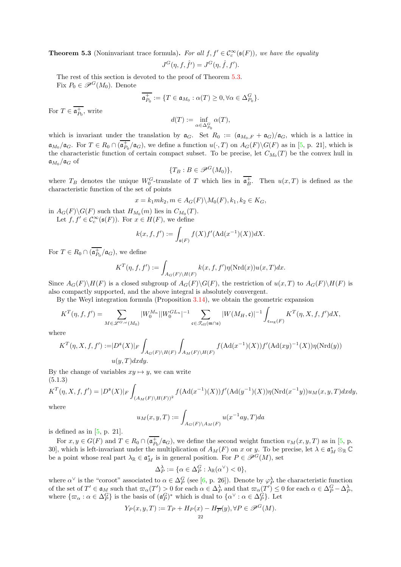<span id="page-21-0"></span>**Theorem 5.3** (Noninvariant trace formula). For all  $f, f' \in C_c^{\infty}(\mathfrak{s}(F))$ , we have the equality

$$
J^G(\eta, f, \hat{f}') = J^G(\eta, \hat{f}, f').
$$

The rest of this section is devoted to the proof of Theorem [5.3.](#page-21-0) Fix  $P_0 \in \mathcal{P}^G(M_0)$ . Denote

$$
\mathfrak{a}_{P_0}^+ := \{ T \in \mathfrak{a}_{M_0} : \alpha(T) \ge 0, \forall \alpha \in \Delta_{P_0}^G \}.
$$

For  $T \in \mathfrak{a}_{P_0}^+$ , write

$$
d(T):=\inf_{\alpha\in \Delta_{P_0}^G}\alpha(T),
$$

which is invariant under the translation by  $a_G$ . Set  $R_0 := (a_{M_0,F} + a_G)/a_G$ , which is a lattice in  $\mathfrak{a}_{M_0}/\mathfrak{a}_G$ . For  $T \in R_0 \cap (\overline{\mathfrak{a}_{P_0}^+}/\mathfrak{a}_G)$ , we define a function  $u(\cdot,T)$  on  $A_G(F) \backslash G(F)$  as in [\[5,](#page-54-8) p. 21], which is the characteristic function of certain compact subset. To be precise, let  $C_{M_0}(T)$  be the convex hull in  $\mathfrak{a}_{M_0}/\mathfrak{a}_G$  of

$$
\{T_B: B \in \mathcal{P}^G(M_0)\},\
$$

where  $T_B$  denotes the unique  $W_0^G$ -translate of T which lies in  $\overline{\mathfrak{a}_B^+}$ . Then  $u(x,T)$  is defined as the characteristic function of the set of points

$$
x = k_1 m k_2, m \in A_G(F) \backslash M_0(F), k_1, k_2 \in K_G,
$$

in  $A_G(F)\backslash G(F)$  such that  $H_{M_0}(m)$  lies in  $C_{M_0}(T)$ .

Let  $f, f' \in \mathcal{C}_c^{\infty}(\mathfrak{s}(F))$ . For  $x \in H(F)$ , we define

$$
k(x, f, f') := \int_{\mathfrak{s}(F)} f(X) f'(A d(x^{-1})(X)) dX.
$$

For  $T \in R_0 \cap (\overline{\mathfrak{a}_{P_0}^+}/\mathfrak{a}_G)$ , we define

$$
K^T(\eta, f, f') := \int_{A_G(F)\backslash H(F)} k(x, f, f')\eta(\mathrm{Nrd}(x))u(x, T)dx.
$$

Since  $A_G(F)\backslash H(F)$  is a closed subgroup of  $A_G(F)\backslash G(F)$ , the restriction of  $u(x,T)$  to  $A_G(F)\backslash H(F)$  is also compactly supported, and the above integral is absolutely convergent.

By the Weyl integration formula (Proposition [3.14\)](#page-11-4), we obtain the geometric expansion

$$
K^T(\eta, f, f') = \sum_{M \in \mathscr{L}^{G, \omega}(M_0)} |W_0^{M_n}| |W_0^{GL_n}|^{-1} \sum_{\mathfrak{c} \in \mathscr{S}_{\text{ell}}(\mathfrak{m} \cap \mathfrak{s})} |W(M_H, \mathfrak{c})|^{-1} \int_{\mathfrak{c}_{\text{reg}}(F)} K^T(\eta, X, f, f') dX,
$$

where

$$
K^T(\eta, X, f, f') := |D^{\mathfrak{s}}(X)|_F \int_{A_G(F)\backslash H(F)} \int_{A_M(F)\backslash H(F)} f(\mathrm{Ad}(x^{-1})(X)) f'(\mathrm{Ad}(xy)^{-1}(X)) \eta(\mathrm{Nrd}(y))
$$
  
 
$$
u(y, T) dxdy.
$$

By the change of variables  $xy \mapsto y$ , we can write (5.1.3)

<span id="page-21-1"></span>
$$
K^{T}(\eta, X, f, f') = |D^{\mathfrak{s}}(X)|_{F} \int_{(A_{M}(F)\backslash H(F))^{2}} f(\mathrm{Ad}(x^{-1})(X)) f'(\mathrm{Ad}(y^{-1})(X)) \eta(\mathrm{Nrd}(x^{-1}y)) u_{M}(x, y, T) dx dy,
$$

where

$$
u_M(x, y, T) := \int_{A_G(F)\backslash A_M(F)} u(x^{-1}ay, T)da
$$

is defined as in  $[5, p. 21]$ .

For  $x, y \in G(F)$  and  $T \in R_0 \cap (\overline{\mathfrak{a}_{P_0}^+}/\mathfrak{a}_G)$ , we define the second weight function  $v_M(x, y, T)$  as in [\[5,](#page-54-8) p. 30], which is left-invariant under the multiplication of  $A_M(F)$  on x or y. To be precise, let  $\lambda \in \mathfrak{a}_M^* \otimes_{\mathbb{R}} \mathbb{C}$ be a point whose real part  $\lambda_{\mathbb{R}} \in \mathfrak{a}_M^*$  is in general position. For  $P \in \mathcal{P}^G(M)$ , set

$$
\Delta_P^{\lambda} := \{ \alpha \in \Delta_P^G : \lambda_{\mathbb{R}}(\alpha^{\vee}) < 0 \},
$$

where  $\alpha^{\vee}$  is the "coroot" associated to  $\alpha \in \Delta_P^G$  (see [\[6,](#page-54-14) p. 26]). Denote by  $\varphi_P^{\lambda}$  the characteristic function of the set of  $T' \in \mathfrak{a}_M$  such that  $\varpi_\alpha(T') > 0$  for each  $\alpha \in \Delta_P^{\lambda}$  and that  $\varpi_\alpha(T') \leq 0$  for each  $\alpha \in \Delta_P^G - \Delta_P^{\lambda}$ , where  $\{\varpi_\alpha : \alpha \in \Delta_P^G\}$  is the basis of  $(\mathfrak{a}_P^G)^*$  which is dual to  $\{\alpha^\vee : \alpha \in \Delta_P^G\}$ . Let

$$
Y_P(x, y, T) := T_P + H_P(x) - H_{\overline{P}}(y), \forall P \in \mathcal{P}^G(M).
$$
  
<sub>22</sub>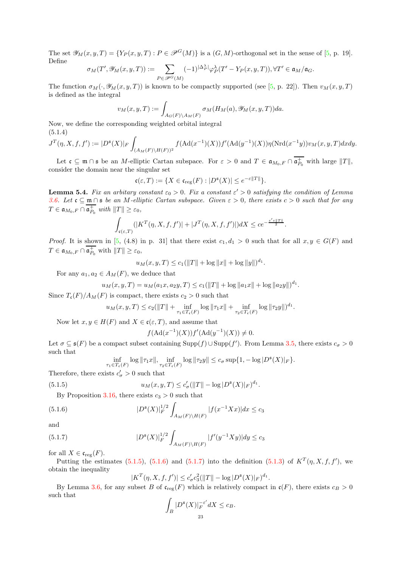The set  $\mathscr{Y}_{M}(x, y, T) = \{Y_{P}(x, y, T): P \in \mathscr{P}^{G}(M)\}\$ is a  $(G, M)$ -orthogonal set in the sense of [\[5,](#page-54-8) p. 19]. Define

$$
\sigma_M(T',\mathscr{Y}_M(x,y,T)):=\sum_{P\in\mathscr{P}^G(M)}(-1)^{|\Delta_P^\lambda|}\varphi_P^\lambda(T'-Y_P(x,y,T)), \forall T'\in \mathfrak{a}_M/\mathfrak{a}_G.
$$

The function  $\sigma_M(\cdot, \mathscr{Y}_M(x, y, T))$  is known to be compactly supported (see [\[5,](#page-54-8) p. 22]). Then  $v_M(x, y, T)$ is defined as the integral

$$
v_M(x,y,T):=\int_{A_G(F)\backslash A_M(F)}\sigma_M(H_M(a),\mathscr{Y}_M(x,y,T))da.
$$

Now, we define the corresponding weighted orbital integral (5.1.4)

<span id="page-22-3"></span>
$$
J^T(\eta, X, f, f') := |D^{\mathfrak{s}}(X)|_F \int_{(A_M(F)\backslash H(F))^2} f(\mathrm{Ad}(x^{-1})(X)) f'(\mathrm{Ad}(y^{-1})(X)) \eta(\mathrm{Nrd}(x^{-1}y)) v_M(x, y, T) dx dy.
$$

Let  $\mathfrak{c} \subseteq \mathfrak{m} \cap \mathfrak{s}$  be an *M*-elliptic Cartan subspace. For  $\varepsilon > 0$  and  $T \in \mathfrak{a}_{M_0,F} \cap \mathfrak{a}_{P_0}^+$  with large  $||T||$ , consider the domain near the singular set

$$
\mathfrak{c}(\varepsilon,T) := \{ X \in \mathfrak{c}_{\text{reg}}(F) : |D^{\mathfrak{s}}(X)| \leq e^{-\varepsilon ||T||} \}.
$$

<span id="page-22-4"></span>**Lemma 5.4.** Fix an arbitary constant  $\varepsilon_0 > 0$ . Fix a constant  $\varepsilon' > 0$  satisfying the condition of Lemma [3.6.](#page-8-1) Let  $\mathfrak{c} \subseteq \mathfrak{m} \cap \mathfrak{s}$  be an M-elliptic Cartan subspace. Given  $\varepsilon > 0$ , there exists  $c > 0$  such that for any  $T \in \mathfrak{a}_{M_0,F} \cap \mathfrak{a}_{P_0}^+$  with  $||T|| \geq \varepsilon_0$ ,

$$
\int_{\mathfrak{c}(\varepsilon,T)}(|K^T(\eta,X,f,f')|+|J^T(\eta,X,f,f')|)dX\leq ce^{-\frac{\varepsilon'\varepsilon\|T\|}{2}}.
$$

*Proof.* It is shown in [\[5,](#page-54-8) (4.8) in p. 31] that there exist  $c_1, d_1 > 0$  such that for all  $x, y \in G(F)$  and  $T \in \mathfrak{a}_{M_0,F} \cap \mathfrak{a}_{P_0}^+$  with  $||T|| \geq \varepsilon_0$ ,

$$
u_M(x, y, T) \le c_1(||T|| + \log ||x|| + \log ||y||)^{d_1}.
$$

For any  $a_1, a_2 \in A_M(F)$ , we deduce that

$$
u_M(x, y, T) = u_M(a_1x, a_2y, T) \le c_1(||T|| + \log ||a_1x|| + \log ||a_2y||)^{d_1}.
$$

Since  $T_c(F)/A_M(F)$  is compact, there exists  $c_2 > 0$  such that

$$
u_M(x, y, T) \le c_2(||T|| + \inf_{\tau_1 \in T_{\mathfrak{c}}(F)} \log ||\tau_1 x|| + \inf_{\tau_2 \in T_{\mathfrak{c}}(F)} \log ||\tau_2 y||)^{d_1}.
$$

Now let  $x, y \in H(F)$  and  $X \in \mathfrak{c}(\varepsilon, T)$ , and assume that

$$
f(\text{Ad}(x^{-1})(X))f'(\text{Ad}(y^{-1})(X)) \neq 0.
$$

Let  $\sigma \subseteq \mathfrak{s}(F)$  be a compact subset containing  $\text{Supp}(f) \cup \text{Supp}(f')$ . From Lemma [3.5,](#page-7-3) there exists  $c_{\sigma} > 0$ such that

<span id="page-22-1"></span><span id="page-22-0"></span>
$$
\inf_{\tau_1 \in T_{\mathfrak{c}}(F)} \log \|\tau_1 x\|, \inf_{\tau_2 \in T_{\mathfrak{c}}(F)} \log \|\tau_2 y\| \leq c_{\sigma} \sup\{1, -\log |D^{\mathfrak{s}}(X)|_F\}.
$$

Therefore, there exists  $c'_{\sigma} > 0$  such that

(5.1.5) 
$$
u_M(x, y, T) \le c'_{\sigma}(\|T\| - \log |D^{\mathfrak{s}}(X)|_F)^{d_1}.
$$

By Proposition [3.16,](#page-11-1) there exists  $c_3 > 0$  such that

(5.1.6) 
$$
|D^{\mathfrak{s}}(X)|_{F}^{1/2} \int_{A_{M}(F)\backslash H(F)} |f(x^{-1}Xx)| dx \leq c_{3}
$$

and

(5.1.7) 
$$
|D^{\mathfrak{s}}(X)|_F^{1/2} \int_{A_M(F)\backslash H(F)} |f'(y^{-1}Xy)| dy \le c_3
$$

for all  $X \in \mathfrak{c}_{\text{reg}}(F)$ .

Putting the estimates  $(5.1.5)$ ,  $(5.1.6)$  and  $(5.1.7)$  into the definition  $(5.1.3)$  of  $K^T(\eta, X, f, f')$ , we obtain the inequality

<span id="page-22-2"></span>
$$
|K^T(\eta, X, f, f')| \le c'_{\sigma} c_3^2 (||T|| - \log |D^{\mathfrak{s}}(X)|_F)^{d_1}.
$$

By Lemma [3.6,](#page-8-1) for any subset B of  $\mathfrak{c}_{reg}(F)$  which is relatively compact in  $\mathfrak{c}(F)$ , there exists  $c_B > 0$ such that

$$
\int_B |D^{\mathfrak{s}}(X)|_F^{-\varepsilon'} dX \leq c_B.
$$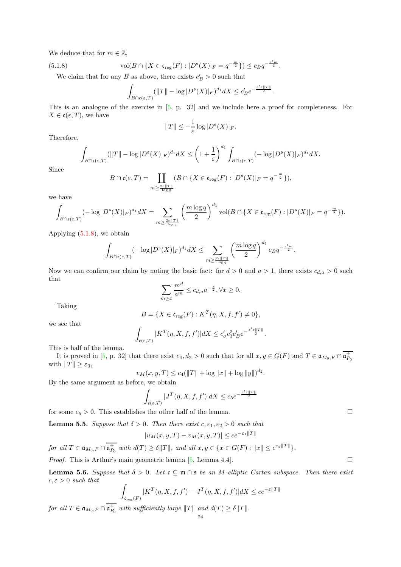We deduce that for  $m \in \mathbb{Z}$ ,

(5.1.8) 
$$
\text{vol}(B \cap \{X \in \mathfrak{c}_{\text{reg}}(F) : |D^{\mathfrak{s}}(X)|_F = q^{-\frac{m}{2}}\}) \leq c_B q^{-\frac{\varepsilon'm}{2}}.
$$

We claim that for any B as above, there exists  $c'_B > 0$  such that

<span id="page-23-0"></span>
$$
\int_{B \cap \mathfrak{c}(\varepsilon,T)} (||T|| - \log |D^{\mathfrak{s}}(X)|_{F})^{d_1} dX \leq c'_B e^{-\frac{\varepsilon' \varepsilon ||T||}{2}}.
$$

This is an analogue of the exercise in [\[5,](#page-54-8) p. 32] and we include here a proof for completeness. For  $X \in \mathfrak{c}(\varepsilon,T)$ , we have

$$
||T|| \leq -\frac{1}{\varepsilon} \log |D^{\mathfrak{s}}(X)|_F.
$$

Therefore,

$$
\int_{B\cap\mathfrak{c}(\varepsilon,T)} (\|T\|-\log |D^{\mathfrak{s}}(X)|_{F})^{d_1} dX \leq \left(1+\frac{1}{\varepsilon}\right)^{d_1} \int_{B\cap\mathfrak{c}(\varepsilon,T)} (-\log |D^{\mathfrak{s}}(X)|_{F})^{d_1} dX.
$$

Since

$$
B \cap \mathfrak{c}(\varepsilon,T) = \coprod_{m \geq \frac{2\varepsilon \|T\|}{\log q}} (B \cap \{X \in \mathfrak{c}_{\text{reg}}(F) : |D^{\mathfrak{s}}(X)|_F = q^{-\frac{m}{2}}\}),
$$

we have

$$
\int_{B \cap \mathfrak{c}(\varepsilon,T)} (-\log |D^{\mathfrak{s}}(X)|_F)^{d_1} dX = \sum_{m \geq \frac{2\varepsilon \|T\|}{\log q}} \left( \frac{m \log q}{2} \right)^{d_1} \text{vol}(B \cap \{X \in \mathfrak{c}_{\text{reg}}(F) : |D^{\mathfrak{s}}(X)|_F = q^{-\frac{m}{2}} \}).
$$

Applying [\(5.1.8\)](#page-23-0), we obtain

$$
\int_{B \cap \mathfrak{c}(\varepsilon,T)} (-\log |D^{\mathfrak{s}}(X)|_{F})^{d_1} dX \leq \sum_{m \geq \frac{2\varepsilon \|T\|}{\log q}} \left(\frac{m \log q}{2}\right)^{d_1} c_B q^{-\frac{\varepsilon' m}{2}}.
$$

Now we can confirm our claim by noting the basic fact: for  $d > 0$  and  $a > 1$ , there exists  $c_{d,a} > 0$  such that

$$
\sum_{m\geq x} \frac{m^d}{a^m} \leq c_{d,a} a^{-\frac{x}{2}}, \forall x \geq 0.
$$

Taking

$$
B = \{ X \in \mathfrak{c}_{\mathrm{reg}}(F) : K^T(\eta, X, f, f') \neq 0 \},
$$

we see that

$$
\int_{\mathfrak{c}(\varepsilon,T)} |K^T(\eta,X,f,f')| dX \leq c'_{\sigma} c_3^2 c'_B e^{-\frac{\varepsilon' \varepsilon \|T\|}{2}}.
$$

This is half of the lemma.

It is proved in [\[5,](#page-54-8) p. 32] that there exist  $c_4$ ,  $d_2 > 0$  such that for all  $x, y \in G(F)$  and  $T \in \mathfrak{a}_{M_0, F} \cap \mathfrak{a}_{P_0}^+$ with  $||T|| \geq \varepsilon_0$ ,

 $v_M(x, y, T) \le c_4(||T|| + \log ||x|| + \log ||y||)^{d_2}.$ 

By the same argument as before, we obtain

$$
\int_{\mathfrak{c}(\varepsilon,T)}|J^T(\eta,X,f,f')|dX \leq c_5 e^{-\frac{\varepsilon' \varepsilon \parallel T \parallel}{2}}
$$

for some  $c_5 > 0$ . This establishes the other half of the lemma.

<span id="page-23-1"></span>**Lemma 5.5.** Suppose that  $\delta > 0$ . Then there exist  $c, \varepsilon_1, \varepsilon_2 > 0$  such that

$$
|u_M(x, y, T) - v_M(x, y, T)| \le ce^{-\varepsilon_1 ||T||}
$$

for all  $T \in \mathfrak{a}_{M_0,F} \cap \overline{\mathfrak{a}_{P_0}^+}$  with  $d(T) \geq \delta ||T||$ , and all  $x, y \in \{x \in G(F) : ||x|| \leq e^{\varepsilon_2 ||T||}\}$ .

*Proof.* This is Arthur's main geometric lemma [\[5,](#page-54-8) Lemma 4.4].

<span id="page-23-2"></span>**Lemma 5.6.** Suppose that  $\delta > 0$ . Let  $\mathfrak{c} \subseteq \mathfrak{m} \cap \mathfrak{s}$  be an M-elliptic Cartan subspace. Then there exist  $c, \varepsilon > 0$  such that

$$
\int_{\mathfrak{c}_{\text{reg}}(F)} |K^T(\eta, X, f, f') - J^T(\eta, X, f, f')| dX \le ce^{-\varepsilon ||T||}
$$

for all  $T \in \mathfrak{a}_{M_0,F} \cap \overline{\mathfrak{a}_{P_0}^+}$  with sufficiently large  $||T||$  and  $d(T) \geq \delta ||T||$ .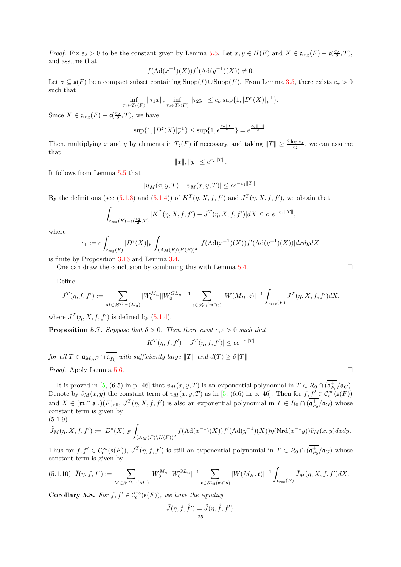Proof. Fix  $\varepsilon_2 > 0$  to be the constant given by Lemma [5.5.](#page-23-1) Let  $x, y \in H(F)$  and  $X \in \mathfrak{c}_{reg}(F) - \mathfrak{c}(\frac{\varepsilon_2}{2}, T)$ , and assume that

$$
f(\text{Ad}(x^{-1})(X))f'(\text{Ad}(y^{-1})(X)) \neq 0.
$$

Let  $\sigma \subseteq \mathfrak{s}(F)$  be a compact subset containing  $\text{Supp}(f) \cup \text{Supp}(f')$ . From Lemma [3.5,](#page-7-3) there exists  $c_{\sigma} > 0$ such that

$$
\inf_{\tau_1 \in T_{\mathfrak{c}}(F)} \|\tau_1 x\|, \inf_{\tau_2 \in T_{\mathfrak{c}}(F)} \|\tau_2 y\| \le c_{\sigma} \sup\{1, |D^{\mathfrak{s}}(X)|_F^{-1}\}.
$$

Since  $X \in \mathfrak{c}_{\text{reg}}(F) - \mathfrak{c}(\frac{\varepsilon_2}{2},T)$ , we have

$$
\sup\{1, |D^{\mathfrak{s}}(X)|_F^{-1}\} \le \sup\{1, e^{\frac{\varepsilon_2 ||T||}{2}}\} = e^{\frac{\varepsilon_2 ||T||}{2}}.
$$

Then, multiplying x and y by elements in  $T_{\mathfrak{c}}(F)$  if necessary, and taking  $||T|| \geq \frac{2 \log c_{\sigma}}{\varepsilon_2}$ , we can assume that

$$
||x||, ||y|| \leq e^{\varepsilon_2||T||}.
$$

It follows from Lemma [5.5](#page-23-1) that

$$
|u_M(x, y, T) - v_M(x, y, T)| \le ce^{-\varepsilon_1 ||T||}.
$$

By the definitions (see [\(5.1.3\)](#page-21-1) and [\(5.1.4\)](#page-22-3)) of  $K^T(\eta, X, f, f')$  and  $J^T(\eta, X, f, f')$ , we obtain that

$$
\int_{\mathfrak{c}_{\text{reg}}(F)-\mathfrak{c}(\frac{\varepsilon_2}{2},T)}|K^T(\eta,X,f,f')-J^T(\eta,X,f,f')|dX\leq c_1e^{-\varepsilon_1\|T\|},
$$

where

$$
c_1 := c \int_{\mathfrak{c}_{\text{reg}}(F)} |D^{\mathfrak{s}}(X)|_F \int_{(A_M(F)\backslash H(F))^2} |f(\text{Ad}(x^{-1})(X))f'(\text{Ad}(y^{-1})(X))| dxdy dX
$$

is finite by Proposition [3.16](#page-11-1) and Lemma [3.4.](#page-7-1)

One can draw the conclusion by combining this with Lemma [5.4.](#page-22-4)  $\Box$ 

Define

$$
J^T(\eta,f,f'):=\sum_{M\in \mathscr{L}^{G,\omega}(M_0)}|W^{M_n}_0||W^{GL_n}_0|^{-1}\sum_{\mathfrak{c}\in \mathscr{T}_{\mathrm{ell}}(\mathfrak{m}\cap \mathfrak{s})}|W(M_H,\mathfrak{c})|^{-1}\int_{\mathfrak{c}_{\mathrm{reg}}(F)}J^T(\eta,X,f,f')dX,
$$

where  $J^T(\eta, X, f, f')$  is defined by [\(5.1.4\)](#page-22-3).

<span id="page-24-0"></span>**Proposition 5.7.** Suppose that  $\delta > 0$ . Then there exist  $c, \varepsilon > 0$  such that

$$
|K^T(\eta, f, f') - J^T(\eta, f, f')| \le ce^{-\varepsilon ||T||}
$$

for all  $T \in \mathfrak{a}_{M_0,F} \cap \mathfrak{a}_{P_0}^+$  with sufficiently large  $||T||$  and  $d(T) \geq \delta ||T||$ .

*Proof.* Apply Lemma [5.6.](#page-23-2)  $\Box$ 

It is proved in [\[5,](#page-54-8) (6.5) in p. 46] that  $v_M(x, y, T)$  is an exponential polynomial in  $T \in R_0 \cap (\mathfrak{a}_{P_0}^+/\mathfrak{a}_G)$ . Denote by  $\tilde{v}_M(x, y)$  the constant term of  $v_M(x, y, T)$  as in [\[5,](#page-54-8) (6.6) in p. 46]. Then for  $f, \underline{f'} \in C_c^{\infty}(\mathfrak{s}(F))$ and  $X \in (\mathfrak{m} \cap \mathfrak{s}_{rs})(F)_{ell}, J^T(\eta, X, f, f')$  is also an exponential polynomial in  $T \in R_0 \cap (\mathfrak{a}_{P_0}^+/\mathfrak{a}_G)$  whose constant term is given by  $(5.1.9)$ 

<span id="page-24-1"></span>
$$
\widetilde{J}_M(\eta, X, f, f') := |D^{\mathfrak{s}}(X)|_F \int_{(A_M(F)\backslash H(F))^2} f(\mathrm{Ad}(x^{-1})(X)) f'(\mathrm{Ad}(y^{-1})(X)) \eta(\mathrm{Nrd}(x^{-1}y)) \widetilde{v}_M(x, y) dx dy.
$$

Thus for  $f, f' \in C_c^{\infty}(\mathfrak{s}(F))$ ,  $J^T(\eta, f, f')$  is still an exponential polynomial in  $T \in R_0 \cap (\mathfrak{a}_{P_0}^+/\mathfrak{a}_G)$  whose constant term is given by

<span id="page-24-2"></span>
$$
(5.1.10)\ \ \tilde{J}(\eta,f,f'):=\sum_{M\in\mathscr{L}^{G,\omega}(M_0)}|W_0^{M_n}||W_0^{GL_n}|^{-1}\sum_{\mathfrak{c}\in\mathscr{T}_{\text{ell}}(\mathfrak{m}\cap\mathfrak{s})}|W(M_H,\mathfrak{c})|^{-1}\int_{\mathfrak{c}_{\text{reg}}(F)}\tilde{J}_M(\eta,X,f,f')dX.
$$

<span id="page-24-3"></span>**Corollary 5.8.** For  $f, f' \in C_c^{\infty}(\mathfrak{s}(F))$ , we have the equality

$$
\tilde{J}(\eta, f, \hat{f}') = \tilde{J}(\eta, \hat{f}, f').
$$
  
<sub>25</sub>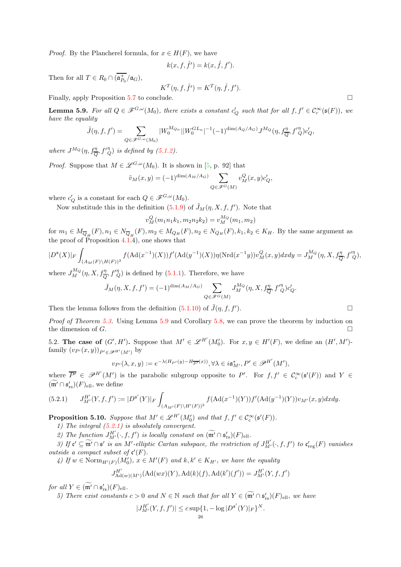*Proof.* By the Plancherel formula, for  $x \in H(F)$ , we have

$$
k(x, f, \hat{f}') = k(x, \hat{f}, f').
$$

Then for all  $T \in R_0 \cap (\mathfrak{a}_{P_0}^+/\mathfrak{a}_G)$ ,

$$
K^T(\eta, f, \hat{f}') = K^T(\eta, \hat{f}, f').
$$

Finally, apply Proposition [5.7](#page-24-0) to conclude.

<span id="page-25-0"></span>**Lemma 5.9.** For all  $Q \in \mathscr{F}^{G,\omega}(M_0)$ , there exists a constant  $c'_Q$  such that for all  $f, f' \in C_c^{\infty}(\mathfrak{s}(F))$ , we have the equality

$$
\tilde{J}(\eta, f, f') = \sum_{Q \in \mathscr{F}^{G, \omega}(M_0)} |W_0^{M_{Q_n}}| |W_0^{GL_n}|^{-1} (-1)^{\dim(A_Q/A_G)} J^{M_Q}(\eta, f_{\overline{Q}}^{\eta}, f'^{\eta}_{Q}) c'_Q,
$$

where  $J^{M_Q}(\eta, f_{\overline{Q}}^{\eta}, f'^{\eta}_{Q})$  is defined by [\(5.1.2\)](#page-20-3).

*Proof.* Suppose that  $M \in \mathscr{L}^{G,\omega}(M_0)$ . It is shown in [\[5,](#page-54-8) p. 92] that

$$
\tilde{v}_M(x,y)=(-1)^{\dim(A_M/A_G)}\sum_{Q\in \mathscr{F}^G(M)}v^Q_M(x,y)c'_Q,
$$

where  $c'_Q$  is a constant for each  $Q \in \mathscr{F}^{G,\omega}(M_0)$ .

Now substitude this in the definition [\(5.1.9\)](#page-24-1) of  $\tilde{J}_M(\eta, X, f, f')$ . Note that

$$
v_M^Q(m_1n_1k_1, m_2n_2k_2) = v_M^{M_Q}(m_1, m_2)
$$

for  $m_1 \in M_{\overline{Q}_H}(F), n_1 \in N_{\overline{Q}_H}(F), m_2 \in M_{Q_H}(F), n_2 \in N_{Q_H}(F), k_1, k_2 \in K_H$ . By the same argument as the proof of Proposition  $4.\overline{1.4}$ , one shows that

$$
|D^{\mathfrak{s}}(X)|_F \int_{(A_M(F)\backslash H(F))^2} f(\text{Ad}(x^{-1})(X)) f'(\text{Ad}(y^{-1})(X)) \eta(\text{Nrd}(x^{-1}y)) v_M^Q(x,y) dx dy = J_M^{M_Q}(\eta, X, f_{\overline{Q}}^{\eta}, f_{Q}^{\eta \eta}),
$$

where  $J_M^{M_Q}(\eta, X, f_{\overline{Q}}^{\eta}, f'^{\eta}_{Q})$  is defined by [\(5.1.1\)](#page-20-1). Therefore, we have

$$
\tilde{J}_M(\eta,X,f,f')=(-1)^{\dim(A_M/A_G)}\sum_{Q\in \mathscr{F}^G(M)}J_M^{M_Q}(\eta,X,f_{\overline{Q}}^{\eta},f'^{\eta}_{Q})c'_Q.
$$

Then the lemma follows from the definition  $(5.1.10)$  of  $\tilde{J}(\eta, f, f')$ .  $\Box$ 

Proof of Theorem [5.3.](#page-21-0) Using Lemma [5.9](#page-25-0) and Corollary [5.8,](#page-24-3) we can prove the theorem by induction on the dimension of  $G$ .

5.2. The case of  $(G', H')$ . Suppose that  $M' \in \mathcal{L}^{H'}(M'_{0})$ . For  $x, y \in H'(F)$ , we define an  $(H', M')$ family  $(v_{P'}(x,y))_{P' \in \mathscr{P}^{H'}(M')}$  by

$$
v_{P'}(\lambda, x, y) := e^{-\lambda (H_{P'}(y) - H_{\overline{P'}}(x))}, \forall \lambda \in i\mathfrak{a}_{M'}^*, P' \in \mathscr{P}^{H'}(M'),
$$

where  $\overline{P'} \in \mathscr{P}^{H'}(M')$  is the parabolic subgroup opposite to P'. For  $f, f' \in \mathcal{C}_c^{\infty}(\mathfrak{s}'(F))$  and  $Y \in$  $(\mathfrak{m}' \cap \mathfrak{s}'_{rs})(F)_{\text{ell}},$  we define

<span id="page-25-1"></span>
$$
(5.2.1) \qquad J_{M'}^{H'}(Y,f,f') := |D^{\mathfrak{s}'}(Y)|_F \int_{(A_{M'}(F)\backslash H'(F))^2} f(\mathrm{Ad}(x^{-1})(Y)) f'(\mathrm{Ad}(y^{-1})(Y)) v_{M'}(x,y) dx dy.
$$

<span id="page-25-2"></span>**Proposition 5.10.** Suppose that  $M' \in \mathcal{L}^{H'}(M'_0)$  and that  $f, f' \in \mathcal{C}_c^{\infty}(\mathfrak{s}'(F))$ .

1) The integral [\(5.2.1\)](#page-25-1) is absolutely convergent.

2) The function  $J^{H'}_{M'}(\cdot, f, f')$  is locally constant on  $(\widetilde{\mathfrak{m}'} \cap \mathfrak{s}'_{rs})(F)_{ell}$ .

3) If  $\mathfrak{c}' \subseteq \widetilde{\mathfrak{m}'} \cap \mathfrak{s}'$  is an M'-elliptic Cartan subspace, the restriction of  $J^{H'}_{M'}(\cdot, f, f')$  to  $\mathfrak{c}'_{\text{reg}}(F)$  vanishes *outside a compact subset of*  $\mathfrak{c}'(F)$ *.* 

 $\mathcal{A})$  If  $w \in \text{Norm}_{H'(F)}(M'_0)$ ,  $x \in M'(F)$  and  $k, k' \in K_{H'}$ , we have the equality

$$
J^{H'}_{\mathrm{Ad}(w)(M')}(\mathrm{Ad}(wx)(Y), \mathrm{Ad}(k)(f), \mathrm{Ad}(k')(f')) = J^{H'}_{M'}(Y, f, f')
$$

for all  $Y \in (\mathfrak{m}' \cap \mathfrak{s}'_{rs})(F)_{ell}.$ 

5) There exist constants  $c > 0$  and  $N \in \mathbb{N}$  such that for all  $Y \in (\widetilde{\mathfrak{m}}' \cap \mathfrak{s}'_{rs})(F)_{ell}$ , we have

$$
|J_{M'}^{H'}(Y,f,f')| \le c \sup\{1, -\log|D^{\mathfrak{s}'}(Y)|_F\}^N.
$$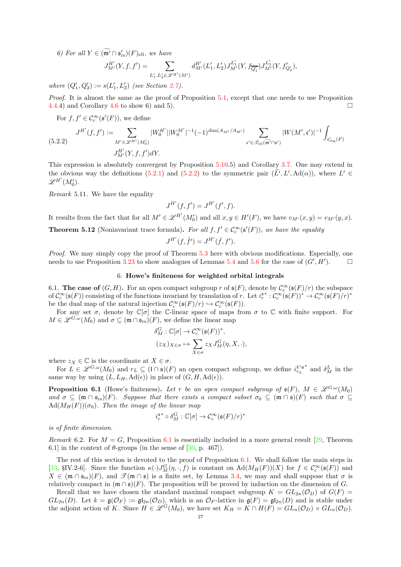6) For all  $Y \in (\mathfrak{m}' \cap \mathfrak{s}'_{rs})(F)_{ell}$ , we have

$$
J_{M'}^{H'}(Y, f, f') = \sum_{L'_1, L'_2 \in \mathscr{L}^{H'}(M')} d_{M'}^{H'}(L'_1, L'_2) J_{M'}^{L'_1}(Y, f_{\overline{Q'_1}}) J_{M'}^{L'_2}(Y, f'_{Q'_2}),
$$

where  $(Q'_1, Q'_2) := s(L'_1, L'_2)$  (see Section [2.7\)](#page-5-1).

Proof. It is almost the same as the proof of Proposition [5.1,](#page-20-2) except that one needs to use Proposition [4.4.](#page-19-1)4) and Corollary [4.6](#page-19-3) to show 6) and 5).

For  $f, f' \in \mathcal{C}_c^{\infty}(\mathfrak{s}'(F))$ , we define

<span id="page-26-2"></span>
$$
(5.2.2) \quad J^{H'}(f, f') := \sum_{M' \in \mathscr{L}^{H'}(M_0')} |W_0^{H'}||W_0^{M'}|^{-1}(-1)^{\dim(A_{M'}/A_{H'})} \sum_{\mathfrak{c}' \in \mathscr{T}_{\text{ell}}(\widetilde{\mathfrak{m}'} \cap \mathfrak{s}')} |W(M', \mathfrak{c}')|^{-1} \int_{\mathfrak{c}'_{\text{reg}}(F)} |W(M', \mathfrak{c}')|^{-1} dW_{M'}(Y, f, f') dY.
$$

This expression is absolutely convergent by Proposition [5.10.](#page-25-2)5) and Corollary [3.7.](#page-8-2) One may extend in the obvious way the definitions [\(5.2.1\)](#page-25-1) and [\(5.2.2\)](#page-26-2) to the symmetric pair  $(L', L', \mathrm{Ad}(\alpha))$ , where  $L' \in$  $\mathscr{L}^{H'}(M'_0).$ 

Remark 5.11. We have the equality

$$
J^{H'}(f,f') = J^{H'}(f',f).
$$

It results from the fact that for all  $M' \in \mathscr{L}^{H'}(M'_{0})$  and all  $x, y \in H'(F)$ , we have  $v_{M'}(x, y) = v_{M'}(y, x)$ .

<span id="page-26-1"></span>**Theorem 5.12** (Noninvariant trace formula). For all  $f, f' \in C_c^{\infty}(\mathfrak{s}'(F))$ , we have the equality

$$
J^{H'}(f, \hat{f}') = J^{H'}(\hat{f}, f').
$$

<span id="page-26-0"></span>Proof. We may simply copy the proof of Theorem [5.3](#page-21-0) here with obvious modifications. Especially, one needs to use Proposition [3.23](#page-14-0) to show analogues of Lemmas [5.4](#page-22-4) and [5.6](#page-23-2) for the case of  $(G', H')$  $\Box$ 

## 6. Howe's finiteness for weighted orbital integrals

6.1. The case of  $(G, H)$ . For an open compact subgroup r of  $\mathfrak{s}(F)$ , denote by  $\mathcal{C}_c^{\infty}(\mathfrak{s}(F)/r)$  the subspace of  $\mathcal{C}_c^{\infty}(\mathfrak{s}(F))$  consisting of the functions invariant by translation of r. Let  $i_r^{\mathfrak{s}^*}: \mathcal{C}_c^{\infty}(\mathfrak{s}(F))^* \to \mathcal{C}_c^{\infty}(\mathfrak{s}(F)/r)^*$ be the dual map of the natural injection  $C_c^{\infty}(\mathfrak{s}(F)/r) \hookrightarrow C_c^{\infty}(\mathfrak{s}(F))$ .

For any set  $\sigma$ , denote by  $\mathbb{C}[\sigma]$  the C-linear space of maps from  $\sigma$  to  $\mathbb{C}$  with finite support. For  $M \in \mathscr{L}^{G,\omega}(M_0)$  and  $\sigma \subseteq (\mathfrak{m} \cap \mathfrak{s}_{rs})(F)$ , we define the linear map

$$
\delta_M^G : \mathbb{C}[\sigma] \to \mathcal{C}_c^{\infty}(\mathfrak{s}(F))^*,
$$
  

$$
(z_X)_{X \in \sigma} \mapsto \sum_{X \in \sigma} z_X J_M^G(\eta, X, \cdot),
$$

where  $z_X \in \mathbb{C}$  is the coordinate at  $X \in \sigma$ .

For  $L \in \mathscr{L}^{G,\omega}(M_0)$  and  $r_L \subseteq (\mathfrak{l} \cap \mathfrak{s})(F)$  an open compact subgroup, we define  $i_{r_L}^{\mathfrak{l} \cap \mathfrak{s}^*}$  and  $\delta_M^L$  in the same way by using  $(L, L_H, \text{Ad}(\epsilon))$  in place of  $(G, H, \text{Ad}(\epsilon))$ .

<span id="page-26-3"></span>**Proposition 6.1** (Howe's finiteness). Let r be an open compact subgroup of  $\mathfrak{s}(F)$ ,  $M \in \mathscr{L}^{G,\omega}(M_0)$ and  $\sigma \subseteq (\mathfrak{m} \cap \mathfrak{s}_{rs})(F)$ . Suppose that there exists a compact subset  $\sigma_0 \subseteq (\mathfrak{m} \cap \mathfrak{s})(F)$  such that  $\sigma \subseteq$  $\text{Ad}(M_H(F))(\sigma_0)$ . Then the image of the linear map

$$
i_r^{\mathfrak{s} *}\circ \delta^G_M : \mathbb{C}[\sigma] \rightarrow \mathcal{C}^\infty_c(\mathfrak{s}(F)/r)^*
$$

is of finite dimension.

Remark 6.2. For  $M = G$ , Proposition [6.1](#page-26-3) is essentially included in a more general result [\[29,](#page-55-9) Theorem 6.1] in the context of  $\theta$ -groups (in the sense of [\[30,](#page-55-15) p. 467]).

The rest of this section is devoted to the proof of Proposition [6.1.](#page-26-3) We shall follow the main steps in [\[33,](#page-55-2) §IV.2-6]. Since the function  $\kappa(\cdot)J_M^G(\eta, \cdot, f)$  is constant on  $\text{Ad}(M_H(F))(X)$  for  $f \in \mathcal{C}_c^{\infty}(\mathfrak{s}(F))$  and  $X \in (\mathfrak{m} \cap \mathfrak{s}_{rs})(F)$ , and  $\mathscr{T}(\mathfrak{m} \cap \mathfrak{s})$  is a finite set, by Lemma [3.4,](#page-7-1) we may and shall suppose that  $\sigma$  is relatively compact in  $(\mathfrak{m} \cap \mathfrak{s})(F)$ . The proposition will be proved by induction on the dimension of G.

Recall that we have chosen the standard maximal compact subgroup  $K = GL_{2n}(\mathcal{O}_D)$  of  $G(F)$  $GL_{2n}(D)$ . Let  $k = \mathfrak{g}(\mathcal{O}_F) := \mathfrak{gl}_{2n}(\mathcal{O}_D)$ , which is an  $\mathcal{O}_F$ -lattice in  $\mathfrak{g}(F) = \mathfrak{gl}_{2n}(D)$  and is stable under the adjoint action of K. Since  $H \in \mathscr{L}^G(M_0)$ , we have set  $K_H = K \cap H(F) = GL_n(\mathcal{O}_D) \times GL_n(\mathcal{O}_D)$ .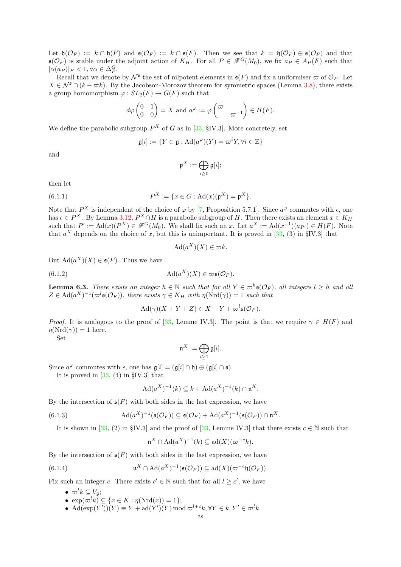Let  $\mathfrak{h}(\mathcal{O}_F) := k \cap \mathfrak{h}(F)$  and  $\mathfrak{s}(\mathcal{O}_F) := k \cap \mathfrak{s}(F)$ . Then we see that  $k = \mathfrak{h}(\mathcal{O}_F) \oplus \mathfrak{s}(\mathcal{O}_F)$  and that  $\mathfrak{s}(\mathcal{O}_F)$  is stable under the adjoint action of  $K_H$ . For all  $P \in \mathscr{F}^G(M_0)$ , we fix  $a_P \in A_P(F)$  such that  $|\alpha(a_P)|_F < 1, \forall \alpha \in \Delta_P^G.$ 

Recall that we denote by  $\mathcal{N}^{\mathfrak{s}}$  the set of nilpotent elements in  $\mathfrak{s}(F)$  and fix a uniformiser  $\varpi$  of  $\mathcal{O}_F$ . Let  $X \in \mathcal{N}^s \cap (k - \varpi k)$ . By the Jacobson-Morozov theorem for symmetric spaces (Lemma [3.8\)](#page-8-3), there exists a group homomorphism  $\varphi: SL_2(F) \to G(F)$  such that

$$
d\varphi\begin{pmatrix}0&1\\0&0\end{pmatrix} = X
$$
 and  $a^{\varphi} := \varphi\begin{pmatrix}\varpi &\\ & \varpi^{-1}\end{pmatrix} \in H(F)$ .

We define the parabolic subgroup  $P^X$  of G as in [\[33,](#page-55-2) §IV.3]. More concretely, set

$$
\mathfrak{g}[i]:=\{Y\in\mathfrak{g}:\mathrm{Ad}(a^{\varphi})(Y)=\varpi^iY,\forall i\in\mathbb{Z}\}
$$

and

<span id="page-27-4"></span>
$$
\mathfrak{p}^X:=\bigoplus_{i\geq 0}\mathfrak{g}[i];
$$

then let

(6.1.1) 
$$
P^{X} := \{x \in G : \mathrm{Ad}(x)(\mathfrak{p}^{X}) = \mathfrak{p}^{X}\}.
$$

Note that  $P^X$  is independent of the choice of  $\varphi$  by [\[7,](#page-54-21) Proposition 5.7.1]. Since  $a^{\varphi}$  commutes with  $\epsilon$ , one has  $\epsilon \in P^X$ . By Lemma [3.12,](#page-9-2)  $P^X \cap H$  is a parabolic subgroup of H. Then there exists an element  $x \in K_H$ such that  $P' := \text{Ad}(x)(P^X) \in \mathscr{F}^G(M_0)$ . We shall fix such an x. Let  $a^X := \text{Ad}(x^{-1})(a_{P'}) \in H(F)$ . Note that  $a^X$  depends on the choice of x, but this is unimportant. It is proved in [\[33,](#page-55-2) (3) in §IV.3] that

<span id="page-27-3"></span>
$$
\operatorname{Ad}(a^X)(X) \in \varpi k.
$$

But  $\text{Ad}(a^X)(X) \in \mathfrak{s}(F)$ . Thus we have

(6.1.2) 
$$
\mathrm{Ad}(a^X)(X) \in \varpi \mathfrak{s}(\mathcal{O}_F).
$$

<span id="page-27-2"></span>**Lemma 6.3.** There exists an integer  $h \in \mathbb{N}$  such that for all  $Y \in \varpi^h \mathfrak{s}(\mathcal{O}_F)$ , all integers  $l \geq h$  and all  $Z \in \text{Ad}(a^X)^{-1}(\varpi^l \mathfrak{s}(\mathcal{O}_F))$ , there exists  $\gamma \in K_H$  with  $\eta(\text{Nrd}(\gamma)) = 1$  such that

$$
\mathrm{Ad}(\gamma)(X+Y+Z)\in X+Y+\varpi^{l}\mathfrak{s}(\mathcal{O}_F).
$$

*Proof.* It is analogous to the proof of [\[33,](#page-55-2) Lemme IV.3]. The point is that we require  $\gamma \in H(F)$  and  $\eta(\text{Nrd}(\gamma)) = 1$  here.

Set

$$
\mathfrak{n}^X:=\bigoplus_{i\geq 1}\mathfrak{g}[i].
$$

Since  $a^{\varphi}$  commutes with  $\epsilon$ , one has  $\mathfrak{g}[i] = (\mathfrak{g}[i] \cap \mathfrak{h}) \oplus (\mathfrak{g}[i] \cap \mathfrak{s}).$ 

It is proved in  $[33, (4)$  in §IV.3 that

<span id="page-27-0"></span>
$$
\mathrm{Ad}(a^X)^{-1}(k) \subseteq k + \mathrm{Ad}(a^X)^{-1}(k) \cap \mathfrak{n}^X.
$$

By the intersection of  $\mathfrak{s}(F)$  with both sides in the last expression, we have

(6.1.3) 
$$
\mathrm{Ad}(a^X)^{-1}(\mathfrak{s}(\mathcal{O}_F)) \subseteq \mathfrak{s}(\mathcal{O}_F) + \mathrm{Ad}(a^X)^{-1}(\mathfrak{s}(\mathcal{O}_F)) \cap \mathfrak{n}^X.
$$

It is shown in [\[33,](#page-55-2) (2) in §IV.3] and the proof of [33, Lemme IV.3] that there exists  $c \in \mathbb{N}$  such that

<span id="page-27-1"></span>
$$
\mathfrak{n}^X \cap \operatorname{Ad}(a^X)^{-1}(k) \subseteq \operatorname{ad}(X)(\varpi^{-c}k).
$$

By the intersection of  $\mathfrak{s}(F)$  with both sides in the last expression, we have

(6.1.4) 
$$
\mathfrak{n}^X \cap \mathrm{Ad}(a^X)^{-1}(\mathfrak{s}(\mathcal{O}_F)) \subseteq \mathrm{ad}(X)(\varpi^{-c}\mathfrak{h}(\mathcal{O}_F)).
$$

Fix such an integer c. There exists  $c' \in \mathbb{N}$  such that for all  $l \geq c'$ , we have

- $\varpi^l k \subseteq V_{\mathfrak{a}}$ ;
	- $\exp(\varpi^l k) \subseteq \{x \in K : \eta(\mathrm{Nrd}(x)) = 1\};$
	- Ad( $\exp(Y')(Y) \equiv Y + \mathrm{ad}(Y')(Y) \mod \varpi^{l+c} k, \forall Y \in k, Y' \in \varpi^l k.$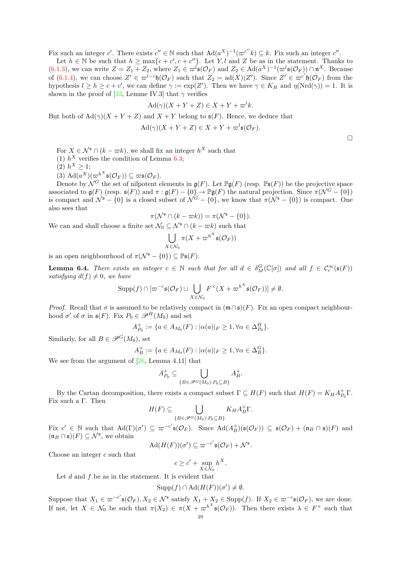Fix such an integer c'. There exists  $c'' \in \mathbb{N}$  such that  $\text{Ad}(a^X)^{-1}(\varpi^{c''}k) \subseteq k$ . Fix such an integer c''.

Let  $h \in \mathbb{N}$  be such that  $h \ge \max\{c + c', c + c''\}$ . Let Y, l and Z be as in the statement. Thanks to [\(6.1.3\)](#page-27-0), we can write  $Z = Z_1 + Z_2$ , where  $Z_1 \in \varpi^l \mathfrak{s}(\mathcal{O}_F)$  and  $Z_2 \in \mathrm{Ad}(a^X)^{-1}(\varpi^l \mathfrak{s}(\mathcal{O}_F)) \cap \mathfrak{n}^X$ . Because of [\(6.1.4\)](#page-27-1), we can choose  $Z' \in \pi^{l-c}\mathfrak{h}(\mathcal{O}_F)$  such that  $Z_2 = \text{ad}(X)(Z')$ . Since  $Z' \in \pi^{c'}\mathfrak{h}(\mathcal{O}_F)$  from the hypothesis  $l \ge h \ge c + c'$ , we can define  $\gamma := \exp(Z')$ . Then we have  $\gamma \in K_H$  and  $\eta(\text{Nrd}(\gamma)) = 1$ . It is shown in the proof of [\[33,](#page-55-2) Lemme IV.3] that  $\gamma$  verifies

$$
Ad(\gamma)(X + Y + Z) \in X + Y + \varpi^{l}k.
$$

But both of  $\text{Ad}(\gamma)(X + Y + Z)$  and  $X + Y$  belong to  $\mathfrak{s}(F)$ . Hence, we deduce that

$$
Ad(\gamma)(X+Y+Z) \in X+Y+\varpi^{l}\mathfrak{s}(\mathcal{O}_F).
$$

For  $X \in \mathcal{N}^{\mathfrak{s}} \cap (k - \varpi k)$ , we shall fix an integer  $h^X$  such that

(1)  $h^X$  verifies the condition of Lemma [6.3;](#page-27-2)

(2)  $h^X \geq 1$ ;

(3)  $\operatorname{Ad}(a^X)(\overline{\omega}^{h^X}\mathfrak{s}(\mathcal{O}_F)) \subseteq \overline{\omega}\mathfrak{s}(\mathcal{O}_F).$ 

Denote by  $\mathcal{N}^G$  the set of nilpotent elements in  $\mathfrak{g}(F)$ . Let  $\mathbb{P}\mathfrak{g}(F)$  (resp.  $\mathbb{P}\mathfrak{s}(F)$ ) be the projective space associated to  $\mathfrak{g}(F)$  (resp.  $\mathfrak{s}(F)$ ) and  $\pi : \mathfrak{g}(F) - \{0\} \to \mathbb{P}\mathfrak{g}(F)$  the natural projection. Since  $\pi(\mathcal{N}^G - \{0\})$ is compact and  $\mathcal{N}^{\mathfrak{s}} - \{0\}$  is a closed subset of  $\mathcal{N}^G - \{0\}$ , we know that  $\pi(\mathcal{N}^{\mathfrak{s}} - \{0\})$  is compact. One also sees that

$$
\pi(\mathcal{N}^{\mathfrak{s}}\cap (k-\varpi k))=\pi(\mathcal{N}^{\mathfrak{s}}-\{0\}).
$$

We can and shall choose a finite set  $\mathcal{N}_0 \subset \mathcal{N}^{\mathfrak{s}} \cap (k - \varpi k)$  such that

$$
\bigcup_{X \in \mathcal{N}_0} \pi(X + \varpi^{h^X} \mathfrak{s}(\mathcal{O}_F))
$$

is an open neighbourhood of  $\pi(\mathcal{N}^{\mathfrak{s}} - \{0\}) \subset \mathbb{P}_{\mathfrak{s}}(F)$ .

<span id="page-28-0"></span>**Lemma 6.4.** There exists an integer  $c \in \mathbb{N}$  such that for all  $d \in \delta_M^G(\mathbb{C}[\sigma])$  and all  $f \in \mathcal{C}_c^{\infty}(\mathfrak{s}(F))$ satisfying  $d(f) \neq 0$ , we have

$$
\operatorname{Supp}(f) \cap [\varpi^{-c}\mathfrak{s}(\mathcal{O}_F) \cup \bigcup_{X \in \mathcal{N}_0} F^{\times}(X+\varpi^{h^X}\mathfrak{s}(\mathcal{O}_F))] \neq \emptyset.
$$

*Proof.* Recall that  $\sigma$  is assumed to be relatively compact in  $(\mathfrak{m} \cap \mathfrak{s})(F)$ . Fix an open compact neighbourhood  $\sigma'$  of  $\sigma$  in  $\mathfrak{s}(F)$ . Fix  $P_0 \in \mathscr{P}^H(M_0)$  and set

$$
A_{P_0}^+ := \{ a \in A_{M_0}(F) : |\alpha(a)|_F \ge 1, \forall \alpha \in \Delta_{P_0}^H \}.
$$

Similarly, for all  $B \in \mathscr{P}^G(M_0)$ , set

$$
A_B^+ := \{a \in A_{M_0}(F) : |\alpha(a)|_F \ge 1, \forall \alpha \in \Delta_B^G\}.
$$

We see from the argument of [\[26,](#page-55-3) Lemma 4.11] that

$$
A_{P_0}^+ \subseteq \bigcup_{\{B \in \mathcal{P}^G(M_0): P_0 \subseteq B\}} A_B^+.
$$

By the Cartan decomposition, there exists a compact subset  $\Gamma \subseteq H(F)$  such that  $H(F) = K_H A_{P_0}^{\dagger} \Gamma$ . Fix such a Γ. Then

$$
H(F) \subseteq \bigcup_{\{B \in \mathcal{P}^G(M_0): P_0 \subseteq B\}} K_H A_B^+\Gamma.
$$

Fix  $c' \in \mathbb{N}$  such that  $\text{Ad}(\Gamma)(\sigma') \subseteq \varpi^{-c'}\mathfrak{s}(\mathcal{O}_F)$ . Since  $\text{Ad}(A_B^+)(\mathfrak{s}(\mathcal{O}_F)) \subseteq \mathfrak{s}(\mathcal{O}_F) + (\mathfrak{n}_B \cap \mathfrak{s})(F)$  and  $(\mathfrak{n}_B \cap \mathfrak{s})(F) \subseteq \mathcal{N}^{\mathfrak{s}},$  we obtain

$$
\mathrm{Ad}(H(F))(\sigma') \subseteq \varpi^{-c'}\mathfrak{s}(\mathcal{O}_F) + \mathcal{N}^{\mathfrak{s}}.
$$

Choose an integer c such that

$$
c \ge c' + \sup_{X \in \mathcal{N}_0} h^X.
$$

Let  $d$  and  $f$  be as in the statement. It is evident that

$$
Supp(f) \cap \mathrm{Ad}(H(F))(\sigma') \neq \emptyset.
$$

Suppose that  $X_1 \in \varpi^{-c'} \mathfrak{s}(\mathcal{O}_F), X_2 \in \mathcal{N}^{\mathfrak{s}}$  satisfy  $X_1 + X_2 \in \text{Supp}(f)$ . If  $X_2 \in \varpi^{-c} \mathfrak{s}(\mathcal{O}_F)$ , we are done. If not, let  $X \in \mathcal{N}_0$  be such that  $\pi(X_2) \in \pi(X + \varpi^{h^X} \mathfrak{s}(\mathcal{O}_F))$ . Then there exists  $\lambda \in F^\times$  such that

 $\Box$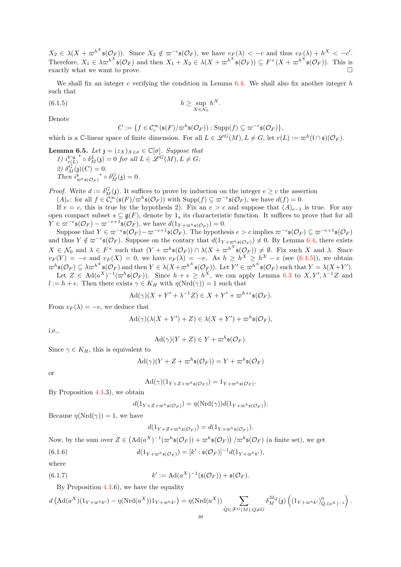$X_2 \in \lambda(X + \varpi^{h^X}\mathfrak{s}(\mathcal{O}_F))$ . Since  $X_2 \notin \varpi^{-c}\mathfrak{s}(\mathcal{O}_F)$ , we have  $v_F(\lambda) < -c$  and thus  $v_F(\lambda) + h^X < -c'$ . Therefore,  $X_1 \in \lambda \varpi^{h^X} \mathfrak{s}(\mathcal{O}_F)$  and then  $X_1 + X_2 \in \lambda (X + \varpi^{h^X} \mathfrak{s}(\mathcal{O}_F)) \subseteq F^\times (X + \varpi^{h^X} \mathfrak{s}(\mathcal{O}_F))$ . This is exactly what we want to prove.

We shall fix an integer c verifying the condition in Lemma  $6.4$ . We shall also fix another integer h such that

(6.1.5) 
$$
h \geq \sup_{X \in \mathcal{N}_0} h^X.
$$

Denote

<span id="page-29-0"></span>
$$
C := \{ f \in C_c^{\infty}(\mathfrak{s}(F)/\varpi^h\mathfrak{s}(\mathcal{O}_F)) : \operatorname{Supp}(f) \subseteq \varpi^{-c}\mathfrak{s}(\mathcal{O}_F) \},
$$

which is a C-linear space of finite dimension. For all  $L \in \mathcal{L}^G(M)$ ,  $L \neq G$ , let  $r(L) := \varpi^h(\mathfrak{l} \cap \mathfrak{s})(\mathcal{O}_F)$ .

<span id="page-29-3"></span>**Lemma 6.5.** Let  $\mathfrak{z} = (z_X)_{X \in \sigma} \in \mathbb{C}[\sigma]$ . Suppose that 1)  $i_{r(L)}^{\mathfrak{l}\cap\mathfrak{s}^{-*}} \circ \delta_M^L(\mathfrak{z}) = 0$  for all  $L \in \mathscr{L}^G(M), L \neq G;$ 2)  $\delta_M^G(\mathfrak{z})(C) = 0.$ Then  $i^{\mathfrak{s}}_{\varpi^h\mathfrak{s}(\mathcal{O}_F)}^* \circ \delta_M^G(\mathfrak{z}) = 0.$ 

*Proof.* Write  $d := \delta_M^G(\mathfrak{z})$ . It suffices to prove by induction on the integer  $e \geq c$  the assertion

 $(A_e: \text{ for all } f \in C_c^{\infty}(\mathfrak{s}(F)/\varpi^h\mathfrak{s}(\mathcal{O}_F)) \text{ with } \text{Supp}(f) \subseteq \varpi^{-e}\mathfrak{s}(\mathcal{O}_F), \text{ we have } d(f) = 0.$ 

If  $e = c$ , this is true by the hypothesis 2). Fix an  $e > c$  and suppose that  $(A)_{e-1}$  is true. For any open compact subset  $s \subseteq \mathfrak{g}(F)$ , denote by  $1_s$  its characteristic function. It suffices to prove that for all  $Y \in \varpi^{-e} \mathfrak{s}(\mathcal{O}_F) - \varpi^{-e+1} \mathfrak{s}(\mathcal{O}_F)$ , we have  $d(1_{Y+\varpi^h \mathfrak{s}(\mathcal{O}_F)})=0$ .

Suppose that  $Y \in \overline{\omega}^{-e} \mathfrak{s}(\mathcal{O}_F) - \overline{\omega}^{-e+1} \mathfrak{s}(\mathcal{O}_F)$ . The hypothesis  $e > c$  implies  $\overline{\omega}^{-c} \mathfrak{s}(\mathcal{O}_F) \subseteq \overline{\omega}^{-e+1} \mathfrak{s}(\mathcal{O}_F)$ and thus  $Y \notin \varpi^{-c} \mathfrak{s}(\mathcal{O}_F)$ . Suppose on the contary that  $d(1_{Y+\varpi_h^h \mathfrak{s}(\mathcal{O}_F)}) \neq 0$ . By Lemma [6.4,](#page-28-0) there exists  $X \in \mathcal{N}_0$  and  $\lambda \in F^\times$  such that  $(Y + \varpi^h \mathfrak{s}(\mathcal{O}_F)) \cap \lambda (X + \varpi^{h^X} \mathfrak{s}(\mathcal{O}_F)) \neq \emptyset$ . Fix such X and  $\lambda$ . Since  $v_F(Y) = -e$  and  $v_F(X) = 0$ , we have  $v_F(\lambda) = -e$ . As  $h \ge h^X \ge h^X - e$  (see [\(6.1.5\)](#page-29-0)), we obtain  $\varpi^h \mathfrak{s}(\mathcal{O}_F) \subseteq \lambda \varpi^{h^X} \mathfrak{s}(\mathcal{O}_F)$  and then  $Y \in \lambda(X + \varpi^{h^X} \mathfrak{s}(\mathcal{O}_F))$ . Let  $Y' \in \varpi^{h^X} \mathfrak{s}(\mathcal{O}_F)$  such that  $Y = \lambda(X + Y')$ . Let  $Z \in \text{Ad}(a^X)^{-1}(\varpi^h\mathfrak{s}(\mathcal{O}_F))$ . Since  $h + e \geq h^X$ , we can apply Lemma [6.3](#page-27-2) to  $X, Y', \lambda^{-1}Z$  and

 $l := h + e$ . Then there exists  $\gamma \in K_H$  with  $\eta(\text{Nrd}(\gamma)) = 1$  such that

$$
\mathrm{Ad}(\gamma)(X+Y'+\lambda^{-1}Z)\in X+Y'+\varpi^{h+e}\mathfrak{s}(\mathcal{O}_F).
$$

From  $v_F(\lambda) = -e$ , we deduce that

$$
\mathrm{Ad}(\gamma)(\lambda(X+Y')+Z)\in\lambda(X+Y')+\varpi^h\mathfrak{s}(\mathcal{O}_F),
$$

i.e.,

$$
\mathrm{Ad}(\gamma)(Y+Z)\in Y+\varpi^h\mathfrak{s}(\mathcal{O}_F).
$$

Since  $\gamma \in K_H$ , this is equivalent to

$$
\mathrm{Ad}(\gamma)(Y+Z+\varpi^h\mathfrak{s}(\mathcal{O}_F))=Y+\varpi^h\mathfrak{s}(\mathcal{O}_F)
$$

or

$$
\mathrm{Ad}(\gamma)(1_{Y+Z+\varpi^h\mathfrak{s}(\mathcal{O}_F)})=1_{Y+\varpi^h\mathfrak{s}(\mathcal{O}_F)}.
$$

By Proposition [4.1.](#page-16-3)3), we obtain

$$
d(1_{Y+Z+\varpi^h\mathfrak{s}(\mathcal{O}_F)})=\eta(\mathrm{Nrd}(\gamma))d(1_{Y+\varpi^h\mathfrak{s}(\mathcal{O}_F)}).
$$

Because  $\eta(\text{Nrd}(\gamma)) = 1$ , we have

<span id="page-29-2"></span><span id="page-29-1"></span>
$$
d(1_{Y+Z+\varpi^h\mathfrak{s}(\mathcal{O}_F)})=d(1_{Y+\varpi^h\mathfrak{s}(\mathcal{O}_F)}).
$$

Now, by the sum over  $Z \in (Ad(a^X)^{-1}(\varpi^h\mathfrak{s}(\mathcal{O}_F)) + \varpi^h\mathfrak{s}(\mathcal{O}_F)) / \varpi^h\mathfrak{s}(\mathcal{O}_F)$  (a finite set), we get

(6.1.6) 
$$
d(1_{Y+\varpi^h\mathfrak{s}(\mathcal{O}_F)})=[k':\mathfrak{s}(\mathcal{O}_F)]^{-1}d(1_{Y+\varpi^h k'}),
$$

where

(6.1.7) 
$$
k' := \mathrm{Ad}(a^X)^{-1}(\mathfrak{s}(\mathcal{O}_F)) + \mathfrak{s}(\mathcal{O}_F).
$$

By Proposition [4.1.](#page-16-3)6), we have the equality

$$
d\left(\mathrm{Ad}(a^X)(1_{Y+\varpi^h k'})-\eta(\mathrm{Nrd}(a^X))1_{Y+\varpi^h k'})=\eta(\mathrm{Nrd}(a^X))\sum_{Q\in \mathscr{F}^G(M), Q\neq G}\delta_M^{M_Q}(\mathfrak{z})\left((1_{Y+\varpi^h k'})^{\eta}_{Q,(a^X)^{-1}}\right).
$$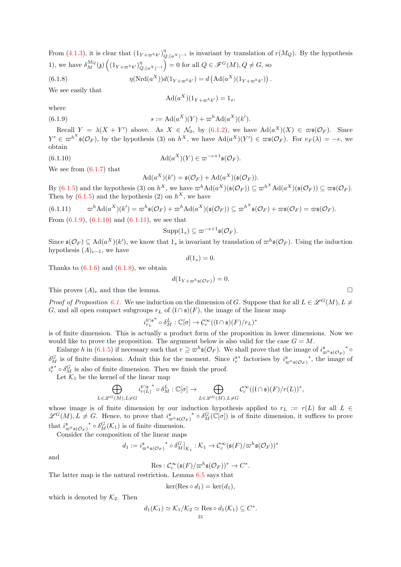From [\(4.1.3\)](#page-17-0), it is clear that  $(1_{Y+\varpi^{h}k'})_{Q,(a^X)^{-1}}^{\eta}$  is invariant by translation of  $r(M_Q)$ . By the hypothesis 1), we have  $\delta_M^{M_Q}(\mathfrak{z}) \left( \left(1_{Y+\varpi^h k'}\right)_{Q,(a^X)^{-1}}^{\eta} \right)$  $= 0$  for all  $Q \in \mathscr{F}^G(M)$ ,  $Q \neq G$ , so

(6.1.8) 
$$
\eta(\text{Nrd}(a^X))d(1_{Y+\varpi^{h}k'}) = d(\text{Ad}(a^X)(1_{Y+\varpi^{h}k'})) .
$$

We see easily that

<span id="page-30-3"></span><span id="page-30-0"></span>
$$
\operatorname{Ad}(a^X)(1_{Y+\varpi^h k'}) = 1_s,
$$

where

(6.1.9) 
$$
s := \text{Ad}(a^X)(Y) + \varpi^h \text{Ad}(a^X)(k').
$$

Recall  $Y = \lambda(X + Y')$  above. As  $X \in \mathcal{N}_0$ , by [\(6.1.2\)](#page-27-3), we have  $\text{Ad}(a^X)(X) \in \varpi\mathfrak{s}(\mathcal{O}_F)$ . Since  $Y' \in \omega^{h^X} \mathfrak{s}(\mathcal{O}_F)$ , by the hypothesis (3) on  $h^X$ , we have  $\text{Ad}(a^X)(Y') \in \omega \mathfrak{s}(\mathcal{O}_F)$ . For  $v_F(\lambda) = -e$ , we obtain

(6.1.10) 
$$
\mathrm{Ad}(a^X)(Y) \in \varpi^{-e+1} \mathfrak{s}(\mathcal{O}_F).
$$

We see from  $(6.1.7)$  that

<span id="page-30-1"></span>
$$
Ad(a^X)(k') = \mathfrak{s}(\mathcal{O}_F) + Ad(a^X)(\mathfrak{s}(\mathcal{O}_F)).
$$

By  $(6.1.5)$  and the hypothesis (3) on  $h^X$ , we have  $\varpi^h\text{Ad}(a^X)(\mathfrak{s}(\mathcal{O}_F)) \subseteq \varpi^{h^X}\text{Ad}(a^X)(\mathfrak{s}(\mathcal{O}_F)) \subseteq \varpi \mathfrak{s}(\mathcal{O}_F)$ . Then by  $(6.1.5)$  and the hypothesis  $(2)$  on  $h^X$ , we have

<span id="page-30-2"></span>(6.1.11) 
$$
\varpi^h \mathrm{Ad}(a^X)(k') = \varpi^h \mathfrak{s}(\mathcal{O}_F) + \varpi^h \mathrm{Ad}(a^X)(\mathfrak{s}(\mathcal{O}_F)) \subseteq \varpi^{h^X} \mathfrak{s}(\mathcal{O}_F) + \varpi \mathfrak{s}(\mathcal{O}_F) = \varpi \mathfrak{s}(\mathcal{O}_F).
$$

From  $(6.1.9)$ ,  $(6.1.10)$  and  $(6.1.11)$ , we see that

$$
\mathrm{Supp}(1_s) \subseteq \varpi^{-e+1} \mathfrak{s}(\mathcal{O}_F).
$$

Since  $\mathfrak{s}(\mathcal{O}_F) \subseteq \text{Ad}(a^X)(k')$ , we know that  $1_s$  is invariant by translation of  $\varpi^h \mathfrak{s}(\mathcal{O}_F)$ . Using the induction hypothesis  $(A)_{e-1}$ , we have

$$
d(1_s) = 0.
$$

Thanks to  $(6.1.6)$  and  $(6.1.8)$ , we obtain

$$
d(1_{Y+\varpi^h\mathfrak{s}(\mathcal{O}_F)})=0.
$$

This proves  $(A)_e$  and thus the lemma.

*Proof of Proposition [6.1.](#page-26-3)* We use induction on the dimension of G. Suppose that for all  $L \in \mathscr{L}^G(M)$ ,  $L \neq$ G, and all open compact subgroups  $r<sub>L</sub>$  of  $(l \cap \mathfrak{s})(F)$ , the image of the linear map

$$
i_{r_L}^{\mathfrak{l} \cap \mathfrak{s}^*} \circ \delta_M^L : \mathbb{C}[\sigma] \to \mathcal{C}_c^{\infty}((\mathfrak{l} \cap \mathfrak{s})(F)/r_L)^*
$$

is of finite dimension. This is actually a product form of the proposition in lower dimensions. Now we would like to prove the proposition. The argument below is also valid for the case  $G = M$ .

Enlarge h in [\(6.1.5\)](#page-29-0) if necessary such that  $r \supseteq \varpi^h \mathfrak{s}(\mathcal{O}_F)$ . We shall prove that the image of  $i^{\mathfrak{s}}_{\varpi^h \mathfrak{s}(\mathcal{O}_F)}^* \circ$  $\delta_M^G$  is of finite dimension. Admit this for the moment. Since  $i_r^{s*}$  factorises by  $i_{\varpi^h s(\mathcal{O}_F)}^s$ , the image of  $i_r^{s*} \circ \delta_M^G$  is also of finite dimension. Then we finish the proof.

Let  $\mathcal{K}_1$  be the kernel of the linear map

$$
\bigoplus_{L\in \mathscr{L}^G(M), L\not=G} i_{r(L)}^{\mathfrak{l}\cap \mathfrak{s}}^{\ast}\circ \delta_{M}^{L}:\mathbb{C}[\sigma]\rightarrow \bigoplus_{L\in \mathscr{L}^G(M), L\not=G} \mathcal{C}_c^{\infty}((\mathfrak{l}\cap \mathfrak{s})(F)/r(L))^*,
$$

whose image is of finite dimension by our induction hypothesis applied to  $r<sub>L</sub> := r(L)$  for all  $L \in$  $\mathscr{L}^G(M), L \neq G$ . Hence, to prove that  $i^{\mathfrak{s}}_{\varpi^h \mathfrak{s}(\mathcal{O}_F)}^* \circ \delta_M^G(\mathbb{C}[\sigma])$  is of finite dimension, it suffices to prove that  $i^{\mathfrak{s}}_{\varpi^h\mathfrak{s}(\mathcal{O}_F)}^* \circ \delta^G_M(\mathcal{K}_1)$  is of finite dimension.

Consider the composition of the linear maps

$$
d_1 := i^{\mathfrak{s}}_{\varpi^h \mathfrak{s}(\mathcal{O}_F)}^* \circ \delta^G_M|_{\mathcal{K}_1} : \mathcal{K}_1 \to \mathcal{C}_c^{\infty}(\mathfrak{s}(F)/\varpi^h \mathfrak{s}(\mathcal{O}_F))^*
$$

and

$$
\mathrm{Res}: \mathcal{C}_c^{\infty}(\mathfrak{s}(F)/\varpi^h\mathfrak{s}(\mathcal{O}_F))^* \to C^*.
$$

The latter map is the natural restriction. Lemma [6.5](#page-29-3) says that

$$
\ker(\text{Res}\circ d_1)=\ker(d_1),
$$

which is denoted by  $\mathcal{K}_2$ . Then

$$
d_1(\mathcal{K}_1) \simeq \mathcal{K}_1/\mathcal{K}_2 \simeq \operatorname{Res}_{31} \circ d_1(\mathcal{K}_1) \subseteq C^*.
$$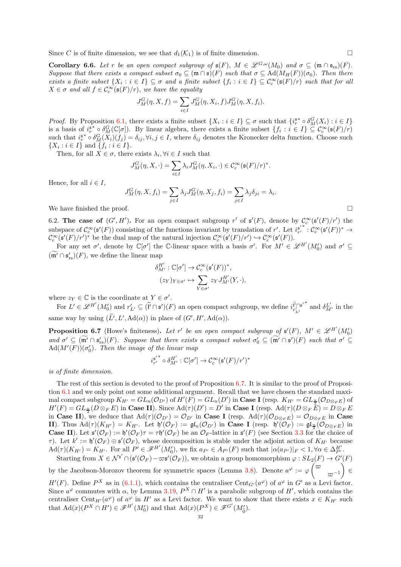Since C is of finite dimension, we see that  $d_1(\mathcal{K}_1)$  is of finite dimension.

<span id="page-31-0"></span>**Corollary 6.6.** Let r be an open compact subgroup of  $\mathfrak{s}(F)$ ,  $M \in \mathscr{L}^{G,\omega}(M_0)$  and  $\sigma \subseteq (\mathfrak{m} \cap \mathfrak{s}_{rs})(F)$ . Suppose that there exists a compact subset  $\sigma_0 \subseteq (\mathfrak{m} \cap \mathfrak{s})(F)$  such that  $\sigma \subseteq \text{Ad}(M_H(F))(\sigma_0)$ . Then there exists a finite subset  $\{X_i : i \in I\} \subseteq \sigma$  and a finite subset  $\{f_i : i \in I\} \subseteq C_c^{\infty}(\mathfrak{s}(F)/r)$  such that for all  $X \in \sigma$  and all  $f \in C_c^{\infty}(\mathfrak{s}(F)/r)$ , we have the equality

$$
J_M^G(\eta, X, f) = \sum_{i \in I} J_M^G(\eta, X_i, f) J_M^G(\eta, X, f_i).
$$

*Proof.* By Proposition [6.1,](#page-26-3) there exists a finite subset  $\{X_i : i \in I\} \subseteq \sigma$  such that  $\{i_r^{s*} \circ \delta_M^G(X_i) : i \in I\}$ is a basis of  $i_r^{s*} \circ \delta_M^G(\mathbb{C}[\sigma])$ . By linear algebra, there exists a finite subset  $\{f_i : i \in I\} \subseteq \mathcal{C}_c^{\infty}(\mathfrak{s}(F)/r)$ such that  $i_r^{s*} \circ \delta_M^G(X_i)(f_j) = \delta_{ij}, \forall i, j \in I$ , where  $\delta_{ij}$  denotes the Kronecker delta function. Choose such  $\{X_i : i \in I\}$  and  $\{f_i : i \in I\}.$ 

Then, for all  $X \in \sigma$ , there exists  $\lambda_i, \forall i \in I$  such that

$$
J_M^G(\eta, X, \cdot) = \sum_{i \in I} \lambda_i J_M^G(\eta, X_i, \cdot) \in C_c^{\infty}(\mathfrak{s}(F)/r)^*.
$$

Hence, for all  $i \in I$ ,

$$
J_M^G(\eta,X,f_i)=\sum_{j\in I}\lambda_jJ_M^G(\eta,X_j,f_i)=\sum_{j\in I}\lambda_j\delta_{ji}=\lambda_i.
$$
 We have finished the proof.

6.2. The case of  $(G', H')$ . For an open compact subgroup r' of  $\mathfrak{s}'(F)$ , denote by  $\mathcal{C}_c^{\infty}(\mathfrak{s}'(F)/r')$  the subspace of  $\mathcal{C}_c^{\infty}(\mathfrak{s}'(F))$  consisting of the functions invariant by translation of r'. Let  $i_r^{\mathfrak{s}'}$  :  $\mathcal{C}_c^{\infty}(\mathfrak{s}'(F))^* \to$  $\mathcal{C}_c^{\infty}(\mathfrak{s}'(F)/r')^*$  be the dual map of the natural injection  $\mathcal{C}_c^{\infty}(\mathfrak{s}'(F)/r') \hookrightarrow \mathcal{C}_c^{\infty}(\mathfrak{s}'(F))$ .

For any set  $\sigma'$ , denote by  $\mathbb{C}[\sigma']$  the C-linear space with a basis  $\sigma'$ . For  $M' \in \mathscr{L}^{H'}(M'_{0})$  and  $\sigma' \subseteq$  $(\mathfrak{m}' \cap \mathfrak{s}'_{rs})(F)$ , we define the linear map

$$
\delta^{H'}_{M'}: \mathbb{C}[\sigma'] \to \mathcal{C}_c^{\infty}(\mathfrak{s}'(F))^*,(z_Y)_{Y \in \sigma'} \mapsto \sum_{Y \in \sigma'} z_Y J^{H'}_{M'}(Y, \cdot),
$$

where  $z_Y \in \mathbb{C}$  is the coordinate at  $Y \in \sigma'$ .

For  $L' \in \mathscr{L}^{H'}(M'_{0})$  and  $r'_{L'} \subseteq (\tilde{l}' \cap \mathfrak{s}')(F)$  an open compact subgroup, we define  $i_{r'_{r'}}^{\tilde{l}' \cap \mathfrak{s}'}$  $r'_{L'}$  $*$  and  $\delta_{M'}^{L'}$  in the same way by using  $(L', L', \text{Ad}(\alpha))$  in place of  $(G', H', \text{Ad}(\alpha))$ .

<span id="page-31-1"></span>**Proposition 6.7** (Howe's finiteness). Let r' be an open compact subgroup of  $\mathfrak{s}'(F)$ ,  $M' \in \mathscr{L}^{H'}(M'_0)$ and  $\sigma' \subseteq (\mathfrak{m}' \cap \mathfrak{s}'_{rs})(F)$ . Suppose that there exists a compact subset  $\sigma'_0 \subseteq (\mathfrak{m}' \cap \mathfrak{s}')(F)$  such that  $\sigma' \subseteq$  $\mathrm{Ad}(M'(F))(\sigma'_0)$ . Then the image of the linear map

$$
i_{r'}^{\mathfrak{s}'}^* \circ \delta_{M'}^{H'} : \mathbb{C}[\sigma'] \to \mathcal{C}_c^\infty(\mathfrak{s}'(F)/r')^*
$$

is of finite dimension.

The rest of this section is devoted to the proof of Proposition [6.7.](#page-31-1) It is similar to the proof of Proposition [6.1](#page-26-3) and we only point out some additional argument. Recall that we have chosen the standard maximal compact subgroup  $K_{H'} = GL_n(\mathcal{O}_{D'})$  of  $H'(F) = GL_n(D')$  in **Case I** (resp.  $K_{H'} = GL_{\frac{n}{2}}(\mathcal{O}_{D \otimes_F E})$  of  $H'(F) = GL_{\frac{n}{2}}(D \otimes_F E)$  in **Case II**). Since  $\text{Ad}(\tau)(D') = D'$  in **Case I** (resp.  $\text{Ad}(\tau)(D \otimes_F E) = D \otimes_F E$ in Case II), we deduce that  $\text{Ad}(\tau)(\mathcal{O}_{D'}) = \mathcal{O}_{D'}$  in Case I (resp.  $\text{Ad}(\tau)(\mathcal{O}_{D\otimes_{F}E}) = \mathcal{O}_{D\otimes_{F}E}$  in Case **II**). Thus  $\mathrm{Ad}(\tau)(K_{H'}) = K_{H'}$ . Let  $\mathfrak{h}'(\mathcal{O}_F) := \mathfrak{gl}_n(\mathcal{O}_{D'})$  in **Case I** (resp.  $\mathfrak{h}'(\mathcal{O}_F) := \mathfrak{gl}_\frac{n}{2}(\mathcal{O}_{D\otimes_F E})$  in **Case II**). Let  $\mathfrak{s}'(\mathcal{O}_F) := \mathfrak{h}'(\mathcal{O}_F)\tau = \tau\mathfrak{h}'(\mathcal{O}_F)$  be an  $\mathcal{O}_F$ -lattice in  $\mathfrak{s}'(F)$  (see Section [3.3](#page-12-1) for the choice of  $\tau$ ). Let  $k' := \mathfrak{h}'(\mathcal{O}_F) \oplus \mathfrak{s}'(\mathcal{O}_F)$ , whose decomposition is stable under the adjoint action of  $K_{H'}$  because  $\operatorname{Ad}(\tau)(K_{H'})=K_{H'}$ . For all  $P'\in\mathscr{F}^{H'}(M'_{0}),$  we fix  $a_{P'}\in A_{P'}(F)$  such that  $|\alpha(a_{P'})|_{F}<1, \forall \alpha\in \Delta_{P'}^{H'}$ .

Starting from  $X \in \mathcal{N}^{s'} \cap (s'(\mathcal{O}_F) - \varpi s'(\mathcal{O}_F))$ , we obtain a group homomorphism  $\varphi : SL_2(F) \to G'(F)$ by the Jacobson-Morozov theorem for symmetric spaces (Lemma [3.8\)](#page-8-3). Denote  $a^{\varphi} := \varphi$   $\left(\overline{\varphi}\right)$  $\varpi^{-1}$ V. ∈

 $H'(F)$ . Define  $P^X$  as in [\(6.1.1\)](#page-27-4), which contains the centraliser Cent<sub>G'</sub>( $a^{\varphi}$ ) of  $a^{\varphi}$  in G' as a Levi factor. Since  $a^{\varphi}$  commutes with  $\alpha$ , by Lemma [3.19,](#page-12-2)  $P^X \cap H'$  is a parabolic subgroup of H', which contains the centraliser Cent<sub>H'</sub> ( $a^{\varphi}$ ) of  $a^{\varphi}$  in H' as a Levi factor. We want to show that there exists  $x \in K_{H'}$  such that  $\text{Ad}(x)(P^X \cap H') \in \mathscr{F}^{H'}(M'_0)$  and that  $\text{Ad}(x)(P^X) \in \mathscr{F}^{G'}(M'_{\tilde{0}})$ .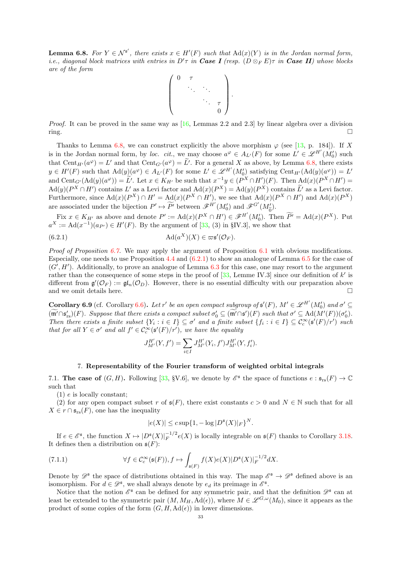<span id="page-32-2"></span>**Lemma 6.8.** For  $Y \in \mathcal{N}^{s'}$ , there exists  $x \in H'(F)$  such that  $\text{Ad}(x)(Y)$  is in the Jordan normal form, i.e., diagonal block matrices with entries in  $D'\tau$  in Case I (resp.  $(D \otimes_F E)\tau$  in Case II) whose blocks are of the form



*Proof.* It can be proved in the same way as  $[16,$  Lemmas 2.2 and 2.3 by linear algebra over a division  $\Box$ 

Thanks to Lemma [6.8,](#page-32-2) we can construct explicitly the above morphism  $\varphi$  (see [\[13,](#page-54-22) p. 184]). If X is in the Jordan normal form, by loc. cit., we may choose  $a^{\varphi} \in A_{L'}(F)$  for some  $L' \in \mathscr{L}^{H'}(M'_{0})$  such that  $Cent_{H'}(a^{\varphi}) = L'$  and that  $Cent_{G'}(a^{\varphi}) = L'$ . For a general X as above, by Lemma [6.8,](#page-32-2) there exists  $y \in H'(F)$  such that  $\text{Ad}(y)(a^{\varphi}) \in A_{L'}(F)$  for some  $L' \in \mathscr{L}^{H'}(M'_{0})$  satisfying  $\text{Cent}_{H'}(\text{Ad}(y)(a^{\varphi})) = L'$ and  $\text{Cent}_{G'}(\text{Ad}(y)(a^{\varphi})) = L'$ . Let  $x \in K_{H'}$  be such that  $x^{-1}y \in (P^X \cap H')(F)$ . Then  $\text{Ad}(x)(P^X \cap H') =$  $\text{Ad}(y)(P^X \cap H')$  contains  $L'$  as a Levi factor and  $\text{Ad}(x)(P^X) = \text{Ad}(y)(P^X)$  contains  $L'$  as a Levi factor. Furthermore, since  $\text{Ad}(x)(P^X) \cap H' = \text{Ad}(x)(P^X \cap H')$ , we see that  $\text{Ad}(x)(P^X \cap H')$  and  $\text{Ad}(x)(P^X)$ are associated under the bijection  $P' \mapsto \widetilde{P'}$  between  $\mathscr{F}^{H'}(M'_0)$  and  $\mathscr{F}^{G'}(M'_{\widetilde{0}})$ .

Fix  $x \in K_{H'}$  as above and denote  $P' := \text{Ad}(x)(P^X \cap H') \in \mathscr{F}^{H'}(M'_0)$ . Then  $\widetilde{P'} = \text{Ad}(x)(P^X)$ . Put  $a^X := \text{Ad}(x^{-1})(a_{P'}) \in H'(F)$ . By the argument of [\[33,](#page-55-2) (3) in §IV.3], we show that

(6.2.1) 
$$
\mathrm{Ad}(a^X)(X) \in \varpi \mathfrak{s}'(\mathcal{O}_F).
$$

*Proof of Proposition [6.7.](#page-31-1)* We may apply the argument of Proposition  $6.1$  with obvious modifications. Especially, one needs to use Proposition [4.4](#page-19-1) and [\(6.2.1\)](#page-32-3) to show an analogue of Lemma [6.5](#page-29-3) for the case of  $(G', H')$ . Additionally, to prove an analogue of Lemma [6.3](#page-27-2) for this case, one may resort to the argument rather than the consequence of some steps in the proof of  $[33, \text{ Lemme IV.3}]$  since our definition of k' is different from  $\mathfrak{g}'(\mathcal{O}_F) := \mathfrak{gl}_n(\mathcal{O}_D)$ . However, there is no essential difficulty with our preparation above and we omit details here.  $\hfill \square$ 

<span id="page-32-1"></span>**Corollary 6.9** (cf. Corollary [6.6\)](#page-31-0). Let r' be an open compact subgroup of  $\mathfrak{s}'(F)$ ,  $M' \in \mathscr{L}^{H'}(M'_0)$  and  $\sigma' \subseteq$  $(\mathfrak{m}' \cap \mathfrak{s}'_{rs})(F)$ . Suppose that there exists a compact subset  $\sigma'_0 \subseteq (\mathfrak{m}' \cap \mathfrak{s}')(F)$  such that  $\sigma' \subseteq \mathrm{Ad}(M'(F))(\sigma'_0)$ . Then there exists a finite subset  $\{Y_i : i \in I\} \subseteq \sigma'$  and a finite subset  $\{f_i : i \in I\} \subseteq C_c^{\infty}(\mathfrak{s}'(F)/r')$  such that for all  $Y \in \sigma'$  and all  $f' \in C_c^{\infty}(\mathfrak{s}'(F)/r')$ , we have the equality

<span id="page-32-3"></span>
$$
J_{M'}^{H'}(Y, f') = \sum_{i \in I} J_{M'}^{H'}(Y_i, f') J_{M'}^{H'}(Y, f'_i).
$$

## 7. Representability of the Fourier transform of weighted orbital integrals

<span id="page-32-0"></span>7.1. The case of  $(G, H)$ . Following [\[33,](#page-55-2) §V.6], we denote by  $\mathcal{E}^{\mathfrak{s}}$  the space of functions  $e : \mathfrak{s}_{rs}(F) \to \mathbb{C}$ such that

(1) e is locally constant;

(2) for any open compact subset r of  $\mathfrak{s}(F)$ , there exist constants  $c > 0$  and  $N \in \mathbb{N}$  such that for all  $X \in r \cap \mathfrak{s}_{rs}(F)$ , one has the inequality

<span id="page-32-4"></span>
$$
|e(X)| \leq c \sup\{1, -\log |D^{\mathfrak{s}}(X)|_F\}^N.
$$

If  $e \in \mathscr{E}^{\mathfrak{s}}$ , the function  $X \mapsto |D^{\mathfrak{s}}(X)|_F^{-1/2}e(X)$  is locally integrable on  $\mathfrak{s}(F)$  thanks to Corollary [3.18.](#page-12-0) It defines then a distribution on  $\mathfrak{s}(F)$ :

(7.1.1) 
$$
\forall f \in C_c^{\infty}(\mathfrak{s}(F)), f \mapsto \int_{\mathfrak{s}(F)} f(X)e(X)|D^{\mathfrak{s}}(X)|_F^{-1/2}dX.
$$

Denote by  $\mathscr{D}^{\mathfrak{s}}$  the space of distributions obtained in this way. The map  $\mathscr{E}^{\mathfrak{s}} \to \mathscr{D}^{\mathfrak{s}}$  defined above is an isomorphism. For  $d \in \mathscr{D}^{\mathfrak{s}}$ , we shall always denote by  $e_d$  its preimage in  $\mathscr{E}^{\mathfrak{s}}$ .

Notice that the notion  $\mathscr{E}^{\mathfrak{s}}$  can be defined for any symmetric pair, and that the definition  $\mathscr{D}^{\mathfrak{s}}$  can at least be extended to the symmetric pair  $(M, M_H, \text{Ad}(\epsilon))$ , where  $M \in \mathscr{L}^{G,\omega}(M_0)$ , since it appears as the product of some copies of the form  $(G, H, \mathrm{Ad}(\epsilon))$  in lower dimensions.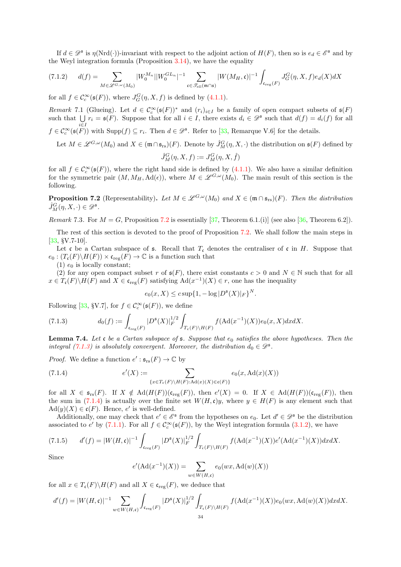If  $d \in \mathscr{D}^{\mathfrak{s}}$  is  $\eta(\mathrm{Nrd}(\cdot))$ -invariant with respect to the adjoint action of  $H(F)$ , then so is  $e_d \in \mathscr{E}^{\mathfrak{s}}$  and by the Weyl integration formula (Proposition [3.14\)](#page-11-4), we have the equality

<span id="page-33-5"></span>
$$
(7.1.2) \qquad d(f) = \sum_{M \in \mathscr{L}^{G,\omega}(M_0)} |W_0^{M_n}| |W_0^{GL_n}|^{-1} \sum_{\mathfrak{c} \in \mathscr{T}_{\text{ell}}(\mathfrak{m} \cap \mathfrak{s})} |W(M_H, \mathfrak{c})|^{-1} \int_{\mathfrak{c}_{\text{reg}}(F)} J_G^G(\eta, X, f) e_d(X) dX
$$

for all  $f \in C_c^{\infty}(\mathfrak{s}(F))$ , where  $J_G^G(\eta, X, f)$  is defined by [\(4.1.1\)](#page-16-2).

<span id="page-33-6"></span>Remark 7.1 (Glueing). Let  $d \in C_c^{\infty}(\mathfrak{s}(F))^*$  and  $(r_i)_{i \in I}$  be a family of open compact subsets of  $\mathfrak{s}(F)$ such that  $\bigcup_{i=1}^r r_i = \mathfrak{s}(F)$ . Suppose that for all  $i \in I$ , there exists  $d_i \in \mathscr{D}^{\mathfrak{s}}$  such that  $d(f) = d_i(f)$  for all  $f \in \mathcal{C}_c^{\infty}(\mathfrak{s}(F))$  with  $\text{Supp}(f) \subseteq r_i$ . Then  $d \in \mathscr{D}^{\mathfrak{s}}$ . Refer to [\[33,](#page-55-2) Remarque V.6] for the details.

Let  $M \in \mathscr{L}^{G,\omega}(M_0)$  and  $X \in (\mathfrak{m} \cap \mathfrak{s}_{rs})(F)$ . Denote by  $\hat{J}_M^G(\eta,X,\cdot)$  the distribution on  $\mathfrak{s}(F)$  defined by

$$
\hat{J}^G_M(\eta,X,f):=J^G_M(\eta,X,\hat{f})
$$

for all  $f \in C_c^{\infty}(\mathfrak{s}(F))$ , where the right hand side is defined by  $(4.1.1)$ . We also have a similar definition for the symmetric pair  $(M, M_H, \text{Ad}(\epsilon))$ , where  $M \in \mathscr{L}^{G,\omega}(M_0)$ . The main result of this section is the following.

<span id="page-33-0"></span>**Proposition 7.2** (Representability). Let  $M \in \mathcal{L}^{G,\omega}(M_0)$  and  $X \in (\mathfrak{m} \cap \mathfrak{s}_{rs})(F)$ . Then the distribution  $\hat{J}_M^G(\eta, X, \cdot) \in \mathscr{D}^{\mathfrak{s}}$ .

Remark 7.3. For  $M = G$ , Proposition [7.2](#page-33-0) is essentially [\[37,](#page-55-1) Theorem 6.1.(i)] (see also [\[36,](#page-55-5) Theorem 6.2]).

The rest of this section is devoted to the proof of Proposition [7.2.](#page-33-0) We shall follow the main steps in [\[33,](#page-55-2) §V.7-10].

Let c be a Cartan subspace of  $\epsilon$ . Recall that  $T_{\epsilon}$  denotes the centraliser of c in H. Suppose that  $e_0: (T_{\mathfrak{c}}(F) \backslash H(F)) \times {\mathfrak{c}}_{\text{reg}}(F) \to {\mathbb{C}}$  is a function such that

 $(1)$   $e_0$  is locally constant;

(2) for any open compact subset r of  $\mathfrak{s}(F)$ , there exist constants  $c > 0$  and  $N \in \mathbb{N}$  such that for all  $x \in T_{\mathfrak{c}}(F) \backslash H(F)$  and  $X \in \mathfrak{c}_{reg}(F)$  satisfying  $\text{Ad}(x^{-1})(X) \in r$ , one has the inequality

$$
e_0(x, X) \le c \sup\{1, -\log |D^{\mathfrak{s}}(X)|_F\}^N.
$$

Following [\[33,](#page-55-2) §V.7], for  $f \in \mathcal{C}_c^{\infty}(\mathfrak{s}(F))$ , we define

<span id="page-33-1"></span>(7.1.3) 
$$
d_0(f) := \int_{\mathfrak{c}_{\text{reg}}(F)} |D^{\mathfrak{s}}(X)|_F^{1/2} \int_{T_{\mathfrak{c}}(F)\backslash H(F)} f(\text{Ad}(x^{-1})(X)) e_0(x, X) dx dx.
$$

<span id="page-33-4"></span>**Lemma 7.4.** Let c be a Cartan subspace of  $s$ . Suppose that  $e_0$  satisfies the above hypotheses. Then the integral [\(7.1.3\)](#page-33-1) is absolutely convergent. Moreover, the distribution  $d_0 \in \mathscr{D}^{\mathfrak{s}}$ .

*Proof.* We define a function  $e' : \mathfrak{s}_{rs}(F) \to \mathbb{C}$  by

<span id="page-33-2"></span>(7.1.4) 
$$
e'(X) := \sum_{\{x \in T_{\mathfrak{c}}(F) \backslash H(F): \mathrm{Ad}(x)(X) \in \mathfrak{c}(F)\}} e_0(x, \mathrm{Ad}(x)(X))
$$

for all  $X \in \mathfrak{s}_{rs}(F)$ . If  $X \notin \mathrm{Ad}(H(F))(\mathfrak{c}_{reg}(F))$ , then  $e'(X) = 0$ . If  $X \in \mathrm{Ad}(H(F))(\mathfrak{c}_{reg}(F))$ , then the sum in [\(7.1.4\)](#page-33-2) is actually over the finite set  $W(H, c)y$ , where  $y \in H(F)$  is any element such that  $\operatorname{Ad}(y)(X) \in \mathfrak{c}(F)$ . Hence, e' is well-defined.

Additionally, one may check that  $e' \in \mathcal{E}^{\mathfrak{s}}$  from the hypotheses on  $e_0$ . Let  $d' \in \mathcal{D}^{\mathfrak{s}}$  be the distribution associated to e' by [\(7.1.1\)](#page-32-4). For all  $f \in C_c^{\infty}(\mathfrak{s}(F))$ , by the Weyl integration formula [\(3.1.2\)](#page-6-3), we have

<span id="page-33-3"></span>
$$
(7.1.5) \t d'(f) = |W(H, \mathfrak{c})|^{-1} \int_{\mathfrak{c}_{\text{reg}}(F)} |D^{\mathfrak{s}}(X)|_F^{1/2} \int_{T_{\mathfrak{c}}(F)\backslash H(F)} f(\text{Ad}(x^{-1})(X))e'(\text{Ad}(x^{-1})(X))dxdX.
$$

Since

 $e'(\text{Ad}(x^{-1})(X)) = \sum$  $w\in W(H,\mathfrak{c})$  $e_0(wx, \operatorname{Ad}(w)(X))$ 

for all  $x \in T_{\mathfrak{c}}(F) \backslash H(F)$  and all  $X \in \mathfrak{c}_{reg}(F)$ , we deduce that

$$
d'(f) = |W(H, \mathfrak{c})|^{-1} \sum_{w \in W(H, \mathfrak{c})} \int_{\mathfrak{c}_{\text{reg}}(F)} |D^{\mathfrak{s}}(X)|_F^{1/2} \int_{T_{\mathfrak{c}}(F) \backslash H(F)} f(\text{Ad}(x^{-1})(X)) e_0(wx, \text{Ad}(w)(X)) dxdX.
$$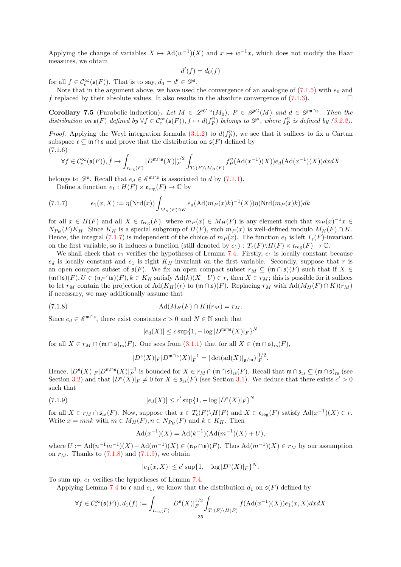Applying the change of variables  $X \mapsto \mathrm{Ad}(w^{-1})(X)$  and  $x \mapsto w^{-1}x$ , which does not modify the Haar measures, we obtain

$$
d'(f) = d_0(f)
$$

for all  $f \in \mathcal{C}_c^{\infty}(\mathfrak{s}(F))$ . That is to say,  $d_0 = d' \in \mathcal{D}^{\mathfrak{s}}$ .

Note that in the argument above, we have used the convergence of an analogue of  $(7.1.5)$  with  $e_0$  and f replaced by their absolute values. It also results in the absolute convergence of [\(7.1.3\)](#page-33-1).

<span id="page-34-4"></span>**Corollary 7.5** (Parabolic induction). Let  $M \in \mathscr{L}^{G,\omega}(M_0)$ ,  $P \in \mathscr{P}^G(M)$  and  $d \in \mathscr{D}^{m \cap \mathfrak{s}}$ . Then the distribution on  $\mathfrak{s}(F)$  defined by  $\forall f \in \mathcal{C}_c^{\infty}(\mathfrak{s}(F)), f \mapsto d(f_P^{\eta})$  belongs to  $\mathscr{D}^{\mathfrak{s}},$  where  $f_P^{\eta}$  is defined by [\(3.2.2\)](#page-11-2).

*Proof.* Applying the Weyl integration formula [\(3.1.2\)](#page-6-3) to  $d(f_P^{\eta})$ , we see that it suffices to fix a Cartan subspace  $\mathfrak{c} \subseteq \mathfrak{m} \cap \mathfrak{s}$  and prove that the distribution on  $\mathfrak{s}(F)$  defined by (7.1.6)

<span id="page-34-3"></span>
$$
\forall f\in \mathcal{C}^\infty_c(\mathfrak{s}(F)), f\mapsto \int_{\mathfrak{c}_{\rm reg}(F)} |D^{{\mathfrak m}\cap{\mathfrak s}}(X)|_F^{1/2}\int_{T_{\mathfrak{c}}(F)\backslash M_H(F)} f_P^\eta({\rm Ad}(x^{-1})(X))e_d({\rm Ad}(x^{-1})(X))dx dX
$$

belongs to  $\mathscr{D}^s$ . Recall that  $e_d \in \mathscr{E}^{\mathfrak{m}\cap \mathfrak{s}}$  is associated to d by [\(7.1.1\)](#page-32-4).

<span id="page-34-0"></span>Define a function  $e_1 : H(F) \times \mathfrak{c}_{\text{reg}}(F) \to \mathbb{C}$  by

(7.1.7) 
$$
e_1(x,X) := \eta(\mathrm{Nrd}(x)) \int_{M_H(F) \cap K} e_d(\mathrm{Ad}(m_P(x)k)^{-1}(X)) \eta(\mathrm{Nrd}(m_P(x)k))dk
$$

for all  $x \in H(F)$  and all  $X \in \mathfrak{c}_{\text{reg}}(F)$ , where  $m_P(x) \in M_H(F)$  is any element such that  $m_P(x)^{-1}x \in$  $N_{P_H}(F)K_H$ . Since  $K_H$  is a special subgroup of  $H(F)$ , such  $m_P(x)$  is well-defined modulo  $M_H(F) \cap K$ . Hence, the integral [\(7.1.7\)](#page-34-0) is independent of the choice of  $m_P(x)$ . The function  $e_1$  is left  $T_c(F)$ -invariant on the first variable, so it induces a function (still denoted by  $e_1$ ) :  $T_c(F)\backslash H(F) \times \mathfrak{c}_{reg}(F) \to \mathbb{C}$ .

We shall check that  $e_1$  verifies the hypotheses of Lemma [7.4.](#page-33-4) Firstly,  $e_1$  is locally constant because  $e_d$  is locally constant and  $e_1$  is right  $K_H$ -invariant on the first variable. Secondly, suppose that r is an open compact subset of  $\mathfrak{s}(F)$ . We fix an open compact subset  $r_M \subseteq (\mathfrak{m} \cap \mathfrak{s})(F)$  such that if  $X \in$  $(\mathfrak{m}\cap\mathfrak{s})(F), U \in (\mathfrak{n}_P\cap\mathfrak{s})(F), k \in K_H$  satisfy  $\text{Ad}(k)(X+U) \in r$ , then  $X \in r_M$ ; this is possible for it suffices to let  $r_M$  contain the projection of Ad( $K_H(r)$  to  $(\mathfrak{m} \cap \mathfrak{s})(F)$ . Replacing  $r_M$  with Ad( $M_H(F) \cap K$ ) $(r_M)$ if necessary, we may additionally assume that

(7.1.8) Ad(MH(F) ∩ K)(r<sup>M</sup> ) = r<sup>M</sup> .

Since  $e_d \in \mathscr{E}^{\mathfrak{m}\cap \mathfrak{s}}$ , there exist constants  $c > 0$  and  $N \in \mathbb{N}$  such that

<span id="page-34-1"></span>
$$
|e_d(X)| \le c \sup\{1, -\log|D^{\mathfrak{m}\cap\mathfrak{s}}(X)|_F\}^N
$$

for all  $X \in r_M \cap (\mathfrak{m} \cap \mathfrak{s})_{rs}(F)$ . One sees from  $(3.1.1)$  that for all  $X \in (\mathfrak{m} \cap \mathfrak{s})_{rs}(F)$ ,

$$
|D^{\mathfrak{s}}(X)|_F|D^{\mathfrak{m}\cap\mathfrak{s}}(X)|_F^{-1}=|\det(\mathrm{ad}(X)|_{\mathfrak{g}/\mathfrak{m}})|_F^{1/2}.
$$

Hence,  $|D^{\mathfrak{s}}(X)|_F |D^{\mathfrak{m}\cap\mathfrak{s}}(X)|_F^{-1}$  is bounded for  $X \in r_M \cap (\mathfrak{m} \cap \mathfrak{s})_{rs}(F)$ . Recall that  $\mathfrak{m} \cap \mathfrak{s}_{rs} \subseteq (\mathfrak{m} \cap \mathfrak{s})_{rs}$  (see Section [3.2\)](#page-8-0) and that  $|D^{\mathfrak{s}}(X)|_F \neq 0$  for  $X \in \mathfrak{s}_{rs}(F)$  (see Section [3.1\)](#page-6-1). We deduce that there exists  $c' > 0$ such that

(7.1.9) 
$$
|e_d(X)| \le c' \sup\{1, -\log |D^{\mathfrak{s}}(X)|_F\}^N
$$

for all  $X \in r_M \cap \mathfrak{s}_{rs}(F)$ . Now, suppose that  $x \in T_c(F) \backslash H(F)$  and  $X \in \mathfrak{c}_{reg}(F)$  satisfy  $\text{Ad}(x^{-1})(X) \in r$ . Write  $x = mnk$  with  $m \in M_H(F)$ ,  $n \in N_{P_H}(F)$  and  $k \in K_H$ . Then

<span id="page-34-2"></span>
$$
Ad(x^{-1})(X) = Ad(k^{-1})(Ad(m^{-1})(X) + U),
$$

where  $U := \text{Ad}(n^{-1}m^{-1})(X) - \text{Ad}(m^{-1})(X) \in (\mathfrak{n}_P \cap \mathfrak{s})(F)$ . Thus  $\text{Ad}(m^{-1})(X) \in r_M$  by our assumption on  $r_M$ . Thanks to  $(7.1.8)$  and  $(7.1.9)$ , we obtain

$$
|e_1(x, X)| \le c' \sup\{1, -\log |D^{\mathfrak{s}}(X)|_F\}^N.
$$

To sum up,  $e_1$  verifies the hypotheses of Lemma [7.4.](#page-33-4)

Applying Lemma [7.4](#page-33-4) to c and  $e_1$ , we know that the distribution  $d_1$  on  $\mathfrak{s}(F)$  defined by

$$
\forall f\in \mathcal{C}^\infty_c(\mathfrak{s}(F)), d_1(f):=\int_{\mathfrak{c}_{\text{reg}}(F)} |D^\mathfrak{s}(X)|_F^{1/2}\int_{T_\mathfrak{c}(F)\backslash H(F)} f(\textup{Ad}(x^{-1})(X))e_1(x,X)dx dX
$$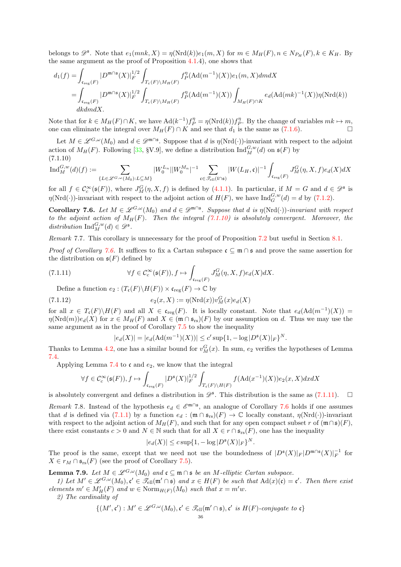belongs to  $\mathscr{D}^{\mathfrak{s}}$ . Note that  $e_1(mnk, X) = \eta(\text{Nrd}(k))e_1(m, X)$  for  $m \in M_H(F)$ ,  $n \in N_{P_H}(F)$ ,  $k \in K_H$ . By the same argument as the proof of Proposition [4.1.](#page-16-3)4), one shows that

$$
\begin{aligned} d_1(f) =& \int_{\mathfrak{c}_{\text{reg}}(F)} |D^{\mathfrak{m} \cap \mathfrak{s}}(X)|_F^{1/2} \int_{T_{\mathfrak{c}}(F)\backslash M_H(F)} f_P^\eta(\text{Ad}(m^{-1})(X)) e_1(m,X) dm dX \\ =& \int_{\mathfrak{c}_{\text{reg}}(F)} |D^{\mathfrak{m} \cap \mathfrak{s}}(X)|_F^{1/2} \int_{T_{\mathfrak{c}}(F)\backslash M_H(F)} f_P^\eta(\text{Ad}(m^{-1})(X)) \int_{M_H(F) \cap K} e_d(\text{Ad}(mk)^{-1}(X)) \eta(\text{Nrd}(k)) \\ dk dm dX. \end{aligned}
$$

Note that for  $k \in M_H(F) \cap K$ , we have  $\text{Ad}(k^{-1}) f_P^{\eta} = \eta(\text{Nrd}(k)) f_P^{\eta}$ . By the change of variables  $mk \mapsto m$ , one can eliminate the integral over  $M_H(F) \cap K$  and see that  $d_1$  is the same as [\(7.1.6\)](#page-34-3). □

Let  $M \in \mathscr{L}^{G,\omega}(M_0)$  and  $d \in \mathscr{D}^{m\cap \mathfrak{s}}$ . Suppose that d is  $\eta(\mathrm{Nrd}(\cdot))$ -invariant with respect to the adjoint action of  $M_H(F)$ . Following [\[33,](#page-55-2) §V.9], we define a distribution  $\text{Ind}_{M}^{G,w}(d)$  on  $\mathfrak{s}(F)$  by  $(7.1.10)$ 

<span id="page-35-0"></span>
$$
\mathrm{Ind}_{M}^{G,w}(d)(f):=\sum_{\{L\in \mathscr{L}^{G,w}(M_0): L\subseteq M\}}|W_{0}^{L_n}||W_{0}^{M_n}|^{-1}\sum_{\mathfrak{c}\in \mathscr{T}_{\mathrm{ell}}(\mathfrak{l}\cap \mathfrak{s})}|W(L_H,\mathfrak{c})|^{-1}\int_{\mathfrak{c}_{\mathrm{reg}}(F)}J_{M}^G(\eta,X,f)e_d(X)dX
$$

for all  $f \in C_c^{\infty}(\mathfrak{s}(F))$ , where  $J_M^G(\eta, X, f)$  is defined by [\(4.1.1\)](#page-16-2). In particular, if  $M = G$  and  $d \in \mathscr{D}^{\mathfrak{s}}$  is  $\eta(\text{Nrd}(\cdot))$ -invariant with respect to the adjoint action of  $H(F)$ , we have  $\text{Ind}_{G}^{G,w}(d) = d$  by  $(7.1.2)$ .

<span id="page-35-1"></span>**Corollary 7.6.** Let  $M \in \mathscr{L}^{G,\omega}(M_0)$  and  $d \in \mathscr{D}^{m \cap s}$ . Suppose that d is  $\eta(\text{Nrd}(\cdot))$ -invariant with respect to the adjoint action of  $M_H(F)$ . Then the integral [\(7.1.10\)](#page-35-0) is absolutely convergent. Moreover, the distribution  $\mathrm{Ind}_{M}^{G,w}(d) \in \mathscr{D}^{\mathfrak{s}}$ .

Remark 7.7. This corollary is unnecessary for the proof of Proposition [7.2](#page-33-0) but useful in Section [8.1.](#page-40-2)

*Proof of Corollary [7.6.](#page-35-1)* It suffices to fix a Cartan subspace  $\mathfrak{c} \subseteq \mathfrak{m} \cap \mathfrak{s}$  and prove the same assertion for the distribution on  $\mathfrak{s}(F)$  defined by

(7.1.11) 
$$
\forall f \in C_c^{\infty}(\mathfrak{s}(F)), f \mapsto \int_{\mathfrak{c}_{\text{reg}}(F)} J_M^G(\eta, X, f) e_d(X) dX.
$$

Define a function  $e_2 : (T_{\mathfrak{c}}(F) \backslash H(F)) \times {\mathfrak{c}}_{\text{reg}}(F) \to {\mathbb{C}}$  by

(7.1.12) 
$$
e_2(x, X) := \eta(\text{Nrd}(x))v_M^G(x)e_d(X)
$$

for all  $x \in T_c(F) \backslash H(F)$  and all  $X \in \mathfrak{c}_{reg}(F)$ . It is locally constant. Note that  $e_d(\text{Ad}(m^{-1})(X)) =$  $\eta(\text{Nrd}(m))e_d(X)$  for  $x \in M_H(F)$  and  $X \in (\mathfrak{m} \cap \mathfrak{s}_{rs})(F)$  by our assumption on d. Thus we may use the same argument as in the proof of Corollary [7.5](#page-34-4) to show the inequality

<span id="page-35-4"></span><span id="page-35-2"></span>
$$
|e_d(X)| = |e_d(\text{Ad}(m^{-1})(X))| \le c' \sup\{1, -\log|D^{\mathfrak{s}}(X)|_F\}^N.
$$

Thanks to Lemma [4.2,](#page-18-0) one has a similar bound for  $v_M^G(x)$ . In sum,  $e_2$  verifies the hypotheses of Lemma [7.4.](#page-33-4)

Applying Lemma [7.4](#page-33-4) to  $\mathfrak c$  and  $e_2$ , we know that the integral

$$
\forall f\in \mathcal{C}^\infty_c(\mathfrak{s}(F)), f\mapsto \int_{\mathfrak{c}_{\rm reg}(F)} |D^\mathfrak{s}(X)|_F^{1/2}\int_{T_\mathfrak{c}(F)\backslash H(F)} f(\mathrm{Ad}(x^{-1})(X))e_2(x,X) dx dX
$$

is absolutely convergent and defines a distribution in  $\mathscr{D}^{\mathfrak{s}}$ . This distribution is the same as  $(7.1.11)$ .  $\Box$ 

Remark 7.8. Instead of the hypothesis  $e_d \in \mathcal{E}^{\mathfrak{m}\cap\mathfrak{s}}$ , an analogue of Corollary [7.6](#page-35-1) holds if one assumes that d is defined via [\(7.1.1\)](#page-32-4) by a function  $e_d : (\mathfrak{m} \cap \mathfrak{s}_{rs})(F) \to \mathbb{C}$  locally constant,  $\eta(\text{Nrd}(\cdot))$ -invariant with respect to the adjoint action of  $M_H(F)$ , and such that for any open compact subset r of  $(\mathfrak{m} \cap \mathfrak{s})(F)$ , there exist constants  $c > 0$  and  $N \in \mathbb{N}$  such that for all  $X \in r \cap \mathfrak{s}_{rs}(F)$ , one has the inequality

$$
|e_d(X)| \leq c \sup\{1, -\log|D^{\mathfrak{s}}(X)|_F\}^N.
$$

The proof is the same, except that we need not use the boundedness of  $|D^{\mathfrak{s}}(X)|_F |D^{\mathfrak{m}\cap\mathfrak{s}}(X)|_F^{-1}$  for  $X \in r_M \cap \mathfrak{s}_{rs}(F)$  (see the proof of Corollary [7.5\)](#page-34-4).

<span id="page-35-3"></span>**Lemma 7.9.** Let  $M \in \mathscr{L}^{G,\omega}(M_0)$  and  $\mathfrak{c} \subseteq \mathfrak{m} \cap \mathfrak{s}$  be an M-elliptic Cartan subspace.

1) Let  $M' \in \mathscr{L}^{G,\omega}(M_0), \mathfrak{c}' \in \mathscr{T}_{ell}(\mathfrak{m}' \cap \mathfrak{s})$  and  $x \in H(F)$  be such that  $\text{Ad}(x)(\mathfrak{c}) = \mathfrak{c}'$ . Then there exist elements  $m' \in M'_H(F)$  and  $w \in \text{Norm}_{H(F)}(M_0)$  such that  $x = m'w$ .

2) The cardinality of

$$
\{(M', \mathfrak{c}') : M' \in \mathscr{L}^{G, \omega}(M_0), \mathfrak{c}' \in \mathscr{T}_{\text{ell}}(\mathfrak{m}' \cap \mathfrak{s}), \mathfrak{c}' \text{ is } H(F)\text{-conjugate to } \mathfrak{c}\}
$$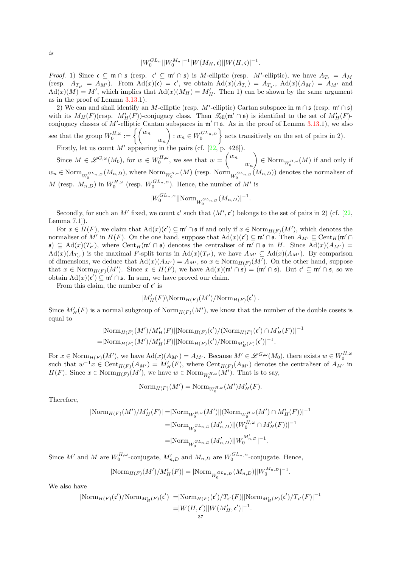$$
|W_0^{GL_n}||W_0^{M_n}|^{-1}|W(M_H, \mathfrak{c})||W(H, \mathfrak{c})|^{-1}
$$

.

.

*Proof.* 1) Since  $\mathfrak{c} \subseteq \mathfrak{m} \cap \mathfrak{s}$  (resp.  $\mathfrak{c}' \subseteq \mathfrak{m}' \cap \mathfrak{s}$ ) is M-elliptic (resp. M'-elliptic), we have  $A_{T_{\mathfrak{c}}} = A_M$ (resp.  $A_{T_{\mathfrak{c}'}} = A_{M'}$ ). From  $\text{Ad}(x)(\mathfrak{c}) = \mathfrak{c}'$ , we obtain  $\text{Ad}(x)(A_{T_{\mathfrak{c}}}) = A_{T_{\mathfrak{c}'}}$ ,  $\text{Ad}(x)(A_M) = A_{M'}$  and  $\text{Ad}(x)(M) = M'$ , which implies that  $\text{Ad}(x)(M_H) = M'_H$ . Then 1) can be shown by the same argument as in the proof of Lemma [3.13.](#page-10-0)1).

2) We can and shall identify an M-elliptic (resp. M'-elliptic) Cartan subspace in  $\mathfrak{m} \cap \mathfrak{s}$  (resp.  $\mathfrak{m}' \cap \mathfrak{s}$ ) with its  $M_H(F)(\text{resp. } M'_H(F))$ -conjugacy class. Then  $\mathscr{T}_{ell}(\mathfrak{m}' \cap \mathfrak{s})$  is identified to the set of  $M'_H(F)$ conjugacy classes of M'-elliptic Cantan subspaces in  $\mathfrak{m}' \cap \mathfrak{s}$ . As in the proof of Lemma [3.13.](#page-10-0)1), we also see that the group  $W_0^{H,\omega} := \begin{cases} \begin{pmatrix} w_n \\ w_n \end{pmatrix} \end{cases}$  $\overline{ }$  $: w_n \in W_0^{GL_{n,D}}$  $\mathcal{L}$ acts transitively on the set of pairs in 2).

Firstly, let us count M' appearing in the pairs (cf.  $[22, p. 426]$ ).

Since  $M \in \mathscr{L}^{G,\omega}(M_0)$ , for  $w \in W_0^{H,\omega}$ , we see that  $w =$  $\sqrt{w_n}$  $w_n$  $\overline{ }$  $\in \text{Norm}_{W_0^{H,\omega}}(M)$  if and only if  $w_n \in \text{Norm}_{W_0^{GL_n,D}}(M_{n,D}),$  where  $\text{Norm}_{W_0^{H,\omega}}(M)$  (resp.  $\text{Norm}_{W_0^{GL_n,D}}(M_{n,D}))$  denotes the normaliser of M (resp.  $M_{n,D}$ ) in  $W_0^{H,\omega}$  (resp.  $W_0^{GL_{n,D}}$ ). Hence, the number of M' is

$$
|W_0^{GL_{n,D}}| |\text{Norm}_{W_0^{GL_{n,D}}}(M_{n,D})|^{-1}
$$

Secondly, for such an M' fixed, we count  $\mathfrak{c}'$  such that  $(M', \mathfrak{c}')$  belongs to the set of pairs in 2) (cf. [\[22,](#page-55-11) Lemma 7.1]).

For  $x \in H(F)$ , we claim that  $\text{Ad}(x)(\mathfrak{c}') \subseteq \mathfrak{m}' \cap \mathfrak{s}$  if and only if  $x \in \text{Norm}_{H(F)}(M')$ , which denotes the normaliser of M' in  $H(F)$ . On the one hand, suppose that  $\text{Ad}(x)(\mathfrak{c}') \subseteq \mathfrak{m}' \cap \mathfrak{s}$ . Then  $A_{M'} \subseteq \text{Cent}_H(\mathfrak{m}' \cap \mathfrak{c})$  $\mathfrak{s}) \subseteq \text{Ad}(x)(T_{\mathfrak{c}'})$ , where  $\text{Cent}_H(\mathfrak{m}' \cap \mathfrak{s})$  denotes the centraliser of  $\mathfrak{m}' \cap \mathfrak{s}$  in H. Since  $\text{Ad}(x)(A_{M'}) =$  $\text{Ad}(x)(A_{T_{\mathfrak{c}'}})$  is the maximal F-split torus in  $\text{Ad}(x)(T_{\mathfrak{c}'})$ , we have  $A_{M'} \subseteq \text{Ad}(x)(A_{M'})$ . By comparison of dimensions, we deduce that  $\text{Ad}(x)(A_{M'}) = A_{M'}$ , so  $x \in \text{Norm}_{H(F)}(M')$ . On the other hand, suppose that  $x \in \text{Norm}_{H(F)}(M')$ . Since  $x \in H(F)$ , we have  $\text{Ad}(x)(\mathfrak{m}' \cap \mathfrak{s}) = (\mathfrak{m}' \cap \mathfrak{s})$ . But  $\mathfrak{c}' \subseteq \mathfrak{m}' \cap \mathfrak{s}$ , so we obtain  $\text{Ad}(x)(\mathfrak{c}') \subseteq \mathfrak{m}' \cap \mathfrak{s}$ . In sum, we have proved our claim.

From this claim, the number of  $\mathfrak{c}'$  is

$$
|M'_H(F)\setminus \text{Norm}_{H(F)}(M')/\text{Norm}_{H(F)}(\mathfrak{c}')|.
$$

Since  $M'_H(F)$  is a normal subgroup of  $\text{Norm}_{H(F)}(M')$ , we know that the number of the double cosets is equal to

$$
|\text{Norm}_{H(F)}(M')/M'_H(F)||\text{Norm}_{H(F)}(\mathfrak{c}')/(\text{Norm}_{H(F)}(\mathfrak{c}') \cap M'_H(F))|^{-1}
$$
  
=|\text{Norm}\_{H(F)}(M')/M'\_H(F)||\text{Norm}\_{H(F)}(\mathfrak{c}')/\text{Norm}\_{M'\_H(F)}(\mathfrak{c}')|^{-1}.

For  $x \in \text{Norm}_{H(F)}(M')$ , we have  $\text{Ad}(x)(A_{M'}) = A_{M'}$ . Because  $M' \in \mathscr{L}^{G,\omega}(M_0)$ , there exists  $w \in W_0^{H,\omega}$ such that  $w^{-1}x \in \text{Cent}_{H(F)}(A_{M'}) = M'_{H}(F)$ , where  $\text{Cent}_{H(F)}(A_{M'})$  denotes the centraliser of  $A_{M'}$  in  $H(F)$ . Since  $x \in \text{Norm}_{H(F)}(M')$ , we have  $w \in \text{Norm}_{W_0^{H,\omega}}(M')$ . That is to say,

$$
\operatorname{Norm}_{H(F)}(M') = \operatorname{Norm}_{W_0^{H,\omega}}(M')M'_H(F).
$$

Therefore,

$$
\begin{aligned} |\text{Norm}_{H(F)}(M')/M'_{H}(F)|=&|\text{Norm}_{W_0^{H,\omega}}(M')||(\text{Norm}_{W_0^{H,\omega}}(M')\cap M'_{H}(F))|^{-1}\\ =&|\text{Norm}_{W_0^{GL_n,D}}(M'_{n,D})||(W_0^{H,\omega}\cap M'_{H}(F))|^{-1}\\ =&|\text{Norm}_{W_0^{GL_n,D}}(M'_{n,D})||W_0^{M'_{n,D}}|^{-1}.\end{aligned}
$$

Since  $M'$  and  $M$  are  $W_0^{H,\omega}$ -conjugate,  $M'_{n,D}$  and  $M_{n,D}$  are  $W_0^{GL_{n,D}}$ -conjugate. Hence,

$$
|\text{Norm}_{H(F)}(M')/M'_H(F)| = |\text{Norm}_{W_0^{GL_{n,D}}}(M_{n,D})| |W_0^{M_{n,D}}|^{-1}.
$$

We also have

$$
|\text{Norm}_{H(F)}(\mathfrak{c}')/\text{Norm}_{M'_H(F)}(\mathfrak{c}')| = |\text{Norm}_{H(F)}(\mathfrak{c}')/T_{\mathfrak{c}'}(F)||\text{Norm}_{M'_H(F)}(\mathfrak{c}')/T_{\mathfrak{c}'}(F)|^{-1}
$$
  
=|W(H,  $\mathfrak{c}'$ )||W(M'<sub>H</sub>,  $\mathfrak{c}'$ )|<sup>-1</sup>.  
<sub>37</sub>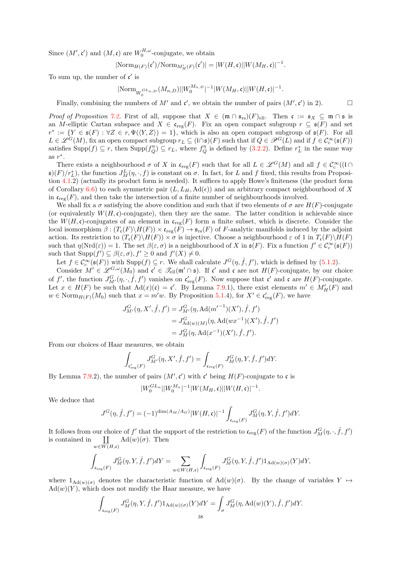Since  $(M', \mathfrak{c}')$  and  $(M, \mathfrak{c})$  are  $W_0^{H, \omega}$ -conjugate, we obtain

$$
|\text{Norm}_{H(F)}(\mathfrak{c}')/ \text{Norm}_{M'_H(F)}(\mathfrak{c}')| = |W(H, \mathfrak{c})| |W(M_H, \mathfrak{c})|^{-1}.
$$

To sum up, the number of  $\mathfrak{c}'$  is

$$
|\text{Norm}_{W_0^{GL_{n,D}}}(M_{n,D})||W_0^{M_{n,D}}|^{-1}|W(M_H,\mathfrak{c})||W(H,\mathfrak{c})|^{-1}.
$$

Finally, combining the numbers of M' and  $\mathfrak{c}'$ , we obtain the number of pairs  $(M', \mathfrak{c}')$  in 2).

*Proof of Proposition [7.2.](#page-33-0)* First of all, suppose that  $X \in (\mathfrak{m} \cap \mathfrak{s}_{rs})(F)_{ell}$ . Then  $\mathfrak{c} := \mathfrak{s}_X \subseteq \mathfrak{m} \cap \mathfrak{s}$  is an M-elliptic Cartan subspace and  $X \in \mathfrak{c}_{reg}(F)$ . Fix an open compact subgroup  $r \subseteq \mathfrak{s}(F)$  and set  $r^* := \{ Y \in \mathfrak{s}(F) : \forall Z \in r, \Psi(\langle Y, Z \rangle) = 1 \},$  which is also an open compact subgroup of  $\mathfrak{s}(F)$ . For all  $L \in \mathscr{L}^G(M)$ , fix an open compact subgroup  $r_L \subseteq (\mathfrak{l} \cap \mathfrak{s})(F)$  such that if  $Q \in \mathscr{P}^G(L)$  and if  $f \in \mathcal{C}_c^{\infty}(\mathfrak{s}(F))$ satisfies  $\text{Supp}(f) \subseteq r$ , then  $\text{Supp}(f_Q^{\eta}) \subseteq r_L$ , where  $f_Q^{\eta}$  is defined by [\(3.2.2\)](#page-11-2). Define  $r_L^*$  in the same way as  $r^*$ .

There exists a neighbourhood  $\sigma$  of X in  $\mathfrak{c}_{reg}(F)$  such that for all  $L \in \mathscr{L}^G(M)$  and all  $f \in \mathcal{C}_c^{\infty}((\mathfrak{l} \cap$  $(\mathfrak{s})(F)/r_L^*$ , the function  $J_M^L(\eta, \cdot, f)$  is constant on  $\sigma$ . In fact, for L and f fixed, this results from Proposition [4.1.](#page-16-3)2) (actually its product form is needed). It suffices to apply Howe's finiteness (the product form of Corollary [6.6\)](#page-31-0) to each symmetric pair  $(L, L_H, \text{Ad}(\epsilon))$  and an arbitrary compact neighbourhood of X in  $\mathfrak{c}_{\text{reg}}(F)$ , and then take the intersection of a finite number of neighbourhoods involved.

We shall fix a  $\sigma$  satisfying the above condition and such that if two elements of  $\sigma$  are  $H(F)$ -conjugate (or equivalently  $W(H, \mathfrak{c})$ -conjugate), then they are the same. The latter condition is achievable since the  $W(H, \mathfrak{c})$ -conjugates of an element in  $\mathfrak{c}_{reg}(F)$  form a finite subset, which is discrete. Consider the local isomorphism  $\beta : (T_{\mathfrak{c}}(F) \backslash H(F)) \times {\mathfrak{c}}_{\text{reg}}(F) \to {\mathfrak{s}}_{\text{rs}}(F)$  of F-analytic manifolds induced by the adjoint action. Its restriction to  $(T_c(F)\backslash H(F)) \times \sigma$  is injective. Choose a neighbourhood  $\varepsilon$  of 1 in  $T_c(F)\backslash H(F)$ such that  $\eta(\mathrm{Nrd}(\varepsilon)) = 1$ . The set  $\beta(\varepsilon, \sigma)$  is a neighbourhood of X in  $\mathfrak{s}(F)$ . Fix a function  $f' \in C_c^{\infty}(\mathfrak{s}(F))$ such that  $\text{Supp}(f') \subseteq \beta(\varepsilon, \sigma), f' \geq 0$  and  $f'(X) \neq 0$ .

Let  $f \in \mathcal{C}_c^{\infty}(\mathfrak{s}(F))$  with  $\text{Supp}(f) \subseteq r$ . We shall calculate  $J^G(\eta, \hat{f}, f')$ , which is defined by [\(5.1.2\)](#page-20-3).

Consider  $M' \in \mathscr{L}_{\infty}^{G,\omega}(M_0)$  and  $\mathfrak{c}' \in \mathscr{T}_{\text{ell}}(\mathfrak{m}' \cap \mathfrak{s})$ . If  $\mathfrak{c}'$  and  $\mathfrak{c}$  are not  $H(F)$ -conjugate, by our choice of f', the function  $J_{M'}^G(\eta, \cdot, \hat{f}, f')$  vanishes on  $\mathfrak{c}'_{\text{reg}}(F)$ . Now suppose that  $\mathfrak{c}'$  and  $\mathfrak{c}$  are  $H(F)$ -conjugate. Let  $x \in H(F)$  be such that  $\text{Ad}(x)(\mathfrak{c}) = \mathfrak{c}'$ . By Lemma [7.9.](#page-35-3)1), there exist elements  $m' \in M'_H(F)$  and  $w \in \text{Norm}_{H(F)}(M_0)$  such that  $x = m'w$ . By Proposition [5.1.](#page-20-2)4), for  $X' \in \mathfrak{c}'_{\text{reg}}(F)$ , we have

$$
J_{M'}^G(\eta, X', \hat{f}, f') = J_{M'}^G(\eta, \text{Ad}(m'^{-1})(X'), \hat{f}, f')
$$
  
=  $J_{\text{Ad}(w)(M)}^G(\eta, \text{Ad}(wx^{-1})(X'), \hat{f}, f')$   
=  $J_M^G(\eta, \text{Ad}(x^{-1})(X'), \hat{f}, f').$ 

From our choices of Haar measures, we obtain

$$
\int_{\mathfrak{c}'_{\text{reg}}(F)} J^G_{M'}(\eta, X', \hat{f}, f') = \int_{\mathfrak{c}_{\text{reg}}(F)} J^G_M(\eta, Y, \hat{f}, f') dY.
$$

By Lemma [7.9.](#page-35-3)2), the number of pairs  $(M', \mathfrak{c}')$  with  $\mathfrak{c}'$  being  $H(F)$ -conjugate to  $\mathfrak{c}$  is

$$
|W_0^{GL_n}||W_0^{M_n}|^{-1}|W(M_H, \mathfrak{c})||W(H, \mathfrak{c})|^{-1}.
$$

We deduce that

$$
J^G(\eta, \hat{f}, f') = (-1)^{\dim(A_M/A_G)} |W(H, \mathfrak{c})|^{-1} \int_{\mathfrak{c}_{\text{reg}}(F)} J^G_M(\eta, Y, \hat{f}, f') dY.
$$

It follows from our choice of f' that the support of the restriction to  $\mathfrak{c}_{\text{reg}}(F)$  of the function  $J_M^G(\eta, \cdot, \hat{f}, f')$ is contained in `  $\coprod_{w\in W(H,\mathfrak{c})}$  $\mathrm{Ad}(w)(\sigma)$ . Then

$$
\int_{\mathfrak{c}_{\text{reg}}(F)}J^G_M(\eta,Y,\hat{f},f')dY=\sum_{w\in W(H,\mathfrak{c})}\int_{\mathfrak{c}_{\text{reg}}(F)}J^G_M(\eta,Y,\hat{f},f')1_{\text{Ad}(w)(\sigma)}(Y)dY,
$$

where  $1_{\text{Ad}(w)(\sigma)}$  denotes the characteristic function of  $\text{Ad}(w)(\sigma)$ . By the change of variables  $Y \mapsto$  $\mathrm{Ad}(w)(Y)$ , which does not modify the Haar measure, we have

$$
\int_{\mathfrak{c}_{\text{reg}}(F)} J_M^G(\eta, Y, \hat{f}, f') 1_{\text{Ad}(w)(\sigma)}(Y) dY = \int_{\sigma} J_M^G(\eta, \text{Ad}(w)(Y), \hat{f}, f') dY.
$$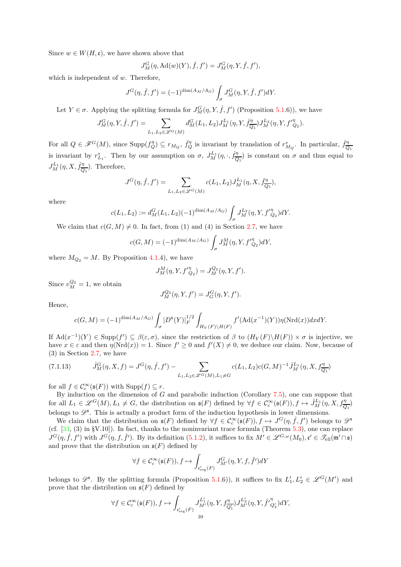Since  $w \in W(H, \mathfrak{c})$ , we have shown above that

$$
J_M^G(\eta, \mathrm{Ad}(w)(Y), \hat{f}, f') = J_M^G(\eta, Y, \hat{f}, f'),
$$

which is independent of w. Therefore,

$$
J^{G}(\eta, \hat{f}, f') = (-1)^{\dim(A_M/A_G)} \int_{\sigma} J^{G}_M(\eta, Y, \hat{f}, f') dY.
$$

Let  $Y \in \sigma$ . Applying the splitting formula for  $J_M^G(\eta, Y, \hat{f}, f')$  (Proposition [5.1.](#page-20-2)6)), we have

$$
J_M^G(\eta, Y, \hat{f}, f') = \sum_{L_1, L_2 \in \mathscr{L}^G(M)} d_M^G(L_1, L_2) J_M^{L_1}(\eta, Y, \hat{f}_{Q_1}^{\eta}) J_M^{L_2}(\eta, Y, f''_{Q_2}).
$$

For all  $Q \in \mathscr{F}^G(M)$ , since  $\text{Supp}(f_Q^{\eta}) \subseteq r_{M_Q}$ ,  $\hat{f}_Q^{\eta}$  is invariant by translation of  $r_{M_Q}^*$ . In particular,  $\hat{f}_Q^{\eta}$  $\scriptstyle Q_1$ is invariant by  $r_{L_1}^*$ . Then by our assumption on  $\sigma$ ,  $J_M^{L_1}(\eta, \cdot, \hat{f}_{\overline{Q}}^{\eta})$  $\frac{\eta}{Q_1}$  is constant on  $\sigma$  and thus equal to  $J^{L_1}_M(\eta,X,\hat{f}^{\eta}_{\overline{O}}$  $\frac{\eta}{Q_1}$ ). Therefore,

$$
J^{G}(\eta, \hat{f}, f') = \sum_{L_1, L_2 \in \mathcal{L}^{G}(M)} c(L_1, L_2) J^{L_1}_{M}(\eta, X, \hat{f}^{n}_{\overline{Q_1}}),
$$

where

$$
c(L_1, L_2) := d_M^G(L_1, L_2)(-1)^{\dim(A_M/A_G)} \int_{\sigma} J_M^{L_2}(\eta, Y, f_{Q_2}) dY.
$$

We claim that  $c(G, M) \neq 0$ . In fact, from (1) and (4) in Section [2.7,](#page-5-1) we have

$$
c(G, M) = (-1)^{\dim(A_M/A_G)} \int_{\sigma} J_M^M(\eta, Y, f'^{\eta}_{Q_2}) dY,
$$

where  $M_{Q_2} = M$ . By Proposition [4.1.](#page-16-3)4), we have

$$
J_M^M(\eta, Y, f'^{\eta}_{Q_2}) = J_M^{Q_2}(\eta, Y, f').
$$

Since  $v_M^{Q_2} = 1$ , we obtain

$$
J_M^{Q_2}(\eta, Y, f') = J_G^G(\eta, Y, f').
$$

Hence,

$$
c(G,M) = (-1)^{\dim(A_M/A_G)} \int_{\sigma} |D^{\mathfrak{s}}(Y)|_F^{1/2} \int_{H_Y(F)\backslash H(F)} f'(\text{Ad}(x^{-1})(Y)) \eta(\text{Nrd}(x)) dx dY.
$$

If  $\text{Ad}(x^{-1})(Y) \in \text{Supp}(f') \subseteq \beta(\varepsilon, \sigma)$ , since the restriction of  $\beta$  to  $(H_Y(F) \backslash H(F)) \times \sigma$  is injective, we have  $x \in \varepsilon$  and then  $\eta(\text{Nrd}(x)) = 1$ . Since  $f' \ge 0$  and  $f'(X) \ne 0$ , we deduce our claim. Now, because of (3) in Section [2.7,](#page-5-1) we have

<span id="page-38-0"></span>
$$
(7.1.13) \qquad \hat{J}_M^G(\eta, X, f) = J^G(\eta, \hat{f}, f') - \sum_{L_1, L_2 \in \mathscr{L}^G(M), L_1 \neq G} c(L_1, L_2) c(G, M)^{-1} \hat{J}_M^{L_1}(\eta, X, f_{\overline{Q_1}}^{\eta})
$$

for all  $f \in \mathcal{C}_c^{\infty}(\mathfrak{s}(F))$  with  $\text{Supp}(f) \subseteq r$ .

By induction on the dimension of  $G$  and parabolic induction (Corollary [7.5\)](#page-34-4), one can suppose that for all  $L_1 \in \mathscr{L}^G(M)$ ,  $L_1 \neq G$ , the distribution on  $\mathfrak{s}(F)$  defined by  $\forall f \in C_c^{\infty}(\mathfrak{s}(F))$ ,  $f \mapsto \hat{J}_M^{L_1}(\eta, X, f_{\overline{Q_1}}^{\eta})$ belongs to  $\mathscr{D}^{\mathfrak{s}}$ . This is actually a product form of the induction hypothesis in lower dimensions.

We claim that the distribution on  $\mathfrak{s}(F)$  defined by  $\forall f \in \mathcal{C}_c^{\infty}(\mathfrak{s}(F)), f \mapsto J^G(\eta, \hat{f}, f')$  belongs to  $\mathscr{D}^{\mathfrak{s}}$ (cf.  $[33, (3)$  in §V.10]). In fact, thanks to the noninvariant trace formula (Theorem [5.3\)](#page-21-0), one can replace  $J^G(\eta, \hat{f}, f')$  with  $J^G(\eta, f, \hat{f}')$ . By its definition [\(5.1.2\)](#page-20-3), it suffices to fix  $M' \in \mathscr{L}^{G,\omega}(M_0)$ ,  $\mathfrak{c}' \in \mathscr{T}_{ell}(\mathfrak{m}' \cap \mathfrak{s})$ and prove that the distribution on  $\mathfrak{s}(F)$  defined by

$$
\forall f\in \mathcal{C}^\infty_c(\mathfrak{s}(F)), f\mapsto \int_{\mathfrak{c}'_{\rm reg}(F)} J^G_{M'}(\eta,Y,f,\widehat{f}')dY
$$

belongs to  $\mathscr{D}^{\mathfrak{s}}$ . By the splitting formula (Proposition [5.1.](#page-20-2)6)), it suffices to fix  $L'_1, L'_2 \in \mathscr{L}^G(M')$  and prove that the distribution on  $\mathfrak{s}(F)$  defined by

$$
\forall f\in \mathcal{C}^\infty_c(\mathfrak{s}(F)), f\mapsto \int_{\mathfrak{c}'_{\rm reg}(F)} J^{L'_1}_{M'}(\eta,Y,f^{\eta}_{\overline{Q'_1}})J^{L'_2}_{M'}(\eta,Y,\widehat{f'}^\eta_{Q'_2})dY,
$$
39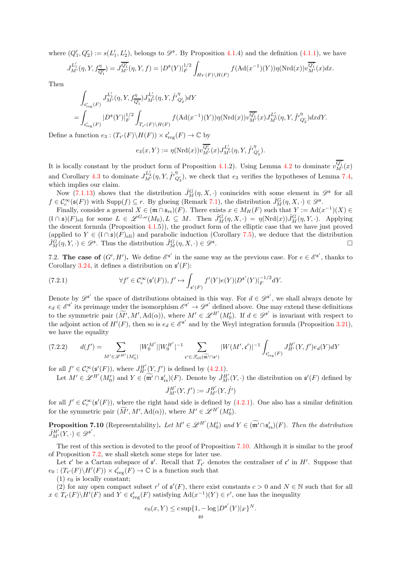where  $(Q'_1, Q'_2) := s(L'_1, L'_2)$ , belongs to  $\mathscr{D}^{\mathfrak{s}}$ . By Proposition [4.1.](#page-16-3)4) and the definition [\(4.1.1\)](#page-16-2), we have

$$
J_{M'}^{L'_1}(\eta, Y, f_{\overline{Q'_1}}^{\eta}) = J_{M'}^{\overline{Q'_1}}(\eta, Y, f) = |D^{\mathfrak{s}}(Y)|_F^{1/2} \int_{H_Y(F)\backslash H(F)} f(\text{Ad}(x^{-1})(Y)) \eta(\text{Nrd}(x)) v_{M'}^{\overline{Q'_1}}(x) dx.
$$

Then

$$
\int_{\mathfrak{c}_{\mathrm{reg}}'(F)} J_{M'}^{L_1'}(\eta, Y, f_{\overline{Q_1}'}^{\eta}) J_{M'}^{L_2'}(\eta, Y, \hat{f'}_{Q_2'}^{\eta}) dY \n= \int_{\mathfrak{c}_{\mathrm{reg}}'(F)} |D^{\mathfrak{s}}(Y)|_F^{1/2} \int_{T_{\mathfrak{c}'}(F)\backslash H(F)} f(\mathrm{Ad}(x^{-1})(Y)) \eta(\mathrm{Nrd}(x)) v_{M'}^{\overline{Q_1}'}(x) J_{M'}^{L_2'}(\eta, Y, \hat{f'}_{Q_2'}^{\eta}) dxdY.
$$

Define a function  $e_3: (T_{\mathfrak{c}'}(F) \backslash H(F)) \times \mathfrak{c}'_{\text{reg}}(F) \to \mathbb{C}$  by

$$
e_3(x,Y):=\eta(\mathrm{Nrd}(x))v^{\overline{Q'_1}}_{M'}(x)J^{L'_2}_{M'}(\eta,Y,\hat{f'}_{Q'_2}^\eta).
$$

It is locally constant by the product form of Proposition [4.1.](#page-16-3)2). Using Lemma [4.2](#page-18-0) to dominate  $v_{M'}^{\overline{Q'_1}}(x)$ and Corollary [4.3](#page-18-1) to dominate  $J_{M'}^{L'_2}(\eta, Y, \hat{f'}_Q^{\eta}$  $Q'_2$ , we check that  $e_3$  verifies the hypotheses of Lemma [7.4,](#page-33-4) which implies our claim.

Now [\(7.1.13\)](#page-38-0) shows that the distribution  $\hat{J}_M^G(\eta, X, \cdot)$  conincides with some element in  $\mathscr{D}^{\mathfrak{s}}$  for all  $f \in \mathcal{C}_c^{\infty}(\mathfrak{s}(F))$  with  $\text{Supp}(f) \subseteq r$ . By glueing (Remark [7.1\)](#page-33-6), the distribution  $\hat{J}_M^G(\eta, X, \cdot) \in \mathscr{D}^{\mathfrak{s}}$ .

Finally, consider a general  $X \in (\mathfrak{m} \cap \mathfrak{s}_{rs})(F)$ . There exists  $x \in M_H(F)$  such that  $Y := \text{Ad}(x^{-1})(X) \in$  $(\mathfrak{l} \cap \mathfrak{s})(F)_{\text{ell}}$  for some  $L \in \mathscr{L}^{G,\omega}(M_0), L \subseteq M$ . Then  $\hat{J}^G_M(\eta, X, \cdot) = \eta(\text{Nrd}(x))\hat{J}^G_M(\eta, Y, \cdot)$ . Applying the descent formula (Proposition [4.1.](#page-16-3)5)), the product form of the elliptic case that we have just proved (applied to  $Y \in (\mathfrak{l} \cap \mathfrak{s})(F)_{\text{ell}}$ ) and parabolic induction (Corollary [7.5\)](#page-34-4), we deduce that the distribution  $\hat{J}_{\mathcal{M}}^G(n, X, \cdot) \in \mathcal{D}^{\mathfrak{s}}$ .  $\hat{J}_M^G(\eta, Y, \cdot) \in \mathscr{D}^{\mathfrak{s}}$ . Thus the distribution  $\hat{J}_M^G(\eta, X, \cdot) \in \mathscr{D}^{\mathfrak{s}}$ .

7.2. The case of  $(G', H')$ . We define  $\mathcal{E}^{\mathfrak{s}'}$  in the same way as the previous case. For  $e \in \mathcal{E}^{\mathfrak{s}'}$ , thanks to Corollary [3.24,](#page-14-3) it defines a distribution on  $\mathfrak{s}'(F)$ :

<span id="page-39-2"></span>(7.2.1) 
$$
\forall f' \in C_c^{\infty}(\mathfrak{s}'(F)), f' \mapsto \int_{\mathfrak{s}'(F)} f'(Y)e(Y)|D^{\mathfrak{s}'}(Y)|_F^{-1/2}dY.
$$

Denote by  $\mathscr{D}^{\mathfrak{s}'}$  the space of distributions obtained in this way. For  $d \in \mathscr{D}^{\mathfrak{s}'}$ , we shall always denote by  $e_d \in \mathscr{E}^{\mathsf{s}'}$  its preimage under the isomorphism  $\mathscr{E}^{\mathsf{s}'} \to \mathscr{D}^{\mathsf{s}'}$  defined above. One may extend these definitions to the symmetric pair  $(\widetilde{M}', M', \mathrm{Ad}(\alpha))$ , where  $M' \in \mathscr{L}^{H'}(M'_{0})$ . If  $d \in \mathscr{D}^{s'}$  is invariant with respect to the adjoint action of  $H'(F)$ , then so is  $e_d \in \mathcal{E}^{s'}$  and by the Weyl integration formula (Proposition [3.21\)](#page-13-2), we have the equality

<span id="page-39-1"></span>
$$
(7.2.2) \t d(f') = \sum_{M' \in \mathscr{L}^{H'}(M'_0)} |W_0^{M'}||W_0^{H'}|^{-1} \sum_{\mathfrak{c}' \in \mathscr{T}_{\text{ell}}(\widetilde{\mathfrak{m}'} \cap \mathfrak{s}')} |W(M', \mathfrak{c}')|^{-1} \int_{\mathfrak{c}'_{\text{reg}}(F)} J_{H'}^{H'}(Y, f') e_d(Y) dY
$$

for all  $f' \in \mathcal{C}_c^{\infty}(\underline{\mathfrak{s}}'(F))$ , where  $J_{H'}^{H'}(Y, f')$  is defined by [\(4.2.1\)](#page-19-0).

Let  $M' \in \mathscr{L}^{H'}(M'_{0})$  and  $Y \in \widetilde{(\mathfrak{m}'} \cap \mathfrak{s}'_{rs})(F)$ . Denote by  $\hat{J}^{H'}_{M'}(Y, \cdot)$  the distribution on  $\mathfrak{s}'(F)$  defined by  $\hat{J}_{M'}^{H'}(Y, f') := J_{M'}^{H'}(Y, \hat{f}')$ 

for all  $f' \in \mathcal{C}_c^{\infty}(\mathfrak{s}'(F))$ , where the right hand side is defined by [\(4.2.1\)](#page-19-0). One also has a similar definition for the symmetric pair  $(\widetilde{M}', M', \mathrm{Ad}(\alpha)),$  where  $M' \in \mathscr{L}^{H'}(M'_{0}).$ 

<span id="page-39-0"></span>**Proposition 7.10** (Representability). Let  $M' \in \mathscr{L}^{H'}(M'_0)$  and  $Y \in (\widetilde{\mathfrak{m}'} \cap \mathfrak{s}'_{rs})(F)$ . Then the distribution  $\hat{J}_{M'}^{H'}(Y,\cdot) \in \mathscr{D}^{\mathfrak{s}'}$ .

The rest of this section is devoted to the proof of Proposition [7.10.](#page-39-0) Although it is similar to the proof of Proposition [7.2,](#page-33-0) we shall sketch some steps for later use.

Let  $\mathfrak{c}'$  be a Cartan subspace of  $\mathfrak{s}'$ . Recall that  $T_{\mathfrak{c}'}$  denotes the centraliser of  $\mathfrak{c}'$  in  $H'$ . Suppose that  $e_0: (T_{\mathfrak{c}'}(F)\backslash H'(F))\times \mathfrak{c}'_{\text{reg}}(F)\to \mathbb{C}$  is a function such that

 $(1)$   $e_0$  is locally constant;

(2) for any open compact subset r' of  $\mathfrak{s}'(F)$ , there exist constants  $c > 0$  and  $N \in \mathbb{N}$  such that for all  $x \in T_{\mathfrak{c}'}(F) \backslash H'(F)$  and  $Y \in \mathfrak{c}'_{\text{reg}}(F)$  satisfying  $\text{Ad}(x^{-1})(Y) \in r'$ , one has the inequality

$$
e_0(x,Y) \le c \sup\{1, -\log |D^{\mathfrak{s}'}(Y)|_F\}^N.
$$
  
<sub>40</sub>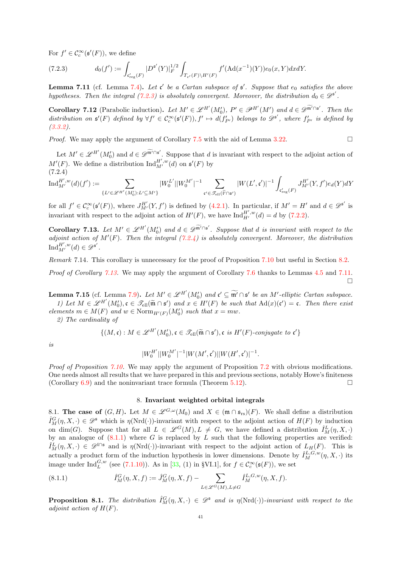For  $f' \in \mathcal{C}_c^{\infty}(\mathfrak{s}'(F))$ , we define

<span id="page-40-3"></span>(7.2.3) 
$$
d_0(f') := \int_{\mathfrak{c}'_{\text{reg}}(F)} |D^{\mathfrak{s}'}(Y)|_F^{1/2} \int_{T_{\mathfrak{c}'}(F)\backslash H'(F)} f'(\text{Ad}(x^{-1})(Y)) e_0(x,Y) dx dY.
$$

<span id="page-40-6"></span>**Lemma 7.11** (cf. Lemma [7.4\)](#page-33-4). Let  $\mathfrak{c}'$  be a Cartan subspace of  $\mathfrak{s}'$ . Suppose that  $e_0$  satisfies the above hypotheses. Then the integral  $(7.2.3)$  is absolutely convergent. Moreover, the distribution  $d_0 \in \mathcal{D}^{\mathfrak{s}'}$ .

**Corollary 7.12** (Parabolic induction). Let  $M' \in \mathscr{L}^{H'}(M'_{0})$ ,  $P' \in \mathscr{P}^{H'}(M')$  and  $d \in \mathscr{D}^{\widetilde{\mathfrak{m}}' \cap \mathfrak{s'}}$ . Then the distribution on  $\mathfrak{s}'(F)$  defined by  $\forall f' \in \mathcal{C}_c^{\infty}(\mathfrak{s}'(F)), f' \mapsto d(f'_{P'})$  belongs to  $\mathscr{D}^{\mathfrak{s}'},$  where  $f'_{P'}$  is defined by [\(3.3.2\)](#page-14-2).

*Proof.* We may apply the argument of Corollary [7.5](#page-34-4) with the aid of Lemma [3.22.](#page-13-1)

Let  $M' \in \mathscr{L}^{H'}(M'_{0})$  and  $d \in \mathscr{D}^{\widetilde{\mathfrak{m}}' \cap \mathfrak{s'}}$ . Suppose that d is invariant with respect to the adjoint action of  $M'(F)$ . We define a distribution  $\text{Ind}_{M'}^{H',w}(d)$  on  $\mathfrak{s}'(F)$  by  $(7.2.4)$ 

<span id="page-40-4"></span>
$$
\mathrm{Ind}_{M'}^{H',w}(d)(f'):=\sum_{\{L'\in \mathscr{L}^{H'}(M_0'): L'\subseteq M'\}}|W_0^{L'}||W_0^{M'}|^{-1}\sum_{\mathfrak{c}'\in \mathscr{T}_{\mathrm{ell}}(\widetilde{V}\cap \mathfrak{s}')}|W(L',\mathfrak{c}')|^{-1}\int_{\mathfrak{c}'_{\mathrm{reg}}(F)}J_{M'}^{H'}(Y,f')e_d(Y)dY
$$

for all  $f' \in C_c^{\infty}(\mathfrak{s}'(F))$ , where  $J_{M'}^{H'}(Y, f')$  is defined by [\(4.2.1\)](#page-19-0). In particular, if  $M' = H'$  and  $d \in \mathscr{D}^{\mathfrak{s}'}$  is invariant with respect to the adjoint action of  $H'(F)$ , we have  $\text{Ind}_{H'}^{H',w}(d) = d$  by [\(7.2.2\)](#page-39-1).

<span id="page-40-5"></span>Corollary 7.13. Let  $M' \in \mathscr{L}^{H'}(M'_0)$  and  $d \in \mathscr{D}^{\widetilde{m}' \cap s'}$ . Suppose that d is invariant with respect to the adjoint action of  $M'(F)$ . Then the integral  $(7.2.4)$  is absolutely convergent. Moreover, the distribution  $\mathrm{Ind}_{M'}^{H',w}(d) \in \mathscr{D}^{\mathfrak{s}'}$ .

Remark 7.14. This corollary is unnecessary for the proof of Proposition [7.10](#page-39-0) but useful in Section [8.2.](#page-45-0)

Proof of Corollary [7.13.](#page-40-5) We may apply the argument of Corollary [7.6](#page-35-1) thanks to Lemmas [4.5](#page-19-2) and [7.11.](#page-40-6)  $\Box$ 

**Lemma 7.15** (cf. Lemma [7.9\)](#page-35-3). Let  $M' \in \mathscr{L}^{H'}(M'_0)$  and  $\mathfrak{c}' \subseteq \widetilde{\mathfrak{m}'} \cap \mathfrak{s}'$  be an  $M'$ -elliptic Cartan subspace. 1) Let  $M \in \mathscr{L}^{H'}(M'_0)$ ,  $\mathfrak{c} \in \mathscr{T}_{ell}(\widetilde{\mathfrak{m}} \cap \mathfrak{s}')$  and  $x \in H'(F)$  be such that  $\text{Ad}(x)(\mathfrak{c}') = \mathfrak{c}$ . Then there exist

elements  $m \in M(F)$  and  $w \in \text{Norm}_{H'(F)}(M'_0)$  such that  $x = mw$ .

2) The cardinality of

$$
\{(M, \mathfrak{c}): M \in \mathscr{L}^{H'}(M'_{0}), \mathfrak{c} \in \mathscr{T}_{\text{ell}}(\widetilde{\mathfrak{m}} \cap \mathfrak{s}'), \mathfrak{c} \text{ is } H'(F)\text{-conjugate to } \mathfrak{c}'\}
$$

is

$$
|W_0^{H'}||W_0^{M'}|^{-1}|W(M',\mathfrak{c}')||W(H',\mathfrak{c}')|^{-1}.
$$

Proof of Proposition [7.10.](#page-39-0) We may apply the argument of Proposition [7.2](#page-33-0) with obvious modifications. One needs almost all results that we have prepared in this and previous sections, notably Howe's finiteness (Corollary [6.9\)](#page-32-1) and the noninvariant trace formula (Theorem [5.12\)](#page-26-1).

## 8. Invariant weighted orbital integrals

<span id="page-40-2"></span><span id="page-40-0"></span>8.1. The case of  $(G, H)$ . Let  $M \in \mathscr{L}^{G,\omega}(M_0)$  and  $X \in (\mathfrak{m} \cap \mathfrak{s}_{rs})(F)$ . We shall define a distribution  $\hat{I}_{M}^{G}(\eta, X, \cdot) \in \mathscr{D}^{\mathfrak{s}}$  which is  $\eta(\mathrm{Nrd}(\cdot))$ -invariant with respect to the adjoint action of  $H(F)$  by induction on dim(G). Suppose that for all  $L \in \mathcal{L}^G(M), L \neq G$ , we have defined a distribution  $\hat{I}^L_M(\eta, X, \cdot)$ by an analogue of  $(8.1.1)$  where G is replaced by L such that the following properties are verified:  $\hat{I}_{M}^{L}(\eta, X, \cdot) \in \mathscr{D}^{\mathfrak{l}\cap\mathfrak{s}}$  and is  $\eta(\mathrm{Nrd}(\cdot))$ -invariant with respect to the adjoint action of  $L_H(F)$ . This is actually a product form of the induction hypothesis in lower dimensions. Denote by  $\hat{I}_M^{L,G,w}(\eta,X,\cdot)$  its image under  $\text{Ind}_{L}^{G,w}$  (see [\(7.1.10\)](#page-35-0)). As in [\[33,](#page-55-2) (1) in §VI.1], for  $f \in C_c^{\infty}(\mathfrak{s}(F))$ , we set

<span id="page-40-1"></span>(8.1.1) 
$$
\hat{I}_{M}^{G}(\eta, X, f) := \hat{J}_{M}^{G}(\eta, X, f) - \sum_{L \in \mathscr{L}^{G}(M), L \neq G} \hat{I}_{M}^{L, G, w}(\eta, X, f).
$$

<span id="page-40-7"></span>**Proposition 8.1.** The distribution  $\hat{I}_{M}^{G}(\eta, X, \cdot) \in \mathscr{D}^{s}$  and is  $\eta(\text{Nrd}(\cdot))$ -invariant with respect to the adjoint action of  $H(F)$ .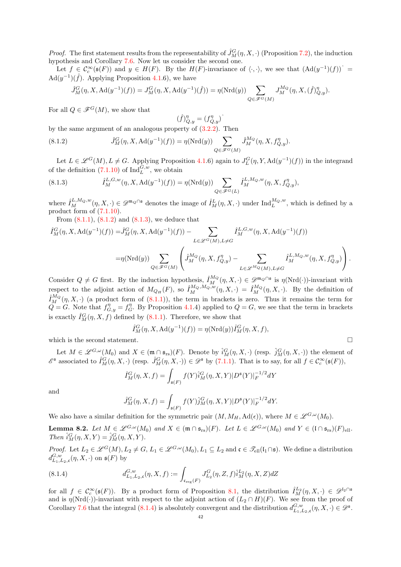*Proof.* The first statement results from the representability of  $\hat{J}_M^G(\eta, X, \cdot)$  (Proposition [7.2\)](#page-33-0), the induction hypothesis and Corollary [7.6.](#page-35-1) Now let us consider the second one.

Let  $f \in C_c^{\infty}(\mathfrak{s}(F))$  and  $y \in H(F)$ . By the  $H(F)$ -invariance of  $\langle \cdot, \cdot \rangle$ , we see that  $(\mathrm{Ad}(y^{-1})(f))^{\hat{}}$  =  $\text{Ad}(y^{-1})(\hat{f})$ . Applying Proposition [4.1.](#page-16-3)6), we have

$$
\hat{J}_M^G(\eta, X, \mathrm{Ad}(y^{-1})(f)) = J_M^G(\eta, X, \mathrm{Ad}(y^{-1})(\hat{f})) = \eta(\mathrm{Nrd}(y)) \sum_{Q \in \mathscr{F}^G(M)} J_M^{M_Q}(\eta, X, (\hat{f})_{Q,y}^{\eta}).
$$

For all  $Q \in \mathscr{F}^G(M)$ , we show that

$$
(\hat{f})_{Q,y}^{\eta} = (f_{Q,y}^{\eta})^{\hat{}}
$$

by the same argument of an analogous property of [\(3.2.2\)](#page-11-2). Then

<span id="page-41-0"></span>(8.1.2) 
$$
\hat{J}_M^G(\eta, X, \mathrm{Ad}(y^{-1})(f)) = \eta(\mathrm{Nrd}(y)) \sum_{Q \in \mathscr{F}^G(M)} \hat{J}_M^{M_Q}(\eta, X, f_{Q,y}^{\eta}).
$$

Let  $L \in \mathscr{L}^G(M)$ ,  $L \neq G$ . Applying Proposition [4.1.](#page-16-3)6) again to  $J^G_L(\eta, Y, \mathrm{Ad}(y^{-1})(f))$  in the integrand of the definition [\(7.1.10\)](#page-35-0) of  $\text{Ind}_{L}^{G,w}$ , we obtain

<span id="page-41-1"></span>(8.1.3) 
$$
\hat{I}_{M}^{L,G,w}(\eta, X, \mathrm{Ad}(y^{-1})(f)) = \eta(\mathrm{Nrd}(y)) \sum_{Q \in \mathscr{F}^{G}(L)} \hat{I}_{M}^{L,M_{Q},w}(\eta, X, f_{Q,y}^{\eta}),
$$

where  $\hat{I}_{M}^{L,M_{Q},w}(\eta,X,\cdot) \in \mathscr{D}^{\mathfrak{m}_{Q}\cap \mathfrak{s}}$  denotes the image of  $\hat{I}_{M}^{L}(\eta,X,\cdot)$  under  $\text{Ind}_{L}^{M_{Q},w}$ , which is defined by a product form of [\(7.1.10\)](#page-35-0).

From  $(8.1.1)$ ,  $(8.1.2)$  and  $(8.1.3)$ , we deduce that

$$
\begin{split} \hat{I}_M^G(\eta,X,\text{Ad}(y^{-1})(f))=&\hat{J}_M^G(\eta,X,\text{Ad}(y^{-1})(f))-\sum_{L\in \mathscr{L}^G(M), L\neq G}\hat{I}_M^{L,G,w}(\eta,X,\text{Ad}(y^{-1})(f))\\=&\eta(\text{Nrd}(y))\sum_{Q\in \mathscr{F}^G(M)}\left(\hat{J}_M^{M_Q}(\eta,X,f_{Q,y}^{\eta})-\sum_{L\in \mathscr{L}^{M_Q}(M), L\neq G}\hat{I}_M^{L,M_Q,w}(\eta,X,f_{Q,y}^{\eta})\right). \end{split}
$$

Consider  $Q \neq G$  first. By the induction hypothesis,  $\hat{I}_{M}^{M_Q}(\eta, X, \cdot) \in \mathcal{Q}^{\mathfrak{m}_Q \cap \mathfrak{s}}$  is  $\eta(\mathrm{Nrd}(\cdot))$ -invariant with respect to the adjoint action of  $M_{Q_H}(F)$ , so  $\hat{I}_M^{M_Q, M_Q, w}(\eta, X, \cdot) = \hat{I}_M^{M_Q}(\eta, X, \cdot)$ . By the definition of  $\hat{I}_{M}^{M_Q}(\eta, X, \cdot)$  (a product form of  $(8.1.1)$ ), the term in brackets is zero. Thus it remains the term for  $\hat{Q} = G$ . Note that  $f_{G,y}^{\eta} = f_G^{\eta}$ . By Proposition [4.1.](#page-16-3)4) applied to  $Q = G$ , we see that the term in brackets is exactly  $\hat{I}^G_M(\eta, X, f)$  defined by  $(8.1.1)$ . Therefore, we show that

$$
\hat{I}_M^G(\eta, X, \mathrm{Ad}(y^{-1})(f)) = \eta(\mathrm{Nrd}(y))\hat{I}_M^G(\eta, X, f),
$$

which is the second statement.  $\Box$ 

Let  $M \in \mathscr{L}^{G,\omega}(M_0)$  and  $X \in (\mathfrak{m} \cap \mathfrak{s}_{rs})(F)$ . Denote by  $\hat{i}_M^G(\eta,X,\cdot)$  (resp.  $\hat{j}_M^G(\eta,X,\cdot)$ ) the element of  $\mathscr{E}^{\mathfrak{s}}$  associated to  $\hat{I}^G_M(\eta, X, \cdot)$  (resp.  $\hat{J}^G_M(\eta, X, \cdot) \in \mathscr{D}^{\mathfrak{s}}$  by [\(7.1.1\)](#page-32-4). That is to say, for all  $f \in \mathcal{C}_c^{\infty}(\mathfrak{s}(F))$ ,

$$
\hat{I}_M^G(\eta, X, f) = \int_{\mathfrak{s}(F)} f(Y) \hat{i}_M^G(\eta, X, Y) |D^{\mathfrak{s}}(Y)|_F^{-1/2} dY
$$

and

$$
\hat{J}_M^G(\eta, X, f) = \int_{\mathfrak{s}(F)} f(Y) \hat{j}_M^G(\eta, X, Y) |D^{\mathfrak{s}}(Y)|_F^{-1/2} dY.
$$

We also have a similar definition for the symmetric pair  $(M, M_H, \mathrm{Ad}(\epsilon))$ , where  $M \in \mathscr{L}^{G, \omega}(M_0)$ .

<span id="page-41-3"></span>**Lemma 8.2.** Let  $M \in \mathscr{L}^{G,\omega}(M_0)$  and  $X \in (\mathfrak{m} \cap \mathfrak{s}_{rs})(F)$ . Let  $L \in \mathscr{L}^{G,\omega}(M_0)$  and  $Y \in (\mathfrak{l} \cap \mathfrak{s}_{rs})(F)_{ell}$ . Then  $\hat{i}_M^G(\eta, X, Y) = \hat{j}_M^G(\eta, X, Y)$ .

Proof. Let  $L_2 \in \mathscr{L}^G(M)$ ,  $L_2 \neq G$ ,  $L_1 \in \mathscr{L}^{G,\omega}(M_0)$ ,  $L_1 \subseteq L_2$  and  $\mathfrak{c} \in \mathscr{T}_{ell}(\mathfrak{l}_1 \cap \mathfrak{s})$ . We define a distribution  $d_{L_1,L_2,\mathfrak{c}}^{G,w}(\eta,X,\cdot)$  on  $\mathfrak{s}(F)$  by

<span id="page-41-2"></span>(8.1.4) 
$$
d_{L_1, L_2, \mathfrak{c}}^{G, w}(\eta, X, f) := \int_{\mathfrak{c}_{\text{reg}}(F)} J_{L_2}^G(\eta, Z, f) \hat{i}_M^{L_2}(\eta, X, Z) dZ
$$

for all  $f \in \mathcal{C}_c^{\infty}(\mathfrak{s}(F))$ . By a product form of Proposition [8.1,](#page-40-7) the distribution  $\hat{I}_M^{L_2}(\eta, X, \cdot) \in \mathscr{D}^{\{2\}\cap\mathfrak{s}}$ and is  $\eta(\text{Nrd}(\cdot))$ -invariant with respect to the adjoint action of  $(L_2 \cap H)(F)$ . We see from the proof of Corollary [7.6](#page-35-1) that the integral  $(8.1.4)$  is absolutely convergent and the distribution  $d_{L_1,L_2,c}^{G,w}(\eta,X,\cdot) \in \mathscr{D}^{\mathfrak{s}}$ .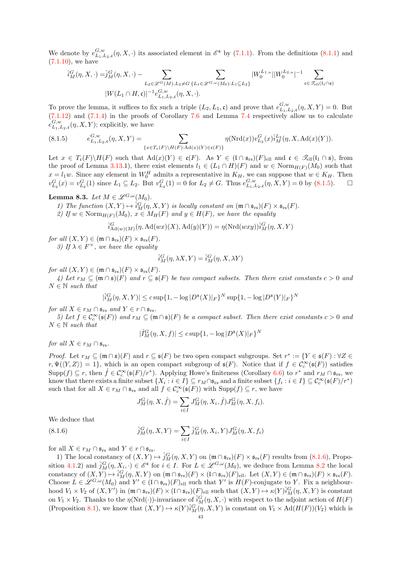We denote by  $e^{G,w}_{L_1,L_2,\mathfrak{c}}(\eta,X,\cdot)$  its associated element in  $\mathscr{E}^{\mathfrak{s}}$  by [\(7.1.1\)](#page-32-4). From the definitions [\(8.1.1\)](#page-40-1) and  $(7.1.10)$ , we have

$$
\hat{i}_{M}^{G}(\eta, X, \cdot) = \hat{j}_{M}^{G}(\eta, X, \cdot) - \sum_{L_{2} \in \mathscr{L}^{G}(M), L_{2} \neq G} \sum_{\{L_{1} \in \mathscr{L}^{G, \omega}(M_{0}): L_{1} \subseteq L_{2}\}} |W_{0}^{L_{1,n}}| |W_{0}^{L_{2,n}}|^{-1} \sum_{\mathfrak{c} \in \mathscr{T}_{\text{ell}}(I_{1} \cap \mathfrak{s})} |W_{0}^{L_{1,n}}|^{-1} \sum_{\mathfrak{c} \in \mathscr{T}_{\text{ell}}(I_{1} \cap \mathfrak{s})} |W_{0}^{L_{1,n}}|^{-1} \sum_{\mathfrak{c} \in \mathscr{T}_{\text{ell}}(I_{1} \cap \mathfrak{s})} |W_{0}^{L_{2,n}}|^{-1}
$$

To prove the lemma, it suffices to fix such a triple  $(L_2, L_1, \mathfrak{c})$  and prove that  $e^{G,w}_{L_1,L_2,\mathfrak{c}}(\eta,X,Y) = 0$ . But  $(7.1.12)$  and  $(7.1.4)$  in the proofs of Corollary [7.6](#page-35-1) and Lemma [7.4](#page-33-4) respectively allow us to calculate  $e^{G,w}_{L_1,L_2,\mathfrak{c}}(\eta,X,Y)$ ; explicitly, we have

<span id="page-42-0"></span>(8.1.5) 
$$
e_{L_1, L_2, \mathfrak{c}}^{G, w}(\eta, X, Y) = \sum_{\{x \in T_{\mathfrak{c}}(F) \backslash H(F) : \mathrm{Ad}(x)(Y) \in \mathfrak{c}(F)\}} \eta(\mathrm{Nrd}(x)) v_{L_2}^G(x) \hat{i}_M^{L_2}(\eta, X, \mathrm{Ad}(x)(Y)).
$$

Let  $x \in T_{\mathfrak{c}}(F) \backslash H(F)$  such that  $\text{Ad}(x)(Y) \in \mathfrak{c}(F)$ . As  $Y \in (\mathfrak{l} \cap \mathfrak{s}_{rs})(F)_{ell}$  and  $\mathfrak{c} \in \mathcal{T}_{ell}(\mathfrak{l}_1 \cap \mathfrak{s})$ , from the proof of Lemma [3.13.](#page-10-0)1), there exist elements  $l_1 \in (L_1 \cap H)(F)$  and  $w \in \text{Norm}_{H(F)}(M_0)$  such that  $x = l_1w$ . Since any element in  $W_0^H$  admits a representative in  $K_H$ , we can suppose that  $w \in K_H$ . Then  $v_{L_2}^G(x) = v_{L_2}^G(1)$  since  $L_1 \subseteq L_2$ . But  $v_{L_2}^G(1) = 0$  for  $L_2 \neq G$ . Thus  $e_{L_1,L_2,c}^{G,w}(\eta, X, Y) = 0$  by [\(8.1.5\)](#page-42-0).

<span id="page-42-2"></span>Lemma 8.3. Let  $M \in \mathscr{L}^{G,\omega}(M_0)$ .

1) The function  $(X, Y) \mapsto \hat{i}_M^G(\eta, X, Y)$  is locally constant on  $(\mathfrak{m} \cap \mathfrak{s}_{rs})(F) \times \mathfrak{s}_{rs}(F)$ . 2) If  $w \in \text{Norm}_{H(F)}(M_0)$ ,  $x \in M_H(F)$  and  $y \in H(F)$ , we have the equality

$$
\hat{i}_{\mathrm{Ad}(w)(M)}^G(\eta, \mathrm{Ad}(wx)(X), \mathrm{Ad}(y)(Y)) = \eta(\mathrm{Nrd}(wxy))\hat{i}_M^G(\eta, X, Y)
$$

for all  $(X, Y) \in (\mathfrak{m} \cap \mathfrak{s}_{rs})(F) \times \mathfrak{s}_{rs}(F)$ .

3) If  $\lambda \in F^{\times}$ , we have the equality

$$
\hat{i}_M^G(\eta, \lambda X, Y) = \hat{i}_M^G(\eta, X, \lambda Y)
$$

for all  $(X, Y) \in (\mathfrak{m} \cap \mathfrak{s}_{rs})(F) \times \mathfrak{s}_{rs}(F)$ .

4) Let  $r_M \subseteq (\mathfrak{m} \cap \mathfrak{s})(F)$  and  $r \subseteq \mathfrak{s}(F)$  be two compact subsets. Then there exist constants  $c > 0$  and  $N \in \mathbb{N}$  such that

$$
|\hat{i}_M^G(\eta,X,Y)|\leq c\sup\{1,-\log|D^{\mathfrak{s}}(X)|_F\}^N\sup\{1,-\log|D^{\mathfrak{s}}(Y)|_F\}^N
$$

for all  $X \in r_M \cap \mathfrak{s}_{rs}$  and  $Y \in r \cap \mathfrak{s}_{rs}$ .

5) Let  $f \in C_c^{\infty}(\mathfrak{s}(F))$  and  $r_M \subseteq (\mathfrak{m} \cap \mathfrak{s})(F)$  be a compact subset. Then there exist constants  $c > 0$  and  $N \in \mathbb{N}$  such that

$$
|\hat{I}_M^G(\eta, X, f)| \le c \sup\{1, -\log |D^{\mathfrak{s}}(X)|_F\}^N
$$

for all  $X \in r_M \cap \mathfrak{s}_{rs}$ .

*Proof.* Let  $r_M \subseteq (\mathfrak{m} \cap \mathfrak{s})(F)$  and  $r \subseteq \mathfrak{s}(F)$  be two open compact subgroups. Set  $r^* := \{ Y \in \mathfrak{s}(F) : \forall Z \in \mathfrak{s}(F) \}$  $r, \Psi(\langle Y, Z \rangle) = 1$ , which is an open compact subgroup of  $\mathfrak{s}(F)$ . Notice that if  $f \in \mathcal{C}_c^{\infty}(\mathfrak{s}(F))$  satisfies  $\text{Supp}(f) \subseteq r$ , then  $\hat{f} \in C_c^{\infty}(\mathfrak{s}(F)/r^*)$ . Applying Howe's finiteness (Corollary [6.6\)](#page-31-0) to  $r^*$  and  $r_M \cap \mathfrak{s}_{rs}$ , we know that there exists a finite subset  $\{X_i : i \in I\} \subseteq r_M \cap \mathfrak{s}_{rs}$  and a finite subset  $\{f_i : i \in I\} \subseteq \mathcal{C}_c^{\infty}(\mathfrak{s}(F)/r^*)$ such that for all  $X \in r_M \cap \mathfrak{s}_{rs}$  and all  $f \in C_c^{\infty}(\mathfrak{s}(F))$  with  $\text{Supp}(f) \subseteq r$ , we have

<span id="page-42-1"></span>
$$
J_M^G(\eta, X, \hat{f}) = \sum_{i \in I} J_M^G(\eta, X_i, \hat{f}) J_M^G(\eta, X, f_i).
$$

We deduce that

(8.1.6) 
$$
\hat{j}_{M}^{G}(\eta, X, Y) = \sum_{i \in I} \hat{j}_{M}^{G}(\eta, X_{i}, Y) J_{M}^{G}(\eta, X, f_{i})
$$

for all  $X \in r_M \cap \mathfrak{s}_{rs}$  and  $Y \in r \cap \mathfrak{s}_{rs}$ .

1) The local constancy of  $(X, Y) \mapsto \hat{j}_M^G(\eta, X, Y)$  on  $(\mathfrak{m} \cap \mathfrak{s}_{rs})(F) \times \mathfrak{s}_{rs}(F)$  results from  $(8.1.6)$ , Propo-sition [4.1.](#page-16-3)2) and  $\hat{j}_M^G(\eta, X_i, \cdot) \in \mathscr{E}^{\mathfrak{s}}$  for  $i \in I$ . For  $L \in \mathscr{L}^{G,\omega}(M_0)$ , we deduce from Lemma [8.2](#page-41-3) the local constancy of  $(X, Y) \mapsto \hat{i}_{M}^{G}(\eta, X, Y)$  on  $(\mathfrak{m} \cap \mathfrak{s}_{rs})(F) \times (\mathfrak{l} \cap \mathfrak{s}_{rs})(F)_{\text{ell}}$ . Let  $(X, Y) \in (\mathfrak{m} \cap \mathfrak{s}_{rs})(F) \times \mathfrak{s}_{rs}(F)$ . Choose  $L \in \mathscr{L}^{G,\omega}(M_0)$  and  $Y' \in (\mathfrak{l} \cap \mathfrak{s}_{rs})(F)_{ell}$  such that  $Y'$  is  $H(F)$ -conjugate to Y. Fix a neighbourhood  $V_1 \times V_2$  of  $(X, Y')$  in  $(\mathfrak{m} \cap \mathfrak{s}_{rs})(F) \times (\mathfrak{l} \cap \mathfrak{s}_{rs})(F)_{ell}$  such that  $(X, Y) \mapsto \kappa(Y) \hat{i}_M^G(\eta, X, Y)$  is constant on  $V_1 \times V_2$ . Thanks to the  $\eta(\text{Nrd}(\cdot))$ -invariance of  $\hat{i}_M^G(\eta, X, \cdot)$  with respect to the adjoint action of  $H(F)$ (Proposition [8.1\)](#page-40-7), we know that  $(X, Y) \mapsto \kappa(Y)\hat{i}_M^G(\eta, X, Y)$  is constant on  $V_1 \times \text{Ad}(H(F))(V_2)$  which is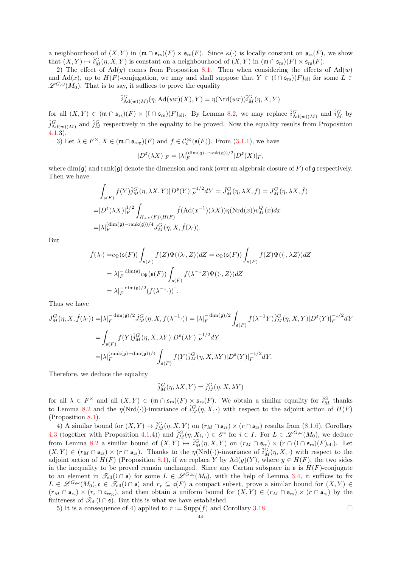a neighbourhood of  $(X, Y)$  in  $(\mathfrak{m} \cap \mathfrak{s}_{rs})(F) \times \mathfrak{s}_{rs}(F)$ . Since  $\kappa(\cdot)$  is locally constant on  $\mathfrak{s}_{rs}(F)$ , we show that  $(X, Y) \mapsto \hat{i}_M^G(\eta, X, Y)$  is constant on a neighbourhood of  $(X, Y)$  in  $(\mathfrak{m} \cap \mathfrak{s}_{rs})(F) \times \mathfrak{s}_{rs}(F)$ .

2) The effect of  $\text{Ad}(y)$  comes from Propostion [8.1.](#page-40-7) Then when considering the effects of  $\text{Ad}(w)$ and Ad(x), up to  $H(F)$ -conjugation, we may and shall suppose that  $Y \in (\mathfrak{l} \cap \mathfrak{s}_{rs})(F)_{ell}$  for some  $L \in$  $\mathscr{L}^{G,\omega}(M_0)$ . That is to say, it suffices to prove the equality

$$
\hat{i}_{\mathrm{Ad}(w)(M)}^G(\eta, \mathrm{Ad}(wx)(X), Y) = \eta(\mathrm{Nrd}(wx))\hat{i}_M^G(\eta, X, Y)
$$

for all  $(X, Y) \in (\mathfrak{m} \cap \mathfrak{s}_{rs})(F) \times (\mathfrak{l} \cap \mathfrak{s}_{rs})(F)$  ell. By Lemma [8.2,](#page-41-3) we may replace  $\hat{i}_{\text{Ad}(w)(M)}^G$  and  $\hat{i}_M^G$  by  $\hat{j}_{\text{Ad}(w)(M)}^G$  and  $\hat{j}_M^G$  respectively in the equality to be proved. Now the equality results from Proposition [4.1.](#page-16-3)3).

3) Let 
$$
\lambda \in F^{\times}, X \in (\mathfrak{m} \cap \mathfrak{s}_{\text{reg}})(F)
$$
 and  $f \in C_c^{\infty}(\mathfrak{s}(F))$ . From (3.1.1), we have

$$
|D^{\mathfrak{s}}(\lambda X)|_F = |\lambda|_F^{\left(\dim(\mathfrak{g}) - \mathrm{rank}(\mathfrak{g})\right)/2} |D^{\mathfrak{s}}(X)|_F,
$$

where  $\dim(\mathfrak{g})$  and rank $(\mathfrak{g})$  denote the dimension and rank (over an algebraic closure of F) of  $\mathfrak{g}$  respectively. Then we have

$$
\int_{\mathfrak{s}(F)} f(Y) \hat{j}_M^G(\eta, \lambda X, Y) |D^{\mathfrak{s}}(Y)|_F^{-1/2} dY = \hat{J}_M^G(\eta, \lambda X, f) = J_M^G(\eta, \lambda X, \hat{f})
$$
  
= 
$$
|D^{\mathfrak{s}}(\lambda X)|_F^{1/2} \int_{H_{\lambda X}(F) \backslash H(F)} \hat{f}(\text{Ad}(x^{-1})(\lambda X)) \eta(\text{Nrd}(x)) v_M^Q(x) dx
$$
  
= 
$$
|\lambda|_F^{(\dim(\mathfrak{g}) - \text{rank}(\mathfrak{g}))/4} J_M^G(\eta, X, \hat{f}(\lambda \cdot)).
$$

But

$$
\hat{f}(\lambda \cdot) = c_{\Psi}(\mathfrak{s}(F)) \int_{\mathfrak{s}(F)} f(Z) \Psi(\langle \lambda \cdot, Z \rangle) dZ = c_{\Psi}(\mathfrak{s}(F)) \int_{\mathfrak{s}(F)} f(Z) \Psi(\langle \cdot, \lambda Z \rangle) dZ
$$
\n
$$
= |\lambda|_{F}^{-\dim(\mathfrak{s})} c_{\Psi}(\mathfrak{s}(F)) \int_{\mathfrak{s}(F)} f(\lambda^{-1}Z) \Psi(\langle \cdot, Z \rangle) dZ
$$
\n
$$
= |\lambda|_{F}^{-\dim(\mathfrak{g})/2} (f(\lambda^{-1} \cdot)) \hat{\ }.
$$

Thus we have

$$
J_M^G(\eta, X, \hat{f}(\lambda \cdot)) = |\lambda|_F^{-\dim(\mathfrak{g})/2} \hat{J}_M^G(\eta, X, f(\lambda^{-1} \cdot)) = |\lambda|_F^{-\dim(\mathfrak{g})/2} \int_{\mathfrak{s}(F)} f(\lambda^{-1}Y) \hat{j}_M^G(\eta, X, Y) |D^{\mathfrak{s}}(Y)|_F^{-1/2} dY
$$
  
\n
$$
= \int_{\mathfrak{s}(F)} f(Y) \hat{j}_M^G(\eta, X, \lambda Y) |D^{\mathfrak{s}}(\lambda Y)|_F^{-1/2} dY
$$
  
\n
$$
= |\lambda|_F^{(\text{rank}(\mathfrak{g}) - \dim(\mathfrak{g}))/4} \int_{\mathfrak{s}(F)} f(Y) \hat{j}_M^G(\eta, X, \lambda Y) |D^{\mathfrak{s}}(Y)|_F^{-1/2} dY.
$$

Therefore, we deduce the equality

$$
\hat{j}_M^G(\eta, \lambda X, Y) = \hat{j}_M^G(\eta, X, \lambda Y)
$$

for all  $\lambda \in F^{\times}$  and all  $(X,Y) \in (\mathfrak{m} \cap \mathfrak{s}_{rs})(F) \times \mathfrak{s}_{rs}(F)$ . We obtain a similar equality for  $\hat{i}_{M}^{G}$  thanks to Lemma [8.2](#page-41-3) and the  $\eta(\text{Nrd}(\cdot))$ -invariance of  $\hat{i}_M^G(\eta, X, \cdot)$  with respect to the adjoint action of  $H(F)$ (Proposition [8.1\)](#page-40-7).

4) A similar bound for  $(X, Y) \mapsto \hat{j}_M^G(\eta, X, Y)$  on  $(r_M \cap \mathfrak{s}_{rs}) \times (r \cap \mathfrak{s}_{rs})$  results from  $(8.1.6)$ , Corollary [4.3](#page-18-1) (together with Proposition [4.1.](#page-16-3)4)) and  $\hat{j}_M^G(\eta, X_i, \cdot) \in \mathscr{E}^{\mathfrak{s}}$  for  $i \in I$ . For  $L \in \mathscr{L}^{G,\omega}(M_0)$ , we deduce from Lemma [8.2](#page-41-3) a similar bound of  $(X, Y) \mapsto \hat{i}_M^G(\eta, X, Y)$  on  $(r_M \cap \mathfrak{s}_{rs}) \times (r \cap (\mathfrak{l} \cap \mathfrak{s}_{rs})(F)_{ell}).$  Let  $(X, Y) \in (r_M \cap \mathfrak{s}_{rs}) \times (r \cap \mathfrak{s}_{rs})$ . Thanks to the  $\eta(\text{Nrd}(\cdot))$ -invariance of  $\hat{i}_M^G(\eta, X, \cdot)$  with respect to the adjoint action of  $H(F)$  (Proposition [8.1\)](#page-40-7), if we replace Y by Ad(y)(Y), where  $y \in H(F)$ , the two sides in the inequality to be proved remain unchanged. Since any Cartan subspace in  $\mathfrak{s}$  is  $H(F)$ -conjugate to an element in  $\mathscr{T}_{ell}(\cap \mathfrak{s})$  for some  $L \in \mathscr{L}^{G,\omega}(M_0)$ , with the help of Lemma [3.4,](#page-7-1) it suffices to fix  $L \in \mathscr{L}^{G,\omega}(M_0), \mathfrak{c} \in \mathscr{T}_{ell}(\mathfrak{l} \cap \mathfrak{s})$  and  $r_{\mathfrak{c}} \subseteq \mathfrak{c}(F)$  a compact subset, prove a similar bound for  $(X,Y) \in$  $(r_M \cap \mathfrak{s}_{rs}) \times (r_{\mathfrak{c}} \cap \mathfrak{c}_{reg})$ , and then obtain a uniform bound for  $(X, Y) \in (r_M \cap \mathfrak{s}_{rs}) \times (r \cap \mathfrak{s}_{rs})$  by the finiteness of  $\mathscr{T}_{ell}(\mathfrak{l} \cap \mathfrak{s})$ . But this is what we have established.

5) It is a consequence of 4) applied to  $r := \text{Supp}(f)$  and Corollary [3.18.](#page-12-0)

$$
^{44}
$$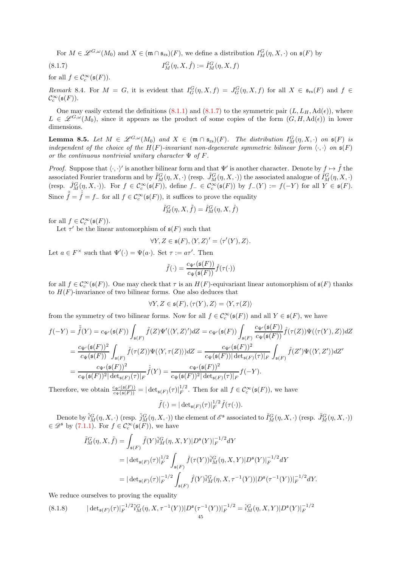<span id="page-44-0"></span>For  $M \in \mathscr{L}^{G,\omega}(M_0)$  and  $X \in (\mathfrak{m} \cap \mathfrak{s}_{rs})(F)$ , we define a distribution  $I^G_M(\eta,X,\cdot)$  on  $\mathfrak{s}(F)$  by

 $(8.1.7)$  $I_M^G(\eta, X, \hat{f}) := \hat{I}_M^G(\eta, X, f)$ 

for all  $f \in \mathcal{C}_c^{\infty}(\mathfrak{s}(F)).$ 

Remark 8.4. For  $M = G$ , it is evident that  $I_G^G(\eta, X, f) = J_G^G(\eta, X, f)$  for all  $X \in \mathfrak{s}_{rs}(F)$  and  $f \in$  $\mathcal{C}_c^{\infty}(\mathfrak{s}(F)).$ 

One may easily extend the definitions [\(8.1.1\)](#page-40-1) and [\(8.1.7\)](#page-44-0) to the symmetric pair  $(L, L_H, \text{Ad}(\epsilon))$ , where  $L \in \mathscr{L}^{G,\omega}(M_0)$ , since it appears as the product of some copies of the form  $(G,H, \mathrm{Ad}(\epsilon))$  in lower dimensions.

<span id="page-44-2"></span>**Lemma 8.5.** Let  $M \in \mathscr{L}^{G,\omega}(M_0)$  and  $X \in (\mathfrak{m} \cap \mathfrak{s}_{rs})(F)$ . The distribution  $I^G_M(\eta,X,\cdot)$  on  $\mathfrak{s}(F)$  is independent of the choice of the  $H(F)$ -invariant non-degenerate symmetric bilinear form  $\langle \cdot, \cdot \rangle$  on  $\mathfrak{s}(F)$ or the continuous nontrivial unitary character  $\Psi$  of F.

*Proof.* Suppose that  $\langle \cdot, \cdot \rangle'$  is another bilinear form and that  $\Psi'$  is another character. Denote by  $f \mapsto \tilde{f}$  the associated Fourier transform and by  $\tilde{I}_M^G(\eta, X, \cdot)$  (resp.  $\tilde{J}_M^G(\eta, X, \cdot)$ ) the associated analogue of  $\hat{I}_M^G(\eta, X, \cdot)$ (resp.  $\hat{J}_{M}^{G}(\eta, X, \cdot)$ ). For  $f \in \mathcal{C}_{c}^{\infty}(\mathfrak{s}(F))$ , define  $f_{-} \in \mathcal{C}_{c}^{\infty}(\mathfrak{s}(F))$  by  $f_{-}(Y) := f(-Y)$  for all  $Y \in \mathfrak{s}(F)$ . Since  $\tilde{\tilde{f}} = \hat{f} = f_{-}$  for all  $f \in \mathcal{C}_c^{\infty}(\mathfrak{s}(F))$ , it suffices to prove the equality

$$
\tilde{I}^G_M(\eta,X,\tilde{f})=\hat{I}^G_M(\eta,X,\hat{f})
$$

for all  $f \in \mathcal{C}_c^{\infty}(\mathfrak{s}(F)).$ 

Let  $\tau'$  be the linear automorphism of  $\mathfrak{s}(F)$  such that

$$
\forall Y, Z \in \mathfrak{s}(F), \langle Y, Z \rangle' = \langle \tau'(Y), Z \rangle.
$$

Let  $a \in F^{\times}$  such that  $\Psi'(\cdot) = \Psi(a \cdot)$ . Set  $\tau := a\tau'$ . Then

$$
\tilde{f}(\cdot) = \frac{c_{\Psi'}(\mathfrak{s}(F))}{c_{\Psi}(\mathfrak{s}(F))}\hat{f}(\tau(\cdot))
$$

for all  $f \in \mathcal{C}_c^{\infty}(\mathfrak{s}(F))$ . One may check that  $\tau$  is an  $H(F)$ -equivariant linear automorphism of  $\mathfrak{s}(F)$  thanks to  $H(F)$ -invariance of two bilinear forms. One also deduces that

$$
\forall Y, Z \in \mathfrak{s}(F), \langle \tau(Y), Z \rangle = \langle Y, \tau(Z) \rangle
$$

from the symmetry of two bilinear forms. Now for all  $f \in C_c^{\infty}(\mathfrak{s}(F))$  and all  $Y \in \mathfrak{s}(F)$ , we have

$$
f(-Y) = \tilde{f}(Y) = c_{\Psi'}(\mathfrak{s}(F)) \int_{\mathfrak{s}(F)} \tilde{f}(Z) \Psi'(\langle Y, Z \rangle') dZ = c_{\Psi'}(\mathfrak{s}(F)) \int_{\mathfrak{s}(F)} \frac{c_{\Psi'}(\mathfrak{s}(F))}{c_{\Psi}(\mathfrak{s}(F))} \hat{f}(\tau(Z)) \Psi(\langle \tau(Y), Z \rangle) dZ
$$
  
\n
$$
= \frac{c_{\Psi'}(\mathfrak{s}(F))^2}{c_{\Psi}(\mathfrak{s}(F))} \int_{\mathfrak{s}(F)} \hat{f}(\tau(Z)) \Psi(\langle Y, \tau(Z) \rangle) dZ = \frac{c_{\Psi'}(\mathfrak{s}(F))^2}{c_{\Psi}(\mathfrak{s}(F)) |\det_{\mathfrak{s}(F)}(\tau)|_F} \int_{\mathfrak{s}(F)} \hat{f}(Z') \Psi(\langle Y, Z' \rangle) dZ'
$$
  
\n
$$
= \frac{c_{\Psi'}(\mathfrak{s}(F))^2}{c_{\Psi}(\mathfrak{s}(F))^2 |\det_{\mathfrak{s}(F)}(\tau)|_F} \hat{f}(Y) = \frac{c_{\Psi'}(\mathfrak{s}(F))^2}{c_{\Psi}(\mathfrak{s}(F))^2 |\det_{\mathfrak{s}(F)}(\tau)|_F} f(-Y).
$$

Therefore, we obtain  $\frac{c_{\Psi'}(\mathfrak{s}(F))}{c_{\Psi}(\mathfrak{s}(F))} = |\det_{\mathfrak{s}(F)}(\tau)|_F^{1/2}$  $F^{\frac{1}{2}}$ . Then for all  $f \in \mathcal{C}_c^{\infty}(\mathfrak{s}(F))$ , we have

$$
\tilde{f}(\cdot) = |\det_{\mathfrak{s}(F)}(\tau)|_F^{1/2} \hat{f}(\tau(\cdot)).
$$

Denote by  $\tilde{i}_M^G(\eta, X, \cdot)$  (resp.  $\tilde{j}_M^G(\eta, X, \cdot)$ ) the element of  $\mathscr{E}^{\mathfrak{s}}$  associated to  $\tilde{I}_M^G(\eta, X, \cdot)$  (resp.  $\tilde{J}_M^G(\eta, X, \cdot)$ )  $\in \mathscr{D}^{\mathfrak{s}}$  by [\(7.1.1\)](#page-32-4). For  $f \in \mathcal{C}_c^{\infty}(\mathfrak{s}(F))$ , we have

$$
\tilde{I}_{M}^{G}(\eta, X, \tilde{f}) = \int_{\mathfrak{s}(F)} \tilde{f}(Y) \tilde{i}_{M}^{G}(\eta, X, Y) |D^{\mathfrak{s}}(Y)|_{F}^{-1/2} dY
$$
\n
$$
= |\det_{\mathfrak{s}(F)}(\tau)|_{F}^{1/2} \int_{\mathfrak{s}(F)} \hat{f}(\tau(Y)) \tilde{i}_{M}^{G}(\eta, X, Y) |D^{\mathfrak{s}}(Y)|_{F}^{-1/2} dY
$$
\n
$$
= |\det_{\mathfrak{s}(F)}(\tau)|_{F}^{-1/2} \int_{\mathfrak{s}(F)} \hat{f}(Y) \tilde{i}_{M}^{G}(\eta, X, \tau^{-1}(Y)) |D^{\mathfrak{s}}(\tau^{-1}(Y))|_{F}^{-1/2} dY.
$$

We reduce ourselves to proving the equality

<span id="page-44-1"></span>
$$
(8.1.8) \t|det_{\mathfrak{s}(F)}(\tau)|_{F}^{-1/2}\tilde{i}_{M}^{G}(\eta, X, \tau^{-1}(Y))|D^{\mathfrak{s}}(\tau^{-1}(Y))|_{F}^{-1/2} = \hat{i}_{M}^{G}(\eta, X, Y)|D^{\mathfrak{s}}(Y)|_{F}^{-1/2}
$$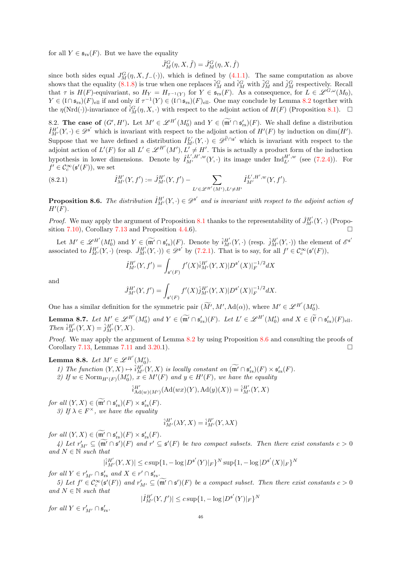for all  $Y \in \mathfrak{s}_{rs}(F)$ . But we have the equality

$$
\tilde{J}_M^G(\eta, X, \tilde{f}) = \hat{J}_M^G(\eta, X, \hat{f})
$$

since both sides equal  $J_M^G(\eta, X, f_-(\cdot))$ , which is defined by [\(4.1.1\)](#page-16-2). The same computation as above shows that the equality [\(8.1.8\)](#page-44-1) is true when one replaces  $\tilde{i}_M^G$  and  $\tilde{i}_M^G$  with  $\tilde{j}_M^G$  and  $\hat{j}_M^G$  respectively. Recall that  $\tau$  is  $H(F)$ -equivariant, so  $H_Y = H_{\tau^{-1}(Y)}$  for  $Y \in \mathfrak{s}_{rs}(F)$ . As a consequence, for  $L \in \mathscr{L}^{G,\omega}(M_0)$ ,  $Y \in (\mathfrak{l} \cap \mathfrak{s}_{rs})(F)_{ell}$  if and only if  $\tau^{-1}(Y) \in (\mathfrak{l} \cap \mathfrak{s}_{rs})(F)_{ell}$ . One may conclude by Lemma [8.2](#page-41-3) together with the  $\eta(\text{Nrd}(\cdot))$ -invariance of  $\hat{i}_M^G(\eta, X, \cdot)$  with respect to the adjoint action of  $H(F)$  (Proposition [8.1\)](#page-40-7).  $\Box$ 

<span id="page-45-0"></span>8.2. The case of  $(G', H')$ . Let  $M' \in \mathscr{L}^{H'}(M'_{0})$  and  $Y \in \widetilde{(\mathfrak{m}'} \cap \mathfrak{s}'_{rs})(F)$ . We shall define a distribution  $\hat{I}_{M'}^{H'}(Y, \cdot) \in \mathscr{D}^{\mathfrak{s}'}$  which is invariant with respect to the adjoint action of  $H'(F)$  by induction on  $dim(H')$ . Suppose that we have defined a distribution  $\hat{I}_{M'}^{L'}(Y, \cdot) \in \mathscr{D}^{\tilde{l}' \cap \mathfrak{s}'}$  which is invariant with respect to the adjoint action of  $L'(F)$  for all  $L' \in \mathscr{L}^{H'}(M'), L' \neq H'$ . This is actually a product form of the induction hypothesis in lower dimensions. Denote by  $\hat{I}_{M'}^{L',H',w}(Y, \cdot)$  its image under  $\text{Ind}_{L'}^{H',w}$  (see [\(7.2.4\)](#page-40-4)). For  $f' \in \mathcal{C}_c^{\infty}(\mathfrak{s}'(F))$ , we set

<span id="page-45-3"></span>(8.2.1) 
$$
\hat{I}_{M'}^{H'}(Y, f') := \hat{J}_{M'}^{H'}(Y, f') - \sum_{L' \in \mathscr{L}^{H'}(M'), L' \neq H'} \hat{I}_{M'}^{L', H', w}(Y, f').
$$

<span id="page-45-1"></span>**Proposition 8.6.** The distribution  $\hat{I}_{M'}^{H'}(Y, \cdot) \in \mathscr{D}^{s'}$  and is invariant with respect to the adjoint action of  $H'(F)$  .

*Proof.* We may apply the argument of Proposition [8.1](#page-40-7) thanks to the representability of  $\hat{J}_{M'}^{H'}(Y, \cdot)$  (Propo-sition [7.10\)](#page-39-0), Corollary [7.13](#page-40-5) and Proposition [4.4.](#page-19-1)6).

Let  $M' \in \mathscr{L}^{H'}(M'_{0})$  and  $Y \in \widetilde{(\mathfrak{m}'} \cap \mathfrak{s}'_{rs}(F))$ . Denote by  $\hat{i}^{H'}_{M'}(Y, \cdot)$  (resp.  $\hat{j}^{H'}_{M'}(Y, \cdot)$ ) the element of  $\mathscr{E}^{\mathfrak{s}'}$ associated to  $\hat{I}_{M'}^{H'}(Y, \cdot)$  (resp.  $\hat{J}_{M'}^{H'}(Y, \cdot) \in \mathscr{D}^{\mathfrak{s}'}$  by [\(7.2.1\)](#page-39-2). That is to say, for all  $f' \in \mathcal{C}_c^{\infty}(\mathfrak{s}'(F)),$ 

$$
\hat{I}_{M'}^{H'}(Y,f') = \int_{\mathfrak{s}'(F)} f'(X)\hat{i}_{M'}^{H'}(Y,X)|D^{\mathfrak{s}'}(X)|_F^{-1/2}dX
$$

and

$$
\hat{J}_{M'}^{H'}(Y, f') = \int_{\mathfrak{s}'(F)} f'(X) \hat{j}_{M'}^{H'}(Y, X) |D^{\mathfrak{s}'}(X)|_F^{-1/2} dX.
$$

One has a similar definition for the symmetric pair  $(\widetilde{M}', M', \mathrm{Ad}(\alpha))$ , where  $M' \in \mathscr{L}^{H'}(M'_{0})$ .

<span id="page-45-2"></span>**Lemma 8.7.** Let  $M' \in \mathscr{L}^{H'}(M'_{0})$  and  $Y \in (\widetilde{\mathfrak{m}'} \cap \mathfrak{s}'_{rs})(F)$ . Let  $L' \in \mathscr{L}^{H'}(M'_{0})$  and  $X \in (\widetilde{\mathfrak{l}'} \cap \mathfrak{s}'_{rs})(F)_{ell}$ . Then  $\hat{i}_{M'}^{H'}(Y,X) = \hat{j}_{M'}^{H'}(Y,X)$ .

Proof. We may apply the argument of Lemma [8.2](#page-41-3) by using Proposition [8.6](#page-45-1) and consulting the proofs of Corollary [7.13,](#page-40-5) Lemmas [7.11](#page-40-6) and [3.20.](#page-13-0)1).

# <span id="page-45-4"></span>Lemma 8.8. Let  $M' \in \mathscr{L}^{H'}(M'_0)$ .

- 1) The function  $(Y, X) \mapsto \hat{i}_{M'}^{H'}(Y, X)$  is locally constant on  $(\widetilde{\mathfrak{m}'} \cap \mathfrak{s}'_{rs})(F) \times \mathfrak{s}'_{rs}(F)$ .
- 2) If  $w \in \text{Norm}_{H'(F)}(M'_0)$ ,  $x \in M'(F)$  and  $y \in H'(F)$ , we have the equality

$$
\hat{i}_{\mathrm{Ad}(w)(M')}^{H'}(\mathrm{Ad}(wx)(Y), \mathrm{Ad}(y)(X)) = \hat{i}_{M'}^{H'}(Y, X)
$$

for all  $(Y, X) \in (\mathfrak{m}' \cap \mathfrak{s}'_{rs})(F) \times \mathfrak{s}'_{rs}(F)$ . 3) If  $\lambda \in F^{\times}$ , we have the equality

$$
\hat{i}^{H'}_{M'}(\lambda Y, X) = \hat{i}^{H'}_{M'}(Y, \lambda X)
$$

for all  $(Y, X) \in (\mathfrak{m}' \cap \mathfrak{s}'_{rs})(F) \times \mathfrak{s}'_{rs}(F)$ .

4) Let  $r'_{M'} \subseteq (\mathfrak{m}' \cap \mathfrak{s}')(F)$  and  $r' \subseteq \mathfrak{s}'(F)$  be two compact subsets. Then there exist constants  $c > 0$ and  $N \in \mathbb{N}$  such that

$$
|\hat{i}_{M'}^{H'}(Y,X)| \leq c \sup\{1, -\log |D^{\mathfrak{s}'}(Y)|_F\}^N \sup\{1, -\log |D^{\mathfrak{s}'}(X)|_F\}^N
$$

for all  $Y \in r'_{M'} \cap \mathfrak{s}'_{rs}$  and  $X \in r' \cap \mathfrak{s}'_{rs}$ .

|

5) Let  $f' \in C_c^{\infty}(\mathfrak{s}'(F))$  and  $r'_{M'} \subseteq (\mathfrak{m}' \cap \mathfrak{s}')(F)$  be a compact subset. Then there exist constants  $c > 0$ and  $N \in \mathbb{N}$  such that ′ N

$$
\hat{I}^{H'}_{M'}(Y,f')| \le c \sup\{1, -\log |D^{\mathfrak{s}'}(Y)|_F\}
$$

for all  $Y \in r'_{M'} \cap \mathfrak{s}'_{rs}$ .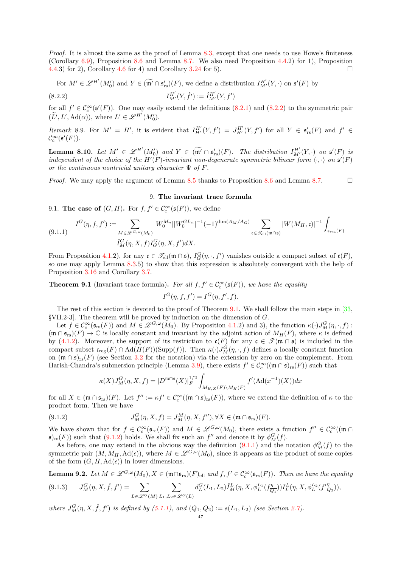Proof. It is almost the same as the proof of Lemma [8.3,](#page-42-2) except that one needs to use Howe's finiteness (Corollary [6.9\)](#page-32-1), Proposition [8.6](#page-45-1) and Lemma [8.7.](#page-45-2) We also need Proposition [4.4.](#page-19-1)2) for 1), Proposition [4.4.](#page-19-1)3) for 2), Corollary [4.6](#page-19-3) for 4) and Corollary [3.24](#page-14-3) for 5).

For 
$$
M' \in \mathcal{L}^{H'}(M'_0)
$$
 and  $Y \in (\widetilde{\mathfrak{m}'} \cap \mathfrak{s}'_{rs})(F)$ , we define a distribution  $I^{H'}_{M'}(Y, \cdot)$  on  $\mathfrak{s}'(F)$  by

(8.2.2) 
$$
I_{M'}^{H'}(Y, \hat{f}') := \hat{I}_{M'}^{H'}(Y, f')
$$

for all  $f' \in \mathcal{C}_c^{\infty}(\mathfrak{s}'(F))$ . One may easily extend the definitions [\(8.2.1\)](#page-45-3) and [\(8.2.2\)](#page-46-2) to the symmetric pair  $(\widetilde{L}', L', \mathrm{Ad}(\alpha)), \text{ where } L' \in \mathscr{L}^{H'}(M'_0).$ 

Remark 8.9. For  $M' = H'$ , it is evident that  $I_{H'}^{H'}(Y, f') = J_{H'}^{H'}(Y, f')$  for all  $Y \in \mathfrak{s}'_{rs}(F)$  and  $f' \in$  $\mathcal{C}_c^\infty(\mathfrak{s}'(F)).$ 

**Lemma 8.10.** Let  $M' \in \mathscr{L}^{H'}(M'_0)$  and  $Y \in (\widetilde{\mathfrak{m}'} \cap \mathfrak{s}'_{rs})(F)$ . The distribution  $I^{H'}_{M'}(Y, \cdot)$  on  $\mathfrak{s}'(F)$  is independent of the choice of the  $H'(F)$ -invariant non-degenerate symmetric bilinear form  $\langle \cdot, \cdot \rangle$  on  $\mathfrak{s}'(F)$ or the continuous nontrivial unitary character  $\Psi$  of F.

<span id="page-46-0"></span>*Proof.* We may apply the argument of Lemma [8.5](#page-44-2) thanks to Proposition [8.6](#page-45-1) and Lemma [8.7.](#page-45-2)  $\Box$ 

#### <span id="page-46-2"></span>9. The invariant trace formula

9.1. The case of  $(G, H)$ . For  $f, f' \in C_c^{\infty}(\mathfrak{s}(F))$ , we define

<span id="page-46-4"></span>
$$
(9.1.1) \quad I^G(\eta, f, f') := \sum_{M \in \mathcal{L}^{G, \omega}(M_0)} |W_0^{M_n}| |W_0^{GL_n}|^{-1} (-1)^{\dim(A_M/A_G)} \sum_{\mathfrak{c} \in \mathcal{F}_{\text{ell}}(\mathfrak{m} \cap \mathfrak{s})} |W(M_H, \mathfrak{c})|^{-1} \int_{\mathfrak{c}_{\text{reg}}(F)} |W_0^{G_n} \mathfrak{c}_{\text{reg}}(F)|^{-1} \int_{\mathfrak{c}_{\text{reg}}(F)} |W_0^{G_n} \mathfrak{c}_{\text{reg}}(F)|^{-1} \int_{\mathfrak{c}_{\text{reg}}(F)} |W_0^{G_n} \mathfrak{c}_{\text{reg}}(F)|^{-1} \int_{\mathfrak{c}_{\text{reg}}(F)} |W_0^{G_n} \mathfrak{c}_{\text{reg}}(F)|^{-1} \int_{\mathfrak{c}_{\text{reg}}(F)} |W_0^{G_n} \mathfrak{c}_{\text{reg}}(F)|^{-1} \int_{\mathfrak{c}_{\text{reg}}(F)} |W_0^{G_n} \mathfrak{c}_{\text{reg}}(F)|^{-1} \int_{\mathfrak{c}_{\text{reg}}(F)} |W_0^{G_n} \mathfrak{c}_{\text{reg}}(F)|^{-1} \int_{\mathfrak{c}_{\text{reg}}(F)} |W_0^{G_n} \mathfrak{c}_{\text{reg}}(F)|^{-1} \int_{\mathfrak{c}_{\text{reg}}(F)} |W_0^{G_n} \mathfrak{c}_{\text{reg}}(F)|^{-1} \int_{\mathfrak{c}_{\text{reg}}(F)} |W_0^{G_n} \mathfrak{c}_{\text{reg}}(F)|^{-1} \int_{\mathfrak{c}_{\text{reg}}(F)} |W_0^{G_n} \mathfrak{c}_{\text{reg}}(F)|^{-1} \int_{\mathfrak{c}_{\text{reg}}(F)} |W_0^{G_n} \mathfrak{c}_{\text{reg}}(F)|^{-1} \int_{\mathfrak{c}_{\text{reg}}(F)} |W_0^{G_n} \mathfrak{c}_{\text{reg}}(F)|^{-1} \int_{\mathfrak{c}_{\text{reg}}(F)} |W_0^{G_n} \mathfrak{c}_{\text{reg}}(F)|^{-1} \int_{\mathfrak{c}_{\text{reg}}(F)}
$$

From Proposition [4.1.](#page-16-3)2), for any  $\mathfrak{c} \in \mathcal{I}_{ell}(\mathfrak{m} \cap \mathfrak{s})$ ,  $I_G^G(\eta, \cdot, f')$  vanishes outside a compact subset of  $\mathfrak{c}(F)$ , so one may apply Lemma [8.3.](#page-42-2)5) to show that this expression is absolutely convergent with the help of Proposition [3.16](#page-11-1) and Corollary [3.7.](#page-8-2)

<span id="page-46-1"></span>**Theorem 9.1** (Invariant trace formula). For all  $f, f' \in C_c^{\infty}(\mathfrak{s}(F))$ , we have the equality

$$
I^G(\eta, f, f') = I^G(\eta, f', f).
$$

The rest of this section is devoted to the proof of Theorem [9.1.](#page-46-1) We shall follow the main steps in [\[33,](#page-55-2) §VII.2-3]. The theorem will be proved by induction on the dimension of G.

Let  $f \in \mathcal{C}_c^{\infty}(\mathfrak{s}_{rs}(F))$  and  $M \in \mathscr{L}^{G,\omega}(M_0)$ . By Proposition [4.1.](#page-16-3)2) and 3), the function  $\kappa(\cdot)J_M^G(\eta, \cdot, f)$ :  $(\mathfrak{m} \cap \mathfrak{s}_{rs})(F) \to \mathbb{C}$  is locally constant and invariant by the adjoint action of  $M_H(F)$ , where  $\kappa$  is defined by [\(4.1.2\)](#page-16-4). Moreover, the support of its restriction to  $\mathfrak{c}(F)$  for any  $\mathfrak{c} \in \mathcal{T}(\mathfrak{m} \cap \mathfrak{s})$  is included in the compact subset  $\mathfrak{c}_{reg}(F) \cap \text{Ad}(H(F))(\text{Supp}(f))$ . Then  $\kappa(\cdot)J_M^G(\eta, \cdot, f)$  defines a locally constant function on  $(\mathfrak{m} \cap \mathfrak{s})_{rs}(F)$  (see Section [3.2](#page-8-0) for the notation) via the extension by zero on the complement. From Harish-Chandra's submersion principle (Lemma [3.9\)](#page-8-5), there exists  $f' \in C_c^{\infty}((\mathfrak{m} \cap \mathfrak{s})_{rs}(F))$  such that

<span id="page-46-3"></span>
$$
\kappa(X)J_M^G(\eta, X, f) = |D^{\mathfrak{m}\cap\mathfrak{s}}(X)|_F^{1/2} \int_{M_{H,X}(F)\backslash M_H(F)} f'(\text{Ad}(x^{-1})(X))dx
$$

for all  $X \in (\mathfrak{m} \cap \mathfrak{s}_{rs})(F)$ . Let  $f'' := \kappa f' \in C_c^{\infty}((\mathfrak{m} \cap \mathfrak{s})_{rs}(F))$ , where we extend the definition of  $\kappa$  to the product form. Then we have

(9.1.2) 
$$
J_M^G(\eta, X, f) = J_M^M(\eta, X, f''), \forall X \in (\mathfrak{m} \cap \mathfrak{s}_{rs})(F).
$$

We have shown that for  $f \in C_c^{\infty}(\mathfrak{s}_{rs}(F))$  and  $M \in \mathscr{L}_{G,\omega}(M_0)$ , there exists a function  $f'' \in C_c^{\infty}((\mathfrak{m} \cap$  $(\mathfrak{s})_{rs}(F)$  such that  $(9.1.2)$  holds. We shall fix such an  $f''$  and denote it by  $\phi_M^G(f)$ .

As before, one may extend in the obvious way the definition  $(9.1.1)$  and the notation  $\phi_M^G(f)$  to the symmetric pair  $(M, M_H, \text{Ad}(\epsilon))$ , where  $M \in \mathscr{L}^{G,\omega}(M_0)$ , since it appears as the product of some copies of the form  $(G, H, \mathrm{Ad}(\epsilon))$  in lower dimensions.

<span id="page-46-6"></span><span id="page-46-5"></span>**Lemma 9.2.** Let  $M \in \mathscr{L}^{G,\omega}(M_0), X \in (\mathfrak{m} \cap \mathfrak{s}_{rs})(F)_{ell}$  and  $f, f' \in \mathcal{C}_c^{\infty}(\mathfrak{s}_{rs}(F))$ . Then we have the equality  $(9.1.3)$  $G_M^G(\eta, X, \hat{f}, f') = \sum$  $L\in\mathscr{L}^G(M)$  $\overline{\phantom{0}}$  $L_1, L_2 \in \mathscr{L}^G(L)$  $d_{L}^{G}(L_1,L_2)\hat{I}_{M}^{L}(\eta,X,\phi_{L}^{L_1}(f_{\overline{G}}^{\eta}% ,\partial_{\theta}^{L_1}(Q_{L_1}^{\eta},Q_{L_2}^{\eta}))$  $(\frac{\eta}{Q_1})$ ] $I_L^L(\eta, X, \phi_L^{L_2}(f''_{Q_2})),$ 

where  $J_M^G(\eta, X, \hat{f}, f')$  is defined by  $(5.1.1)$ , and  $(Q_1, Q_2) := s(L_1, L_2)$  (see Section [2.7\)](#page-5-1).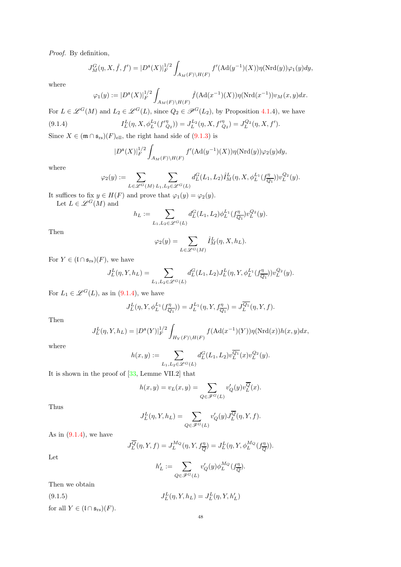Proof. By definition,

$$
J_M^G(\eta, X, \hat{f}, f') = |D^{\mathfrak{s}}(X)|_F^{1/2} \int_{A_M(F)\backslash H(F)} f'(\text{Ad}(y^{-1})(X)) \eta(\text{Nrd}(y)) \varphi_1(y) dy,
$$

where

$$
\varphi_1(y) := |D^{\mathfrak{s}}(X)|_F^{1/2} \int_{A_M(F)\backslash H(F)} \hat{f}(\text{Ad}(x^{-1})(X)) \eta(\text{Nrd}(x^{-1})) v_M(x, y) dx.
$$

For  $L \in \mathcal{L}^G(M)$  and  $L_2 \in \mathcal{L}^G(L)$ , since  $Q_2 \in \mathcal{P}^G(L_2)$ , by Proposition [4.1.](#page-16-3)4), we have  $(9.1.4)$  $L^L(\eta, X, \phi_L^{L_2}(f''_{Q_2})) = J_L^{L_2}(\eta, X, f''_{Q_2}) = J_L^{Q_2}(\eta, X, f').$ 

Since  $X \in (\mathfrak{m} \cap \mathfrak{s}_{rs})(F)_{ell}$ , the right hand side of  $(9.1.3)$  is

<span id="page-47-0"></span>
$$
|D^{\mathfrak{s}}(X)|_F^{1/2} \int_{A_M(F)\backslash H(F)} f'(Ad(y^{-1})(X)) \eta(\mathrm{Nrd}(y)) \varphi_2(y) dy,
$$

where

$$
\varphi_2(y) := \sum_{L \in \mathcal{L}^G(M)} \sum_{L_1, L_2 \in \mathcal{L}^G(L)} d_L^G(L_1, L_2) \hat{I}_M^L(\eta, X, \phi_L^{L_1}(\mathbf{f}_{\overline{Q_1}}^{\eta})) v_L^{Q_2}(y).
$$

It suffices to fix  $y \in H(F)$  and prove that  $\varphi_1(y) = \varphi_2(y)$ . Let  $L \in \mathscr{L}^G(M)$  and

$$
h_L := \sum_{L_1, L_2 \in \mathcal{L}^G(L)} d_L^G(L_1, L_2) \phi_L^{L_1}(f_{\overline{Q_1}}^{\eta}) v_L^{Q_2}(y).
$$

Then

$$
\varphi_2(y) = \sum_{L \in \mathcal{L}^G(M)} \hat{I}_M^L(\eta, X, h_L).
$$

For  $Y \in (\mathfrak{l} \cap \mathfrak{s}_{rs})(F)$ , we have

$$
J_L^L(\eta, Y, h_L) = \sum_{L_1, L_2 \in \mathcal{L}^G(L)} d_L^G(L_1, L_2) J_L^L(\eta, Y, \phi_L^{L_1}(f_{\overline{Q_1}}^{\eta})) v_L^{Q_2}(y).
$$

For  $L_1 \in \mathscr{L}^G(L)$ , as in [\(9.1.4\)](#page-47-0), we have

$$
J_L^L(\eta, Y, \phi_L^{L_1}(f_{\overline{Q_1}}^{\eta})) = J_L^{L_1}(\eta, Y, f_{\overline{Q_1}}^{\eta}) = J_L^{\overline{Q_1}}(\eta, Y, f).
$$

Then

$$
J_L^L(\eta, Y, h_L) = |D^{\mathfrak{s}}(Y)|_F^{1/2} \int_{H_Y(F)\backslash H(F)} f(\text{Ad}(x^{-1})(Y)) \eta(\text{Nrd}(x)) h(x, y) dx,
$$

where

$$
h(x,y):=\sum_{L_1,L_2\in \mathscr{L}^G(L)}d^G_L(L_1,L_2)v^{\overline{Q_1}}_L(x)v^{Q_2}_L(y).
$$

It is shown in the proof of [\[33,](#page-55-2) Lemme VII.2] that

$$
h(x,y) = v_L(x,y) = \sum_{Q \in \mathscr{F}^G(L)} v'_Q(y) v_L^{\overline{Q}}(x).
$$

Thus

$$
J^L_L(\eta,Y,h_L)=\sum_{Q\in \mathscr{F}^G(L)}v'_Q(y)J^{\overline{Q}}_L(\eta,Y,f).
$$

As in  $(9.1.4)$ , we have

$$
J_L^{\overline{Q}}(\eta, Y, f) = J_L^{M_Q}(\eta, Y, f_{\overline{Q}}^{\eta}) = J_L^L(\eta, Y, \phi_L^{M_Q}(f_{\overline{Q}}^{\eta})).
$$

Let

<span id="page-47-1"></span>
$$
h'_L:=\sum_{Q\in \mathscr{F}^G(L)}v'_Q(y)\phi_L^{M_Q}(f_{\overline{Q}}^{\eta}).
$$

Then we obtain

(9.1.5) 
$$
J_L^L(\eta, Y, h_L) = J_L^L(\eta, Y, h'_L)
$$
 for all  $Y \in (\mathfrak{l} \cap \mathfrak{s}_{rs})(F).$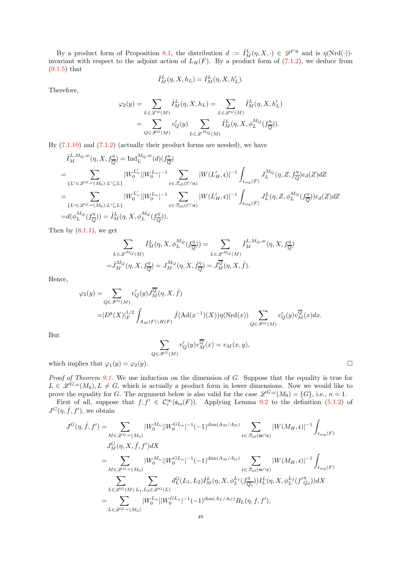By a product form of Proposition [8.1,](#page-40-7) the distribution  $d := \hat{I}^L_M(\eta, X, \cdot) \in \mathscr{D}^{\mathfrak{l} \cap \mathfrak{s}}$  and is  $\eta(\mathrm{Nrd}(\cdot))$ invariant with respect to the adjoint action of  $L_H(F)$ . By a product form of  $(7.1.2)$ , we deduce from [\(9.1.5\)](#page-47-1) that

$$
\hat{I}_M^L(\eta, X, h_L) = \hat{I}_M^L(\eta, X, h'_L).
$$

Therefore,

$$
\varphi_2(y) = \sum_{L \in \mathcal{L}^G(M)} \hat{I}_M^L(\eta, X, h_L) = \sum_{L \in \mathcal{L}^G(M)} \hat{I}_M^L(\eta, X, h'_L)
$$
  
= 
$$
\sum_{Q \in \mathcal{F}^G(M)} v'_Q(y) \sum_{L \in \mathcal{L}^M(Q(M))} \hat{I}_M^L(\eta, X, \phi_L^{M_Q}(f_{\overline{Q}}^{\eta})).
$$

By  $(7.1.10)$  and  $(7.1.2)$  (actually their product forms are needed), we have

$$
\hat{I}_{M}^{L,M_{Q},w}(\eta, X, f_{\overline{Q}}^{\eta}) = \text{Ind}_{L}^{M_{Q},w}(d)(f_{\overline{Q}}^{\eta})
$$
\n
$$
= \sum_{\{L' \in \mathcal{L}^{G}, \omega(M_{0}): L' \subseteq L\}} |W_{0}^{L'_{n}}| |W_{0}^{L_{n}}|^{-1} \sum_{\mathfrak{c} \in \mathcal{I}_{\text{ell}}(V \cap \mathfrak{s})} |W(L'_{H}, \mathfrak{c})|^{-1} \int_{\mathfrak{c}_{\text{reg}}(F)} J_{L}^{M_{Q}}(\eta, Z, f_{\overline{Q}}^{\eta}) e_{d}(Z) dZ
$$
\n
$$
= \sum_{\{L' \in \mathcal{L}^{G}, \omega(M_{0}): L' \subseteq L\}} |W_{0}^{L'_{n}}| |W_{0}^{L_{n}}|^{-1} \sum_{\mathfrak{c} \in \mathcal{I}_{\text{ell}}(V \cap \mathfrak{s})} |W(L'_{H}, \mathfrak{c})|^{-1} \int_{\mathfrak{c}_{\text{reg}}(F)} J_{L}^{L}(\eta, Z, \phi_{L}^{M_{Q}}(f_{\overline{Q}}^{\eta})) e_{d}(Z) dZ
$$
\n
$$
= d(\phi_{L}^{M_{Q}}(f_{\overline{Q}}^{\eta})) = \hat{I}_{M}^{L}(\eta, X, \phi_{L}^{M_{Q}}(f_{\overline{Q}}^{\eta})).
$$

Then by  $(8.1.1)$ , we get

$$
\sum_{L \in \mathscr{L}^{M_Q}(M)} \hat{I}_M^L(\eta, X, \phi_L^{M_Q}(f_{\overline{Q}}^{\eta})) = \sum_{L \in \mathscr{L}^{M_Q}(M)} \hat{I}_M^{L, M_Q, w}(\eta, X, f_{\overline{Q}}^{\eta})
$$
  
=  $\hat{J}_M^{M_Q}(\eta, X, f_{\overline{Q}}^{\eta}) = J_M^{M_Q}(\eta, X, \hat{f}_{\overline{Q}}^{\eta}) = J_M^{\overline{Q}}(\eta, X, \hat{f}).$ 

Hence,

$$
\begin{split} \varphi_2(y) & = \sum_{Q \in \mathscr{F}^G(M)} v_Q'(y) J_M^{\overline{Q}}(\eta,X,\widehat{f}) \\ & = |D^{\mathfrak{s}}(X)|_F^{1/2} \int_{A_M(F)\backslash H(F)} \widehat{f}(\text{Ad}(x^{-1})(X)) \eta(\text{Nrd}(x)) \sum_{Q \in \mathscr{F}^G(M)} v_Q'(y) v_M^{\overline{Q}}(x) dx. \end{split}
$$

But

$$
\sum_{Q \in \mathscr{F}^G(M)} v'_Q(y) v_M^{\overline{Q}}(x) = v_M(x, y),
$$

which implies that  $\varphi_1(y) = \varphi_2(y)$ .

Proof of Theorem [9.1.](#page-46-1) We use induction on the dimension of G. Suppose that the equality is true for  $L \in \mathscr{L}^{G,\omega}(M_0), L \neq G$ , which is actually a product form in lower dimensions. Now we would like to prove the equality for G. The argument below is also valid for the case  $\mathscr{L}^{G,\omega}(M_0) = \{G\}$ , i.e.,  $n = 1$ .

First of all, suppose that  $f, f' \in C_c^{\infty}(\mathfrak{s}_{rs}(F))$ . Applying Lemma [9.2](#page-46-6) to the definition [\(5.1.2\)](#page-20-3) of  $J^G(\eta, \hat{f}, f')$ , we obtain

$$
J^{G}(\eta, \hat{f}, f') = \sum_{M \in \mathcal{L}^{G, \omega}(M_{0})} |W_{0}^{M_{n}}| |W_{0}^{GL_{n}}|^{-1} (-1)^{\dim(A_{M}/A_{G})} \sum_{\mathfrak{c} \in \mathcal{F}_{\text{ell}}(\mathfrak{m} \cap \mathfrak{s})} |W(M_{H}, \mathfrak{c})|^{-1} \int_{\mathfrak{c}_{\text{reg}}(F)}
$$
  
\n
$$
J^{G}_{M}(\eta, X, \hat{f}, f') dX
$$
  
\n
$$
= \sum_{M \in \mathcal{L}^{G, \omega}(M_{0})} |W_{0}^{M_{n}}| |W_{0}^{GL_{n}}|^{-1} (-1)^{\dim(A_{M}/A_{G})} \sum_{\mathfrak{c} \in \mathcal{F}_{\text{ell}}(\mathfrak{m} \cap \mathfrak{s})} |W(M_{H}, \mathfrak{c})|^{-1} \int_{\mathfrak{c}_{\text{reg}}(F)}
$$
  
\n
$$
\sum_{L \in \mathcal{L}^{G}(M)} \sum_{L_{1}, L_{2} \in \mathcal{L}^{G}(L)} d^{G}_{L}(L_{1}, L_{2}) \hat{I}^{L}_{M}(\eta, X, \phi_{L}^{L_{1}}(f_{\overline{Q_{1}}}^{\eta})) I^{L}_{L}(\eta, X, \phi_{L}^{L_{2}}(f_{\overline{Q_{2}}}^{\eta})) dX
$$
  
\n
$$
= \sum_{L \in \mathcal{L}^{G, \omega}(M_{0})} |W_{0}^{L_{n}}| |W_{0}^{GL_{n}}|^{-1} (-1)^{\dim(A_{L}/A_{G})} B_{L}(\eta, f, f'),
$$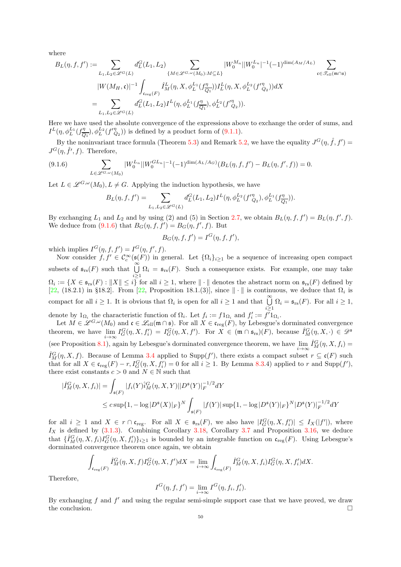where

$$
B_{L}(\eta, f, f') := \sum_{L_1, L_2 \in \mathcal{L}^G(L)} d_L^G(L_1, L_2) \sum_{\{M \in \mathcal{L}^{G, \omega}(M_0): M \subseteq L\}} |W_0^{M_n}| |W_0^{L_n}|^{-1} (-1)^{\dim(A_M/A_L)} \sum_{\mathfrak{c} \in \mathcal{I}_{\text{ell}}(\mathfrak{m} \cap \mathfrak{s})} |W(M_H, \mathfrak{c})|^{-1} \int_{\mathfrak{c}_{\text{reg}}(F)} \hat{I}_M^L(\eta, X, \phi_L^{L_1}(f_{\overline{Q_1}}^{\eta})) I_L^L(\eta, X, \phi_L^{L_2}(f_{\overline{Q_2}}^{\eta})) dX = \sum_{L_1, L_2 \in \mathcal{L}^G(L_1)} d_L^G(L_1, L_2) I^L(\eta, \phi_L^{L_1}(f_{\overline{Q_1}}^{\eta}), \phi_L^{L_2}(f_{\overline{Q_2}}^{\eta})).
$$

Here we have used the absolute convergence of the expressions above to exchange the order of sums, and  $I^L(\eta,\phi_L^{L_1}(f_{\overline{Q}}^{\eta}$  $(\frac{\eta}{Q_1}), \phi_L^{L_2}(f''_{Q_2}))$  is defined by a product form of [\(9.1.1\)](#page-46-4).

By the noninvariant trace formula (Theorem [5.3\)](#page-21-0) and Remark [5.2,](#page-20-4) we have the equality  $J^G(\eta, \hat{f}, f') =$  $J^G(\eta, \hat{f}', f)$ . Therefore,

$$
(9.1.6)\qquad \qquad \sum_{L\in\mathscr{L}^{G,\omega}(M_0)}|W_0^{L_n}||W_0^{GL_n}|^{-1}(-1)^{\dim(A_L/A_G)}(B_L(\eta,f,f')-B_L(\eta,f',f))=0.
$$

Let  $L \in \mathscr{L}^{G,\omega}(M_0), L \neq G$ . Applying the induction hypothesis, we have

<span id="page-49-0"></span>
$$
B_L(\eta,f,f')=\sum_{L_1,L_2\in \mathscr{L}^G(L)}d^G_L(L_1,L_2)I^L(\eta,\phi_L^{L_2}(f''_{Q_2}),\phi_L^{L_1}(f''_{\overline{Q_1}})).
$$

By exchanging  $L_1$  and  $L_2$  and by using (2) and (5) in Section [2.7,](#page-5-1) we obtain  $B_L(\eta, f, f') = B_L(\eta, f', f)$ . We deduce from [\(9.1.6\)](#page-49-0) that  $B_G(\eta, f, f') = B_G(\eta, f', f)$ . But

$$
B_G(\eta, f, f') = I^G(\eta, f, f'),
$$

which implies  $I^G(\eta, f, f') = I^G(\eta, f', f)$ .

Now consider  $f, f' \in C_c^{\infty}(\mathfrak{s}(F))$  in general. Let  $\{\Omega_i\}_{i\geq 1}$  be a sequence of increasing open compact subsets of  $\mathfrak{s}_{rs}(F)$  such that  $\bigcup^{\infty} \Omega_i = \mathfrak{s}_{rs}(F)$ . Such a consequence exists. For example, one may take i≥1  $\Omega_i := \{ X \in \mathfrak{s}_{rs}(F) : ||X|| \leq i \}$  for all  $i \geq 1$ , where  $|| \cdot ||$  denotes the abstract norm on  $\mathfrak{s}_{rs}(F)$  defined by [\[22,](#page-55-11) (18.2.1) in §18.2]. From [\[22,](#page-55-11) Proposition 18.1.(3)], since  $\|\cdot\|$  is continuous, we deduce that  $\Omega_i$  is compact for all  $i \geq 1$ . It is obvious that  $\Omega_i$  is open for all  $i \geq 1$  and that  $\bigcup_{i=1}^{\infty} \Omega_i = \mathfrak{s}_{rs}(F)$ . For all  $i \geq 1$ ,  $i \geq 1$ denote by  $1_{\Omega_i}$  the characteristic function of  $\Omega_i$ . Let  $f_i := f 1_{\Omega_i}$  and  $f'_i := f' 1_{\Omega_i}$ .

Let  $M \in \mathscr{L}^{G,\omega}(M_0)$  and  $\mathfrak{c} \in \mathscr{L}_{ell}(\mathfrak{m} \cap \mathfrak{s})$ . For all  $X \in \mathfrak{c}_{reg}(F)$ , by Lebesgue's dorminated convergence theorem, we have  $\lim_{i\to\infty} I_G^G(\eta, X, f_i') = I_G^G(\eta, X, f')$ . For  $X \in (\mathfrak{m} \cap \mathfrak{s}_{rs})(F)$ , because  $\hat{I}_M^G(\eta, X, \cdot) \in \mathscr{D}^{\mathfrak{s}}$  $i \rightarrow \infty$ (see Proposition [8.1\)](#page-40-7), again by Lebesgue's dorminated convergence theorem, we have  $\lim_{i\to\infty} \hat{I}_{M}^G(\eta, X, f_i) =$  $\hat{I}_{M}^{G}(\eta, X, f)$ . Because of Lemma [3.4](#page-7-1) applied to Supp $(f')$ , there exists a compact subset  $r \subseteq \mathfrak{c}(F)$  such that for all  $X \in \mathfrak{c}_{\text{reg}}(F) - r, I_G^G(\eta, X, f_i') = 0$  for all  $i \ge 1$ . By Lemma [8.3.](#page-42-2)4) applied to r and Supp $(f')$ , there exist constants  $c > 0$  and  $N \in \mathbb{N}$  such that

$$
\begin{aligned} |\hat{I}_M^G(\eta, X, f_i)| &= \int_{\mathfrak{s}(F)} |f_i(Y)\hat{i}_M^G(\eta, X, Y)||D^{\mathfrak{s}}(Y)|_F^{-1/2}dY \\ &\leq c \sup\{1, -\log|D^{\mathfrak{s}}(X)|_F\}^N \int_{\mathfrak{s}(F)} |f(Y)| \sup\{1, -\log|D^{\mathfrak{s}}(Y)|_F\}^N |D^{\mathfrak{s}}(Y)|_F^{-1/2}dY \end{aligned}
$$

for all  $i \geq 1$  and  $X \in r \cap \mathfrak{c}_{reg}$ . For all  $X \in \mathfrak{s}_{rs}(F)$ , we also have  $|I_G^G(\eta, X, f'_i)| \leq I_X(|f'|)$ , where  $I_X$  is defined by  $(3.1.3)$ . Combining Corollary [3.18,](#page-12-0) Corollary [3.7](#page-8-2) and Proposition [3.16,](#page-11-1) we deduce that  $\{\hat{I}_{M}^{G}(\eta, X, f_i)I_{G}^{G}(\eta, X, f'_i)\}_{i\geq 1}$  is bounded by an integrable function on  $\mathfrak{c}_{\text{reg}}(F)$ . Using Lebesgue's dorminated convergence theorem once again, we obtain

$$
\int_{\mathfrak{c}_{\text{reg}}(F)} \hat{I}_M^G(\eta, X, f) I_G^G(\eta, X, f') dX = \lim_{i \to \infty} \int_{\mathfrak{c}_{\text{reg}}(F)} \hat{I}_M^G(\eta, X, f_i) I_G^G(\eta, X, f'_i) dX.
$$

Therefore,

$$
I^G(\eta, f, f') = \lim_{i \to \infty} I^G(\eta, f_i, f'_i).
$$

By exchanging f and  $f'$  and using the regular semi-simple support case that we have proved, we draw the conclusion.  $\Box$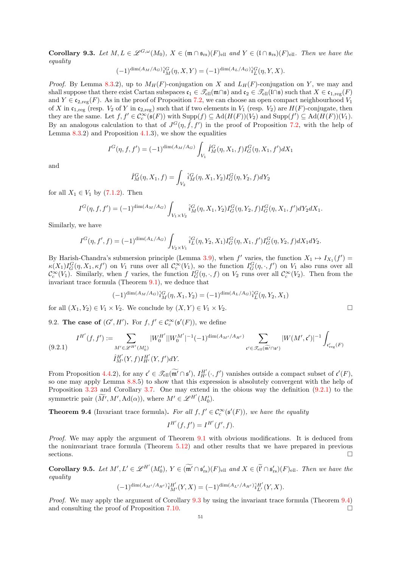<span id="page-50-2"></span>**Corollary 9.3.** Let  $M, L \in \mathscr{L}^{G, \omega}(M_0), X \in (\mathfrak{m} \cap \mathfrak{s}_{rs})(F)_{ell}$  and  $Y \in (\mathfrak{l} \cap \mathfrak{s}_{rs})(F)_{ell}$ . Then we have the equality

$$
(-1)^{\dim(A_M/A_G)}\hat{i}_M^G(\eta, X, Y) = (-1)^{\dim(A_L/A_G)}\hat{i}_L^G(\eta, Y, X).
$$

*Proof.* By Lemma [8.3.](#page-42-2)2), up to  $M_H(F)$ -conjugation on X and  $L_H(F)$ -conjugation on Y, we may and shall suppose that there exist Cartan subspaces  $\mathfrak{c}_1 \in \mathcal{T}_{ell}(\mathfrak{m} \cap \mathfrak{s})$  and  $\mathfrak{c}_2 \in \mathcal{T}_{ell}(\mathfrak{l} \cap \mathfrak{s})$  such that  $X \in \mathfrak{c}_{1,reg}(F)$ and  $Y \in \mathfrak{c}_{2,\text{reg}}(F)$ . As in the proof of Proposition [7.2,](#page-33-0) we can choose an open compact neighbourhood  $V_1$ of X in  $\mathfrak{c}_{1,\text{reg}}$  (resp.  $V_2$  of Y in  $\mathfrak{c}_{2,\text{reg}}$ ) such that if two elements in  $V_1$  (resp.  $V_2$ ) are  $H(F)$ -conjugate, then they are the same. Let  $f, f' \in C_c^{\infty}(\mathfrak{s}(F))$  with  $\text{Supp}(f) \subseteq \text{Ad}(H(F))(V_2)$  and  $\text{Supp}(f') \subseteq \text{Ad}(H(F))(V_1)$ . By an analogous calculation to that of  $J^G(\eta, \hat{f}, f')$  in the proof of Proposition [7.2,](#page-33-0) with the help of Lemma  $8.3.2$  $8.3.2$ ) and Proposition  $4.1.3$  $4.1.3$ ), we show the equalities

$$
I^{G}(\eta, f, f') = (-1)^{\dim(A_M/A_G)} \int_{V_1} \hat{I}^{G}_M(\eta, X_1, f) I^{G}_G(\eta, X_1, f') dX_1
$$

and

$$
\hat{I}_{M}^{G}(\eta, X_1, f) = \int_{V_2} \hat{i}_{M}^{G}(\eta, X_1, Y_2) I_{G}^{G}(\eta, Y_2, f) dY_2
$$

for all  $X_1 \in V_1$  by  $(7.1.2)$ . Then

$$
I^G(\eta, f, f') = (-1)^{\dim(A_M/A_G)} \int_{V_1 \times V_2} \hat{i}_M^G(\eta, X_1, Y_2) I_G^G(\eta, Y_2, f) I_G^G(\eta, X_1, f') dY_2 dX_1.
$$

Similarly, we have

$$
I^{G}(\eta, f', f) = (-1)^{\dim(A_L/A_G)} \int_{V_2 \times V_1} \hat{i}_L^G(\eta, Y_2, X_1) I_G^G(\eta, X_1, f') I_G^G(\eta, Y_2, f) dX_1 dY_2.
$$

By Harish-Chandra's submersion principle (Lemma [3.9\)](#page-8-5), when f' varies, the function  $X_1 \mapsto I_{X_1}(f') =$  $\kappa(X_1)I_G^G(\eta,X_1,\kappa f')$  on  $V_1$  runs over all  $\mathcal{C}_c^{\infty}(V_1)$ , so the function  $I_G^G(\eta,\cdot,f')$  on  $V_1$  also runs over all  $\mathcal{C}_c^{\infty}(V_1)$ . Similarly, when f varies, the function  $I_G^G(\eta, \cdot, f)$  on  $V_2$  runs over all  $\mathcal{C}_c^{\infty}(V_2)$ . Then from the invariant trace formula (Theorem [9.1\)](#page-46-1), we deduce that

$$
(-1)^{\dim(A_M/A_G)}{}_{M}^{G}(\eta, X_1, Y_2) = (-1)^{\dim(A_L/A_G)}{}_{L}^{G}(\eta, Y_2, X_1)
$$

for all  $(X_1, Y_2) \in V_1 \times V_2$ . We conclude by  $(X, Y) \in V_1 \times V_2$ .

9.2. The case of  $(G', H')$ . For  $f, f' \in C_c^{\infty}(\mathfrak{s}'(F))$ , we define

<span id="page-50-1"></span>
$$
(9.2.1) \tIH'(f, f') := \sum_{M' \in \mathcal{L}^{H'}(M'_0)} |W_0^{H'}||W_0^{M'}|^{-1}(-1)^{\dim(A_{M'}/A_{H'})} \sum_{\mathfrak{c}' \in \mathcal{F}_{\text{ell}}(\widetilde{\mathfrak{m}}' \cap \mathfrak{s}')} |W(M', \mathfrak{c}')|^{-1} \int_{\mathfrak{c}'_{\text{reg}}(F)} |W(M', \mathfrak{c}')|^{-1} d\mathfrak{c}' \int_{\mathfrak{c}'_{\text{reg}}(F)} |W(M', \mathfrak{c}')|^{-1} d\mathfrak{c}'
$$

From Proposition [4.4.](#page-19-1)2), for any  $\mathfrak{c}' \in \mathcal{T}_{ell}(\widetilde{\mathfrak{m}'} \cap \mathfrak{s}')$ ,  $I_{H'}^{H'}(\cdot, f')$  vanishes outside a compact subset of  $\mathfrak{c}'(F)$ , so one may apply Lemma [8.8.](#page-45-4)5) to show that this expression is absolutely convergent with the help of Proposition [3.23](#page-14-0) and Corollary [3.7.](#page-8-2) One may extend in the obious way the definition [\(9.2.1\)](#page-50-1) to the symmetric pair  $(\widetilde{M}', M', \mathrm{Ad}(\alpha)),$  where  $M' \in \mathscr{L}^{H'}(M'_{0}).$ 

<span id="page-50-0"></span>**Theorem 9.4** (Invariant trace formula). For all  $f, f' \in C_c^{\infty}(\mathfrak{s}'(F))$ , we have the equality

$$
I^{H'}(f, f') = I^{H'}(f', f).
$$

Proof. We may apply the argument of Theorem [9.1](#page-46-1) with obvious modifications. It is deduced from the noninvariant trace formula (Theorem [5.12\)](#page-26-1) and other results that we have prepared in previous sections.  $\Box$ 

Corollary 9.5. Let  $M', L' \in \mathscr{L}^{H'}(M'_0), Y \in (\widetilde{\mathfrak{m}'} \cap \mathfrak{s}'_{rs})(F)_{ell}$  and  $X \in (\widetilde{\mathfrak{l}'} \cap \mathfrak{s}'_{rs})(F)_{ell}$ . Then we have the equality

$$
(-1)^{\dim(A_{M'}/A_{H'})}\hat{i}_{M'}^{H'}(Y,X) = (-1)^{\dim(A_{L'}/A_{H'})}\hat{i}_{L'}^{H'}(Y,X).
$$

Proof. We may apply the argument of Corollary [9.3](#page-50-2) by using the invariant trace formula (Theorem [9.4\)](#page-50-0) and consulting the proof of Proposition [7.10.](#page-39-0)

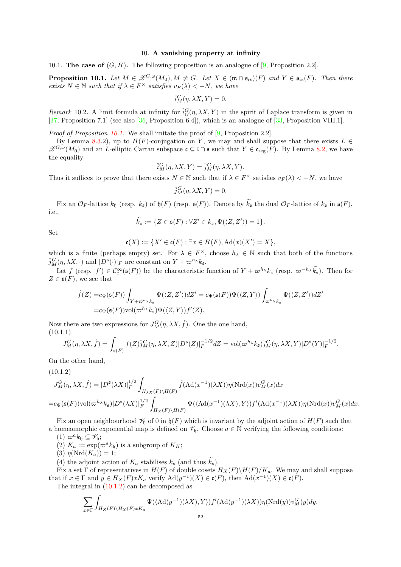## 10. A vanishing property at infinity

<span id="page-51-0"></span>10.1. The case of  $(G, H)$ . The following proposition is an analogue of [\[9,](#page-54-6) Proposition 2.2].

<span id="page-51-1"></span>**Proposition 10.1.** Let  $M \in \mathscr{L}^{G,\omega}(M_0), M \neq G$ . Let  $X \in (\mathfrak{m} \cap \mathfrak{s}_{rs})(F)$  and  $Y \in \mathfrak{s}_{rs}(F)$ . Then there exists  $N \in \mathbb{N}$  such that if  $\lambda \in F^{\times}$  satisfies  $v_F(\lambda) < -N$ , we have

$$
\hat{i}_M^G(\eta, \lambda X, Y) = 0.
$$

Remark 10.2. A limit formula at infinity for  $\hat{i}^G_G(\eta, \lambda X, Y)$  in the spirit of Laplace transform is given in [\[37,](#page-55-1) Proposition 7.1] (see also [\[36,](#page-55-5) Proposition 6.4]), which is an analogue of [\[33,](#page-55-2) Proposition VIII.1].

Proof of Proposition [10.1.](#page-51-1) We shall imitate the proof of [\[9,](#page-54-6) Proposition 2.2].

By Lemma [8.3.](#page-42-2)2), up to  $H(F)$ -conjugation on Y, we may and shall suppose that there exists  $L \in$  $\mathscr{L}^{G,\omega}(M_0)$  and an L-elliptic Cartan subspace  $\mathfrak{c} \subseteq \mathfrak{l} \cap \mathfrak{s}$  such that  $Y \in \mathfrak{c}_{\text{reg}}(F)$ . By Lemma [8.2,](#page-41-3) we have the equality

$$
\hat{i}_M^G(\eta, \lambda X, Y) = \hat{j}_M^G(\eta, \lambda X, Y).
$$

Thus it suffices to prove that there exists  $N \in \mathbb{N}$  such that if  $\lambda \in F^{\times}$  satisfies  $v_F(\lambda) < -N$ , we have

$$
\hat{j}_M^G(\eta, \lambda X, Y) = 0.
$$

Fix an  $\mathcal{O}_F$ -lattice  $k_{\mathfrak{h}}$  (resp.  $k_{\mathfrak{s}}$ ) of  $\mathfrak{h}(F)$  (resp.  $\mathfrak{s}(F)$ ). Denote by  $\widetilde{k}_{\mathfrak{s}}$  the dual  $\mathcal{O}_F$ -lattice of  $k_{\mathfrak{s}}$  in  $\mathfrak{s}(F)$ , i.e.,

$$
\widetilde{k}_{\mathfrak{s}} := \{ Z \in \mathfrak{s}(F) : \forall Z' \in k_{\mathfrak{s}}, \Psi(\langle Z, Z' \rangle) = 1 \}.
$$

Set

$$
\mathfrak{c}(X) := \{ X' \in \mathfrak{c}(F) : \exists x \in H(F), \mathrm{Ad}(x)(X') = X \},
$$

which is a finite (perhaps empty) set. For  $\lambda \in F^{\times}$ , choose  $h_{\lambda} \in \mathbb{N}$  such that both of the functions  $\hat{j}_M^G(\eta, \lambda X, \cdot)$  and  $|D^{\mathfrak{s}}(\cdot)|_F$  are constant on  $Y + \varpi^{h_\lambda} k_{\mathfrak{s}}$ .

Let  $f(\text{resp. } f') \in C_c^{\infty}(\mathfrak{s}(F))$  be the characteristic function of  $Y + \varpi^{h_{\lambda}} k_{\mathfrak{s}}$  (resp.  $\varpi^{-h_{\lambda}} k_{\mathfrak{s}}$ ). Then for  $Z \in \mathfrak{s}(F)$ , we see that

$$
\hat{f}(Z) = c_{\Psi}(\mathfrak{s}(F)) \int_{Y + \varpi^{h_{\lambda}} k_{\mathfrak{s}}} \Psi(\langle Z, Z' \rangle) dZ' = c_{\Psi}(\mathfrak{s}(F)) \Psi(\langle Z, Y \rangle) \int_{\varpi^{h_{\lambda}} k_{\mathfrak{s}}} \Psi(\langle Z, Z' \rangle) dZ' \n= c_{\Psi}(\mathfrak{s}(F)) \text{vol}(\varpi^{h_{\lambda}} k_{\mathfrak{s}}) \Psi(\langle Z, Y \rangle) f'(Z).
$$

Now there are two expressions for  $J_M^G(\eta, \lambda X, \hat{f})$ . One the one hand, (10.1.1)

<span id="page-51-3"></span>
$$
J_M^G(\eta, \lambda X, \hat{f}) = \int_{\mathfrak{s}(F)} f(Z) \hat{j}_M^G(\eta, \lambda X, Z) |D^{\mathfrak{s}}(Z)|_F^{-1/2} dZ = \text{vol}(\varpi^{h_{\lambda}} k_{\mathfrak{s}}) \hat{j}_M^G(\eta, \lambda X, Y) |D^{\mathfrak{s}}(Y)|_F^{-1/2}.
$$

On the other hand,

(10.1.2)

<span id="page-51-2"></span>
$$
J_M^G(\eta, \lambda X, \hat{f}) = |D^{\mathfrak{s}}(\lambda X)|_F^{1/2} \int_{H_{\lambda X}(F)\backslash H(F)} \hat{f}(\text{Ad}(x^{-1})(\lambda X)) \eta(\text{Nrd}(x)) v_M^G(x) dx
$$
  
=  $c_{\Psi}(\mathfrak{s}(F)) \text{vol}(\varpi^{h_{\lambda}} k_{\mathfrak{s}}) |D^{\mathfrak{s}}(\lambda X)|_F^{1/2} \int_{H_X(F)\backslash H(F)} \Psi(\langle \text{Ad}(x^{-1})(\lambda X), Y \rangle) f'(\text{Ad}(x^{-1})(\lambda X)) \eta(\text{Nrd}(x)) v_M^G(x) dx.$ 

Fix an open neighbourhood  $\mathcal{V}_h$  of 0 in  $\mathfrak{h}(F)$  which is invariant by the adjoint action of  $H(F)$  such that a homeomorphic exponential map is defined on  $\mathscr{V}_{\mathfrak{h}}$ . Choose  $a \in \mathbb{N}$  verifying the following conditions:

(1)  $\varpi^a k_{\mathfrak{h}} \subseteq \mathscr{V}_{\mathfrak{h}};$ 

(2)  $K_a := \exp(\varpi^a k_b)$  is a subgroup of  $K_H$ ;

(3)  $\eta(\text{Nrd}(K_a)) = 1;$ 

(4) the adjoint action of  $K_a$  stabilises  $k_{\mathfrak{s}}$  (and thus  $\widetilde{k}_{\mathfrak{s}}$ ).

Fix a set  $\Gamma$  of representatives in  $H(F)$  of double cosets  $H_X(F) \backslash H(F)/K_a$ . We may and shall suppose that if  $x \in \Gamma$  and  $y \in H_X(F)xK_a$  verify  $\text{Ad}(y^{-1})(X) \in \mathfrak{c}(F)$ , then  $\text{Ad}(x^{-1})(X) \in \mathfrak{c}(F)$ .

The integral in  $(10.1.2)$  can be decomposed as

$$
\sum_{x \in \Gamma} \int_{H_X(F) \backslash H_X(F) \times K_a} \Psi(\langle \mathrm{Ad}(y^{-1})(\lambda X), Y \rangle) f'(\mathrm{Ad}(y^{-1})(\lambda X)) \eta(\mathrm{Nrd}(y)) v_M^G(y) dy.
$$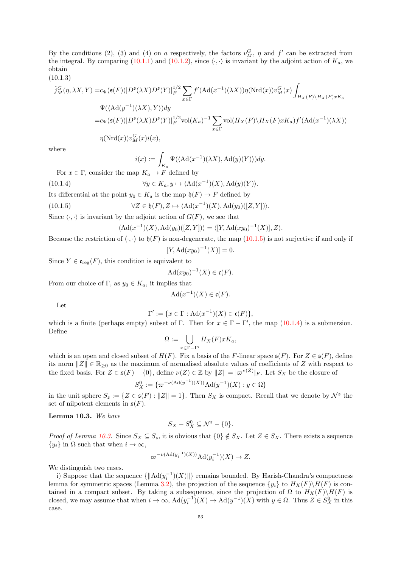By the conditions (2), (3) and (4) on a respectively, the factors  $v_M^G$ ,  $\eta$  and  $f'$  can be extracted from the integral. By comparing [\(10.1.1\)](#page-51-3) and [\(10.1.2\)](#page-51-2), since  $\langle \cdot, \cdot \rangle$  is invariant by the adjoint action of  $K_a$ , we obtain

$$
(10.1.3)
$$

<span id="page-52-3"></span>
$$
\hat{j}_M^G(\eta, \lambda X, Y) = c_{\Psi}(\mathfrak{s}(F)) |D^{\mathfrak{s}}(\lambda X) D^{\mathfrak{s}}(Y)|_F^{1/2} \sum_{x \in \Gamma} f'(\mathrm{Ad}(x^{-1})(\lambda X)) \eta(\mathrm{Nrd}(x)) v_M^G(x) \int_{H_X(F) \backslash H_X(F)xK_a}
$$
  
\n
$$
\Psi(\langle \mathrm{Ad}(y^{-1})(\lambda X), Y \rangle) dy
$$
  
\n
$$
= c_{\Psi}(\mathfrak{s}(F)) |D^{\mathfrak{s}}(\lambda X) D^{\mathfrak{s}}(Y)|_F^{1/2} \mathrm{vol}(K_a)^{-1} \sum_{x \in \Gamma} \mathrm{vol}(H_X(F) \backslash H_X(F)xK_a) f'(\mathrm{Ad}(x^{-1})(\lambda X))
$$
  
\n
$$
\eta(\mathrm{Nrd}(x)) v_M^G(x) i(x),
$$

where

<span id="page-52-1"></span>
$$
i(x):=\int_{K_a}\Psi(\langle \mathrm{Ad}(x^{-1})(\lambda X), \mathrm{Ad}(y)(Y)\rangle)dy.
$$

For  $x \in \Gamma$ , consider the map  $K_a \to F$  defined by

(10.1.4) 
$$
\forall y \in K_a, y \mapsto \langle \mathrm{Ad}(x^{-1})(X), \mathrm{Ad}(y)(Y) \rangle.
$$

Its differential at the point  $y_0 \in K_a$  is the map  $\mathfrak{h}(F) \to F$  defined by

(10.1.5) 
$$
\forall Z \in \mathfrak{h}(F), Z \mapsto \langle \mathrm{Ad}(x^{-1})(X), \mathrm{Ad}(y_0)([Z, Y]) \rangle.
$$

Since  $\langle \cdot, \cdot \rangle$  is invariant by the adjoint action of  $G(F)$ , we see that

<span id="page-52-0"></span>
$$
\langle \mathrm{Ad}(x^{-1})(X), \mathrm{Ad}(y_0)([Z, Y]) \rangle = \langle [Y, \mathrm{Ad}(xy_0)^{-1}(X)], Z \rangle.
$$

Because the restriction of  $\langle \cdot, \cdot \rangle$  to  $\mathfrak{h}(F)$  is non-degenerate, the map [\(10.1.5\)](#page-52-0) is not surjective if and only if

$$
[Y, \mathrm{Ad}(xy_0)^{-1}(X)] = 0.
$$

Since  $Y \in \mathfrak{c}_{\text{reg}}(F)$ , this condition is equivalent to

$$
\mathrm{Ad}(xy_0)^{-1}(X)\in\mathfrak{c}(F).
$$

From our choice of Γ, as  $y_0 \in K_a$ , it implies that

$$
\mathrm{Ad}(x^{-1})(X) \in \mathfrak{c}(F).
$$

Let

$$
\Gamma' := \{ x \in \Gamma : \mathrm{Ad}(x^{-1})(X) \in \mathfrak{c}(F) \},
$$

which is a finite (perhaps empty) subset of  $\Gamma$ . Then for  $x \in \Gamma - \Gamma'$ , the map [\(10.1.4\)](#page-52-1) is a submersion. Define

$$
\Omega:=\bigcup_{x\in \Gamma-\Gamma'}H_X(F)xK_a,
$$

which is an open and closed subset of  $H(F)$ . Fix a basis of the F-linear space  $\mathfrak{s}(F)$ . For  $Z \in \mathfrak{s}(F)$ , define its norm  $||Z|| \in \mathbb{R}_{\geq 0}$  as the maximum of normalised absolute values of coefficients of Z with respect to the fixed basis. For  $Z \in \mathfrak{s}(F) - \{0\}$ , define  $\nu(Z) \in \mathbb{Z}$  by  $||Z|| = |\varpi^{\nu(Z)}|_F$ . Let  $S_X$  be the closure of

$$
S_X^0 := \{ \varpi^{-\nu(\text{Ad}(y^{-1})(X))} \text{Ad}(y^{-1})(X) : y \in \Omega \}
$$

in the unit sphere  $S_{\mathfrak{s}} := \{ Z \in \mathfrak{s}(F) : ||Z|| = 1 \}.$  Then  $S_X$  is compact. Recall that we denote by  $\mathcal{N}^{\mathfrak{s}}$  the set of nilpotent elements in  $\mathfrak{s}(F)$ .

<span id="page-52-2"></span>Lemma 10.3. We have

$$
S_X - S_X^0 \subseteq \mathcal{N}^{\mathfrak{s}} - \{0\}.
$$

*Proof of Lemma [10.3.](#page-52-2)* Since  $S_X \subseteq S_{\mathfrak{s}}$ , it is obvious that  $\{0\} \notin S_X$ . Let  $Z \in S_X$ . There exists a sequence  $\{y_i\}$  in  $\Omega$  such that when  $i \to \infty$ ,

$$
\varpi^{-\nu(\mathrm{Ad}(y_i^{-1})(X))}\mathrm{Ad}(y_i^{-1})(X) \to Z.
$$

We distinguish two cases.

i) Suppose that the sequence  $\{\Vert \mathrm{Ad}(y_i^{-1})(X)\Vert\}$  remains bounded. By Harish-Chandra's compactness lemma for symmetric spaces (Lemma [3.2\)](#page-7-2), the projection of the sequence  $\{y_i\}$  to  $H_X(F)\backslash H(F)$  is contained in a compact subset. By taking a subsequence, since the projection of  $\Omega$  to  $H_X(F)\backslash H(F)$  is closed, we may assume that when  $i \to \infty$ ,  $\text{Ad}(y_i^{-1})(X) \to \text{Ad}(y^{-1})(X)$  with  $y \in \Omega$ . Thus  $Z \in S_X^0$  in this case.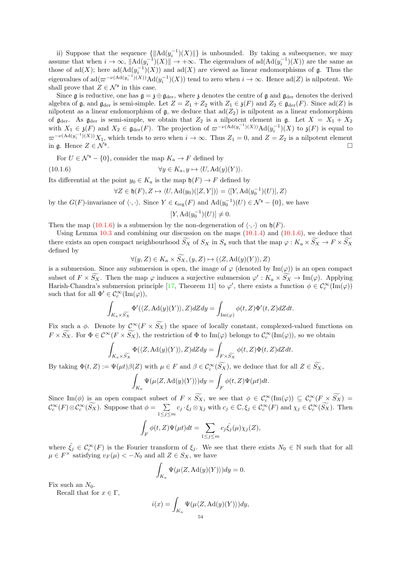ii) Suppose that the sequence  $\{||Ad(y_i^{-1})(X)||\}$  is unbounded. By taking a subsequence, we may assume that when  $i \to \infty$ ,  $\| \text{Ad}(y_i^{-1})(X) \| \to +\infty$ . The eigenvalues of  $\text{ad}(\text{Ad}(y_i^{-1})(X))$  are the same as those of  $\text{ad}(X)$ ; here  $\text{ad}(\text{Ad}(y_i^{-1})(X))$  and  $\text{ad}(X)$  are viewed as linear endomorphisms of  $\mathfrak g$ . Thus the eigenvalues of  $\text{ad}(\varpi^{-\nu(\text{Ad}(y_i^{-1})(X))}\text{Ad}(y_i^{-1})(X))$  tend to zero when  $i \to \infty$ . Hence  $\text{ad}(Z)$  is nilpotent. We shall prove that  $Z \in \mathcal{N}^{\mathfrak{s}}$  in this case.

Since g is reductive, one has  $g = \mathfrak{z} \oplus g_{\text{der}}$ , where  $\mathfrak{z}$  denotes the centre of g and  $g_{\text{der}}$  denotes the derived algebra of g, and g<sub>der</sub> is semi-simple. Let  $Z = Z_1 + Z_2$  with  $Z_1 \in \mathfrak{z}(F)$  and  $Z_2 \in \mathfrak{g}_{der}(F)$ . Since  $ad(Z)$  is nilpotent as a linear endomorphism of  $\mathfrak{g}$ , we deduce that  $\text{ad}(Z_2)$  is nilpotent as a linear endomorphism of  $\mathfrak{g}_{der}$ . As  $\mathfrak{g}_{der}$  is semi-simple, we obtain that  $Z_2$  is a nilpotent element in  $\mathfrak{g}$ . Let  $X = X_1 + X_2$ with  $X_1 \in \mathfrak{z}(F)$  and  $X_2 \in \mathfrak{g}_{der}(F)$ . The projection of  $\varpi^{-\nu(\text{Ad}(y_i^{-1})(X))}\text{Ad}(y_i^{-1})(X)$  to  $\mathfrak{z}(F)$  is equal to  $\varpi^{-\nu(\text{Ad}(y_i^{-1})(X))}X_1$ , which tends to zero when  $i \to \infty$ . Thus  $Z_1 = 0$ , and  $Z = Z_2$  is a nilpotent element in  $\mathfrak{a}$ . Hence  $Z \in \mathcal{N}^{\mathfrak{s}}$ . .

For  $U \in \mathcal{N}^{\mathfrak{s}} - \{0\}$ , consider the map  $K_a \to F$  defined by

(10.1.6) 
$$
\forall y \in K_a, y \mapsto \langle U, \mathrm{Ad}(y)(Y) \rangle.
$$

Its differential at the point  $y_0 \in K_a$  is the map  $\mathfrak{h}(F) \to F$  defined by

$$
\forall Z \in \mathfrak{h}(F), Z \mapsto \langle U, \mathrm{Ad}(y_0)([Z, Y]) \rangle = \langle [Y, \mathrm{Ad}(y_0^{-1})(U)], Z \rangle
$$

by the  $G(F)$ -invariance of  $\langle \cdot, \cdot \rangle$ . Since  $Y \in \mathfrak{c}_{reg}(F)$  and  $\text{Ad}(y_0^{-1})(U) \in \mathcal{N}^{\mathfrak{s}} - \{0\}$ , we have

<span id="page-53-0"></span> $[Y, \mathrm{Ad}(y_0^{-1})(U)] \neq 0.$ 

Then the map [\(10.1.6\)](#page-53-0) is a submersion by the non-degeneration of  $\langle \cdot, \cdot \rangle$  on  $\mathfrak{h}(F)$ .

Using Lemma  $10.3$  and combining our discussion on the maps  $(10.1.4)$  and  $(10.1.6)$ , we deduce that there exists an open compact neighbourhood  $\widetilde{S_X}$  of  $S_X$  in  $S_{\mathfrak{s}}$  such that the map  $\varphi: K_a \times \widetilde{S_X} \to F \times \widetilde{S_X}$ defined by

$$
\forall (y, Z) \in K_a \times \widetilde{S_X}, (y, Z) \mapsto (\langle Z, \mathrm{Ad}(y)(Y) \rangle, Z)
$$

is a submersion. Since any submersion is open, the image of  $\varphi$  (denoted by Im( $\varphi$ )) is an open compact subset of  $F \times S_X$ . Then the map  $\varphi$  induces a surjective submersion  $\varphi' : K_a \times S_X \to \text{Im}(\varphi)$ . Applying Harish-Chandra's submersion principle [\[17,](#page-54-9) Theorem 11] to  $\varphi'$ , there exists a function  $\phi \in C_c^{\infty}(\text{Im}(\varphi))$ such that for all  $\Phi' \in C_c^{\infty}(\text{Im}(\varphi)),$ 

$$
\int_{K_a \times \widetilde{S_X}} \Phi'(\langle Z, \mathrm{Ad}(y)(Y) \rangle, Z) dZ dy = \int_{\mathrm{Im}(\varphi)} \phi(t,Z) \Phi'(t,Z) dZ dt.
$$

Fix such a  $\phi$ . Denote by  $\mathcal{C}^{\infty}(F \times \widetilde{S_X})$  the space of locally constant, complexed-valued functions on  $F \times S_X$ . For  $\Phi \in C^{\infty}(F \times S_X)$ , the restriction of  $\Phi$  to  $\text{Im}(\varphi)$  belongs to  $\mathcal{C}_c^{\infty}(\text{Im}(\varphi))$ , so we obtain

$$
\int_{K_a \times \widetilde{S_X}} \Phi(\langle Z, \mathrm{Ad}(y)(Y) \rangle, Z) dZ dy = \int_{F \times \widetilde{S_X}} \phi(t, Z) \Phi(t, Z) dZ dt.
$$

By taking  $\Phi(t, Z) := \Psi(\mu t) \beta(Z)$  with  $\mu \in F$  and  $\beta \in C_c^{\infty}(S_X)$ , we deduce that for all  $Z \in S_X$ ,

$$
\int_{K_a} \Psi(\mu \langle Z, \mathrm{Ad}(y)(Y) \rangle) dy = \int_F \phi(t, Z) \Psi(\mu t) dt.
$$

Since  $\text{Im}(\phi)$  is an open compact subset of  $F \times S_X$ , we see that  $\phi \in C_c^{\infty}(\text{Im}(\varphi)) \subseteq C_c^{\infty}(F \times S_X) =$  $\mathcal{C}_c^{\infty}(F) \otimes \mathcal{C}_c^{\infty}(\widetilde{S_X}).$  Suppose that  $\phi = \sum_{\alpha \in \mathcal{C}_c}$  $\sum_{1 \leq j \leq m} c_j \cdot \xi_j \otimes \chi_j$  with  $c_j \in \mathbb{C}, \xi_j \in \mathcal{C}_c^{\infty}(F)$  and  $\chi_j \in \mathcal{C}_c^{\infty}(\widetilde{S_X})$ . Then

$$
\int_F \phi(t, Z)\Psi(\mu t)dt = \sum_{1 \le j \le m} c_j \hat{\xi}_j(\mu) \chi_j(Z),
$$

where  $\hat{\xi}_j \in C_c^{\infty}(F)$  is the Fourier transform of  $\xi_j$ . We see that there exists  $N_0 \in \mathbb{N}$  such that for all  $\mu \in F^{\times}$  satisfying  $v_F(\mu) < -N_0$  and all  $Z \in S_X$ , we have

$$
\int_{K_a} \Psi(\mu \langle Z, \mathrm{Ad}(y)(Y) \rangle) dy = 0.
$$

Fix such an  $N_0$ .

Recall that for  $x \in \Gamma$ ,

$$
i(x) = \int_{K_a} \Psi(\mu \langle Z, \mathrm{Ad}(y)(Y) \rangle) dy,
$$
  
54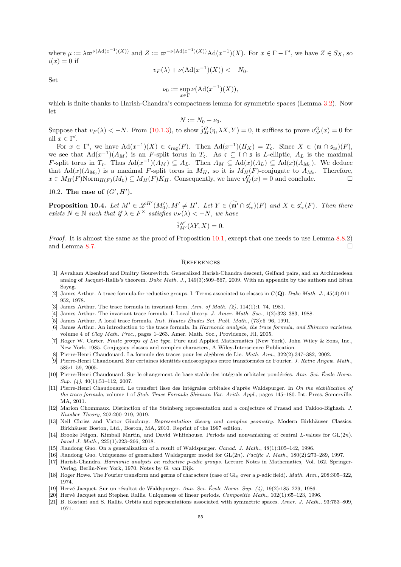where  $\mu := \lambda \varpi^{\nu(\text{Ad}(x^{-1})(X))}$  and  $Z := \varpi^{-\nu(\text{Ad}(x^{-1})(X))} \text{Ad}(x^{-1})(X)$ . For  $x \in \Gamma - \Gamma'$ , we have  $Z \in S_X$ , so  $i(x) = 0$  if

$$
v_F(\lambda) + \nu(\operatorname{Ad}(x^{-1})(X)) < -N_0.
$$

Set

$$
\nu_0 := \sup_{x \in \Gamma} \nu(\mathrm{Ad}(x^{-1})(X)),
$$

which is finite thanks to Harish-Chandra's compactness lemma for symmetric spaces (Lemma [3.2\)](#page-7-2). Now let

$$
N:=N_0+\nu_0.
$$

Suppose that  $v_F(\lambda) < -N$ . From [\(10.1.3\)](#page-52-3), to show  $\hat{j}_M^G(\eta, \lambda X, Y) = 0$ , it suffices to prove  $v_M^G(x) = 0$  for all  $x \in \Gamma'$ .

For  $x \in \Gamma'$ , we have  $\text{Ad}(x^{-1})(X) \in \mathfrak{c}_{\text{reg}}(F)$ . Then  $\text{Ad}(x^{-1})(H_X) = T_{\mathfrak{c}}$ . Since  $X \in (\mathfrak{m} \cap \mathfrak{s}_{\text{rs}})(F)$ , we see that  $\text{Ad}(x^{-1})(A_M)$  is an F-split torus in  $T_c$ . As  $\mathfrak{c} \subseteq \mathfrak{l} \cap \mathfrak{s}$  is L-elliptic,  $A_L$  is the maximal F-split torus in  $T_c$ . Thus  $\text{Ad}(x^{-1})(A_M) \subseteq A_L$ . Then  $A_M \subseteq \text{Ad}(x)(A_L) \subseteq \text{Ad}(x)(A_{M_0})$ . We deduce that  $\text{Ad}(x)(A_{M_0})$  is a maximal F-split torus in  $M_H$ , so it is  $M_H(F)$ -conjugate to  $A_{M_0}$ . Therefore,  $x \in M_H(F) \text{Norm}_{H(F)}(M_0) \subseteq M_H(F)K_H$ . Consequently, we have  $v_M^G(x) = 0$  and conclude.

10.2. The case of  $(G', H')$ .

<span id="page-54-12"></span>**Proposition 10.4.** Let  $M' \in \mathscr{L}^{H'}(M'_0), M' \neq H'$ . Let  $Y \in (\widetilde{\mathfrak{m}'} \cap \mathfrak{s}'_{rs})(F)$  and  $X \in \mathfrak{s}'_{rs}(F)$ . Then there **EXECUTE:** FOR SIGN TO: 4. Let  $M \in \mathbb{Z}$   $\{M_0\}, M \neq H$ . Let  $I \in \{0, 0\}$ <br>exists  $N \in \mathbb{N}$  such that if  $\lambda \in F^\times$  satisfies  $v_F(\lambda) < -N$ , we have

$$
\hat{i}^{H'}_{M'}(\lambda Y, X) = 0.
$$

Proof. It is almost the same as the proof of Proposition [10.1,](#page-51-1) except that one needs to use Lemma [8.8.](#page-45-4)2) and Lemma [8.7.](#page-45-2)

## <span id="page-54-0"></span>**REFERENCES**

- <span id="page-54-10"></span>[1] Avraham Aizenbud and Dmitry Gourevitch. Generalized Harish-Chandra descent, Gelfand pairs, and an Archimedean analog of Jacquet-Rallis's theorem. Duke Math. J., 149(3):509–567, 2009. With an appendix by the authors and Eitan Sayag.
- <span id="page-54-5"></span>[2] James Arthur. A trace formula for reductive groups. I. Terms associated to classes in  $G(\mathbf{Q})$ . Duke Math. J., 45(4):911– 952, 1978.
- <span id="page-54-15"></span><span id="page-54-13"></span>James Arthur. The trace formula in invariant form. Ann. of Math.  $(2)$ , 114(1):1–74, 1981.
- <span id="page-54-8"></span>[4] James Arthur. The invariant trace formula. I. Local theory. J. Amer. Math. Soc., 1(2):323-383, 1988.
- <span id="page-54-14"></span>[5] James Arthur. A local trace formula. Inst. Hautes Études Sci. Publ. Math.,  $(73):5-96$ , 1991.
- [6] James Arthur. An introduction to the trace formula. In Harmonic analysis, the trace formula, and Shimura varieties, volume 4 of Clay Math. Proc., pages 1–263. Amer. Math. Soc., Providence, RI, 2005.
- <span id="page-54-21"></span>[7] Roger W. Carter. Finite groups of Lie type. Pure and Applied Mathematics (New York). John Wiley & Sons, Inc., New York, 1985. Conjugacy classes and complex characters, A Wiley-Interscience Publication.
- <span id="page-54-6"></span><span id="page-54-4"></span>Pierre-Henri Chaudouard. La formule des traces pour les algèbres de Lie. Math. Ann., 322(2):347-382, 2002.
- [9] Pierre-Henri Chaudouard. Sur certaines identités endoscopiques entre transformées de Fourier. J. Reine Angew. Math., 585:1–59, 2005.
- <span id="page-54-7"></span>[10] Pierre-Henri Chaudouard. Sur le changement de base stable des intégrals orbitales pondérées. Ann. Sci. École Norm. Sup. (4), 40(1):51-112, 2007.
- <span id="page-54-17"></span>[11] Pierre-Henri Chaudouard. Le transfert lisse des intégrales orbitales d'après Waldspurger. In On the stabilization of the trace formula, volume 1 of Stab. Trace Formula Shimura Var. Arith. Appl., pages 145–180. Int. Press, Somerville, MA, 2011.
- <span id="page-54-19"></span>[12] Marion Chommaux. Distinction of the Steinberg representation and a conjecture of Prasad and Takloo-Bighash. J. Number Theory, 202:200–219, 2019.
- <span id="page-54-22"></span>[13] Neil Chriss and Victor Ginzburg. Representation theory and complex geometry. Modern Birkhäuser Classics. Birkhäuser Boston, Ltd., Boston, MA, 2010. Reprint of the 1997 edition.
- <span id="page-54-3"></span>[14] Brooke Feigon, Kimball Martin, and David Whitehouse. Periods and nonvanishing of central L-values for  $GL(2n)$ . Israel J. Math., 225(1):223–266, 2018.
- <span id="page-54-20"></span><span id="page-54-1"></span>[15] Jiandong Guo. On a generalization of a result of Waldspurger. Canad. J. Math., 48(1):105–142, 1996.
- <span id="page-54-9"></span>[16] Jiandong Guo. Uniqueness of generalized Waldspurger model for GL(2n). Pacific J. Math., 180(2):273–289, 1997.
- [17] Harish-Chandra. Harmonic analysis on reductive p-adic groups. Lecture Notes in Mathematics, Vol. 162. Springer-Verlag, Berlin-New York, 1970. Notes by G. van Dijk.
- <span id="page-54-11"></span>[18] Roger Howe. The Fourier transform and germs of characters (case of  $Gl_n$  over a p-adic field). Math. Ann., 208:305–322, 1974.
- <span id="page-54-18"></span><span id="page-54-2"></span>[19] Hervé Jacquet. Sur un résultat de Waldspurger. Ann. Sci. École Norm. Sup.  $(4)$ , 19(2):185–229, 1986.
- <span id="page-54-16"></span>[20] Hervé Jacquet and Stephen Rallis. Uniqueness of linear periods. Compositio Math., 102(1):65–123, 1996.
- [21] B. Kostant and S. Rallis. Orbits and representations associated with symmetric spaces. Amer. J. Math., 93:753–809, 1971.